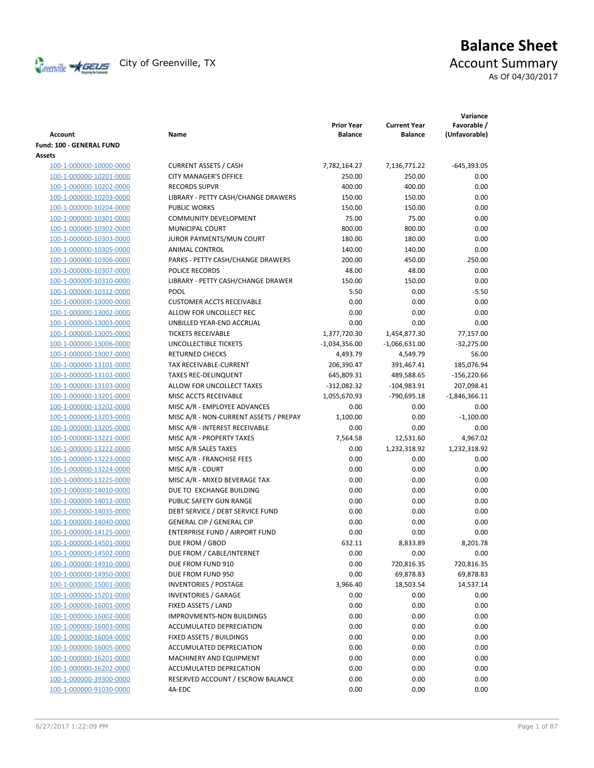

# **Balance Sheet** Creenville  $\star$  GEUS</del> City of Greenville, TX **ACCOUNT** Summary

As Of 04/30/2017

| <b>Account</b>                                     | Name                                         | <b>Prior Year</b><br><b>Balance</b> | <b>Current Year</b><br><b>Balance</b> | Variance<br>Favorable /<br>(Unfavorable) |
|----------------------------------------------------|----------------------------------------------|-------------------------------------|---------------------------------------|------------------------------------------|
| Fund: 100 - GENERAL FUND                           |                                              |                                     |                                       |                                          |
| Assets                                             |                                              |                                     |                                       |                                          |
| 100-1-000000-10000-0000                            | <b>CURRENT ASSETS / CASH</b>                 | 7,782,164.27                        | 7,136,771.22                          | $-645,393.05$                            |
| 100-1-000000-10201-0000                            | <b>CITY MANAGER'S OFFICE</b>                 | 250.00                              | 250.00                                | 0.00                                     |
| 100-1-000000-10202-0000                            | <b>RECORDS SUPVR</b>                         | 400.00                              | 400.00                                | 0.00                                     |
| 100-1-000000-10203-0000                            | LIBRARY - PETTY CASH/CHANGE DRAWERS          | 150.00                              | 150.00                                | 0.00                                     |
| 100-1-000000-10204-0000                            | <b>PUBLIC WORKS</b>                          | 150.00                              | 150.00                                | 0.00                                     |
| 100-1-000000-10301-0000                            | <b>COMMUNITY DEVELOPMENT</b>                 | 75.00                               | 75.00                                 | 0.00                                     |
| 100-1-000000-10302-0000                            | MUNICIPAL COURT                              | 800.00                              | 800.00                                | 0.00                                     |
| 100-1-000000-10303-0000                            | JUROR PAYMENTS/MUN COURT                     | 180.00                              | 180.00                                | 0.00                                     |
| 100-1-000000-10305-0000                            | <b>ANIMAL CONTROL</b>                        | 140.00                              | 140.00                                | 0.00                                     |
| 100-1-000000-10306-0000                            | PARKS - PETTY CASH/CHANGE DRAWERS            | 200.00                              | 450.00                                | 250.00                                   |
| 100-1-000000-10307-0000                            | POLICE RECORDS                               | 48.00                               | 48.00                                 | 0.00                                     |
| 100-1-000000-10310-0000                            | LIBRARY - PETTY CASH/CHANGE DRAWER           | 150.00                              | 150.00                                | 0.00                                     |
| 100-1-000000-10312-0000                            | POOL                                         | 5.50                                | 0.00                                  | $-5.50$                                  |
| 100-1-000000-13000-0000                            | <b>CUSTOMER ACCTS RECEIVABLE</b>             | 0.00                                | 0.00                                  | 0.00                                     |
| 100-1-000000-13002-0000                            | ALLOW FOR UNCOLLECT REC                      | 0.00                                | 0.00                                  | 0.00                                     |
| 100-1-000000-13003-0000                            | UNBILLED YEAR-END ACCRUAL                    | 0.00                                | 0.00                                  | 0.00                                     |
| 100-1-000000-13005-0000                            | <b>TICKETS RECEIVABLE</b>                    | 1,377,720.30                        | 1,454,877.30                          | 77,157.00                                |
| 100-1-000000-13006-0000                            | UNCOLLECTIBLE TICKETS                        | $-1,034,356.00$                     | $-1,066,631.00$                       | $-32,275.00$                             |
| 100-1-000000-13007-0000                            | <b>RETURNED CHECKS</b>                       | 4,493.79                            | 4,549.79                              | 56.00                                    |
| 100-1-000000-13101-0000                            | TAX RECEIVABLE-CURRENT                       | 206,390.47                          | 391,467.41                            | 185,076.94                               |
| 100-1-000000-13102-0000                            | <b>TAXES REC-DELINQUENT</b>                  | 645,809.31                          | 489,588.65                            | $-156,220.66$                            |
| 100-1-000000-13103-0000                            | ALLOW FOR UNCOLLECT TAXES                    | $-312,082.32$                       | $-104,983.91$                         | 207,098.41                               |
| 100-1-000000-13201-0000                            | MISC ACCTS RECEIVABLE                        | 1,055,670.93                        | -790,695.18                           | $-1,846,366.11$                          |
| 100-1-000000-13202-0000                            | MISC A/R - EMPLOYEE ADVANCES                 | 0.00                                | 0.00                                  | 0.00                                     |
| 100-1-000000-13203-0000                            | MISC A/R - NON-CURRENT ASSETS / PREPAY       | 1,100.00                            | 0.00                                  | $-1,100.00$                              |
| 100-1-000000-13205-0000                            | MISC A/R - INTEREST RECEIVABLE               | 0.00                                | 0.00                                  | 0.00                                     |
| 100-1-000000-13221-0000                            | MISC A/R - PROPERTY TAXES                    | 7,564.58                            | 12,531.60                             | 4,967.02                                 |
| 100-1-000000-13222-0000                            | MISC A/R SALES TAXES                         | 0.00                                | 1,232,318.92                          | 1,232,318.92                             |
| 100-1-000000-13223-0000                            | MISC A/R - FRANCHISE FEES                    | 0.00                                | 0.00                                  | 0.00                                     |
| 100-1-000000-13224-0000                            | MISC A/R - COURT                             | 0.00                                | 0.00                                  | 0.00                                     |
| 100-1-000000-13225-0000                            | MISC A/R - MIXED BEVERAGE TAX                | 0.00                                | 0.00                                  | 0.00                                     |
| 100-1-000000-14010-0000                            | DUE TO EXCHANGE BUILDING                     | 0.00                                | 0.00                                  | 0.00                                     |
| 100-1-000000-14012-0000                            | PUBLIC SAFETY GUN RANGE                      | 0.00                                | 0.00                                  | 0.00                                     |
| 100-1-000000-14035-0000                            | DEBT SERVICE / DEBT SERVICE FUND             | 0.00                                | 0.00                                  | 0.00                                     |
| 100-1-000000-14040-0000                            | <b>GENERAL CIP / GENERAL CIP</b>             | 0.00<br>0.00                        | 0.00                                  | 0.00<br>0.00                             |
| 100-1-000000-14125-0000                            | ENTERPRISE FUND / AIRPORT FUND               |                                     | 0.00                                  |                                          |
| 100-1-000000-14501-0000                            | DUE FROM / GBOD<br>DUE FROM / CABLE/INTERNET | 632.11<br>0.00                      | 8,833.89                              | 8,201.78                                 |
| 100-1-000000-14502-0000<br>100-1-000000-14910-0000 | DUE FROM FUND 910                            | 0.00                                | 0.00<br>720,816.35                    | 0.00<br>720,816.35                       |
| 100-1-000000-14950-0000                            | DUE FROM FUND 950                            | 0.00                                | 69,878.83                             | 69,878.83                                |
| 100-1-000000-15001-0000                            | <b>INVENTORIES / POSTAGE</b>                 | 3,966.40                            | 18,503.54                             | 14,537.14                                |
| 100-1-000000-15201-0000                            | <b>INVENTORIES / GARAGE</b>                  | 0.00                                | 0.00                                  | 0.00                                     |
| 100-1-000000-16001-0000                            | FIXED ASSETS / LAND                          | 0.00                                | 0.00                                  | 0.00                                     |
| 100-1-000000-16002-0000                            | <b>IMPROVMENTS-NON BUILDINGS</b>             | 0.00                                | 0.00                                  | 0.00                                     |
| 100-1-000000-16003-0000                            | ACCUMULATED DEPRECIATION                     | 0.00                                | 0.00                                  | 0.00                                     |
| 100-1-000000-16004-0000                            | FIXED ASSETS / BUILDINGS                     | 0.00                                | 0.00                                  | 0.00                                     |
| 100-1-000000-16005-0000                            | <b>ACCUMULATED DEPRECIATION</b>              | 0.00                                | 0.00                                  | 0.00                                     |
| 100-1-000000-16201-0000                            | MACHINERY AND EQUIPMENT                      | 0.00                                | 0.00                                  | 0.00                                     |
| 100-1-000000-16202-0000                            | ACCUMULATED DEPRECATION                      | 0.00                                | 0.00                                  | 0.00                                     |
| 100-1-000000-39300-0000                            | RESERVED ACCOUNT / ESCROW BALANCE            | 0.00                                | 0.00                                  | 0.00                                     |
| 100-1-000000-91030-0000                            | 4A-EDC                                       | 0.00                                | 0.00                                  | 0.00                                     |
|                                                    |                                              |                                     |                                       |                                          |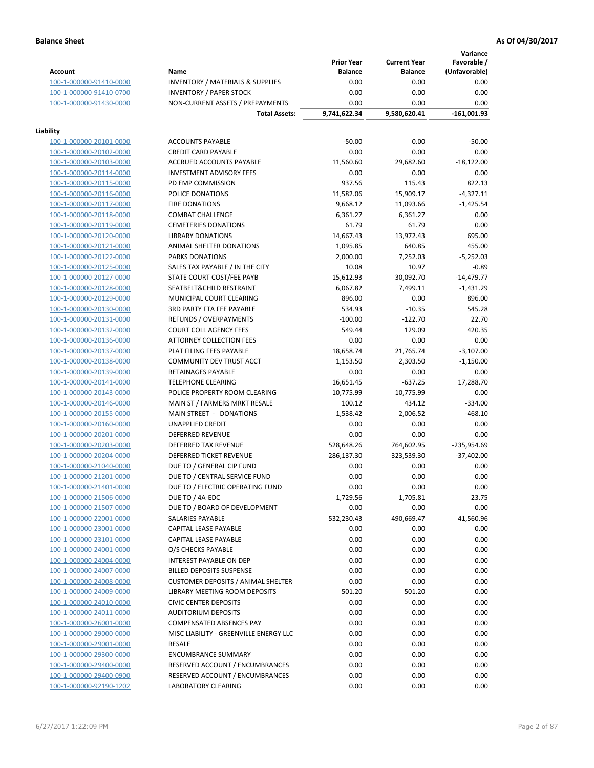**Variance**

|                         |                                                        | <b>Prior Year</b> | <b>Current Year</b> | vanance<br>Favorable / |
|-------------------------|--------------------------------------------------------|-------------------|---------------------|------------------------|
| <b>Account</b>          | Name                                                   | <b>Balance</b>    | <b>Balance</b>      | (Unfavorable)          |
| 100-1-000000-91410-0000 | <b>INVENTORY / MATERIALS &amp; SUPPLIES</b>            | 0.00              | 0.00                | 0.00                   |
| 100-1-000000-91410-0700 | <b>INVENTORY / PAPER STOCK</b>                         | 0.00              | 0.00                | 0.00                   |
| 100-1-000000-91430-0000 | NON-CURRENT ASSETS / PREPAYMENTS                       | 0.00              | 0.00                | 0.00                   |
|                         | <b>Total Assets:</b>                                   | 9,741,622.34      | 9,580,620.41        | $-161,001.93$          |
| Liability               |                                                        |                   |                     |                        |
| 100-1-000000-20101-0000 | <b>ACCOUNTS PAYABLE</b>                                | $-50.00$          | 0.00                | $-50.00$               |
| 100-1-000000-20102-0000 | <b>CREDIT CARD PAYABLE</b>                             | 0.00              | 0.00                | 0.00                   |
| 100-1-000000-20103-0000 | ACCRUED ACCOUNTS PAYABLE                               | 11,560.60         | 29,682.60           | $-18,122.00$           |
| 100-1-000000-20114-0000 | <b>INVESTMENT ADVISORY FEES</b>                        | 0.00              | 0.00                | 0.00                   |
| 100-1-000000-20115-0000 | PD EMP COMMISSION                                      | 937.56            | 115.43              | 822.13                 |
| 100-1-000000-20116-0000 | POLICE DONATIONS                                       | 11,582.06         | 15,909.17           | $-4,327.11$            |
| 100-1-000000-20117-0000 | <b>FIRE DONATIONS</b>                                  | 9,668.12          | 11,093.66           | $-1,425.54$            |
| 100-1-000000-20118-0000 | <b>COMBAT CHALLENGE</b>                                | 6,361.27          | 6,361.27            | 0.00                   |
| 100-1-000000-20119-0000 | <b>CEMETERIES DONATIONS</b>                            | 61.79             | 61.79               | 0.00                   |
| 100-1-000000-20120-0000 | <b>LIBRARY DONATIONS</b>                               | 14,667.43         | 13,972.43           | 695.00                 |
| 100-1-000000-20121-0000 | ANIMAL SHELTER DONATIONS                               | 1,095.85          | 640.85              | 455.00                 |
| 100-1-000000-20122-0000 | <b>PARKS DONATIONS</b>                                 | 2,000.00          | 7,252.03            | $-5,252.03$            |
| 100-1-000000-20125-0000 | SALES TAX PAYABLE / IN THE CITY                        | 10.08             | 10.97               | $-0.89$                |
| 100-1-000000-20127-0000 | STATE COURT COST/FEE PAYB                              | 15,612.93         | 30,092.70           | $-14,479.77$           |
| 100-1-000000-20128-0000 | SEATBELT& CHILD RESTRAINT                              | 6,067.82          | 7,499.11            | $-1,431.29$            |
| 100-1-000000-20129-0000 | MUNICIPAL COURT CLEARING                               | 896.00            | 0.00                | 896.00                 |
| 100-1-000000-20130-0000 | <b>3RD PARTY FTA FEE PAYABLE</b>                       | 534.93            | $-10.35$            | 545.28                 |
| 100-1-000000-20131-0000 | <b>REFUNDS / OVERPAYMENTS</b>                          | $-100.00$         | $-122.70$           | 22.70                  |
| 100-1-000000-20132-0000 | <b>COURT COLL AGENCY FEES</b>                          | 549.44            | 129.09              | 420.35                 |
| 100-1-000000-20136-0000 | ATTORNEY COLLECTION FEES                               | 0.00              | 0.00                | 0.00                   |
| 100-1-000000-20137-0000 | PLAT FILING FEES PAYABLE                               | 18,658.74         | 21,765.74           | $-3,107.00$            |
| 100-1-000000-20138-0000 | COMMUNITY DEV TRUST ACCT                               | 1,153.50          | 2,303.50            | $-1,150.00$            |
| 100-1-000000-20139-0000 | RETAINAGES PAYABLE                                     | 0.00              | 0.00                | 0.00                   |
| 100-1-000000-20141-0000 | <b>TELEPHONE CLEARING</b>                              | 16,651.45         | $-637.25$           | 17,288.70              |
| 100-1-000000-20143-0000 | POLICE PROPERTY ROOM CLEARING                          | 10,775.99         | 10,775.99           | 0.00                   |
| 100-1-000000-20146-0000 | MAIN ST / FARMERS MRKT RESALE                          | 100.12            | 434.12              | $-334.00$              |
| 100-1-000000-20155-0000 | MAIN STREET - DONATIONS                                | 1,538.42          | 2,006.52            | $-468.10$              |
| 100-1-000000-20160-0000 | UNAPPLIED CREDIT                                       | 0.00              | 0.00                | 0.00                   |
| 100-1-000000-20201-0000 | <b>DEFERRED REVENUE</b>                                | 0.00              | 0.00                | 0.00                   |
| 100-1-000000-20203-0000 |                                                        |                   |                     |                        |
| 100-1-000000-20204-0000 | DEFERRED TAX REVENUE<br><b>DEFERRED TICKET REVENUE</b> | 528,648.26        | 764,602.95          | -235,954.69            |
|                         |                                                        | 286,137.30        | 323,539.30          | $-37,402.00$           |
| 100-1-000000-21040-0000 | DUE TO / GENERAL CIP FUND                              | 0.00              | 0.00<br>0.00        | 0.00<br>0.00           |
| 100-1-000000-21201-0000 | DUE TO / CENTRAL SERVICE FUND                          | 0.00              |                     |                        |
| 100-1-000000-21401-0000 | DUE TO / ELECTRIC OPERATING FUND                       | 0.00              | 0.00                | 0.00                   |
| 100-1-000000-21506-0000 | DUE TO / 4A-EDC                                        | 1,729.56          | 1,705.81            | 23.75                  |
| 100-1-000000-21507-0000 | DUE TO / BOARD OF DEVELOPMENT                          | 0.00              | 0.00                | 0.00                   |
| 100-1-000000-22001-0000 | SALARIES PAYABLE                                       | 532,230.43        | 490,669.47          | 41,560.96              |
| 100-1-000000-23001-0000 | CAPITAL LEASE PAYABLE                                  | 0.00              | 0.00                | 0.00                   |
| 100-1-000000-23101-0000 | CAPITAL LEASE PAYABLE                                  | 0.00              | 0.00                | 0.00                   |
| 100-1-000000-24001-0000 | O/S CHECKS PAYABLE                                     | 0.00              | 0.00                | 0.00                   |
| 100-1-000000-24004-0000 | <b>INTEREST PAYABLE ON DEP</b>                         | 0.00              | 0.00                | 0.00                   |
| 100-1-000000-24007-0000 | <b>BILLED DEPOSITS SUSPENSE</b>                        | 0.00              | 0.00                | 0.00                   |
| 100-1-000000-24008-0000 | <b>CUSTOMER DEPOSITS / ANIMAL SHELTER</b>              | 0.00              | 0.00                | 0.00                   |
| 100-1-000000-24009-0000 | <b>LIBRARY MEETING ROOM DEPOSITS</b>                   | 501.20            | 501.20              | 0.00                   |
| 100-1-000000-24010-0000 | <b>CIVIC CENTER DEPOSITS</b>                           | 0.00              | 0.00                | 0.00                   |
| 100-1-000000-24011-0000 | <b>AUDITORIUM DEPOSITS</b>                             | 0.00              | 0.00                | 0.00                   |
| 100-1-000000-26001-0000 | <b>COMPENSATED ABSENCES PAY</b>                        | 0.00              | 0.00                | 0.00                   |
| 100-1-000000-29000-0000 | MISC LIABILITY - GREENVILLE ENERGY LLC                 | 0.00              | 0.00                | 0.00                   |
| 100-1-000000-29001-0000 | RESALE                                                 | 0.00              | 0.00                | 0.00                   |
| 100-1-000000-29300-0000 | <b>ENCUMBRANCE SUMMARY</b>                             | 0.00              | 0.00                | 0.00                   |
| 100-1-000000-29400-0000 | RESERVED ACCOUNT / ENCUMBRANCES                        | 0.00              | 0.00                | 0.00                   |
| 100-1-000000-29400-0900 | RESERVED ACCOUNT / ENCUMBRANCES                        | 0.00              | 0.00                | 0.00                   |
| 100-1-000000-92190-1202 | <b>LABORATORY CLEARING</b>                             | 0.00              | 0.00                | 0.00                   |
|                         |                                                        |                   |                     |                        |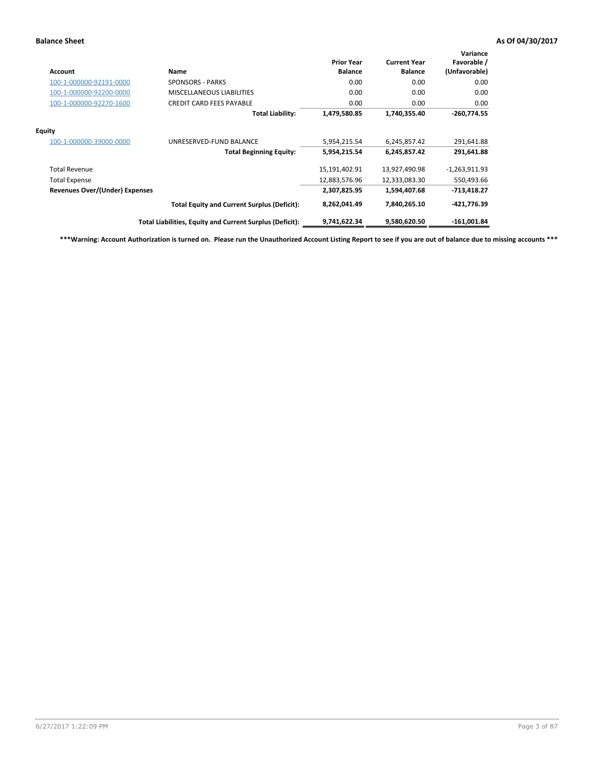| Account                        | Name                                                     | <b>Prior Year</b><br><b>Balance</b> | <b>Current Year</b><br><b>Balance</b> | Variance<br>Favorable /<br>(Unfavorable) |
|--------------------------------|----------------------------------------------------------|-------------------------------------|---------------------------------------|------------------------------------------|
| 100-1-000000-92191-0000        | <b>SPONSORS - PARKS</b>                                  | 0.00                                | 0.00                                  | 0.00                                     |
| 100-1-000000-92200-0000        | <b>MISCELLANEOUS LIABILITIES</b>                         | 0.00                                | 0.00                                  | 0.00                                     |
| 100-1-000000-92270-1600        | <b>CREDIT CARD FEES PAYABLE</b>                          | 0.00                                | 0.00                                  | 0.00                                     |
|                                | <b>Total Liability:</b>                                  | 1,479,580.85                        | 1,740,355.40                          | $-260,774.55$                            |
| <b>Equity</b>                  |                                                          |                                     |                                       |                                          |
| 100-1-000000-39000-0000        | UNRESERVED-FUND BALANCE                                  | 5,954,215.54                        | 6,245,857.42                          | 291,641.88                               |
|                                | <b>Total Beginning Equity:</b>                           | 5,954,215.54                        | 6,245,857.42                          | 291,641.88                               |
| <b>Total Revenue</b>           |                                                          | 15,191,402.91                       | 13,927,490.98                         | $-1,263,911.93$                          |
| <b>Total Expense</b>           |                                                          | 12,883,576.96                       | 12,333,083.30                         | 550,493.66                               |
| Revenues Over/(Under) Expenses |                                                          | 2,307,825.95                        | 1,594,407.68                          | $-713,418.27$                            |
|                                | <b>Total Equity and Current Surplus (Deficit):</b>       | 8,262,041.49                        | 7,840,265.10                          | -421,776.39                              |
|                                | Total Liabilities, Equity and Current Surplus (Deficit): | 9,741,622.34                        | 9,580,620.50                          | $-161,001.84$                            |

**\*\*\*Warning: Account Authorization is turned on. Please run the Unauthorized Account Listing Report to see if you are out of balance due to missing accounts \*\*\***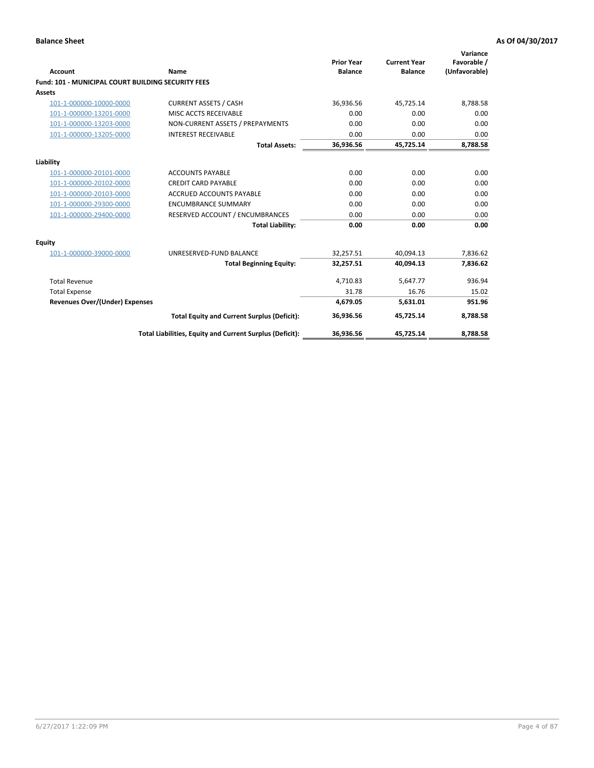| Account                                                   | <b>Name</b>                                              | <b>Prior Year</b><br><b>Balance</b> | <b>Current Year</b><br><b>Balance</b> | Variance<br>Favorable /<br>(Unfavorable) |
|-----------------------------------------------------------|----------------------------------------------------------|-------------------------------------|---------------------------------------|------------------------------------------|
| <b>Fund: 101 - MUNICIPAL COURT BUILDING SECURITY FEES</b> |                                                          |                                     |                                       |                                          |
| Assets                                                    |                                                          |                                     |                                       |                                          |
| 101-1-000000-10000-0000                                   | <b>CURRENT ASSETS / CASH</b>                             | 36,936.56                           | 45,725.14                             | 8,788.58                                 |
| 101-1-000000-13201-0000                                   | MISC ACCTS RECEIVABLE                                    | 0.00                                | 0.00                                  | 0.00                                     |
| 101-1-000000-13203-0000                                   | NON-CURRENT ASSETS / PREPAYMENTS                         | 0.00                                | 0.00                                  | 0.00                                     |
| 101-1-000000-13205-0000                                   | <b>INTEREST RECEIVABLE</b>                               | 0.00                                | 0.00                                  | 0.00                                     |
|                                                           | <b>Total Assets:</b>                                     | 36,936.56                           | 45,725.14                             | 8,788.58                                 |
| Liability                                                 |                                                          |                                     |                                       |                                          |
| 101-1-000000-20101-0000                                   | <b>ACCOUNTS PAYABLE</b>                                  | 0.00                                | 0.00                                  | 0.00                                     |
| 101-1-000000-20102-0000                                   | <b>CREDIT CARD PAYABLE</b>                               | 0.00                                | 0.00                                  | 0.00                                     |
| 101-1-000000-20103-0000                                   | <b>ACCRUED ACCOUNTS PAYABLE</b>                          | 0.00                                | 0.00                                  | 0.00                                     |
| 101-1-000000-29300-0000                                   | <b>ENCUMBRANCE SUMMARY</b>                               | 0.00                                | 0.00                                  | 0.00                                     |
| 101-1-000000-29400-0000                                   | RESERVED ACCOUNT / ENCUMBRANCES                          | 0.00                                | 0.00                                  | 0.00                                     |
|                                                           | <b>Total Liability:</b>                                  | 0.00                                | 0.00                                  | 0.00                                     |
| <b>Equity</b>                                             |                                                          |                                     |                                       |                                          |
| 101-1-000000-39000-0000                                   | UNRESERVED-FUND BALANCE                                  | 32,257.51                           | 40,094.13                             | 7,836.62                                 |
|                                                           | <b>Total Beginning Equity:</b>                           | 32,257.51                           | 40.094.13                             | 7,836.62                                 |
| <b>Total Revenue</b>                                      |                                                          | 4.710.83                            | 5,647.77                              | 936.94                                   |
| <b>Total Expense</b>                                      |                                                          | 31.78                               | 16.76                                 | 15.02                                    |
| Revenues Over/(Under) Expenses                            |                                                          | 4,679.05                            | 5,631.01                              | 951.96                                   |
|                                                           | <b>Total Equity and Current Surplus (Deficit):</b>       | 36,936.56                           | 45,725.14                             | 8,788.58                                 |
|                                                           | Total Liabilities, Equity and Current Surplus (Deficit): | 36,936.56                           | 45,725.14                             | 8,788.58                                 |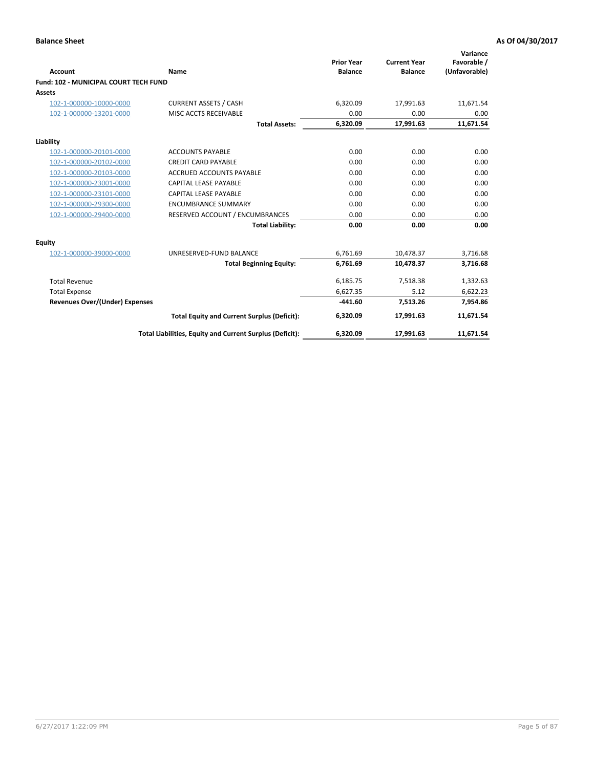| <b>Account</b>                               | <b>Name</b>                                              | <b>Prior Year</b><br><b>Balance</b> | <b>Current Year</b><br><b>Balance</b> | Variance<br>Favorable /<br>(Unfavorable) |
|----------------------------------------------|----------------------------------------------------------|-------------------------------------|---------------------------------------|------------------------------------------|
| <b>Fund: 102 - MUNICIPAL COURT TECH FUND</b> |                                                          |                                     |                                       |                                          |
| Assets                                       |                                                          |                                     |                                       |                                          |
| 102-1-000000-10000-0000                      | <b>CURRENT ASSETS / CASH</b>                             | 6,320.09                            | 17,991.63                             | 11,671.54                                |
| 102-1-000000-13201-0000                      | MISC ACCTS RECEIVABLE                                    | 0.00                                | 0.00                                  | 0.00                                     |
|                                              | <b>Total Assets:</b>                                     | 6,320.09                            | 17,991.63                             | 11,671.54                                |
| Liability                                    |                                                          |                                     |                                       |                                          |
| 102-1-000000-20101-0000                      | <b>ACCOUNTS PAYABLE</b>                                  | 0.00                                | 0.00                                  | 0.00                                     |
| 102-1-000000-20102-0000                      | <b>CREDIT CARD PAYABLE</b>                               | 0.00                                | 0.00                                  | 0.00                                     |
| 102-1-000000-20103-0000                      | <b>ACCRUED ACCOUNTS PAYABLE</b>                          | 0.00                                | 0.00                                  | 0.00                                     |
| 102-1-000000-23001-0000                      | <b>CAPITAL LEASE PAYABLE</b>                             | 0.00                                | 0.00                                  | 0.00                                     |
| 102-1-000000-23101-0000                      | <b>CAPITAL LEASE PAYABLE</b>                             | 0.00                                | 0.00                                  | 0.00                                     |
| 102-1-000000-29300-0000                      | <b>ENCUMBRANCE SUMMARY</b>                               | 0.00                                | 0.00                                  | 0.00                                     |
| 102-1-000000-29400-0000                      | RESERVED ACCOUNT / ENCUMBRANCES                          | 0.00                                | 0.00                                  | 0.00                                     |
|                                              | <b>Total Liability:</b>                                  | 0.00                                | 0.00                                  | 0.00                                     |
| Equity                                       |                                                          |                                     |                                       |                                          |
| 102-1-000000-39000-0000                      | UNRESERVED-FUND BALANCE                                  | 6,761.69                            | 10,478.37                             | 3,716.68                                 |
|                                              | <b>Total Beginning Equity:</b>                           | 6,761.69                            | 10,478.37                             | 3,716.68                                 |
| <b>Total Revenue</b>                         |                                                          | 6,185.75                            | 7,518.38                              | 1,332.63                                 |
| <b>Total Expense</b>                         |                                                          | 6,627.35                            | 5.12                                  | 6,622.23                                 |
| <b>Revenues Over/(Under) Expenses</b>        |                                                          | $-441.60$                           | 7,513.26                              | 7,954.86                                 |
|                                              | <b>Total Equity and Current Surplus (Deficit):</b>       | 6,320.09                            | 17,991.63                             | 11,671.54                                |
|                                              | Total Liabilities, Equity and Current Surplus (Deficit): | 6,320.09                            | 17,991.63                             | 11,671.54                                |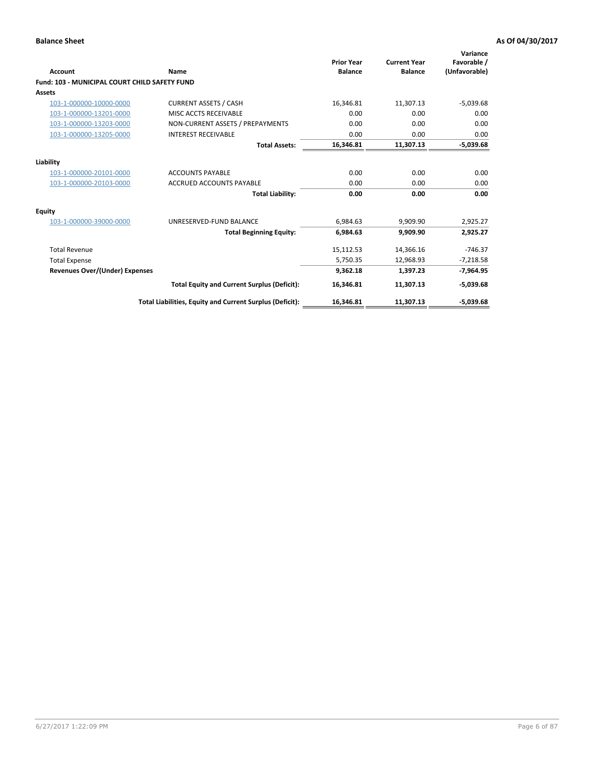| Account                                              | <b>Name</b>                                              | <b>Prior Year</b><br><b>Balance</b> | <b>Current Year</b><br><b>Balance</b> | Variance<br>Favorable /<br>(Unfavorable) |
|------------------------------------------------------|----------------------------------------------------------|-------------------------------------|---------------------------------------|------------------------------------------|
| <b>Fund: 103 - MUNICIPAL COURT CHILD SAFETY FUND</b> |                                                          |                                     |                                       |                                          |
| <b>Assets</b>                                        |                                                          |                                     |                                       |                                          |
| 103-1-000000-10000-0000                              | <b>CURRENT ASSETS / CASH</b>                             | 16,346.81                           | 11,307.13                             | $-5,039.68$                              |
| 103-1-000000-13201-0000                              | MISC ACCTS RECEIVABLE                                    | 0.00                                | 0.00                                  | 0.00                                     |
| 103-1-000000-13203-0000                              | NON-CURRENT ASSETS / PREPAYMENTS                         | 0.00                                | 0.00                                  | 0.00                                     |
| 103-1-000000-13205-0000                              | <b>INTEREST RECEIVABLE</b>                               | 0.00                                | 0.00                                  | 0.00                                     |
|                                                      | <b>Total Assets:</b>                                     | 16,346.81                           | 11,307.13                             | $-5,039.68$                              |
| Liability                                            |                                                          |                                     |                                       |                                          |
| 103-1-000000-20101-0000                              | <b>ACCOUNTS PAYABLE</b>                                  | 0.00                                | 0.00                                  | 0.00                                     |
| 103-1-000000-20103-0000                              | <b>ACCRUED ACCOUNTS PAYABLE</b>                          | 0.00                                | 0.00                                  | 0.00                                     |
|                                                      | <b>Total Liability:</b>                                  | 0.00                                | 0.00                                  | 0.00                                     |
| <b>Equity</b>                                        |                                                          |                                     |                                       |                                          |
| 103-1-000000-39000-0000                              | UNRESERVED-FUND BALANCE                                  | 6,984.63                            | 9,909.90                              | 2,925.27                                 |
|                                                      | <b>Total Beginning Equity:</b>                           | 6,984.63                            | 9.909.90                              | 2,925.27                                 |
| <b>Total Revenue</b>                                 |                                                          | 15,112.53                           | 14,366.16                             | $-746.37$                                |
| <b>Total Expense</b>                                 |                                                          | 5,750.35                            | 12,968.93                             | $-7,218.58$                              |
| Revenues Over/(Under) Expenses                       |                                                          | 9,362.18                            | 1,397.23                              | $-7,964.95$                              |
|                                                      | <b>Total Equity and Current Surplus (Deficit):</b>       | 16,346.81                           | 11,307.13                             | $-5,039.68$                              |
|                                                      | Total Liabilities, Equity and Current Surplus (Deficit): | 16,346.81                           | 11,307.13                             | $-5.039.68$                              |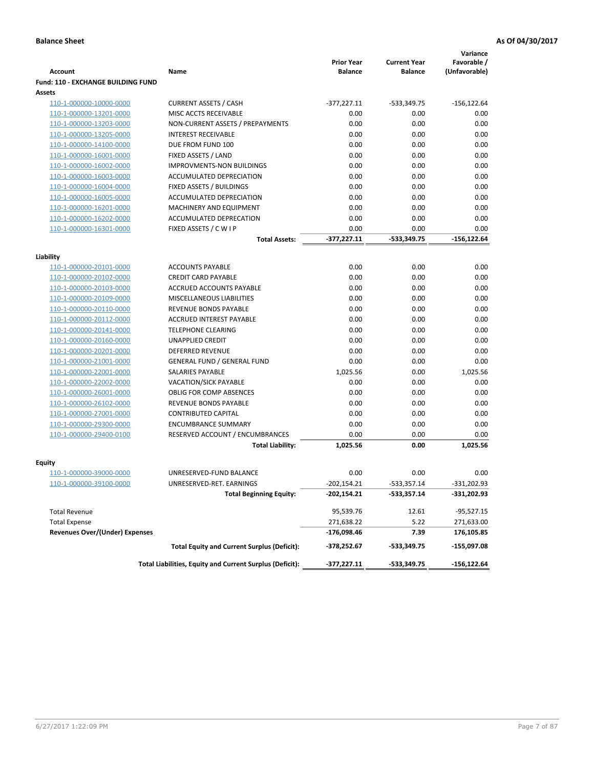|                                           |                                                          | <b>Prior Year</b> | <b>Current Year</b> | Variance<br>Favorable / |
|-------------------------------------------|----------------------------------------------------------|-------------------|---------------------|-------------------------|
| <b>Account</b>                            | Name                                                     | <b>Balance</b>    | <b>Balance</b>      | (Unfavorable)           |
| <b>Fund: 110 - EXCHANGE BUILDING FUND</b> |                                                          |                   |                     |                         |
| Assets                                    |                                                          |                   |                     |                         |
| 110-1-000000-10000-0000                   | <b>CURRENT ASSETS / CASH</b>                             | $-377,227.11$     | $-533,349.75$       | $-156, 122.64$          |
| 110-1-000000-13201-0000                   | MISC ACCTS RECEIVABLE                                    | 0.00              | 0.00                | 0.00                    |
| 110-1-000000-13203-0000                   | NON-CURRENT ASSETS / PREPAYMENTS                         | 0.00              | 0.00                | 0.00                    |
| 110-1-000000-13205-0000                   | <b>INTEREST RECEIVABLE</b>                               | 0.00              | 0.00                | 0.00                    |
| 110-1-000000-14100-0000                   | DUE FROM FUND 100                                        | 0.00              | 0.00                | 0.00                    |
| 110-1-000000-16001-0000                   | FIXED ASSETS / LAND                                      | 0.00              | 0.00                | 0.00                    |
| 110-1-000000-16002-0000                   | <b>IMPROVMENTS-NON BUILDINGS</b>                         | 0.00              | 0.00                | 0.00                    |
| 110-1-000000-16003-0000                   | ACCUMULATED DEPRECIATION                                 | 0.00              | 0.00                | 0.00                    |
| 110-1-000000-16004-0000                   | FIXED ASSETS / BUILDINGS                                 | 0.00              | 0.00                | 0.00                    |
| 110-1-000000-16005-0000                   | ACCUMULATED DEPRECIATION                                 | 0.00              | 0.00                | 0.00                    |
| 110-1-000000-16201-0000                   | MACHINERY AND EQUIPMENT                                  | 0.00              | 0.00                | 0.00                    |
| 110-1-000000-16202-0000                   | ACCUMULATED DEPRECATION                                  | 0.00              | 0.00                | 0.00                    |
| 110-1-000000-16301-0000                   | FIXED ASSETS / C W I P                                   | 0.00              | 0.00                | 0.00                    |
|                                           | <b>Total Assets:</b>                                     | $-377,227.11$     | $-533,349.75$       | $-156, 122.64$          |
| Liability                                 |                                                          |                   |                     |                         |
| 110-1-000000-20101-0000                   | <b>ACCOUNTS PAYABLE</b>                                  | 0.00              | 0.00                | 0.00                    |
| 110-1-000000-20102-0000                   | <b>CREDIT CARD PAYABLE</b>                               | 0.00              | 0.00                | 0.00                    |
| 110-1-000000-20103-0000                   | ACCRUED ACCOUNTS PAYABLE                                 | 0.00              | 0.00                | 0.00                    |
| 110-1-000000-20109-0000                   | MISCELLANEOUS LIABILITIES                                | 0.00              | 0.00                | 0.00                    |
| 110-1-000000-20110-0000                   | REVENUE BONDS PAYABLE                                    | 0.00              | 0.00                | 0.00                    |
| 110-1-000000-20112-0000                   | <b>ACCRUED INTEREST PAYABLE</b>                          | 0.00              | 0.00                | 0.00                    |
| 110-1-000000-20141-0000                   | <b>TELEPHONE CLEARING</b>                                | 0.00              | 0.00                | 0.00                    |
| 110-1-000000-20160-0000                   | <b>UNAPPLIED CREDIT</b>                                  | 0.00              | 0.00                | 0.00                    |
| 110-1-000000-20201-0000                   | <b>DEFERRED REVENUE</b>                                  | 0.00              | 0.00                | 0.00                    |
| 110-1-000000-21001-0000                   | <b>GENERAL FUND / GENERAL FUND</b>                       | 0.00              | 0.00                | 0.00                    |
| 110-1-000000-22001-0000                   | SALARIES PAYABLE                                         | 1,025.56          | 0.00                | 1,025.56                |
| 110-1-000000-22002-0000                   | <b>VACATION/SICK PAYABLE</b>                             | 0.00              | 0.00                | 0.00                    |
| 110-1-000000-26001-0000                   | <b>OBLIG FOR COMP ABSENCES</b>                           | 0.00              | 0.00                | 0.00                    |
| 110-1-000000-26102-0000                   | REVENUE BONDS PAYABLE                                    | 0.00              | 0.00                | 0.00                    |
| 110-1-000000-27001-0000                   | <b>CONTRIBUTED CAPITAL</b>                               | 0.00              | 0.00                | 0.00                    |
| 110-1-000000-29300-0000                   | <b>ENCUMBRANCE SUMMARY</b>                               | 0.00              | 0.00                | 0.00                    |
| 110-1-000000-29400-0100                   | RESERVED ACCOUNT / ENCUMBRANCES                          | 0.00              | 0.00                | 0.00                    |
|                                           | <b>Total Liability:</b>                                  | 1.025.56          | 0.00                | 1,025.56                |
|                                           |                                                          |                   |                     |                         |
| <b>Equity</b>                             |                                                          |                   |                     |                         |
| 110-1-000000-39000-0000                   | UNRESERVED-FUND BALANCE                                  | 0.00              | 0.00                | 0.00                    |
| 110-1-000000-39100-0000                   | UNRESERVED-RET. EARNINGS                                 | $-202,154.21$     | -533,357.14         | -331,202.93             |
|                                           | <b>Total Beginning Equity:</b>                           | $-202,154.21$     | -533,357.14         | -331,202.93             |
| <b>Total Revenue</b>                      |                                                          | 95,539.76         | 12.61               | $-95,527.15$            |
| <b>Total Expense</b>                      |                                                          | 271,638.22        | 5.22                | 271,633.00              |
| <b>Revenues Over/(Under) Expenses</b>     |                                                          | -176,098.46       | 7.39                | 176,105.85              |
|                                           | <b>Total Equity and Current Surplus (Deficit):</b>       | -378,252.67       | -533,349.75         | -155,097.08             |
|                                           | Total Liabilities, Equity and Current Surplus (Deficit): | $-377,227.11$     | -533,349.75         | $-156, 122.64$          |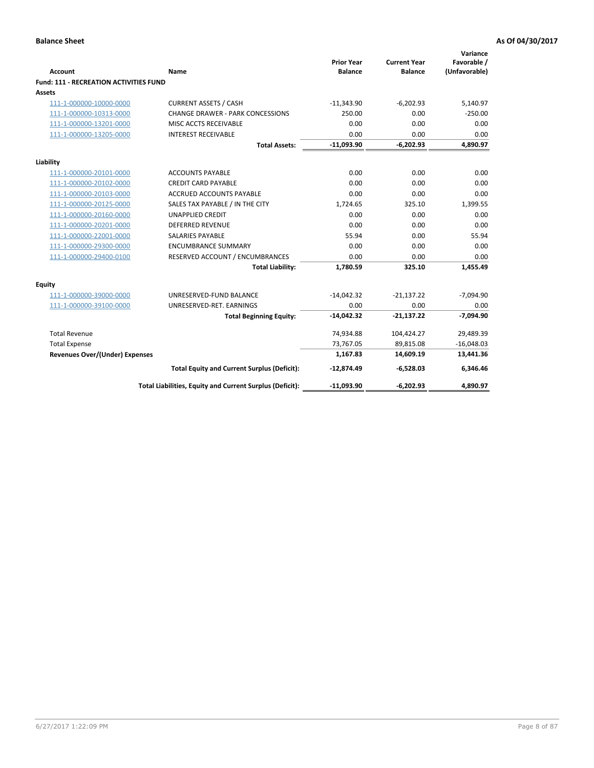|                                               |                                                          | <b>Prior Year</b> | <b>Current Year</b> | Variance<br>Favorable / |
|-----------------------------------------------|----------------------------------------------------------|-------------------|---------------------|-------------------------|
| Account                                       | Name                                                     | <b>Balance</b>    | <b>Balance</b>      | (Unfavorable)           |
| <b>Fund: 111 - RECREATION ACTIVITIES FUND</b> |                                                          |                   |                     |                         |
| Assets                                        |                                                          |                   |                     |                         |
| 111-1-000000-10000-0000                       | <b>CURRENT ASSETS / CASH</b>                             | $-11,343.90$      | $-6,202.93$         | 5,140.97                |
| 111-1-000000-10313-0000                       | <b>CHANGE DRAWER - PARK CONCESSIONS</b>                  | 250.00            | 0.00                | $-250.00$               |
| 111-1-000000-13201-0000                       | MISC ACCTS RECEIVABLE                                    | 0.00              | 0.00                | 0.00                    |
| 111-1-000000-13205-0000                       | <b>INTEREST RECEIVABLE</b>                               | 0.00              | 0.00                | 0.00                    |
|                                               | <b>Total Assets:</b>                                     | $-11,093.90$      | $-6,202.93$         | 4,890.97                |
| Liability                                     |                                                          |                   |                     |                         |
| 111-1-000000-20101-0000                       | <b>ACCOUNTS PAYABLE</b>                                  | 0.00              | 0.00                | 0.00                    |
| 111-1-000000-20102-0000                       | <b>CREDIT CARD PAYABLE</b>                               | 0.00              | 0.00                | 0.00                    |
| 111-1-000000-20103-0000                       | <b>ACCRUED ACCOUNTS PAYABLE</b>                          | 0.00              | 0.00                | 0.00                    |
| 111-1-000000-20125-0000                       | SALES TAX PAYABLE / IN THE CITY                          | 1,724.65          | 325.10              | 1,399.55                |
| 111-1-000000-20160-0000                       | <b>UNAPPLIED CREDIT</b>                                  | 0.00              | 0.00                | 0.00                    |
| 111-1-000000-20201-0000                       | <b>DEFERRED REVENUE</b>                                  | 0.00              | 0.00                | 0.00                    |
| 111-1-000000-22001-0000                       | <b>SALARIES PAYABLE</b>                                  | 55.94             | 0.00                | 55.94                   |
| 111-1-000000-29300-0000                       | <b>ENCUMBRANCE SUMMARY</b>                               | 0.00              | 0.00                | 0.00                    |
| 111-1-000000-29400-0100                       | RESERVED ACCOUNT / ENCUMBRANCES                          | 0.00              | 0.00                | 0.00                    |
|                                               | <b>Total Liability:</b>                                  | 1,780.59          | 325.10              | 1,455.49                |
| <b>Equity</b>                                 |                                                          |                   |                     |                         |
| 111-1-000000-39000-0000                       | UNRESERVED-FUND BALANCE                                  | $-14,042.32$      | $-21,137.22$        | $-7,094.90$             |
| 111-1-000000-39100-0000                       | UNRESERVED-RET. EARNINGS                                 | 0.00              | 0.00                | 0.00                    |
|                                               | <b>Total Beginning Equity:</b>                           | $-14,042.32$      | $-21,137.22$        | $-7,094.90$             |
| <b>Total Revenue</b>                          |                                                          | 74,934.88         | 104,424.27          | 29,489.39               |
| <b>Total Expense</b>                          |                                                          | 73,767.05         | 89,815.08           | $-16,048.03$            |
| <b>Revenues Over/(Under) Expenses</b>         |                                                          | 1,167.83          | 14,609.19           | 13,441.36               |
|                                               | <b>Total Equity and Current Surplus (Deficit):</b>       | $-12,874.49$      | $-6,528.03$         | 6,346.46                |
|                                               | Total Liabilities, Equity and Current Surplus (Deficit): | $-11,093.90$      | $-6,202.93$         | 4,890.97                |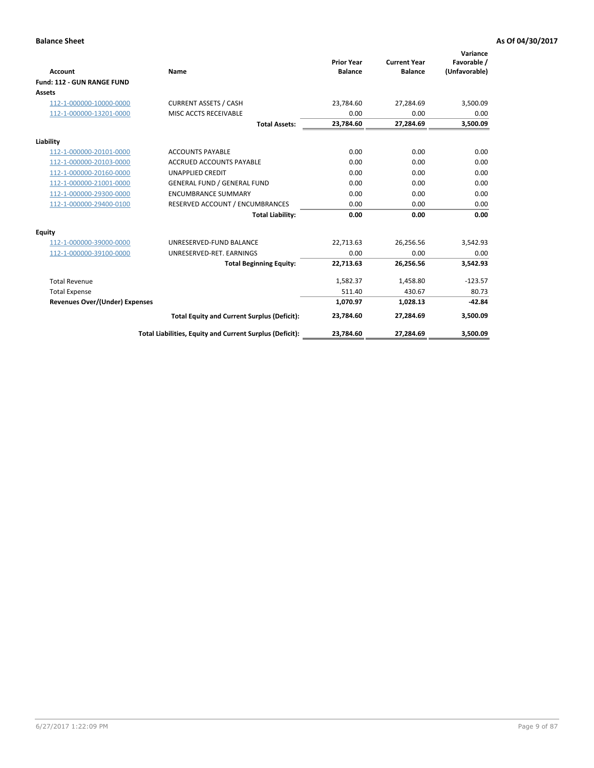|                                       |                                                          |                                     |                                       | Variance                     |
|---------------------------------------|----------------------------------------------------------|-------------------------------------|---------------------------------------|------------------------------|
| <b>Account</b>                        | Name                                                     | <b>Prior Year</b><br><b>Balance</b> | <b>Current Year</b><br><b>Balance</b> | Favorable /<br>(Unfavorable) |
| Fund: 112 - GUN RANGE FUND            |                                                          |                                     |                                       |                              |
| <b>Assets</b>                         |                                                          |                                     |                                       |                              |
| 112-1-000000-10000-0000               | <b>CURRENT ASSETS / CASH</b>                             | 23,784.60                           | 27,284.69                             | 3,500.09                     |
| 112-1-000000-13201-0000               | MISC ACCTS RECEIVABLE                                    | 0.00                                | 0.00                                  | 0.00                         |
|                                       | <b>Total Assets:</b>                                     | 23,784.60                           | 27,284.69                             | 3,500.09                     |
| Liability                             |                                                          |                                     |                                       |                              |
| 112-1-000000-20101-0000               | <b>ACCOUNTS PAYABLE</b>                                  | 0.00                                | 0.00                                  | 0.00                         |
| 112-1-000000-20103-0000               | <b>ACCRUED ACCOUNTS PAYABLE</b>                          | 0.00                                | 0.00                                  | 0.00                         |
| 112-1-000000-20160-0000               | <b>UNAPPLIED CREDIT</b>                                  | 0.00                                | 0.00                                  | 0.00                         |
| 112-1-000000-21001-0000               | <b>GENERAL FUND / GENERAL FUND</b>                       | 0.00                                | 0.00                                  | 0.00                         |
| 112-1-000000-29300-0000               | <b>ENCUMBRANCE SUMMARY</b>                               | 0.00                                | 0.00                                  | 0.00                         |
| 112-1-000000-29400-0100               | RESERVED ACCOUNT / ENCUMBRANCES                          | 0.00                                | 0.00                                  | 0.00                         |
|                                       | <b>Total Liability:</b>                                  | 0.00                                | 0.00                                  | 0.00                         |
| <b>Equity</b>                         |                                                          |                                     |                                       |                              |
| 112-1-000000-39000-0000               | UNRESERVED-FUND BALANCE                                  | 22,713.63                           | 26,256.56                             | 3,542.93                     |
| 112-1-000000-39100-0000               | UNRESERVED-RET. EARNINGS                                 | 0.00                                | 0.00                                  | 0.00                         |
|                                       | <b>Total Beginning Equity:</b>                           | 22.713.63                           | 26,256.56                             | 3,542.93                     |
| <b>Total Revenue</b>                  |                                                          | 1,582.37                            | 1,458.80                              | $-123.57$                    |
| <b>Total Expense</b>                  |                                                          | 511.40                              | 430.67                                | 80.73                        |
| <b>Revenues Over/(Under) Expenses</b> |                                                          | 1,070.97                            | 1,028.13                              | $-42.84$                     |
|                                       | <b>Total Equity and Current Surplus (Deficit):</b>       | 23,784.60                           | 27,284.69                             | 3,500.09                     |
|                                       | Total Liabilities, Equity and Current Surplus (Deficit): | 23,784.60                           | 27,284.69                             | 3,500.09                     |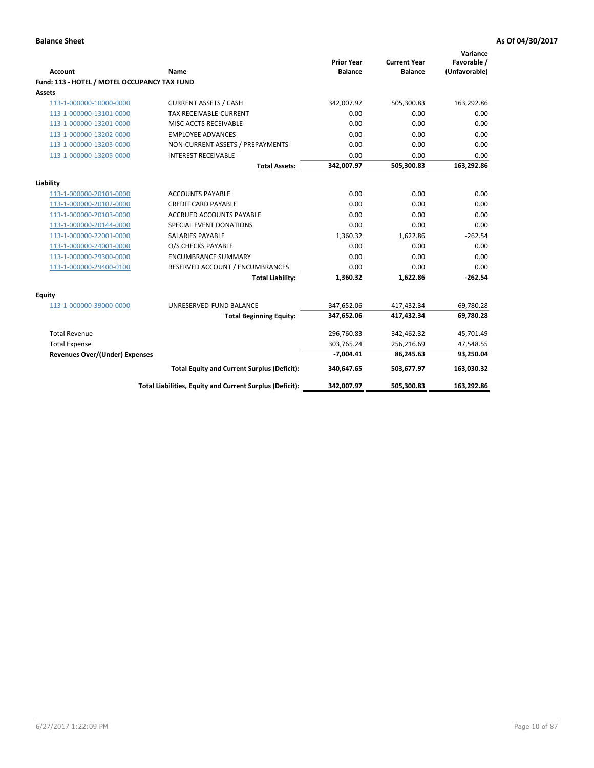| <b>Account</b>                               | <b>Name</b>                                                   | <b>Prior Year</b><br><b>Balance</b> | <b>Current Year</b><br><b>Balance</b> | Variance<br>Favorable /<br>(Unfavorable) |
|----------------------------------------------|---------------------------------------------------------------|-------------------------------------|---------------------------------------|------------------------------------------|
| Fund: 113 - HOTEL / MOTEL OCCUPANCY TAX FUND |                                                               |                                     |                                       |                                          |
| Assets                                       |                                                               |                                     |                                       |                                          |
| 113-1-000000-10000-0000                      | <b>CURRENT ASSETS / CASH</b>                                  | 342,007.97                          | 505,300.83                            | 163,292.86                               |
| 113-1-000000-13101-0000                      | TAX RECEIVABLE-CURRENT                                        | 0.00                                | 0.00                                  | 0.00                                     |
| 113-1-000000-13201-0000                      | MISC ACCTS RECEIVABLE                                         | 0.00                                | 0.00                                  | 0.00                                     |
| 113-1-000000-13202-0000                      | <b>EMPLOYEE ADVANCES</b>                                      | 0.00                                | 0.00                                  | 0.00                                     |
| 113-1-000000-13203-0000                      | NON-CURRENT ASSETS / PREPAYMENTS                              | 0.00                                | 0.00                                  | 0.00                                     |
| 113-1-000000-13205-0000                      | <b>INTEREST RECEIVABLE</b>                                    | 0.00                                | 0.00                                  | 0.00                                     |
|                                              | <b>Total Assets:</b>                                          | 342,007.97                          | 505,300.83                            | 163,292.86                               |
|                                              |                                                               |                                     |                                       |                                          |
| Liability                                    |                                                               |                                     | 0.00                                  |                                          |
| 113-1-000000-20101-0000                      | <b>ACCOUNTS PAYABLE</b>                                       | 0.00                                |                                       | 0.00                                     |
| 113-1-000000-20102-0000                      | <b>CREDIT CARD PAYABLE</b><br><b>ACCRUED ACCOUNTS PAYABLE</b> | 0.00<br>0.00                        | 0.00<br>0.00                          | 0.00<br>0.00                             |
| 113-1-000000-20103-0000                      |                                                               |                                     |                                       |                                          |
| 113-1-000000-20144-0000                      | SPECIAL EVENT DONATIONS                                       | 0.00                                | 0.00                                  | 0.00                                     |
| 113-1-000000-22001-0000                      | <b>SALARIES PAYABLE</b>                                       | 1,360.32                            | 1,622.86                              | $-262.54$                                |
| 113-1-000000-24001-0000                      | O/S CHECKS PAYABLE                                            | 0.00                                | 0.00                                  | 0.00                                     |
| 113-1-000000-29300-0000                      | <b>ENCUMBRANCE SUMMARY</b>                                    | 0.00                                | 0.00                                  | 0.00                                     |
| 113-1-000000-29400-0100                      | RESERVED ACCOUNT / ENCUMBRANCES                               | 0.00                                | 0.00                                  | 0.00                                     |
|                                              | <b>Total Liability:</b>                                       | 1,360.32                            | 1,622.86                              | $-262.54$                                |
| Equity                                       |                                                               |                                     |                                       |                                          |
| 113-1-000000-39000-0000                      | UNRESERVED-FUND BALANCE                                       | 347,652.06                          | 417,432.34                            | 69,780.28                                |
|                                              | <b>Total Beginning Equity:</b>                                | 347,652.06                          | 417,432.34                            | 69,780.28                                |
| <b>Total Revenue</b>                         |                                                               | 296,760.83                          | 342,462.32                            | 45,701.49                                |
| <b>Total Expense</b>                         |                                                               | 303,765.24                          | 256,216.69                            | 47,548.55                                |
| Revenues Over/(Under) Expenses               |                                                               | $-7,004.41$                         | 86,245.63                             | 93,250.04                                |
|                                              | <b>Total Equity and Current Surplus (Deficit):</b>            | 340,647.65                          | 503,677.97                            | 163,030.32                               |
|                                              | Total Liabilities, Equity and Current Surplus (Deficit):      | 342,007.97                          | 505,300.83                            | 163,292.86                               |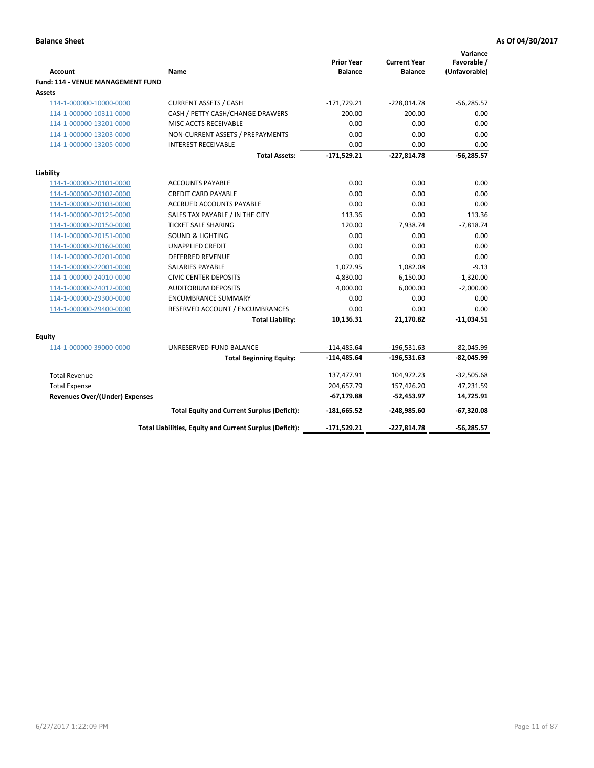| <b>Account</b>                                     | Name                                                     | <b>Prior Year</b><br><b>Balance</b> | <b>Current Year</b><br><b>Balance</b> | Variance<br>Favorable /<br>(Unfavorable) |
|----------------------------------------------------|----------------------------------------------------------|-------------------------------------|---------------------------------------|------------------------------------------|
| <b>Fund: 114 - VENUE MANAGEMENT FUND</b><br>Assets |                                                          |                                     |                                       |                                          |
| 114-1-000000-10000-0000                            | <b>CURRENT ASSETS / CASH</b>                             | $-171,729.21$                       | $-228,014.78$                         | $-56,285.57$                             |
| 114-1-000000-10311-0000                            | CASH / PETTY CASH/CHANGE DRAWERS                         | 200.00                              | 200.00                                | 0.00                                     |
| 114-1-000000-13201-0000                            | MISC ACCTS RECEIVABLE                                    | 0.00                                | 0.00                                  | 0.00                                     |
| 114-1-000000-13203-0000                            | NON-CURRENT ASSETS / PREPAYMENTS                         | 0.00                                | 0.00                                  | 0.00                                     |
| 114-1-000000-13205-0000                            | <b>INTEREST RECEIVABLE</b>                               | 0.00                                | 0.00                                  | 0.00                                     |
|                                                    | <b>Total Assets:</b>                                     | $-171,529.21$                       | $-227,814.78$                         | $-56,285.57$                             |
|                                                    |                                                          |                                     |                                       |                                          |
| Liability                                          |                                                          |                                     |                                       |                                          |
| 114-1-000000-20101-0000                            | <b>ACCOUNTS PAYABLE</b>                                  | 0.00                                | 0.00                                  | 0.00                                     |
| 114-1-000000-20102-0000                            | <b>CREDIT CARD PAYABLE</b>                               | 0.00                                | 0.00                                  | 0.00                                     |
| 114-1-000000-20103-0000                            | ACCRUED ACCOUNTS PAYABLE                                 | 0.00                                | 0.00                                  | 0.00                                     |
| 114-1-000000-20125-0000                            | SALES TAX PAYABLE / IN THE CITY                          | 113.36                              | 0.00                                  | 113.36                                   |
| 114-1-000000-20150-0000                            | <b>TICKET SALE SHARING</b>                               | 120.00                              | 7,938.74                              | $-7,818.74$                              |
| 114-1-000000-20151-0000                            | <b>SOUND &amp; LIGHTING</b>                              | 0.00                                | 0.00                                  | 0.00                                     |
| 114-1-000000-20160-0000                            | <b>UNAPPLIED CREDIT</b>                                  | 0.00                                | 0.00                                  | 0.00                                     |
| 114-1-000000-20201-0000                            | <b>DEFERRED REVENUE</b>                                  | 0.00                                | 0.00                                  | 0.00                                     |
| 114-1-000000-22001-0000                            | <b>SALARIES PAYABLE</b>                                  | 1,072.95                            | 1,082.08                              | $-9.13$                                  |
| 114-1-000000-24010-0000                            | <b>CIVIC CENTER DEPOSITS</b>                             | 4,830.00                            | 6,150.00                              | $-1,320.00$                              |
| 114-1-000000-24012-0000                            | <b>AUDITORIUM DEPOSITS</b>                               | 4,000.00                            | 6,000.00                              | $-2,000.00$                              |
| 114-1-000000-29300-0000                            | <b>ENCUMBRANCE SUMMARY</b>                               | 0.00                                | 0.00                                  | 0.00                                     |
| 114-1-000000-29400-0000                            | RESERVED ACCOUNT / ENCUMBRANCES                          | 0.00                                | 0.00                                  | 0.00                                     |
|                                                    | <b>Total Liability:</b>                                  | 10,136.31                           | 21,170.82                             | $-11,034.51$                             |
| Equity                                             |                                                          |                                     |                                       |                                          |
| 114-1-000000-39000-0000                            | UNRESERVED-FUND BALANCE                                  | $-114,485.64$                       | $-196,531.63$                         | $-82,045.99$                             |
|                                                    | <b>Total Beginning Equity:</b>                           | $-114,485.64$                       | $-196,531.63$                         | $-82,045.99$                             |
| <b>Total Revenue</b>                               |                                                          | 137,477.91                          | 104,972.23                            | $-32,505.68$                             |
| <b>Total Expense</b>                               |                                                          | 204,657.79                          | 157,426.20                            | 47,231.59                                |
| <b>Revenues Over/(Under) Expenses</b>              |                                                          | $-67,179.88$                        | $-52,453.97$                          | 14,725.91                                |
|                                                    | <b>Total Equity and Current Surplus (Deficit):</b>       | $-181,665.52$                       | $-248,985.60$                         | $-67,320.08$                             |
|                                                    | Total Liabilities, Equity and Current Surplus (Deficit): | $-171,529.21$                       | $-227.814.78$                         | $-56.285.57$                             |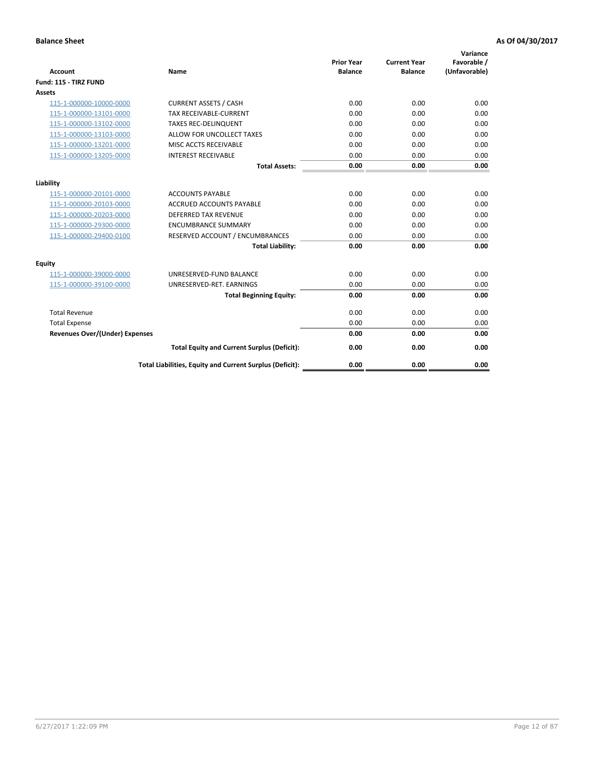| <b>Account</b>                        | <b>Name</b>                                              | <b>Prior Year</b><br><b>Balance</b> | <b>Current Year</b><br><b>Balance</b> | Variance<br>Favorable /<br>(Unfavorable) |
|---------------------------------------|----------------------------------------------------------|-------------------------------------|---------------------------------------|------------------------------------------|
| Fund: 115 - TIRZ FUND                 |                                                          |                                     |                                       |                                          |
| <b>Assets</b>                         |                                                          |                                     |                                       |                                          |
| 115-1-000000-10000-0000               | <b>CURRENT ASSETS / CASH</b>                             | 0.00                                | 0.00                                  | 0.00                                     |
| 115-1-000000-13101-0000               | <b>TAX RECEIVABLE-CURRENT</b>                            | 0.00                                | 0.00                                  | 0.00                                     |
| 115-1-000000-13102-0000               | <b>TAXES REC-DELINQUENT</b>                              | 0.00                                | 0.00                                  | 0.00                                     |
| 115-1-000000-13103-0000               | ALLOW FOR UNCOLLECT TAXES                                | 0.00                                | 0.00                                  | 0.00                                     |
| 115-1-000000-13201-0000               | MISC ACCTS RECEIVABLE                                    | 0.00                                | 0.00                                  | 0.00                                     |
| 115-1-000000-13205-0000               | <b>INTEREST RECEIVABLE</b>                               | 0.00                                | 0.00                                  | 0.00                                     |
|                                       | <b>Total Assets:</b>                                     | 0.00                                | 0.00                                  | 0.00                                     |
| Liability                             |                                                          |                                     |                                       |                                          |
| 115-1-000000-20101-0000               | <b>ACCOUNTS PAYABLE</b>                                  | 0.00                                | 0.00                                  | 0.00                                     |
| 115-1-000000-20103-0000               | <b>ACCRUED ACCOUNTS PAYABLE</b>                          | 0.00                                | 0.00                                  | 0.00                                     |
| 115-1-000000-20203-0000               | <b>DEFERRED TAX REVENUE</b>                              | 0.00                                | 0.00                                  | 0.00                                     |
| 115-1-000000-29300-0000               | <b>ENCUMBRANCE SUMMARY</b>                               | 0.00                                | 0.00                                  | 0.00                                     |
| 115-1-000000-29400-0100               | RESERVED ACCOUNT / ENCUMBRANCES                          | 0.00                                | 0.00                                  | 0.00                                     |
|                                       | <b>Total Liability:</b>                                  | 0.00                                | 0.00                                  | 0.00                                     |
| <b>Equity</b>                         |                                                          |                                     |                                       |                                          |
| 115-1-000000-39000-0000               | UNRESERVED-FUND BALANCE                                  | 0.00                                | 0.00                                  | 0.00                                     |
| 115-1-000000-39100-0000               | UNRESERVED-RET. EARNINGS                                 | 0.00                                | 0.00                                  | 0.00                                     |
|                                       | <b>Total Beginning Equity:</b>                           | 0.00                                | 0.00                                  | 0.00                                     |
| <b>Total Revenue</b>                  |                                                          | 0.00                                | 0.00                                  | 0.00                                     |
| <b>Total Expense</b>                  |                                                          | 0.00                                | 0.00                                  | 0.00                                     |
| <b>Revenues Over/(Under) Expenses</b> |                                                          | 0.00                                | 0.00                                  | 0.00                                     |
|                                       | <b>Total Equity and Current Surplus (Deficit):</b>       | 0.00                                | 0.00                                  | 0.00                                     |
|                                       | Total Liabilities, Equity and Current Surplus (Deficit): | 0.00                                | 0.00                                  | 0.00                                     |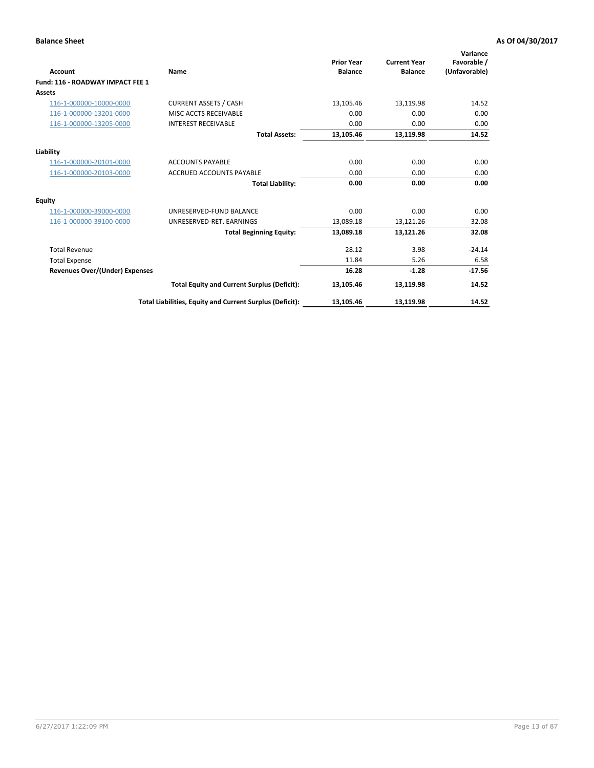| <b>Account</b>                        | Name                                                     | <b>Prior Year</b><br><b>Balance</b> | <b>Current Year</b><br><b>Balance</b> | Variance<br>Favorable /<br>(Unfavorable) |
|---------------------------------------|----------------------------------------------------------|-------------------------------------|---------------------------------------|------------------------------------------|
| Fund: 116 - ROADWAY IMPACT FEE 1      |                                                          |                                     |                                       |                                          |
| Assets                                |                                                          |                                     |                                       |                                          |
| 116-1-000000-10000-0000               | <b>CURRENT ASSETS / CASH</b>                             | 13,105.46                           | 13,119.98                             | 14.52                                    |
| 116-1-000000-13201-0000               | MISC ACCTS RECEIVABLE                                    | 0.00                                | 0.00                                  | 0.00                                     |
| 116-1-000000-13205-0000               | <b>INTEREST RECEIVABLE</b>                               | 0.00                                | 0.00                                  | 0.00                                     |
|                                       | <b>Total Assets:</b>                                     | 13,105.46                           | 13,119.98                             | 14.52                                    |
| Liability                             |                                                          |                                     |                                       |                                          |
| 116-1-000000-20101-0000               | <b>ACCOUNTS PAYABLE</b>                                  | 0.00                                | 0.00                                  | 0.00                                     |
| 116-1-000000-20103-0000               | <b>ACCRUED ACCOUNTS PAYABLE</b>                          | 0.00                                | 0.00                                  | 0.00                                     |
|                                       | <b>Total Liability:</b>                                  | 0.00                                | 0.00                                  | 0.00                                     |
| <b>Equity</b>                         |                                                          |                                     |                                       |                                          |
| 116-1-000000-39000-0000               | UNRESERVED-FUND BALANCE                                  | 0.00                                | 0.00                                  | 0.00                                     |
| 116-1-000000-39100-0000               | UNRESERVED-RET. EARNINGS                                 | 13,089.18                           | 13,121.26                             | 32.08                                    |
|                                       | <b>Total Beginning Equity:</b>                           | 13,089.18                           | 13,121.26                             | 32.08                                    |
| <b>Total Revenue</b>                  |                                                          | 28.12                               | 3.98                                  | $-24.14$                                 |
| <b>Total Expense</b>                  |                                                          | 11.84                               | 5.26                                  | 6.58                                     |
| <b>Revenues Over/(Under) Expenses</b> |                                                          | 16.28                               | $-1.28$                               | $-17.56$                                 |
|                                       | <b>Total Equity and Current Surplus (Deficit):</b>       | 13,105.46                           | 13,119.98                             | 14.52                                    |
|                                       | Total Liabilities, Equity and Current Surplus (Deficit): | 13,105.46                           | 13,119.98                             | 14.52                                    |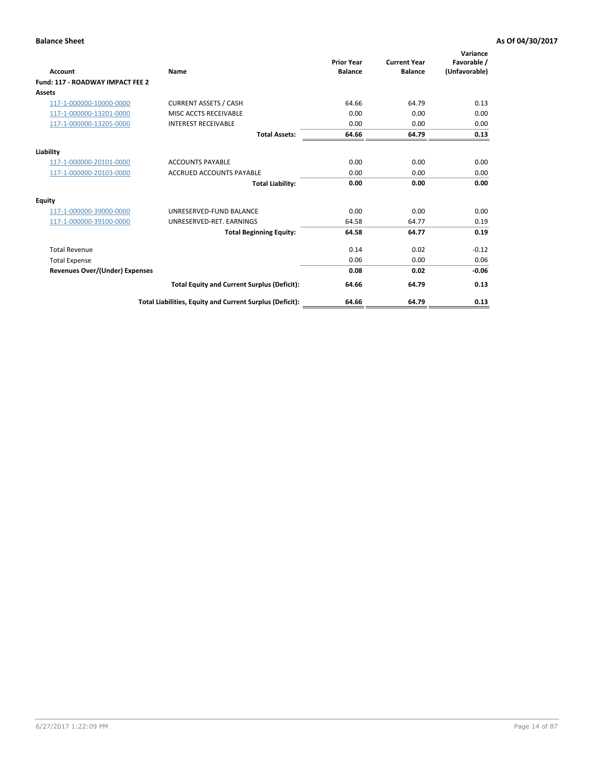| <b>Account</b>                        | Name                                                     | <b>Prior Year</b><br><b>Balance</b> | <b>Current Year</b><br><b>Balance</b> | Variance<br>Favorable /<br>(Unfavorable) |
|---------------------------------------|----------------------------------------------------------|-------------------------------------|---------------------------------------|------------------------------------------|
| Fund: 117 - ROADWAY IMPACT FEE 2      |                                                          |                                     |                                       |                                          |
| Assets                                |                                                          |                                     |                                       |                                          |
| 117-1-000000-10000-0000               | <b>CURRENT ASSETS / CASH</b>                             | 64.66                               | 64.79                                 | 0.13                                     |
| 117-1-000000-13201-0000               | MISC ACCTS RECEIVABLE                                    | 0.00                                | 0.00                                  | 0.00                                     |
| 117-1-000000-13205-0000               | <b>INTEREST RECEIVABLE</b>                               | 0.00                                | 0.00                                  | 0.00                                     |
|                                       | <b>Total Assets:</b>                                     | 64.66                               | 64.79                                 | 0.13                                     |
| Liability                             |                                                          |                                     |                                       |                                          |
| 117-1-000000-20101-0000               | <b>ACCOUNTS PAYABLE</b>                                  | 0.00                                | 0.00                                  | 0.00                                     |
| 117-1-000000-20103-0000               | <b>ACCRUED ACCOUNTS PAYABLE</b>                          | 0.00                                | 0.00                                  | 0.00                                     |
|                                       | <b>Total Liability:</b>                                  | 0.00                                | 0.00                                  | 0.00                                     |
| <b>Equity</b>                         |                                                          |                                     |                                       |                                          |
| 117-1-000000-39000-0000               | UNRESERVED-FUND BALANCE                                  | 0.00                                | 0.00                                  | 0.00                                     |
| 117-1-000000-39100-0000               | UNRESERVED-RET. EARNINGS                                 | 64.58                               | 64.77                                 | 0.19                                     |
|                                       | <b>Total Beginning Equity:</b>                           | 64.58                               | 64.77                                 | 0.19                                     |
| <b>Total Revenue</b>                  |                                                          | 0.14                                | 0.02                                  | $-0.12$                                  |
| <b>Total Expense</b>                  |                                                          | 0.06                                | 0.00                                  | 0.06                                     |
| <b>Revenues Over/(Under) Expenses</b> |                                                          | 0.08                                | 0.02                                  | $-0.06$                                  |
|                                       | <b>Total Equity and Current Surplus (Deficit):</b>       | 64.66                               | 64.79                                 | 0.13                                     |
|                                       | Total Liabilities, Equity and Current Surplus (Deficit): | 64.66                               | 64.79                                 | 0.13                                     |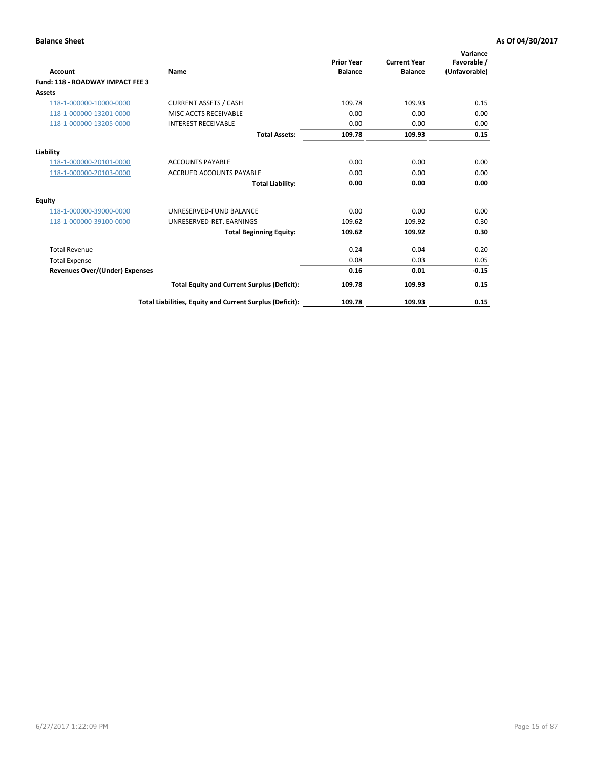| <b>Account</b>                        | Name                                                     | <b>Prior Year</b><br><b>Balance</b> | <b>Current Year</b><br><b>Balance</b> | Variance<br>Favorable /<br>(Unfavorable) |
|---------------------------------------|----------------------------------------------------------|-------------------------------------|---------------------------------------|------------------------------------------|
| Fund: 118 - ROADWAY IMPACT FEE 3      |                                                          |                                     |                                       |                                          |
| Assets                                |                                                          |                                     |                                       |                                          |
| 118-1-000000-10000-0000               | <b>CURRENT ASSETS / CASH</b>                             | 109.78                              | 109.93                                | 0.15                                     |
| 118-1-000000-13201-0000               | MISC ACCTS RECEIVABLE                                    | 0.00                                | 0.00                                  | 0.00                                     |
| 118-1-000000-13205-0000               | <b>INTEREST RECEIVABLE</b>                               | 0.00                                | 0.00                                  | 0.00                                     |
|                                       | <b>Total Assets:</b>                                     | 109.78                              | 109.93                                | 0.15                                     |
| Liability                             |                                                          |                                     |                                       |                                          |
| 118-1-000000-20101-0000               | <b>ACCOUNTS PAYABLE</b>                                  | 0.00                                | 0.00                                  | 0.00                                     |
| 118-1-000000-20103-0000               | <b>ACCRUED ACCOUNTS PAYABLE</b>                          | 0.00                                | 0.00                                  | 0.00                                     |
|                                       | <b>Total Liability:</b>                                  | 0.00                                | 0.00                                  | 0.00                                     |
| <b>Equity</b>                         |                                                          |                                     |                                       |                                          |
| 118-1-000000-39000-0000               | UNRESERVED-FUND BALANCE                                  | 0.00                                | 0.00                                  | 0.00                                     |
| 118-1-000000-39100-0000               | UNRESERVED-RET. EARNINGS                                 | 109.62                              | 109.92                                | 0.30                                     |
|                                       | <b>Total Beginning Equity:</b>                           | 109.62                              | 109.92                                | 0.30                                     |
| <b>Total Revenue</b>                  |                                                          | 0.24                                | 0.04                                  | $-0.20$                                  |
| <b>Total Expense</b>                  |                                                          | 0.08                                | 0.03                                  | 0.05                                     |
| <b>Revenues Over/(Under) Expenses</b> |                                                          | 0.16                                | 0.01                                  | $-0.15$                                  |
|                                       | <b>Total Equity and Current Surplus (Deficit):</b>       | 109.78                              | 109.93                                | 0.15                                     |
|                                       | Total Liabilities, Equity and Current Surplus (Deficit): | 109.78                              | 109.93                                | 0.15                                     |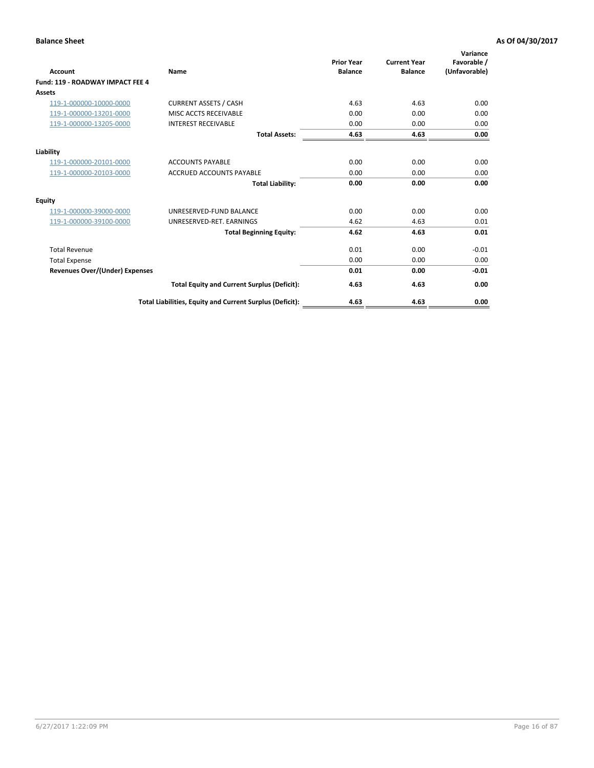| Account                               | Name                                                     | <b>Prior Year</b><br><b>Balance</b> | <b>Current Year</b><br><b>Balance</b> | Variance<br>Favorable /<br>(Unfavorable) |
|---------------------------------------|----------------------------------------------------------|-------------------------------------|---------------------------------------|------------------------------------------|
| Fund: 119 - ROADWAY IMPACT FEE 4      |                                                          |                                     |                                       |                                          |
| Assets                                |                                                          |                                     |                                       |                                          |
| 119-1-000000-10000-0000               | <b>CURRENT ASSETS / CASH</b>                             | 4.63                                | 4.63                                  | 0.00                                     |
| 119-1-000000-13201-0000               | <b>MISC ACCTS RECEIVABLE</b>                             | 0.00                                | 0.00                                  | 0.00                                     |
| 119-1-000000-13205-0000               | <b>INTEREST RECEIVABLE</b>                               | 0.00                                | 0.00                                  | 0.00                                     |
|                                       | <b>Total Assets:</b>                                     | 4.63                                | 4.63                                  | 0.00                                     |
| Liability                             |                                                          |                                     |                                       |                                          |
| 119-1-000000-20101-0000               | <b>ACCOUNTS PAYABLE</b>                                  | 0.00                                | 0.00                                  | 0.00                                     |
| 119-1-000000-20103-0000               | <b>ACCRUED ACCOUNTS PAYABLE</b>                          | 0.00                                | 0.00                                  | 0.00                                     |
|                                       | <b>Total Liability:</b>                                  | 0.00                                | 0.00                                  | 0.00                                     |
| Equity                                |                                                          |                                     |                                       |                                          |
| 119-1-000000-39000-0000               | UNRESERVED-FUND BALANCE                                  | 0.00                                | 0.00                                  | 0.00                                     |
| 119-1-000000-39100-0000               | UNRESERVED-RET. EARNINGS                                 | 4.62                                | 4.63                                  | 0.01                                     |
|                                       | <b>Total Beginning Equity:</b>                           | 4.62                                | 4.63                                  | 0.01                                     |
| <b>Total Revenue</b>                  |                                                          | 0.01                                | 0.00                                  | $-0.01$                                  |
| <b>Total Expense</b>                  |                                                          | 0.00                                | 0.00                                  | 0.00                                     |
| <b>Revenues Over/(Under) Expenses</b> |                                                          | 0.01                                | 0.00                                  | $-0.01$                                  |
|                                       | <b>Total Equity and Current Surplus (Deficit):</b>       | 4.63                                | 4.63                                  | 0.00                                     |
|                                       | Total Liabilities, Equity and Current Surplus (Deficit): | 4.63                                | 4.63                                  | 0.00                                     |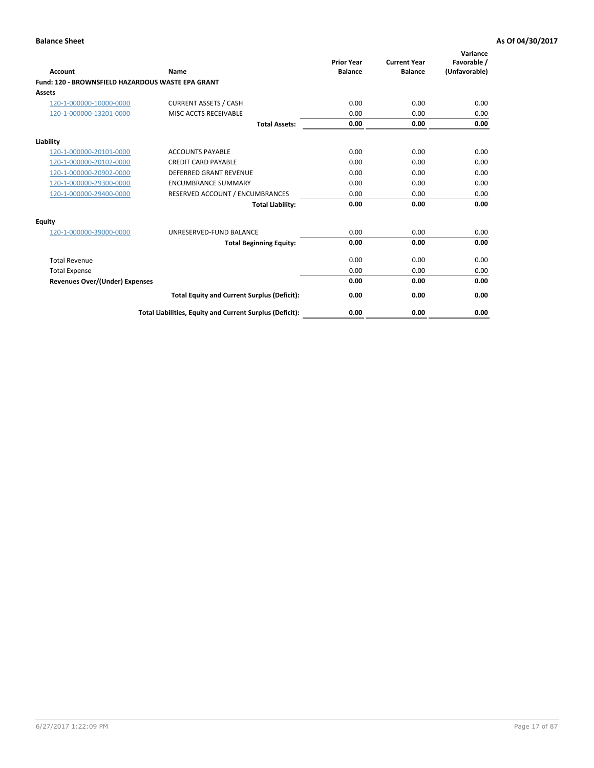| Account                                                  | Name                                                     | <b>Prior Year</b><br><b>Balance</b> | <b>Current Year</b><br><b>Balance</b> | Variance<br>Favorable /<br>(Unfavorable) |
|----------------------------------------------------------|----------------------------------------------------------|-------------------------------------|---------------------------------------|------------------------------------------|
| <b>Fund: 120 - BROWNSFIELD HAZARDOUS WASTE EPA GRANT</b> |                                                          |                                     |                                       |                                          |
| <b>Assets</b>                                            |                                                          |                                     |                                       |                                          |
| 120-1-000000-10000-0000                                  | <b>CURRENT ASSETS / CASH</b>                             | 0.00                                | 0.00                                  | 0.00                                     |
| 120-1-000000-13201-0000                                  | MISC ACCTS RECEIVABLE                                    | 0.00                                | 0.00                                  | 0.00                                     |
|                                                          | <b>Total Assets:</b>                                     | 0.00                                | 0.00                                  | 0.00                                     |
| Liability                                                |                                                          |                                     |                                       |                                          |
| 120-1-000000-20101-0000                                  | <b>ACCOUNTS PAYABLE</b>                                  | 0.00                                | 0.00                                  | 0.00                                     |
| 120-1-000000-20102-0000                                  | <b>CREDIT CARD PAYABLE</b>                               | 0.00                                | 0.00                                  | 0.00                                     |
| 120-1-000000-20902-0000                                  | <b>DEFERRED GRANT REVENUE</b>                            | 0.00                                | 0.00                                  | 0.00                                     |
| 120-1-000000-29300-0000                                  | <b>ENCUMBRANCE SUMMARY</b>                               | 0.00                                | 0.00                                  | 0.00                                     |
| 120-1-000000-29400-0000                                  | RESERVED ACCOUNT / ENCUMBRANCES                          | 0.00                                | 0.00                                  | 0.00                                     |
|                                                          | <b>Total Liability:</b>                                  | 0.00                                | 0.00                                  | 0.00                                     |
| <b>Equity</b>                                            |                                                          |                                     |                                       |                                          |
| 120-1-000000-39000-0000                                  | UNRESERVED-FUND BALANCE                                  | 0.00                                | 0.00                                  | 0.00                                     |
|                                                          | <b>Total Beginning Equity:</b>                           | 0.00                                | 0.00                                  | 0.00                                     |
| <b>Total Revenue</b>                                     |                                                          | 0.00                                | 0.00                                  | 0.00                                     |
| <b>Total Expense</b>                                     |                                                          | 0.00                                | 0.00                                  | 0.00                                     |
| <b>Revenues Over/(Under) Expenses</b>                    |                                                          | 0.00                                | 0.00                                  | 0.00                                     |
|                                                          | <b>Total Equity and Current Surplus (Deficit):</b>       | 0.00                                | 0.00                                  | 0.00                                     |
|                                                          | Total Liabilities, Equity and Current Surplus (Deficit): | 0.00                                | 0.00                                  | 0.00                                     |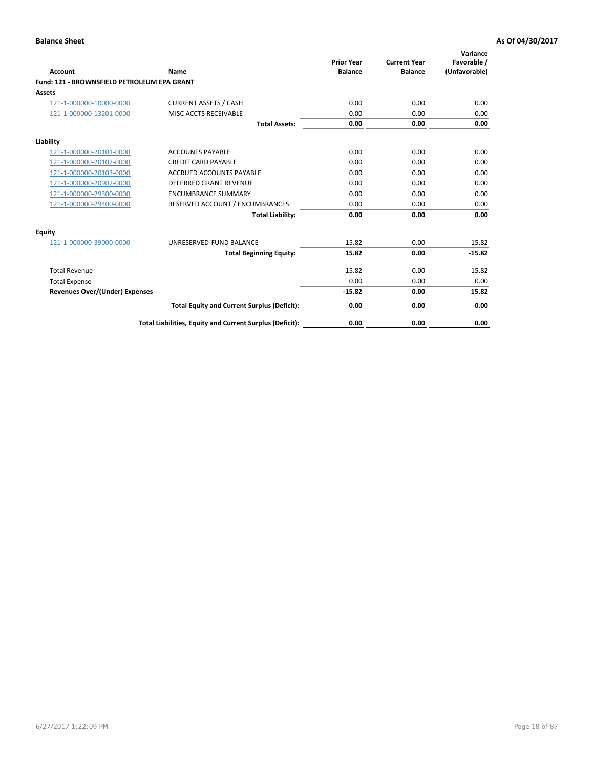| Account                                     | Name                                                     | <b>Prior Year</b><br><b>Balance</b> | <b>Current Year</b><br><b>Balance</b> | Variance<br>Favorable /<br>(Unfavorable) |
|---------------------------------------------|----------------------------------------------------------|-------------------------------------|---------------------------------------|------------------------------------------|
| Fund: 121 - BROWNSFIELD PETROLEUM EPA GRANT |                                                          |                                     |                                       |                                          |
| <b>Assets</b>                               |                                                          |                                     |                                       |                                          |
| 121-1-000000-10000-0000                     | <b>CURRENT ASSETS / CASH</b>                             | 0.00                                | 0.00                                  | 0.00                                     |
| 121-1-000000-13201-0000                     | <b>MISC ACCTS RECEIVABLE</b>                             | 0.00                                | 0.00                                  | 0.00                                     |
|                                             | <b>Total Assets:</b>                                     | 0.00                                | 0.00                                  | 0.00                                     |
| Liability                                   |                                                          |                                     |                                       |                                          |
| 121-1-000000-20101-0000                     | <b>ACCOUNTS PAYABLE</b>                                  | 0.00                                | 0.00                                  | 0.00                                     |
| 121-1-000000-20102-0000                     | <b>CREDIT CARD PAYABLE</b>                               | 0.00                                | 0.00                                  | 0.00                                     |
| 121-1-000000-20103-0000                     | <b>ACCRUED ACCOUNTS PAYABLE</b>                          | 0.00                                | 0.00                                  | 0.00                                     |
| 121-1-000000-20902-0000                     | <b>DEFERRED GRANT REVENUE</b>                            | 0.00                                | 0.00                                  | 0.00                                     |
| 121-1-000000-29300-0000                     | <b>ENCUMBRANCE SUMMARY</b>                               | 0.00                                | 0.00                                  | 0.00                                     |
| 121-1-000000-29400-0000                     | RESERVED ACCOUNT / ENCUMBRANCES                          | 0.00                                | 0.00                                  | 0.00                                     |
|                                             | <b>Total Liability:</b>                                  | 0.00                                | 0.00                                  | 0.00                                     |
| <b>Equity</b>                               |                                                          |                                     |                                       |                                          |
| 121-1-000000-39000-0000                     | UNRESERVED-FUND BALANCE                                  | 15.82                               | 0.00                                  | $-15.82$                                 |
|                                             | <b>Total Beginning Equity:</b>                           | 15.82                               | 0.00                                  | $-15.82$                                 |
| <b>Total Revenue</b>                        |                                                          | $-15.82$                            | 0.00                                  | 15.82                                    |
| <b>Total Expense</b>                        |                                                          | 0.00                                | 0.00                                  | 0.00                                     |
| <b>Revenues Over/(Under) Expenses</b>       |                                                          | $-15.82$                            | 0.00                                  | 15.82                                    |
|                                             | <b>Total Equity and Current Surplus (Deficit):</b>       | 0.00                                | 0.00                                  | 0.00                                     |
|                                             | Total Liabilities, Equity and Current Surplus (Deficit): | 0.00                                | 0.00                                  | 0.00                                     |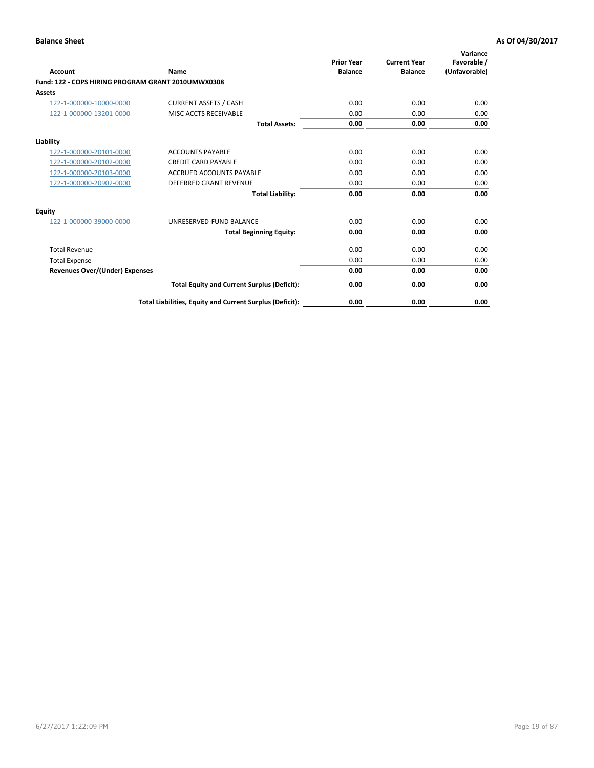| <b>Account</b>                                     | Name                                                     | <b>Prior Year</b><br><b>Balance</b> | <b>Current Year</b><br><b>Balance</b> | Variance<br>Favorable /<br>(Unfavorable) |
|----------------------------------------------------|----------------------------------------------------------|-------------------------------------|---------------------------------------|------------------------------------------|
| Fund: 122 - COPS HIRING PROGRAM GRANT 2010UMWX0308 |                                                          |                                     |                                       |                                          |
| Assets                                             |                                                          |                                     |                                       |                                          |
| 122-1-000000-10000-0000                            | <b>CURRENT ASSETS / CASH</b>                             | 0.00                                | 0.00                                  | 0.00                                     |
| 122-1-000000-13201-0000                            | MISC ACCTS RECEIVABLE                                    | 0.00                                | 0.00                                  | 0.00                                     |
|                                                    | <b>Total Assets:</b>                                     | 0.00                                | 0.00                                  | 0.00                                     |
| Liability                                          |                                                          |                                     |                                       |                                          |
| 122-1-000000-20101-0000                            | <b>ACCOUNTS PAYABLE</b>                                  | 0.00                                | 0.00                                  | 0.00                                     |
| 122-1-000000-20102-0000                            | <b>CREDIT CARD PAYABLE</b>                               | 0.00                                | 0.00                                  | 0.00                                     |
| 122-1-000000-20103-0000                            | <b>ACCRUED ACCOUNTS PAYABLE</b>                          | 0.00                                | 0.00                                  | 0.00                                     |
| 122-1-000000-20902-0000                            | <b>DEFERRED GRANT REVENUE</b>                            | 0.00                                | 0.00                                  | 0.00                                     |
|                                                    | <b>Total Liability:</b>                                  | 0.00                                | 0.00                                  | 0.00                                     |
| Equity                                             |                                                          |                                     |                                       |                                          |
| 122-1-000000-39000-0000                            | UNRESERVED-FUND BALANCE                                  | 0.00                                | 0.00                                  | 0.00                                     |
|                                                    | <b>Total Beginning Equity:</b>                           | 0.00                                | 0.00                                  | 0.00                                     |
| <b>Total Revenue</b>                               |                                                          | 0.00                                | 0.00                                  | 0.00                                     |
| <b>Total Expense</b>                               |                                                          | 0.00                                | 0.00                                  | 0.00                                     |
| <b>Revenues Over/(Under) Expenses</b>              |                                                          | 0.00                                | 0.00                                  | 0.00                                     |
|                                                    | <b>Total Equity and Current Surplus (Deficit):</b>       | 0.00                                | 0.00                                  | 0.00                                     |
|                                                    | Total Liabilities, Equity and Current Surplus (Deficit): | 0.00                                | 0.00                                  | 0.00                                     |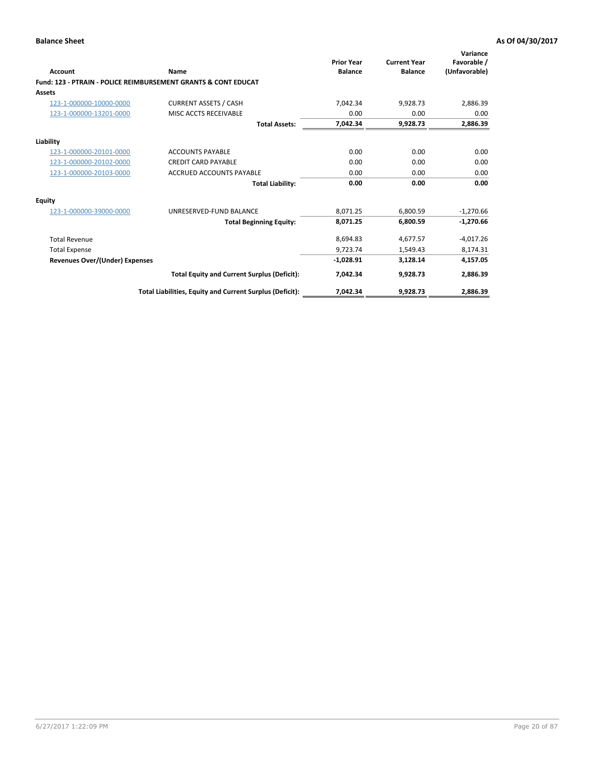|                                       |                                                                           | <b>Prior Year</b> | <b>Current Year</b> | Variance<br>Favorable / |
|---------------------------------------|---------------------------------------------------------------------------|-------------------|---------------------|-------------------------|
| Account                               | Name                                                                      | <b>Balance</b>    | <b>Balance</b>      | (Unfavorable)           |
|                                       | <b>Fund: 123 - PTRAIN - POLICE REIMBURSEMENT GRANTS &amp; CONT EDUCAT</b> |                   |                     |                         |
| <b>Assets</b>                         |                                                                           |                   |                     |                         |
| 123-1-000000-10000-0000               | <b>CURRENT ASSETS / CASH</b>                                              | 7,042.34          | 9,928.73            | 2,886.39                |
| 123-1-000000-13201-0000               | MISC ACCTS RECEIVABLE                                                     | 0.00              | 0.00                | 0.00                    |
|                                       | <b>Total Assets:</b>                                                      | 7,042.34          | 9,928.73            | 2,886.39                |
| Liability                             |                                                                           |                   |                     |                         |
| 123-1-000000-20101-0000               | <b>ACCOUNTS PAYABLE</b>                                                   | 0.00              | 0.00                | 0.00                    |
| 123-1-000000-20102-0000               | <b>CREDIT CARD PAYABLE</b>                                                | 0.00              | 0.00                | 0.00                    |
| 123-1-000000-20103-0000               | <b>ACCRUED ACCOUNTS PAYABLE</b>                                           | 0.00              | 0.00                | 0.00                    |
|                                       | <b>Total Liability:</b>                                                   | 0.00              | 0.00                | 0.00                    |
| <b>Equity</b>                         |                                                                           |                   |                     |                         |
| 123-1-000000-39000-0000               | UNRESERVED-FUND BALANCE                                                   | 8,071.25          | 6,800.59            | $-1,270.66$             |
|                                       | <b>Total Beginning Equity:</b>                                            | 8,071.25          | 6.800.59            | $-1,270.66$             |
| <b>Total Revenue</b>                  |                                                                           | 8,694.83          | 4,677.57            | $-4,017.26$             |
| <b>Total Expense</b>                  |                                                                           | 9.723.74          | 1.549.43            | 8,174.31                |
| <b>Revenues Over/(Under) Expenses</b> |                                                                           | $-1,028.91$       | 3,128.14            | 4,157.05                |
|                                       | <b>Total Equity and Current Surplus (Deficit):</b>                        | 7,042.34          | 9,928.73            | 2,886.39                |
|                                       | Total Liabilities, Equity and Current Surplus (Deficit):                  | 7,042.34          | 9,928.73            | 2,886.39                |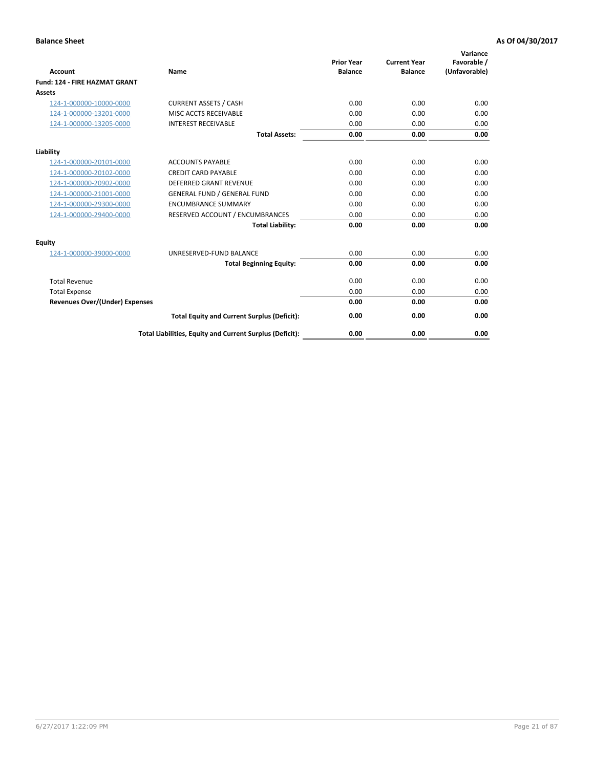| Account                               | Name                                                     | <b>Prior Year</b><br><b>Balance</b> | <b>Current Year</b><br><b>Balance</b> | Variance<br>Favorable /<br>(Unfavorable) |
|---------------------------------------|----------------------------------------------------------|-------------------------------------|---------------------------------------|------------------------------------------|
| Fund: 124 - FIRE HAZMAT GRANT         |                                                          |                                     |                                       |                                          |
| Assets                                |                                                          |                                     |                                       |                                          |
| 124-1-000000-10000-0000               | <b>CURRENT ASSETS / CASH</b>                             | 0.00                                | 0.00                                  | 0.00                                     |
| 124-1-000000-13201-0000               | MISC ACCTS RECEIVABLE                                    | 0.00                                | 0.00                                  | 0.00                                     |
| 124-1-000000-13205-0000               | <b>INTEREST RECEIVABLE</b>                               | 0.00                                | 0.00                                  | 0.00                                     |
|                                       | <b>Total Assets:</b>                                     | 0.00                                | 0.00                                  | 0.00                                     |
| Liability                             |                                                          |                                     |                                       |                                          |
| 124-1-000000-20101-0000               | <b>ACCOUNTS PAYABLE</b>                                  | 0.00                                | 0.00                                  | 0.00                                     |
| 124-1-000000-20102-0000               | <b>CREDIT CARD PAYABLE</b>                               | 0.00                                | 0.00                                  | 0.00                                     |
| 124-1-000000-20902-0000               | <b>DEFERRED GRANT REVENUE</b>                            | 0.00                                | 0.00                                  | 0.00                                     |
| 124-1-000000-21001-0000               | <b>GENERAL FUND / GENERAL FUND</b>                       | 0.00                                | 0.00                                  | 0.00                                     |
| 124-1-000000-29300-0000               | <b>ENCUMBRANCE SUMMARY</b>                               | 0.00                                | 0.00                                  | 0.00                                     |
| 124-1-000000-29400-0000               | RESERVED ACCOUNT / ENCUMBRANCES                          | 0.00                                | 0.00                                  | 0.00                                     |
|                                       | <b>Total Liability:</b>                                  | 0.00                                | 0.00                                  | 0.00                                     |
| Equity                                |                                                          |                                     |                                       |                                          |
| 124-1-000000-39000-0000               | UNRESERVED-FUND BALANCE                                  | 0.00                                | 0.00                                  | 0.00                                     |
|                                       | <b>Total Beginning Equity:</b>                           | 0.00                                | 0.00                                  | 0.00                                     |
| <b>Total Revenue</b>                  |                                                          | 0.00                                | 0.00                                  | 0.00                                     |
| <b>Total Expense</b>                  |                                                          | 0.00                                | 0.00                                  | 0.00                                     |
| <b>Revenues Over/(Under) Expenses</b> |                                                          | 0.00                                | 0.00                                  | 0.00                                     |
|                                       | <b>Total Equity and Current Surplus (Deficit):</b>       | 0.00                                | 0.00                                  | 0.00                                     |
|                                       | Total Liabilities, Equity and Current Surplus (Deficit): | 0.00                                | 0.00                                  | 0.00                                     |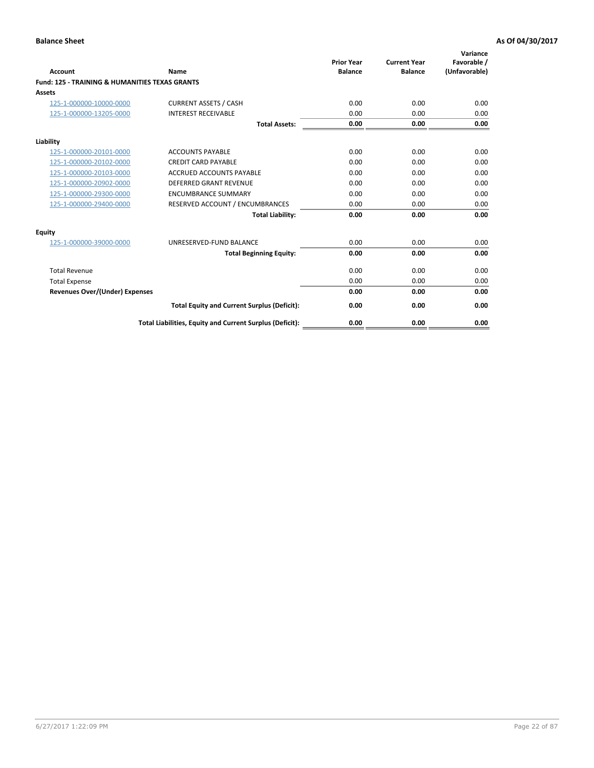| Account                                                   | Name                                                     | <b>Prior Year</b><br><b>Balance</b> | <b>Current Year</b><br><b>Balance</b> | Variance<br>Favorable /<br>(Unfavorable) |
|-----------------------------------------------------------|----------------------------------------------------------|-------------------------------------|---------------------------------------|------------------------------------------|
| <b>Fund: 125 - TRAINING &amp; HUMANITIES TEXAS GRANTS</b> |                                                          |                                     |                                       |                                          |
| <b>Assets</b>                                             |                                                          |                                     |                                       |                                          |
| 125-1-000000-10000-0000                                   | <b>CURRENT ASSETS / CASH</b>                             | 0.00                                | 0.00                                  | 0.00                                     |
| 125-1-000000-13205-0000                                   | <b>INTEREST RECEIVABLE</b>                               | 0.00                                | 0.00                                  | 0.00                                     |
|                                                           | <b>Total Assets:</b>                                     | 0.00                                | 0.00                                  | 0.00                                     |
| Liability                                                 |                                                          |                                     |                                       |                                          |
| 125-1-000000-20101-0000                                   | <b>ACCOUNTS PAYABLE</b>                                  | 0.00                                | 0.00                                  | 0.00                                     |
| 125-1-000000-20102-0000                                   | <b>CREDIT CARD PAYABLE</b>                               | 0.00                                | 0.00                                  | 0.00                                     |
| 125-1-000000-20103-0000                                   | <b>ACCRUED ACCOUNTS PAYABLE</b>                          | 0.00                                | 0.00                                  | 0.00                                     |
| 125-1-000000-20902-0000                                   | DEFERRED GRANT REVENUE                                   | 0.00                                | 0.00                                  | 0.00                                     |
| 125-1-000000-29300-0000                                   | <b>ENCUMBRANCE SUMMARY</b>                               | 0.00                                | 0.00                                  | 0.00                                     |
| 125-1-000000-29400-0000                                   | RESERVED ACCOUNT / ENCUMBRANCES                          | 0.00                                | 0.00                                  | 0.00                                     |
|                                                           | <b>Total Liability:</b>                                  | 0.00                                | 0.00                                  | 0.00                                     |
| <b>Equity</b>                                             |                                                          |                                     |                                       |                                          |
| 125-1-000000-39000-0000                                   | UNRESERVED-FUND BALANCE                                  | 0.00                                | 0.00                                  | 0.00                                     |
|                                                           | <b>Total Beginning Equity:</b>                           | 0.00                                | 0.00                                  | 0.00                                     |
| <b>Total Revenue</b>                                      |                                                          | 0.00                                | 0.00                                  | 0.00                                     |
| <b>Total Expense</b>                                      |                                                          | 0.00                                | 0.00                                  | 0.00                                     |
| <b>Revenues Over/(Under) Expenses</b>                     |                                                          | 0.00                                | 0.00                                  | 0.00                                     |
|                                                           | <b>Total Equity and Current Surplus (Deficit):</b>       | 0.00                                | 0.00                                  | 0.00                                     |
|                                                           | Total Liabilities, Equity and Current Surplus (Deficit): | 0.00                                | 0.00                                  | 0.00                                     |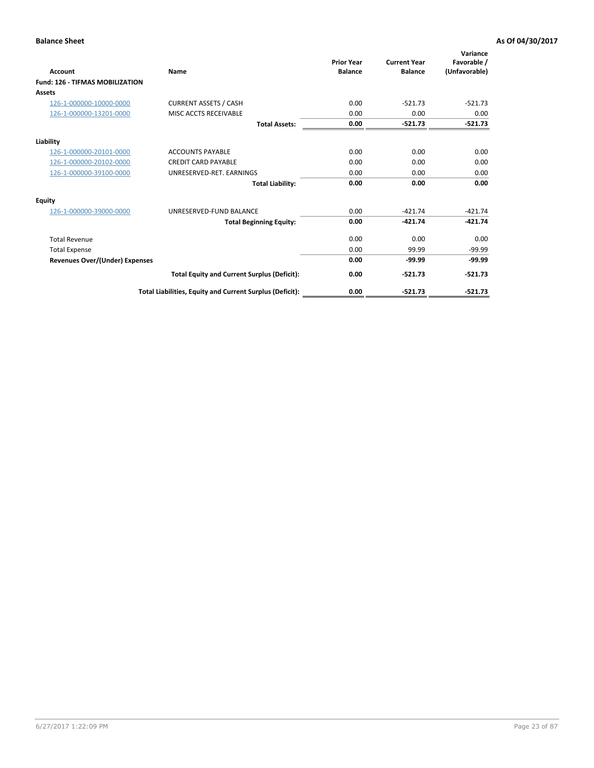| Account                                | Name                                                     | <b>Prior Year</b><br><b>Balance</b> | <b>Current Year</b><br><b>Balance</b> | Variance<br>Favorable /<br>(Unfavorable) |
|----------------------------------------|----------------------------------------------------------|-------------------------------------|---------------------------------------|------------------------------------------|
| <b>Fund: 126 - TIFMAS MOBILIZATION</b> |                                                          |                                     |                                       |                                          |
| Assets                                 |                                                          |                                     |                                       |                                          |
| 126-1-000000-10000-0000                | <b>CURRENT ASSETS / CASH</b>                             | 0.00                                | $-521.73$                             | $-521.73$                                |
| 126-1-000000-13201-0000                | MISC ACCTS RECEIVABLE                                    | 0.00                                | 0.00                                  | 0.00                                     |
|                                        | <b>Total Assets:</b>                                     | 0.00                                | $-521.73$                             | $-521.73$                                |
| Liability                              |                                                          |                                     |                                       |                                          |
| 126-1-000000-20101-0000                | <b>ACCOUNTS PAYABLE</b>                                  | 0.00                                | 0.00                                  | 0.00                                     |
| 126-1-000000-20102-0000                | <b>CREDIT CARD PAYABLE</b>                               | 0.00                                | 0.00                                  | 0.00                                     |
| 126-1-000000-39100-0000                | UNRESERVED-RET. EARNINGS                                 | 0.00                                | 0.00                                  | 0.00                                     |
|                                        | <b>Total Liability:</b>                                  | 0.00                                | 0.00                                  | 0.00                                     |
| Equity                                 |                                                          |                                     |                                       |                                          |
| 126-1-000000-39000-0000                | UNRESERVED-FUND BALANCE                                  | 0.00                                | $-421.74$                             | $-421.74$                                |
|                                        | <b>Total Beginning Equity:</b>                           | 0.00                                | $-421.74$                             | $-421.74$                                |
| <b>Total Revenue</b>                   |                                                          | 0.00                                | 0.00                                  | 0.00                                     |
| <b>Total Expense</b>                   |                                                          | 0.00                                | 99.99                                 | $-99.99$                                 |
| Revenues Over/(Under) Expenses         |                                                          | 0.00                                | $-99.99$                              | $-99.99$                                 |
|                                        | <b>Total Equity and Current Surplus (Deficit):</b>       | 0.00                                | $-521.73$                             | $-521.73$                                |
|                                        | Total Liabilities, Equity and Current Surplus (Deficit): | 0.00                                | $-521.73$                             | $-521.73$                                |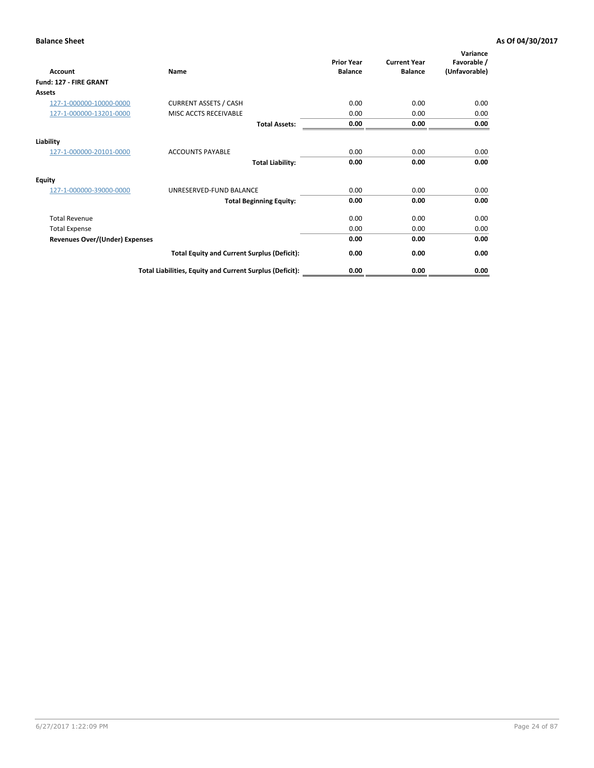| <b>Account</b>                        | Name                                                     | <b>Prior Year</b><br><b>Balance</b> | <b>Current Year</b><br><b>Balance</b> | Variance<br>Favorable /<br>(Unfavorable) |
|---------------------------------------|----------------------------------------------------------|-------------------------------------|---------------------------------------|------------------------------------------|
| Fund: 127 - FIRE GRANT                |                                                          |                                     |                                       |                                          |
| Assets                                |                                                          |                                     |                                       |                                          |
| 127-1-000000-10000-0000               | <b>CURRENT ASSETS / CASH</b>                             | 0.00                                | 0.00                                  | 0.00                                     |
| 127-1-000000-13201-0000               | MISC ACCTS RECEIVABLE                                    | 0.00                                | 0.00                                  | 0.00                                     |
|                                       | <b>Total Assets:</b>                                     | 0.00                                | 0.00                                  | 0.00                                     |
| Liability                             |                                                          |                                     |                                       |                                          |
| 127-1-000000-20101-0000               | <b>ACCOUNTS PAYABLE</b>                                  | 0.00                                | 0.00                                  | 0.00                                     |
|                                       | <b>Total Liability:</b>                                  | 0.00                                | 0.00                                  | 0.00                                     |
| <b>Equity</b>                         |                                                          |                                     |                                       |                                          |
| 127-1-000000-39000-0000               | UNRESERVED-FUND BALANCE                                  | 0.00                                | 0.00                                  | 0.00                                     |
|                                       | <b>Total Beginning Equity:</b>                           | 0.00                                | 0.00                                  | 0.00                                     |
| <b>Total Revenue</b>                  |                                                          | 0.00                                | 0.00                                  | 0.00                                     |
| <b>Total Expense</b>                  |                                                          | 0.00                                | 0.00                                  | 0.00                                     |
| <b>Revenues Over/(Under) Expenses</b> |                                                          | 0.00                                | 0.00                                  | 0.00                                     |
|                                       | <b>Total Equity and Current Surplus (Deficit):</b>       | 0.00                                | 0.00                                  | 0.00                                     |
|                                       | Total Liabilities, Equity and Current Surplus (Deficit): | 0.00                                | 0.00                                  | 0.00                                     |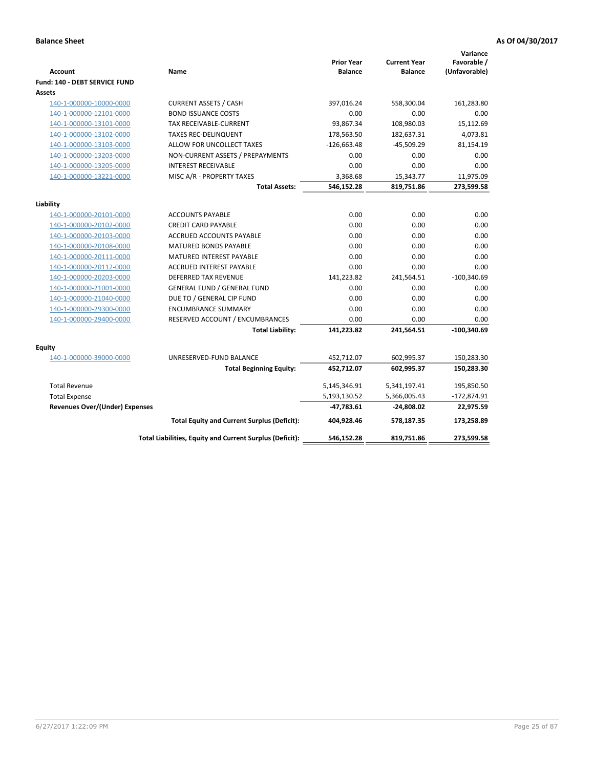| <b>Account</b>                        | Name                                                     | <b>Prior Year</b><br><b>Balance</b> | <b>Current Year</b><br><b>Balance</b> | Variance<br>Favorable /<br>(Unfavorable) |
|---------------------------------------|----------------------------------------------------------|-------------------------------------|---------------------------------------|------------------------------------------|
| Fund: 140 - DEBT SERVICE FUND         |                                                          |                                     |                                       |                                          |
| Assets                                |                                                          |                                     |                                       |                                          |
| 140-1-000000-10000-0000               | <b>CURRENT ASSETS / CASH</b>                             | 397,016.24                          | 558,300.04                            | 161,283.80                               |
| 140-1-000000-12101-0000               | <b>BOND ISSUANCE COSTS</b>                               | 0.00                                | 0.00                                  | 0.00                                     |
| 140-1-000000-13101-0000               | TAX RECEIVABLE-CURRENT                                   | 93,867.34                           | 108,980.03                            | 15,112.69                                |
| 140-1-000000-13102-0000               | <b>TAXES REC-DELINQUENT</b>                              | 178,563.50                          | 182,637.31                            | 4,073.81                                 |
| 140-1-000000-13103-0000               | ALLOW FOR UNCOLLECT TAXES                                | $-126,663.48$                       | $-45,509.29$                          | 81,154.19                                |
| 140-1-000000-13203-0000               | NON-CURRENT ASSETS / PREPAYMENTS                         | 0.00                                | 0.00                                  | 0.00                                     |
| 140-1-000000-13205-0000               | <b>INTEREST RECEIVABLE</b>                               | 0.00                                | 0.00                                  | 0.00                                     |
| 140-1-000000-13221-0000               | MISC A/R - PROPERTY TAXES                                | 3,368.68                            | 15,343.77                             | 11,975.09                                |
|                                       | <b>Total Assets:</b>                                     | 546,152.28                          | 819,751.86                            | 273,599.58                               |
| Liability                             |                                                          |                                     |                                       |                                          |
| 140-1-000000-20101-0000               | <b>ACCOUNTS PAYABLE</b>                                  | 0.00                                | 0.00                                  | 0.00                                     |
| 140-1-000000-20102-0000               | <b>CREDIT CARD PAYABLE</b>                               | 0.00                                | 0.00                                  | 0.00                                     |
| 140-1-000000-20103-0000               | ACCRUED ACCOUNTS PAYABLE                                 | 0.00                                | 0.00                                  | 0.00                                     |
| 140-1-000000-20108-0000               | <b>MATURED BONDS PAYABLE</b>                             | 0.00                                | 0.00                                  | 0.00                                     |
| 140-1-000000-20111-0000               | MATURED INTEREST PAYABLE                                 | 0.00                                | 0.00                                  | 0.00                                     |
| 140-1-000000-20112-0000               | <b>ACCRUED INTEREST PAYABLE</b>                          | 0.00                                | 0.00                                  | 0.00                                     |
| 140-1-000000-20203-0000               | <b>DEFERRED TAX REVENUE</b>                              | 141,223.82                          | 241,564.51                            | $-100,340.69$                            |
| 140-1-000000-21001-0000               | <b>GENERAL FUND / GENERAL FUND</b>                       | 0.00                                | 0.00                                  | 0.00                                     |
| 140-1-000000-21040-0000               | DUE TO / GENERAL CIP FUND                                | 0.00                                | 0.00                                  | 0.00                                     |
| 140-1-000000-29300-0000               | <b>ENCUMBRANCE SUMMARY</b>                               | 0.00                                | 0.00                                  | 0.00                                     |
| 140-1-000000-29400-0000               | RESERVED ACCOUNT / ENCUMBRANCES                          | 0.00                                | 0.00                                  | 0.00                                     |
|                                       | <b>Total Liability:</b>                                  | 141,223.82                          | 241,564.51                            | $-100,340.69$                            |
| Equity                                |                                                          |                                     |                                       |                                          |
| 140-1-000000-39000-0000               | UNRESERVED-FUND BALANCE                                  | 452,712.07                          | 602,995.37                            | 150,283.30                               |
|                                       | <b>Total Beginning Equity:</b>                           | 452,712.07                          | 602,995.37                            | 150,283.30                               |
| <b>Total Revenue</b>                  |                                                          | 5,145,346.91                        | 5,341,197.41                          | 195,850.50                               |
| <b>Total Expense</b>                  |                                                          | 5,193,130.52                        | 5,366,005.43                          | $-172,874.91$                            |
| <b>Revenues Over/(Under) Expenses</b> |                                                          | -47,783.61                          | -24,808.02                            | 22,975.59                                |
|                                       | <b>Total Equity and Current Surplus (Deficit):</b>       | 404.928.46                          | 578.187.35                            | 173,258.89                               |
|                                       | Total Liabilities, Equity and Current Surplus (Deficit): | 546,152.28                          | 819,751.86                            | 273,599.58                               |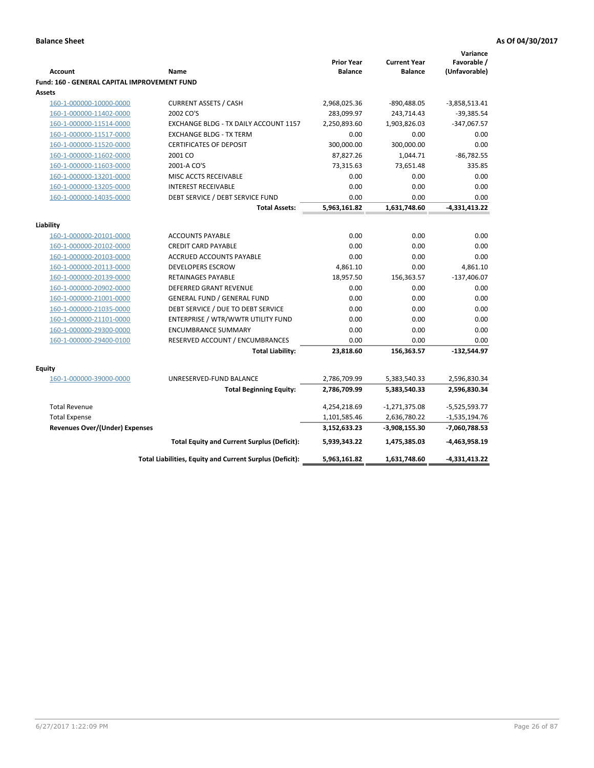| Favorable /<br><b>Prior Year</b><br><b>Current Year</b><br>(Unfavorable)<br><b>Account</b><br><b>Balance</b><br><b>Balance</b><br>Name<br><b>Fund: 160 - GENERAL CAPITAL IMPROVEMENT FUND</b><br>Assets<br><b>CURRENT ASSETS / CASH</b><br>2,968,025.36<br>160-1-000000-10000-0000<br>-890,488.05<br>$-3,858,513.41$<br>2002 CO'S<br>283,099.97<br>243,714.43<br>$-39,385.54$<br>160-1-000000-11402-0000<br>160-1-000000-11514-0000<br>1,903,826.03<br>$-347,067.57$<br>EXCHANGE BLDG - TX DAILY ACCOUNT 1157<br>2,250,893.60<br>0.00<br>160-1-000000-11517-0000<br><b>EXCHANGE BLDG - TX TERM</b><br>0.00<br>0.00<br>160-1-000000-11520-0000<br><b>CERTIFICATES OF DEPOSIT</b><br>300,000.00<br>300,000.00<br>0.00<br>$-86,782.55$<br>160-1-000000-11602-0000<br>2001 CO<br>87,827.26<br>1,044.71<br>160-1-000000-11603-0000<br>2001-A CO'S<br>73,315.63<br>73,651.48<br>335.85<br>160-1-000000-13201-0000<br>0.00<br>0.00<br>0.00<br>MISC ACCTS RECEIVABLE<br>160-1-000000-13205-0000<br><b>INTEREST RECEIVABLE</b><br>0.00<br>0.00<br>0.00<br>DEBT SERVICE / DEBT SERVICE FUND<br>0.00<br>0.00<br>0.00<br>160-1-000000-14035-0000<br>5,963,161.82<br>1,631,748.60<br>$-4,331,413.22$<br><b>Total Assets:</b><br>Liability<br><b>ACCOUNTS PAYABLE</b><br>0.00<br>0.00<br>0.00<br>160-1-000000-20101-0000<br>0.00<br><b>CREDIT CARD PAYABLE</b><br>0.00<br>0.00<br>160-1-000000-20102-0000<br>160-1-000000-20103-0000<br>ACCRUED ACCOUNTS PAYABLE<br>0.00<br>0.00<br>0.00<br><b>DEVELOPERS ESCROW</b><br>4,861.10<br>0.00<br>4,861.10<br>160-1-000000-20113-0000<br>18,957.50<br>156,363.57<br>$-137,406.07$<br>160-1-000000-20139-0000<br><b>RETAINAGES PAYABLE</b><br><b>DEFERRED GRANT REVENUE</b><br>0.00<br>0.00<br>0.00<br>160-1-000000-20902-0000<br>160-1-000000-21001-0000<br><b>GENERAL FUND / GENERAL FUND</b><br>0.00<br>0.00<br>0.00<br>DEBT SERVICE / DUE TO DEBT SERVICE<br>160-1-000000-21035-0000<br>0.00<br>0.00<br>0.00<br>ENTERPRISE / WTR/WWTR UTILITY FUND<br>0.00<br>0.00<br>160-1-000000-21101-0000<br>0.00<br><b>ENCUMBRANCE SUMMARY</b><br>0.00<br>0.00<br>0.00<br>160-1-000000-29300-0000<br>RESERVED ACCOUNT / ENCUMBRANCES<br>0.00<br>0.00<br>160-1-000000-29400-0100<br>0.00<br>156,363.57<br>$-132,544.97$<br><b>Total Liability:</b><br>23,818.60<br>Equity<br>160-1-000000-39000-0000<br>UNRESERVED-FUND BALANCE<br>2,596,830.34<br>2,786,709.99<br>5,383,540.33<br>2,786,709.99<br>5,383,540.33<br>2,596,830.34<br><b>Total Beginning Equity:</b><br><b>Total Revenue</b><br>4,254,218.69<br>$-1,271,375.08$<br>-5,525,593.77<br><b>Total Expense</b><br>1,101,585.46<br>2,636,780.22<br>$-1,535,194.76$<br>Revenues Over/(Under) Expenses<br>3,152,633.23<br>-3,908,155.30<br>-7,060,788.53<br>$-4,463,958.19$<br><b>Total Equity and Current Surplus (Deficit):</b><br>5,939,343.22<br>1,475,385.03<br>Total Liabilities, Equity and Current Surplus (Deficit):<br>5,963,161.82<br>1,631,748.60<br>-4,331,413.22 |  |  | Variance |
|-------------------------------------------------------------------------------------------------------------------------------------------------------------------------------------------------------------------------------------------------------------------------------------------------------------------------------------------------------------------------------------------------------------------------------------------------------------------------------------------------------------------------------------------------------------------------------------------------------------------------------------------------------------------------------------------------------------------------------------------------------------------------------------------------------------------------------------------------------------------------------------------------------------------------------------------------------------------------------------------------------------------------------------------------------------------------------------------------------------------------------------------------------------------------------------------------------------------------------------------------------------------------------------------------------------------------------------------------------------------------------------------------------------------------------------------------------------------------------------------------------------------------------------------------------------------------------------------------------------------------------------------------------------------------------------------------------------------------------------------------------------------------------------------------------------------------------------------------------------------------------------------------------------------------------------------------------------------------------------------------------------------------------------------------------------------------------------------------------------------------------------------------------------------------------------------------------------------------------------------------------------------------------------------------------------------------------------------------------------------------------------------------------------------------------------------------------------------------------------------------------------------------------------------------------------------------------------------------------------------------------------------------------------------------------------------------------------------------------------------------------------------------------------------------------------------------------------------------------------------------------------------------------------------------------------------------------|--|--|----------|
|                                                                                                                                                                                                                                                                                                                                                                                                                                                                                                                                                                                                                                                                                                                                                                                                                                                                                                                                                                                                                                                                                                                                                                                                                                                                                                                                                                                                                                                                                                                                                                                                                                                                                                                                                                                                                                                                                                                                                                                                                                                                                                                                                                                                                                                                                                                                                                                                                                                                                                                                                                                                                                                                                                                                                                                                                                                                                                                                                       |  |  |          |
|                                                                                                                                                                                                                                                                                                                                                                                                                                                                                                                                                                                                                                                                                                                                                                                                                                                                                                                                                                                                                                                                                                                                                                                                                                                                                                                                                                                                                                                                                                                                                                                                                                                                                                                                                                                                                                                                                                                                                                                                                                                                                                                                                                                                                                                                                                                                                                                                                                                                                                                                                                                                                                                                                                                                                                                                                                                                                                                                                       |  |  |          |
|                                                                                                                                                                                                                                                                                                                                                                                                                                                                                                                                                                                                                                                                                                                                                                                                                                                                                                                                                                                                                                                                                                                                                                                                                                                                                                                                                                                                                                                                                                                                                                                                                                                                                                                                                                                                                                                                                                                                                                                                                                                                                                                                                                                                                                                                                                                                                                                                                                                                                                                                                                                                                                                                                                                                                                                                                                                                                                                                                       |  |  |          |
|                                                                                                                                                                                                                                                                                                                                                                                                                                                                                                                                                                                                                                                                                                                                                                                                                                                                                                                                                                                                                                                                                                                                                                                                                                                                                                                                                                                                                                                                                                                                                                                                                                                                                                                                                                                                                                                                                                                                                                                                                                                                                                                                                                                                                                                                                                                                                                                                                                                                                                                                                                                                                                                                                                                                                                                                                                                                                                                                                       |  |  |          |
|                                                                                                                                                                                                                                                                                                                                                                                                                                                                                                                                                                                                                                                                                                                                                                                                                                                                                                                                                                                                                                                                                                                                                                                                                                                                                                                                                                                                                                                                                                                                                                                                                                                                                                                                                                                                                                                                                                                                                                                                                                                                                                                                                                                                                                                                                                                                                                                                                                                                                                                                                                                                                                                                                                                                                                                                                                                                                                                                                       |  |  |          |
|                                                                                                                                                                                                                                                                                                                                                                                                                                                                                                                                                                                                                                                                                                                                                                                                                                                                                                                                                                                                                                                                                                                                                                                                                                                                                                                                                                                                                                                                                                                                                                                                                                                                                                                                                                                                                                                                                                                                                                                                                                                                                                                                                                                                                                                                                                                                                                                                                                                                                                                                                                                                                                                                                                                                                                                                                                                                                                                                                       |  |  |          |
|                                                                                                                                                                                                                                                                                                                                                                                                                                                                                                                                                                                                                                                                                                                                                                                                                                                                                                                                                                                                                                                                                                                                                                                                                                                                                                                                                                                                                                                                                                                                                                                                                                                                                                                                                                                                                                                                                                                                                                                                                                                                                                                                                                                                                                                                                                                                                                                                                                                                                                                                                                                                                                                                                                                                                                                                                                                                                                                                                       |  |  |          |
|                                                                                                                                                                                                                                                                                                                                                                                                                                                                                                                                                                                                                                                                                                                                                                                                                                                                                                                                                                                                                                                                                                                                                                                                                                                                                                                                                                                                                                                                                                                                                                                                                                                                                                                                                                                                                                                                                                                                                                                                                                                                                                                                                                                                                                                                                                                                                                                                                                                                                                                                                                                                                                                                                                                                                                                                                                                                                                                                                       |  |  |          |
|                                                                                                                                                                                                                                                                                                                                                                                                                                                                                                                                                                                                                                                                                                                                                                                                                                                                                                                                                                                                                                                                                                                                                                                                                                                                                                                                                                                                                                                                                                                                                                                                                                                                                                                                                                                                                                                                                                                                                                                                                                                                                                                                                                                                                                                                                                                                                                                                                                                                                                                                                                                                                                                                                                                                                                                                                                                                                                                                                       |  |  |          |
|                                                                                                                                                                                                                                                                                                                                                                                                                                                                                                                                                                                                                                                                                                                                                                                                                                                                                                                                                                                                                                                                                                                                                                                                                                                                                                                                                                                                                                                                                                                                                                                                                                                                                                                                                                                                                                                                                                                                                                                                                                                                                                                                                                                                                                                                                                                                                                                                                                                                                                                                                                                                                                                                                                                                                                                                                                                                                                                                                       |  |  |          |
|                                                                                                                                                                                                                                                                                                                                                                                                                                                                                                                                                                                                                                                                                                                                                                                                                                                                                                                                                                                                                                                                                                                                                                                                                                                                                                                                                                                                                                                                                                                                                                                                                                                                                                                                                                                                                                                                                                                                                                                                                                                                                                                                                                                                                                                                                                                                                                                                                                                                                                                                                                                                                                                                                                                                                                                                                                                                                                                                                       |  |  |          |
|                                                                                                                                                                                                                                                                                                                                                                                                                                                                                                                                                                                                                                                                                                                                                                                                                                                                                                                                                                                                                                                                                                                                                                                                                                                                                                                                                                                                                                                                                                                                                                                                                                                                                                                                                                                                                                                                                                                                                                                                                                                                                                                                                                                                                                                                                                                                                                                                                                                                                                                                                                                                                                                                                                                                                                                                                                                                                                                                                       |  |  |          |
|                                                                                                                                                                                                                                                                                                                                                                                                                                                                                                                                                                                                                                                                                                                                                                                                                                                                                                                                                                                                                                                                                                                                                                                                                                                                                                                                                                                                                                                                                                                                                                                                                                                                                                                                                                                                                                                                                                                                                                                                                                                                                                                                                                                                                                                                                                                                                                                                                                                                                                                                                                                                                                                                                                                                                                                                                                                                                                                                                       |  |  |          |
|                                                                                                                                                                                                                                                                                                                                                                                                                                                                                                                                                                                                                                                                                                                                                                                                                                                                                                                                                                                                                                                                                                                                                                                                                                                                                                                                                                                                                                                                                                                                                                                                                                                                                                                                                                                                                                                                                                                                                                                                                                                                                                                                                                                                                                                                                                                                                                                                                                                                                                                                                                                                                                                                                                                                                                                                                                                                                                                                                       |  |  |          |
|                                                                                                                                                                                                                                                                                                                                                                                                                                                                                                                                                                                                                                                                                                                                                                                                                                                                                                                                                                                                                                                                                                                                                                                                                                                                                                                                                                                                                                                                                                                                                                                                                                                                                                                                                                                                                                                                                                                                                                                                                                                                                                                                                                                                                                                                                                                                                                                                                                                                                                                                                                                                                                                                                                                                                                                                                                                                                                                                                       |  |  |          |
|                                                                                                                                                                                                                                                                                                                                                                                                                                                                                                                                                                                                                                                                                                                                                                                                                                                                                                                                                                                                                                                                                                                                                                                                                                                                                                                                                                                                                                                                                                                                                                                                                                                                                                                                                                                                                                                                                                                                                                                                                                                                                                                                                                                                                                                                                                                                                                                                                                                                                                                                                                                                                                                                                                                                                                                                                                                                                                                                                       |  |  |          |
|                                                                                                                                                                                                                                                                                                                                                                                                                                                                                                                                                                                                                                                                                                                                                                                                                                                                                                                                                                                                                                                                                                                                                                                                                                                                                                                                                                                                                                                                                                                                                                                                                                                                                                                                                                                                                                                                                                                                                                                                                                                                                                                                                                                                                                                                                                                                                                                                                                                                                                                                                                                                                                                                                                                                                                                                                                                                                                                                                       |  |  |          |
|                                                                                                                                                                                                                                                                                                                                                                                                                                                                                                                                                                                                                                                                                                                                                                                                                                                                                                                                                                                                                                                                                                                                                                                                                                                                                                                                                                                                                                                                                                                                                                                                                                                                                                                                                                                                                                                                                                                                                                                                                                                                                                                                                                                                                                                                                                                                                                                                                                                                                                                                                                                                                                                                                                                                                                                                                                                                                                                                                       |  |  |          |
|                                                                                                                                                                                                                                                                                                                                                                                                                                                                                                                                                                                                                                                                                                                                                                                                                                                                                                                                                                                                                                                                                                                                                                                                                                                                                                                                                                                                                                                                                                                                                                                                                                                                                                                                                                                                                                                                                                                                                                                                                                                                                                                                                                                                                                                                                                                                                                                                                                                                                                                                                                                                                                                                                                                                                                                                                                                                                                                                                       |  |  |          |
|                                                                                                                                                                                                                                                                                                                                                                                                                                                                                                                                                                                                                                                                                                                                                                                                                                                                                                                                                                                                                                                                                                                                                                                                                                                                                                                                                                                                                                                                                                                                                                                                                                                                                                                                                                                                                                                                                                                                                                                                                                                                                                                                                                                                                                                                                                                                                                                                                                                                                                                                                                                                                                                                                                                                                                                                                                                                                                                                                       |  |  |          |
|                                                                                                                                                                                                                                                                                                                                                                                                                                                                                                                                                                                                                                                                                                                                                                                                                                                                                                                                                                                                                                                                                                                                                                                                                                                                                                                                                                                                                                                                                                                                                                                                                                                                                                                                                                                                                                                                                                                                                                                                                                                                                                                                                                                                                                                                                                                                                                                                                                                                                                                                                                                                                                                                                                                                                                                                                                                                                                                                                       |  |  |          |
|                                                                                                                                                                                                                                                                                                                                                                                                                                                                                                                                                                                                                                                                                                                                                                                                                                                                                                                                                                                                                                                                                                                                                                                                                                                                                                                                                                                                                                                                                                                                                                                                                                                                                                                                                                                                                                                                                                                                                                                                                                                                                                                                                                                                                                                                                                                                                                                                                                                                                                                                                                                                                                                                                                                                                                                                                                                                                                                                                       |  |  |          |
|                                                                                                                                                                                                                                                                                                                                                                                                                                                                                                                                                                                                                                                                                                                                                                                                                                                                                                                                                                                                                                                                                                                                                                                                                                                                                                                                                                                                                                                                                                                                                                                                                                                                                                                                                                                                                                                                                                                                                                                                                                                                                                                                                                                                                                                                                                                                                                                                                                                                                                                                                                                                                                                                                                                                                                                                                                                                                                                                                       |  |  |          |
|                                                                                                                                                                                                                                                                                                                                                                                                                                                                                                                                                                                                                                                                                                                                                                                                                                                                                                                                                                                                                                                                                                                                                                                                                                                                                                                                                                                                                                                                                                                                                                                                                                                                                                                                                                                                                                                                                                                                                                                                                                                                                                                                                                                                                                                                                                                                                                                                                                                                                                                                                                                                                                                                                                                                                                                                                                                                                                                                                       |  |  |          |
|                                                                                                                                                                                                                                                                                                                                                                                                                                                                                                                                                                                                                                                                                                                                                                                                                                                                                                                                                                                                                                                                                                                                                                                                                                                                                                                                                                                                                                                                                                                                                                                                                                                                                                                                                                                                                                                                                                                                                                                                                                                                                                                                                                                                                                                                                                                                                                                                                                                                                                                                                                                                                                                                                                                                                                                                                                                                                                                                                       |  |  |          |
|                                                                                                                                                                                                                                                                                                                                                                                                                                                                                                                                                                                                                                                                                                                                                                                                                                                                                                                                                                                                                                                                                                                                                                                                                                                                                                                                                                                                                                                                                                                                                                                                                                                                                                                                                                                                                                                                                                                                                                                                                                                                                                                                                                                                                                                                                                                                                                                                                                                                                                                                                                                                                                                                                                                                                                                                                                                                                                                                                       |  |  |          |
|                                                                                                                                                                                                                                                                                                                                                                                                                                                                                                                                                                                                                                                                                                                                                                                                                                                                                                                                                                                                                                                                                                                                                                                                                                                                                                                                                                                                                                                                                                                                                                                                                                                                                                                                                                                                                                                                                                                                                                                                                                                                                                                                                                                                                                                                                                                                                                                                                                                                                                                                                                                                                                                                                                                                                                                                                                                                                                                                                       |  |  |          |
|                                                                                                                                                                                                                                                                                                                                                                                                                                                                                                                                                                                                                                                                                                                                                                                                                                                                                                                                                                                                                                                                                                                                                                                                                                                                                                                                                                                                                                                                                                                                                                                                                                                                                                                                                                                                                                                                                                                                                                                                                                                                                                                                                                                                                                                                                                                                                                                                                                                                                                                                                                                                                                                                                                                                                                                                                                                                                                                                                       |  |  |          |
|                                                                                                                                                                                                                                                                                                                                                                                                                                                                                                                                                                                                                                                                                                                                                                                                                                                                                                                                                                                                                                                                                                                                                                                                                                                                                                                                                                                                                                                                                                                                                                                                                                                                                                                                                                                                                                                                                                                                                                                                                                                                                                                                                                                                                                                                                                                                                                                                                                                                                                                                                                                                                                                                                                                                                                                                                                                                                                                                                       |  |  |          |
|                                                                                                                                                                                                                                                                                                                                                                                                                                                                                                                                                                                                                                                                                                                                                                                                                                                                                                                                                                                                                                                                                                                                                                                                                                                                                                                                                                                                                                                                                                                                                                                                                                                                                                                                                                                                                                                                                                                                                                                                                                                                                                                                                                                                                                                                                                                                                                                                                                                                                                                                                                                                                                                                                                                                                                                                                                                                                                                                                       |  |  |          |
|                                                                                                                                                                                                                                                                                                                                                                                                                                                                                                                                                                                                                                                                                                                                                                                                                                                                                                                                                                                                                                                                                                                                                                                                                                                                                                                                                                                                                                                                                                                                                                                                                                                                                                                                                                                                                                                                                                                                                                                                                                                                                                                                                                                                                                                                                                                                                                                                                                                                                                                                                                                                                                                                                                                                                                                                                                                                                                                                                       |  |  |          |
|                                                                                                                                                                                                                                                                                                                                                                                                                                                                                                                                                                                                                                                                                                                                                                                                                                                                                                                                                                                                                                                                                                                                                                                                                                                                                                                                                                                                                                                                                                                                                                                                                                                                                                                                                                                                                                                                                                                                                                                                                                                                                                                                                                                                                                                                                                                                                                                                                                                                                                                                                                                                                                                                                                                                                                                                                                                                                                                                                       |  |  |          |
|                                                                                                                                                                                                                                                                                                                                                                                                                                                                                                                                                                                                                                                                                                                                                                                                                                                                                                                                                                                                                                                                                                                                                                                                                                                                                                                                                                                                                                                                                                                                                                                                                                                                                                                                                                                                                                                                                                                                                                                                                                                                                                                                                                                                                                                                                                                                                                                                                                                                                                                                                                                                                                                                                                                                                                                                                                                                                                                                                       |  |  |          |
|                                                                                                                                                                                                                                                                                                                                                                                                                                                                                                                                                                                                                                                                                                                                                                                                                                                                                                                                                                                                                                                                                                                                                                                                                                                                                                                                                                                                                                                                                                                                                                                                                                                                                                                                                                                                                                                                                                                                                                                                                                                                                                                                                                                                                                                                                                                                                                                                                                                                                                                                                                                                                                                                                                                                                                                                                                                                                                                                                       |  |  |          |
|                                                                                                                                                                                                                                                                                                                                                                                                                                                                                                                                                                                                                                                                                                                                                                                                                                                                                                                                                                                                                                                                                                                                                                                                                                                                                                                                                                                                                                                                                                                                                                                                                                                                                                                                                                                                                                                                                                                                                                                                                                                                                                                                                                                                                                                                                                                                                                                                                                                                                                                                                                                                                                                                                                                                                                                                                                                                                                                                                       |  |  |          |
|                                                                                                                                                                                                                                                                                                                                                                                                                                                                                                                                                                                                                                                                                                                                                                                                                                                                                                                                                                                                                                                                                                                                                                                                                                                                                                                                                                                                                                                                                                                                                                                                                                                                                                                                                                                                                                                                                                                                                                                                                                                                                                                                                                                                                                                                                                                                                                                                                                                                                                                                                                                                                                                                                                                                                                                                                                                                                                                                                       |  |  |          |
|                                                                                                                                                                                                                                                                                                                                                                                                                                                                                                                                                                                                                                                                                                                                                                                                                                                                                                                                                                                                                                                                                                                                                                                                                                                                                                                                                                                                                                                                                                                                                                                                                                                                                                                                                                                                                                                                                                                                                                                                                                                                                                                                                                                                                                                                                                                                                                                                                                                                                                                                                                                                                                                                                                                                                                                                                                                                                                                                                       |  |  |          |
|                                                                                                                                                                                                                                                                                                                                                                                                                                                                                                                                                                                                                                                                                                                                                                                                                                                                                                                                                                                                                                                                                                                                                                                                                                                                                                                                                                                                                                                                                                                                                                                                                                                                                                                                                                                                                                                                                                                                                                                                                                                                                                                                                                                                                                                                                                                                                                                                                                                                                                                                                                                                                                                                                                                                                                                                                                                                                                                                                       |  |  |          |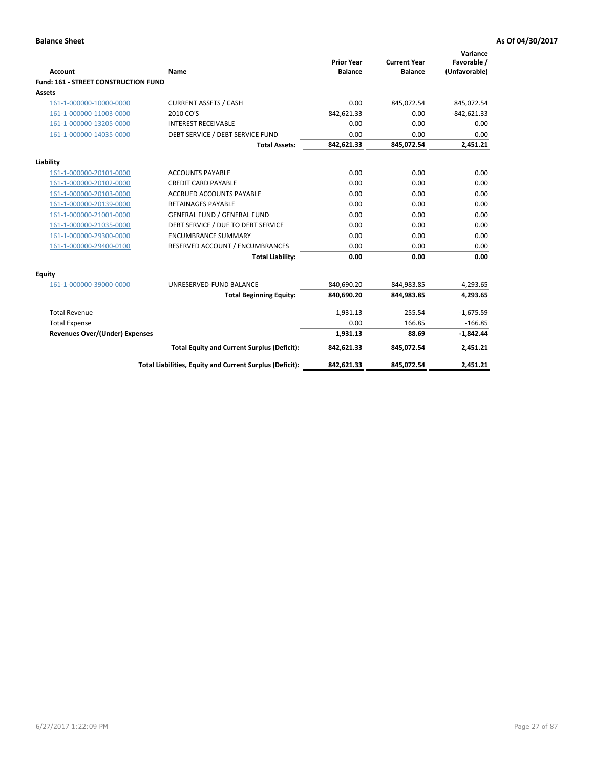| <b>Account</b>                       | Name                                                     | <b>Prior Year</b><br><b>Balance</b> | <b>Current Year</b><br><b>Balance</b> | Variance<br>Favorable /<br>(Unfavorable) |
|--------------------------------------|----------------------------------------------------------|-------------------------------------|---------------------------------------|------------------------------------------|
| Fund: 161 - STREET CONSTRUCTION FUND |                                                          |                                     |                                       |                                          |
| <b>Assets</b>                        |                                                          |                                     |                                       |                                          |
| 161-1-000000-10000-0000              | <b>CURRENT ASSETS / CASH</b>                             | 0.00                                | 845,072.54                            | 845,072.54                               |
| 161-1-000000-11003-0000              | 2010 CO'S                                                | 842,621.33                          | 0.00                                  | $-842,621.33$                            |
| 161-1-000000-13205-0000              | <b>INTEREST RECEIVABLE</b>                               | 0.00                                | 0.00                                  | 0.00                                     |
| 161-1-000000-14035-0000              | DEBT SERVICE / DEBT SERVICE FUND                         | 0.00                                | 0.00                                  | 0.00                                     |
|                                      | <b>Total Assets:</b>                                     | 842,621.33                          | 845,072.54                            | 2,451.21                                 |
| Liability                            |                                                          |                                     |                                       |                                          |
| 161-1-000000-20101-0000              | <b>ACCOUNTS PAYABLE</b>                                  | 0.00                                | 0.00                                  | 0.00                                     |
| 161-1-000000-20102-0000              | <b>CREDIT CARD PAYABLE</b>                               | 0.00                                | 0.00                                  | 0.00                                     |
| 161-1-000000-20103-0000              | <b>ACCRUED ACCOUNTS PAYABLE</b>                          | 0.00                                | 0.00                                  | 0.00                                     |
| 161-1-000000-20139-0000              | <b>RETAINAGES PAYABLE</b>                                | 0.00                                | 0.00                                  | 0.00                                     |
| 161-1-000000-21001-0000              | <b>GENERAL FUND / GENERAL FUND</b>                       | 0.00                                | 0.00                                  | 0.00                                     |
| 161-1-000000-21035-0000              | DEBT SERVICE / DUE TO DEBT SERVICE                       | 0.00                                | 0.00                                  | 0.00                                     |
| 161-1-000000-29300-0000              | <b>ENCUMBRANCE SUMMARY</b>                               | 0.00                                | 0.00                                  | 0.00                                     |
| 161-1-000000-29400-0100              | RESERVED ACCOUNT / ENCUMBRANCES                          | 0.00                                | 0.00                                  | 0.00                                     |
|                                      | <b>Total Liability:</b>                                  | 0.00                                | 0.00                                  | 0.00                                     |
| <b>Equity</b>                        |                                                          |                                     |                                       |                                          |
| 161-1-000000-39000-0000              | UNRESERVED-FUND BALANCE                                  | 840,690.20                          | 844,983.85                            | 4,293.65                                 |
|                                      | <b>Total Beginning Equity:</b>                           | 840,690.20                          | 844,983.85                            | 4,293.65                                 |
| <b>Total Revenue</b>                 |                                                          | 1,931.13                            | 255.54                                | $-1,675.59$                              |
| <b>Total Expense</b>                 |                                                          | 0.00                                | 166.85                                | $-166.85$                                |
| Revenues Over/(Under) Expenses       |                                                          | 1,931.13                            | 88.69                                 | $-1,842.44$                              |
|                                      | <b>Total Equity and Current Surplus (Deficit):</b>       | 842,621.33                          | 845,072.54                            | 2,451.21                                 |
|                                      | Total Liabilities, Equity and Current Surplus (Deficit): | 842,621.33                          | 845,072.54                            | 2,451.21                                 |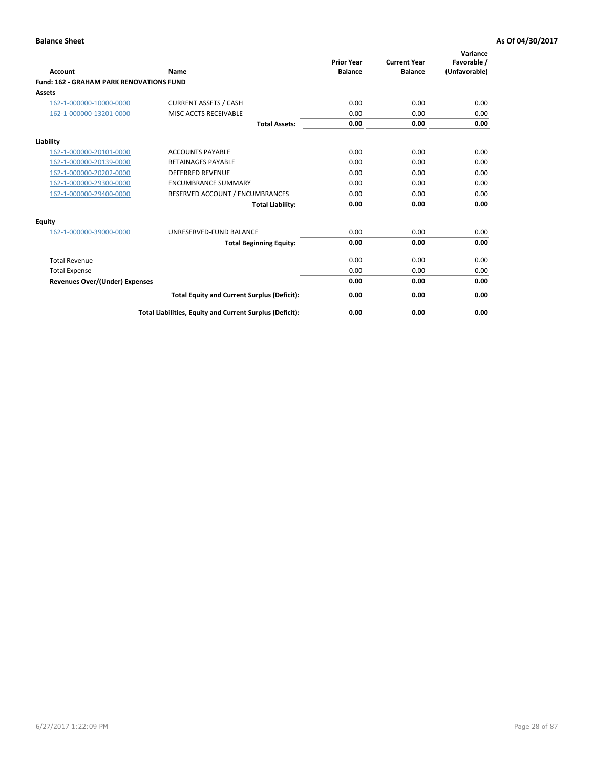| Account                                         | Name                                                     | <b>Prior Year</b><br><b>Balance</b> | <b>Current Year</b><br><b>Balance</b> | Variance<br>Favorable /<br>(Unfavorable) |
|-------------------------------------------------|----------------------------------------------------------|-------------------------------------|---------------------------------------|------------------------------------------|
| <b>Fund: 162 - GRAHAM PARK RENOVATIONS FUND</b> |                                                          |                                     |                                       |                                          |
| <b>Assets</b>                                   |                                                          |                                     |                                       |                                          |
| 162-1-000000-10000-0000                         | <b>CURRENT ASSETS / CASH</b>                             | 0.00                                | 0.00                                  | 0.00                                     |
| 162-1-000000-13201-0000                         | MISC ACCTS RECEIVABLE                                    | 0.00                                | 0.00                                  | 0.00                                     |
|                                                 | <b>Total Assets:</b>                                     | 0.00                                | 0.00                                  | 0.00                                     |
| Liability                                       |                                                          |                                     |                                       |                                          |
| 162-1-000000-20101-0000                         | <b>ACCOUNTS PAYABLE</b>                                  | 0.00                                | 0.00                                  | 0.00                                     |
| 162-1-000000-20139-0000                         | <b>RETAINAGES PAYABLE</b>                                | 0.00                                | 0.00                                  | 0.00                                     |
| 162-1-000000-20202-0000                         | <b>DEFERRED REVENUE</b>                                  | 0.00                                | 0.00                                  | 0.00                                     |
| 162-1-000000-29300-0000                         | <b>ENCUMBRANCE SUMMARY</b>                               | 0.00                                | 0.00                                  | 0.00                                     |
| 162-1-000000-29400-0000                         | RESERVED ACCOUNT / ENCUMBRANCES                          | 0.00                                | 0.00                                  | 0.00                                     |
|                                                 | <b>Total Liability:</b>                                  | 0.00                                | 0.00                                  | 0.00                                     |
| Equity                                          |                                                          |                                     |                                       |                                          |
| 162-1-000000-39000-0000                         | UNRESERVED-FUND BALANCE                                  | 0.00                                | 0.00                                  | 0.00                                     |
|                                                 | <b>Total Beginning Equity:</b>                           | 0.00                                | 0.00                                  | 0.00                                     |
| <b>Total Revenue</b>                            |                                                          | 0.00                                | 0.00                                  | 0.00                                     |
| <b>Total Expense</b>                            |                                                          | 0.00                                | 0.00                                  | 0.00                                     |
| <b>Revenues Over/(Under) Expenses</b>           |                                                          | 0.00                                | 0.00                                  | 0.00                                     |
|                                                 | <b>Total Equity and Current Surplus (Deficit):</b>       | 0.00                                | 0.00                                  | 0.00                                     |
|                                                 | Total Liabilities, Equity and Current Surplus (Deficit): | 0.00                                | 0.00                                  | 0.00                                     |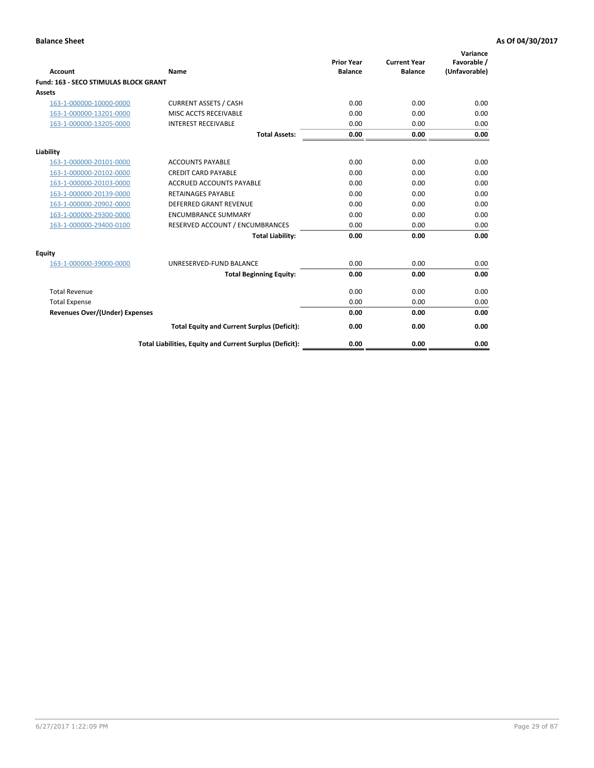| Account                               | Name                                                     | <b>Prior Year</b><br><b>Balance</b> | <b>Current Year</b><br><b>Balance</b> | Variance<br>Favorable /<br>(Unfavorable) |
|---------------------------------------|----------------------------------------------------------|-------------------------------------|---------------------------------------|------------------------------------------|
| Fund: 163 - SECO STIMULAS BLOCK GRANT |                                                          |                                     |                                       |                                          |
| <b>Assets</b>                         |                                                          |                                     |                                       |                                          |
| 163-1-000000-10000-0000               | <b>CURRENT ASSETS / CASH</b>                             | 0.00                                | 0.00                                  | 0.00                                     |
| 163-1-000000-13201-0000               | MISC ACCTS RECEIVABLE                                    | 0.00                                | 0.00                                  | 0.00                                     |
| 163-1-000000-13205-0000               | <b>INTEREST RECEIVABLE</b>                               | 0.00                                | 0.00                                  | 0.00                                     |
|                                       | <b>Total Assets:</b>                                     | 0.00                                | 0.00                                  | 0.00                                     |
| Liability                             |                                                          |                                     |                                       |                                          |
| 163-1-000000-20101-0000               | <b>ACCOUNTS PAYABLE</b>                                  | 0.00                                | 0.00                                  | 0.00                                     |
| 163-1-000000-20102-0000               | <b>CREDIT CARD PAYABLE</b>                               | 0.00                                | 0.00                                  | 0.00                                     |
| 163-1-000000-20103-0000               | <b>ACCRUED ACCOUNTS PAYABLE</b>                          | 0.00                                | 0.00                                  | 0.00                                     |
| 163-1-000000-20139-0000               | <b>RETAINAGES PAYABLE</b>                                | 0.00                                | 0.00                                  | 0.00                                     |
| 163-1-000000-20902-0000               | DEFERRED GRANT REVENUE                                   | 0.00                                | 0.00                                  | 0.00                                     |
| 163-1-000000-29300-0000               | <b>ENCUMBRANCE SUMMARY</b>                               | 0.00                                | 0.00                                  | 0.00                                     |
| 163-1-000000-29400-0100               | RESERVED ACCOUNT / ENCUMBRANCES                          | 0.00                                | 0.00                                  | 0.00                                     |
|                                       | <b>Total Liability:</b>                                  | 0.00                                | 0.00                                  | 0.00                                     |
| <b>Equity</b>                         |                                                          |                                     |                                       |                                          |
| 163-1-000000-39000-0000               | UNRESERVED-FUND BALANCE                                  | 0.00                                | 0.00                                  | 0.00                                     |
|                                       | <b>Total Beginning Equity:</b>                           | 0.00                                | 0.00                                  | 0.00                                     |
| <b>Total Revenue</b>                  |                                                          | 0.00                                | 0.00                                  | 0.00                                     |
| <b>Total Expense</b>                  |                                                          | 0.00                                | 0.00                                  | 0.00                                     |
| <b>Revenues Over/(Under) Expenses</b> |                                                          | 0.00                                | 0.00                                  | 0.00                                     |
|                                       | <b>Total Equity and Current Surplus (Deficit):</b>       | 0.00                                | 0.00                                  | 0.00                                     |
|                                       | Total Liabilities, Equity and Current Surplus (Deficit): | 0.00                                | 0.00                                  | 0.00                                     |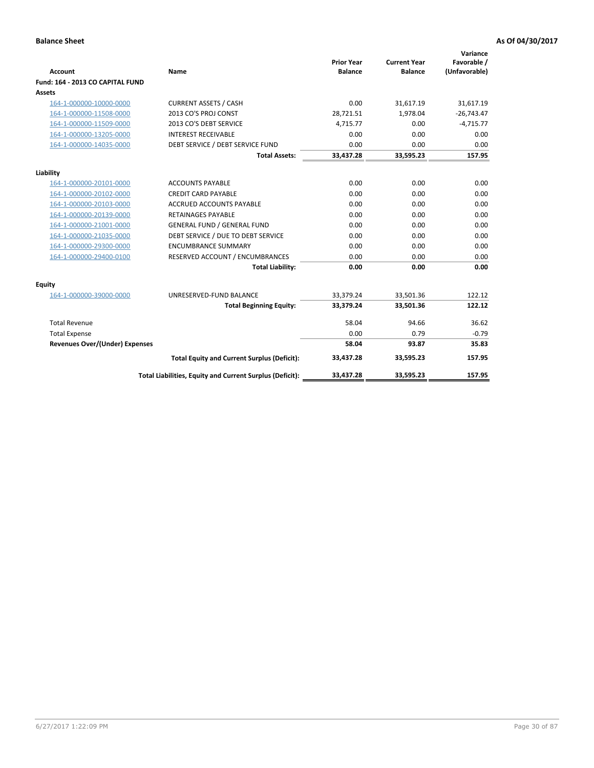| <b>Account</b>                        | Name                                                     | <b>Prior Year</b><br><b>Balance</b> | <b>Current Year</b><br><b>Balance</b> | Variance<br>Favorable /<br>(Unfavorable) |
|---------------------------------------|----------------------------------------------------------|-------------------------------------|---------------------------------------|------------------------------------------|
| Fund: 164 - 2013 CO CAPITAL FUND      |                                                          |                                     |                                       |                                          |
| Assets                                |                                                          |                                     |                                       |                                          |
| 164-1-000000-10000-0000               | <b>CURRENT ASSETS / CASH</b>                             | 0.00                                | 31,617.19                             | 31,617.19                                |
| 164-1-000000-11508-0000               | 2013 CO'S PROJ CONST                                     | 28,721.51                           | 1,978.04                              | $-26,743.47$                             |
| 164-1-000000-11509-0000               | 2013 CO'S DEBT SERVICE                                   | 4,715.77                            | 0.00                                  | $-4,715.77$                              |
| 164-1-000000-13205-0000               | <b>INTEREST RECEIVABLE</b>                               | 0.00                                | 0.00                                  | 0.00                                     |
| 164-1-000000-14035-0000               | DEBT SERVICE / DEBT SERVICE FUND                         | 0.00                                | 0.00                                  | 0.00                                     |
|                                       | <b>Total Assets:</b>                                     | 33,437.28                           | 33,595.23                             | 157.95                                   |
| Liability                             |                                                          |                                     |                                       |                                          |
| 164-1-000000-20101-0000               | <b>ACCOUNTS PAYABLE</b>                                  | 0.00                                | 0.00                                  | 0.00                                     |
| 164-1-000000-20102-0000               | <b>CREDIT CARD PAYABLE</b>                               | 0.00                                | 0.00                                  | 0.00                                     |
| 164-1-000000-20103-0000               | ACCRUED ACCOUNTS PAYABLE                                 | 0.00                                | 0.00                                  | 0.00                                     |
| 164-1-000000-20139-0000               | RETAINAGES PAYABLE                                       | 0.00                                | 0.00                                  | 0.00                                     |
| 164-1-000000-21001-0000               | <b>GENERAL FUND / GENERAL FUND</b>                       | 0.00                                | 0.00                                  | 0.00                                     |
| 164-1-000000-21035-0000               | DEBT SERVICE / DUE TO DEBT SERVICE                       | 0.00                                | 0.00                                  | 0.00                                     |
| 164-1-000000-29300-0000               | <b>ENCUMBRANCE SUMMARY</b>                               | 0.00                                | 0.00                                  | 0.00                                     |
| 164-1-000000-29400-0100               | RESERVED ACCOUNT / ENCUMBRANCES                          | 0.00                                | 0.00                                  | 0.00                                     |
|                                       | <b>Total Liability:</b>                                  | 0.00                                | 0.00                                  | 0.00                                     |
| Equity                                |                                                          |                                     |                                       |                                          |
| 164-1-000000-39000-0000               | UNRESERVED-FUND BALANCE                                  | 33,379.24                           | 33,501.36                             | 122.12                                   |
|                                       | <b>Total Beginning Equity:</b>                           | 33,379.24                           | 33,501.36                             | 122.12                                   |
| <b>Total Revenue</b>                  |                                                          | 58.04                               | 94.66                                 | 36.62                                    |
| <b>Total Expense</b>                  |                                                          | 0.00                                | 0.79                                  | $-0.79$                                  |
| <b>Revenues Over/(Under) Expenses</b> |                                                          | 58.04                               | 93.87                                 | 35.83                                    |
|                                       | <b>Total Equity and Current Surplus (Deficit):</b>       | 33,437.28                           | 33,595.23                             | 157.95                                   |
|                                       | Total Liabilities, Equity and Current Surplus (Deficit): | 33,437.28                           | 33,595.23                             | 157.95                                   |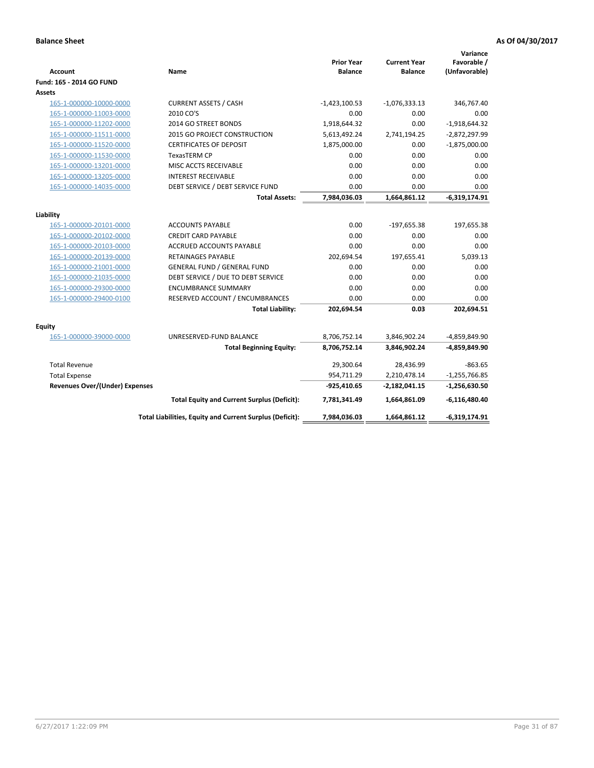| <b>Account</b>                        | Name                                                     | <b>Prior Year</b><br><b>Balance</b> | <b>Current Year</b><br><b>Balance</b> | Variance<br>Favorable /<br>(Unfavorable) |
|---------------------------------------|----------------------------------------------------------|-------------------------------------|---------------------------------------|------------------------------------------|
| Fund: 165 - 2014 GO FUND              |                                                          |                                     |                                       |                                          |
| Assets                                |                                                          |                                     |                                       |                                          |
| 165-1-000000-10000-0000               | <b>CURRENT ASSETS / CASH</b>                             | $-1,423,100.53$                     | $-1,076,333.13$                       | 346,767.40                               |
| 165-1-000000-11003-0000               | 2010 CO'S                                                | 0.00                                | 0.00                                  | 0.00                                     |
| 165-1-000000-11202-0000               | 2014 GO STREET BONDS                                     | 1,918,644.32                        | 0.00                                  | $-1,918,644.32$                          |
| 165-1-000000-11511-0000               | 2015 GO PROJECT CONSTRUCTION                             | 5,613,492.24                        | 2,741,194.25                          | $-2,872,297.99$                          |
| 165-1-000000-11520-0000               | <b>CERTIFICATES OF DEPOSIT</b>                           | 1,875,000.00                        | 0.00                                  | $-1,875,000.00$                          |
| 165-1-000000-11530-0000               | <b>TexasTERM CP</b>                                      | 0.00                                | 0.00                                  | 0.00                                     |
| 165-1-000000-13201-0000               | MISC ACCTS RECEIVABLE                                    | 0.00                                | 0.00                                  | 0.00                                     |
| 165-1-000000-13205-0000               | <b>INTEREST RECEIVABLE</b>                               | 0.00                                | 0.00                                  | 0.00                                     |
| 165-1-000000-14035-0000               | DEBT SERVICE / DEBT SERVICE FUND                         | 0.00                                | 0.00                                  | 0.00                                     |
|                                       | <b>Total Assets:</b>                                     | 7,984,036.03                        | 1,664,861.12                          | $-6,319,174.91$                          |
| Liability                             |                                                          |                                     |                                       |                                          |
| 165-1-000000-20101-0000               | <b>ACCOUNTS PAYABLE</b>                                  | 0.00                                | $-197,655.38$                         | 197,655.38                               |
| 165-1-000000-20102-0000               | <b>CREDIT CARD PAYABLE</b>                               | 0.00                                | 0.00                                  | 0.00                                     |
| 165-1-000000-20103-0000               | ACCRUED ACCOUNTS PAYABLE                                 | 0.00                                | 0.00                                  | 0.00                                     |
| 165-1-000000-20139-0000               | <b>RETAINAGES PAYABLE</b>                                | 202,694.54                          | 197,655.41                            | 5,039.13                                 |
| 165-1-000000-21001-0000               | <b>GENERAL FUND / GENERAL FUND</b>                       | 0.00                                | 0.00                                  | 0.00                                     |
| 165-1-000000-21035-0000               | DEBT SERVICE / DUE TO DEBT SERVICE                       | 0.00                                | 0.00                                  | 0.00                                     |
| 165-1-000000-29300-0000               | <b>ENCUMBRANCE SUMMARY</b>                               | 0.00                                | 0.00                                  | 0.00                                     |
| 165-1-000000-29400-0100               | RESERVED ACCOUNT / ENCUMBRANCES                          | 0.00                                | 0.00                                  | 0.00                                     |
|                                       | <b>Total Liability:</b>                                  | 202,694.54                          | 0.03                                  | 202,694.51                               |
| <b>Equity</b>                         |                                                          |                                     |                                       |                                          |
| 165-1-000000-39000-0000               | UNRESERVED-FUND BALANCE                                  | 8,706,752.14                        | 3,846,902.24                          | -4,859,849.90                            |
|                                       | <b>Total Beginning Equity:</b>                           | 8,706,752.14                        | 3,846,902.24                          | -4,859,849.90                            |
| <b>Total Revenue</b>                  |                                                          | 29,300.64                           | 28,436.99                             | $-863.65$                                |
| <b>Total Expense</b>                  |                                                          | 954,711.29                          | 2,210,478.14                          | $-1,255,766.85$                          |
| <b>Revenues Over/(Under) Expenses</b> |                                                          | $-925,410.65$                       | $-2,182,041.15$                       | $-1,256,630.50$                          |
|                                       | <b>Total Equity and Current Surplus (Deficit):</b>       | 7,781,341.49                        | 1,664,861.09                          | $-6,116,480.40$                          |
|                                       | Total Liabilities, Equity and Current Surplus (Deficit): | 7,984,036.03                        | 1,664,861.12                          | $-6,319,174.91$                          |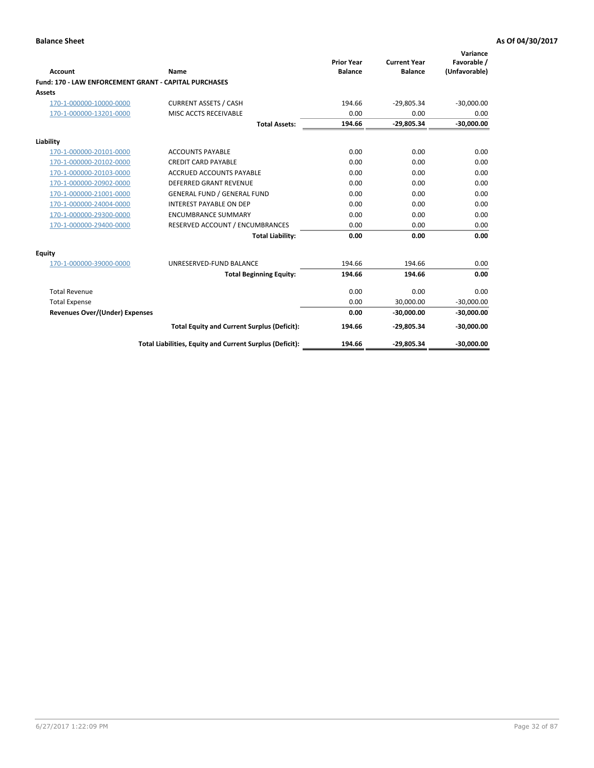| Account                                                      | Name                                                     | <b>Prior Year</b><br><b>Balance</b> | <b>Current Year</b><br><b>Balance</b> | Variance<br>Favorable /<br>(Unfavorable) |
|--------------------------------------------------------------|----------------------------------------------------------|-------------------------------------|---------------------------------------|------------------------------------------|
| <b>Fund: 170 - LAW ENFORCEMENT GRANT - CAPITAL PURCHASES</b> |                                                          |                                     |                                       |                                          |
| Assets                                                       |                                                          |                                     |                                       |                                          |
| 170-1-000000-10000-0000                                      | <b>CURRENT ASSETS / CASH</b>                             | 194.66                              | $-29,805.34$                          | $-30,000.00$                             |
| 170-1-000000-13201-0000                                      | MISC ACCTS RECEIVABLE                                    | 0.00                                | 0.00                                  | 0.00                                     |
|                                                              | <b>Total Assets:</b>                                     | 194.66                              | $-29,805.34$                          | $-30,000.00$                             |
| Liability                                                    |                                                          |                                     |                                       |                                          |
| 170-1-000000-20101-0000                                      | <b>ACCOUNTS PAYABLE</b>                                  | 0.00                                | 0.00                                  | 0.00                                     |
| 170-1-000000-20102-0000                                      | <b>CREDIT CARD PAYABLE</b>                               | 0.00                                | 0.00                                  | 0.00                                     |
| 170-1-000000-20103-0000                                      | <b>ACCRUED ACCOUNTS PAYABLE</b>                          | 0.00                                | 0.00                                  | 0.00                                     |
| 170-1-000000-20902-0000                                      | <b>DEFERRED GRANT REVENUE</b>                            | 0.00                                | 0.00                                  | 0.00                                     |
| 170-1-000000-21001-0000                                      | <b>GENERAL FUND / GENERAL FUND</b>                       | 0.00                                | 0.00                                  | 0.00                                     |
| 170-1-000000-24004-0000                                      | <b>INTEREST PAYABLE ON DEP</b>                           | 0.00                                | 0.00                                  | 0.00                                     |
| 170-1-000000-29300-0000                                      | <b>ENCUMBRANCE SUMMARY</b>                               | 0.00                                | 0.00                                  | 0.00                                     |
| 170-1-000000-29400-0000                                      | RESERVED ACCOUNT / ENCUMBRANCES                          | 0.00                                | 0.00                                  | 0.00                                     |
|                                                              | <b>Total Liability:</b>                                  | 0.00                                | 0.00                                  | 0.00                                     |
| <b>Equity</b>                                                |                                                          |                                     |                                       |                                          |
| 170-1-000000-39000-0000                                      | UNRESERVED-FUND BALANCE                                  | 194.66                              | 194.66                                | 0.00                                     |
|                                                              | <b>Total Beginning Equity:</b>                           | 194.66                              | 194.66                                | 0.00                                     |
| <b>Total Revenue</b>                                         |                                                          | 0.00                                | 0.00                                  | 0.00                                     |
| <b>Total Expense</b>                                         |                                                          | 0.00                                | 30,000.00                             | $-30,000.00$                             |
| <b>Revenues Over/(Under) Expenses</b>                        |                                                          | 0.00                                | $-30.000.00$                          | $-30,000.00$                             |
|                                                              | <b>Total Equity and Current Surplus (Deficit):</b>       | 194.66                              | $-29,805.34$                          | $-30,000.00$                             |
|                                                              | Total Liabilities, Equity and Current Surplus (Deficit): | 194.66                              | $-29,805.34$                          | $-30,000.00$                             |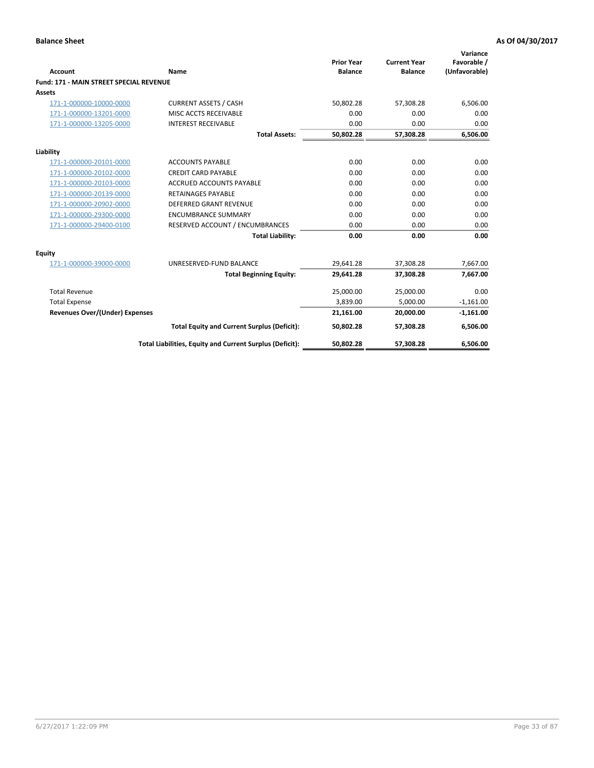| Account                                        | Name                                                     | <b>Prior Year</b><br><b>Balance</b> | <b>Current Year</b><br><b>Balance</b> | Variance<br>Favorable /<br>(Unfavorable) |
|------------------------------------------------|----------------------------------------------------------|-------------------------------------|---------------------------------------|------------------------------------------|
| <b>Fund: 171 - MAIN STREET SPECIAL REVENUE</b> |                                                          |                                     |                                       |                                          |
| Assets                                         |                                                          |                                     |                                       |                                          |
| 171-1-000000-10000-0000                        | <b>CURRENT ASSETS / CASH</b>                             | 50,802.28                           | 57,308.28                             | 6,506.00                                 |
| 171-1-000000-13201-0000                        | MISC ACCTS RECEIVABLE                                    | 0.00                                | 0.00                                  | 0.00                                     |
| 171-1-000000-13205-0000                        | <b>INTEREST RECEIVABLE</b>                               | 0.00                                | 0.00                                  | 0.00                                     |
|                                                | <b>Total Assets:</b>                                     | 50,802.28                           | 57,308.28                             | 6,506.00                                 |
| Liability                                      |                                                          |                                     |                                       |                                          |
| 171-1-000000-20101-0000                        | <b>ACCOUNTS PAYABLE</b>                                  | 0.00                                | 0.00                                  | 0.00                                     |
| 171-1-000000-20102-0000                        | <b>CREDIT CARD PAYABLE</b>                               | 0.00                                | 0.00                                  | 0.00                                     |
| 171-1-000000-20103-0000                        | <b>ACCRUED ACCOUNTS PAYABLE</b>                          | 0.00                                | 0.00                                  | 0.00                                     |
| 171-1-000000-20139-0000                        | <b>RETAINAGES PAYABLE</b>                                | 0.00                                | 0.00                                  | 0.00                                     |
| 171-1-000000-20902-0000                        | <b>DEFERRED GRANT REVENUE</b>                            | 0.00                                | 0.00                                  | 0.00                                     |
| 171-1-000000-29300-0000                        | <b>ENCUMBRANCE SUMMARY</b>                               | 0.00                                | 0.00                                  | 0.00                                     |
| 171-1-000000-29400-0100                        | RESERVED ACCOUNT / ENCUMBRANCES                          | 0.00                                | 0.00                                  | 0.00                                     |
|                                                | <b>Total Liability:</b>                                  | 0.00                                | 0.00                                  | 0.00                                     |
| <b>Equity</b>                                  |                                                          |                                     |                                       |                                          |
| 171-1-000000-39000-0000                        | UNRESERVED-FUND BALANCE                                  | 29,641.28                           | 37,308.28                             | 7,667.00                                 |
|                                                | <b>Total Beginning Equity:</b>                           | 29,641.28                           | 37,308.28                             | 7,667.00                                 |
| <b>Total Revenue</b>                           |                                                          | 25,000.00                           | 25,000.00                             | 0.00                                     |
| <b>Total Expense</b>                           |                                                          | 3,839.00                            | 5,000.00                              | $-1,161.00$                              |
| <b>Revenues Over/(Under) Expenses</b>          |                                                          | 21,161.00                           | 20,000.00                             | $-1,161.00$                              |
|                                                | <b>Total Equity and Current Surplus (Deficit):</b>       | 50,802.28                           | 57,308.28                             | 6,506.00                                 |
|                                                | Total Liabilities, Equity and Current Surplus (Deficit): | 50,802.28                           | 57,308.28                             | 6,506.00                                 |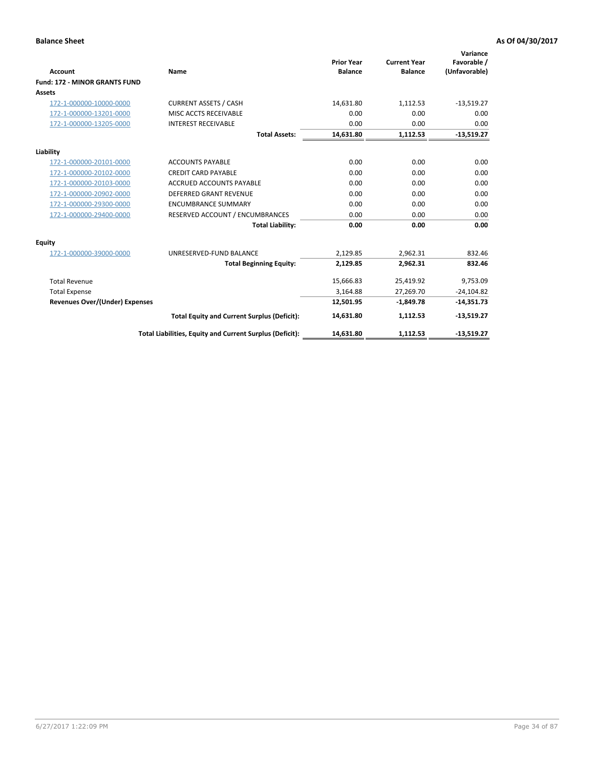|                                       |                                                          |                                     |                                       | Variance                     |
|---------------------------------------|----------------------------------------------------------|-------------------------------------|---------------------------------------|------------------------------|
| <b>Account</b>                        | <b>Name</b>                                              | <b>Prior Year</b><br><b>Balance</b> | <b>Current Year</b><br><b>Balance</b> | Favorable /<br>(Unfavorable) |
| <b>Fund: 172 - MINOR GRANTS FUND</b>  |                                                          |                                     |                                       |                              |
| <b>Assets</b>                         |                                                          |                                     |                                       |                              |
| 172-1-000000-10000-0000               | <b>CURRENT ASSETS / CASH</b>                             | 14,631.80                           | 1,112.53                              | $-13,519.27$                 |
| 172-1-000000-13201-0000               | MISC ACCTS RECEIVABLE                                    | 0.00                                | 0.00                                  | 0.00                         |
| 172-1-000000-13205-0000               | <b>INTEREST RECEIVABLE</b>                               | 0.00                                | 0.00                                  | 0.00                         |
|                                       | <b>Total Assets:</b>                                     | 14,631.80                           | 1,112.53                              | $-13,519.27$                 |
|                                       |                                                          |                                     |                                       |                              |
| Liability                             |                                                          |                                     |                                       |                              |
| 172-1-000000-20101-0000               | <b>ACCOUNTS PAYABLE</b>                                  | 0.00                                | 0.00                                  | 0.00                         |
| 172-1-000000-20102-0000               | <b>CREDIT CARD PAYABLE</b>                               | 0.00                                | 0.00                                  | 0.00                         |
| 172-1-000000-20103-0000               | <b>ACCRUED ACCOUNTS PAYABLE</b>                          | 0.00                                | 0.00                                  | 0.00                         |
| 172-1-000000-20902-0000               | <b>DEFERRED GRANT REVENUE</b>                            | 0.00                                | 0.00                                  | 0.00                         |
| 172-1-000000-29300-0000               | <b>ENCUMBRANCE SUMMARY</b>                               | 0.00                                | 0.00                                  | 0.00                         |
| 172-1-000000-29400-0000               | RESERVED ACCOUNT / ENCUMBRANCES                          | 0.00                                | 0.00                                  | 0.00                         |
|                                       | <b>Total Liability:</b>                                  | 0.00                                | 0.00                                  | 0.00                         |
| Equity                                |                                                          |                                     |                                       |                              |
| 172-1-000000-39000-0000               | UNRESERVED-FUND BALANCE                                  | 2,129.85                            | 2,962.31                              | 832.46                       |
|                                       | <b>Total Beginning Equity:</b>                           | 2,129.85                            | 2,962.31                              | 832.46                       |
| <b>Total Revenue</b>                  |                                                          | 15,666.83                           | 25,419.92                             | 9,753.09                     |
| <b>Total Expense</b>                  |                                                          | 3,164.88                            | 27.269.70                             | $-24,104.82$                 |
| <b>Revenues Over/(Under) Expenses</b> |                                                          | 12,501.95                           | $-1,849.78$                           | $-14,351.73$                 |
|                                       | <b>Total Equity and Current Surplus (Deficit):</b>       | 14.631.80                           | 1.112.53                              | $-13,519.27$                 |
|                                       | Total Liabilities, Equity and Current Surplus (Deficit): | 14,631.80                           | 1,112.53                              | $-13,519.27$                 |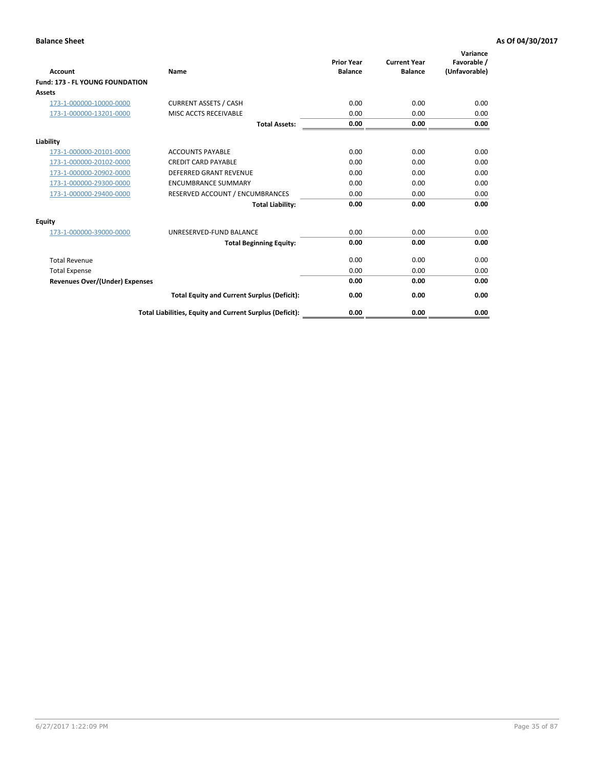| <b>Account</b>                         | <b>Name</b>                                              | <b>Prior Year</b><br><b>Balance</b> | <b>Current Year</b><br><b>Balance</b> | Variance<br>Favorable /<br>(Unfavorable) |
|----------------------------------------|----------------------------------------------------------|-------------------------------------|---------------------------------------|------------------------------------------|
| <b>Fund: 173 - FL YOUNG FOUNDATION</b> |                                                          |                                     |                                       |                                          |
| Assets                                 |                                                          |                                     |                                       |                                          |
| 173-1-000000-10000-0000                | <b>CURRENT ASSETS / CASH</b>                             | 0.00                                | 0.00                                  | 0.00                                     |
| 173-1-000000-13201-0000                | MISC ACCTS RECEIVABLE                                    | 0.00                                | 0.00                                  | 0.00                                     |
|                                        | <b>Total Assets:</b>                                     | 0.00                                | 0.00                                  | 0.00                                     |
| Liability                              |                                                          |                                     |                                       |                                          |
| 173-1-000000-20101-0000                | <b>ACCOUNTS PAYABLE</b>                                  | 0.00                                | 0.00                                  | 0.00                                     |
| 173-1-000000-20102-0000                | <b>CREDIT CARD PAYABLE</b>                               | 0.00                                | 0.00                                  | 0.00                                     |
| 173-1-000000-20902-0000                | <b>DEFERRED GRANT REVENUE</b>                            | 0.00                                | 0.00                                  | 0.00                                     |
| 173-1-000000-29300-0000                | <b>ENCUMBRANCE SUMMARY</b>                               | 0.00                                | 0.00                                  | 0.00                                     |
| 173-1-000000-29400-0000                | RESERVED ACCOUNT / ENCUMBRANCES                          | 0.00                                | 0.00                                  | 0.00                                     |
|                                        | <b>Total Liability:</b>                                  | 0.00                                | 0.00                                  | 0.00                                     |
| Equity                                 |                                                          |                                     |                                       |                                          |
| 173-1-000000-39000-0000                | UNRESERVED-FUND BALANCE                                  | 0.00                                | 0.00                                  | 0.00                                     |
|                                        | <b>Total Beginning Equity:</b>                           | 0.00                                | 0.00                                  | 0.00                                     |
| <b>Total Revenue</b>                   |                                                          | 0.00                                | 0.00                                  | 0.00                                     |
| <b>Total Expense</b>                   |                                                          | 0.00                                | 0.00                                  | 0.00                                     |
| <b>Revenues Over/(Under) Expenses</b>  |                                                          | 0.00                                | 0.00                                  | 0.00                                     |
|                                        | <b>Total Equity and Current Surplus (Deficit):</b>       | 0.00                                | 0.00                                  | 0.00                                     |
|                                        | Total Liabilities, Equity and Current Surplus (Deficit): | 0.00                                | 0.00                                  | 0.00                                     |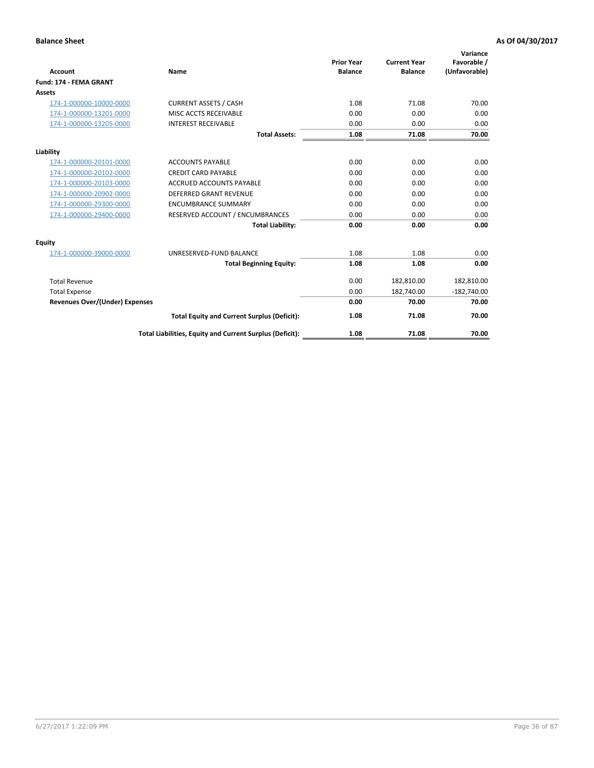| Account                               | Name                                                     | <b>Prior Year</b><br><b>Balance</b> | <b>Current Year</b><br><b>Balance</b> | Variance<br>Favorable /<br>(Unfavorable) |
|---------------------------------------|----------------------------------------------------------|-------------------------------------|---------------------------------------|------------------------------------------|
| Fund: 174 - FEMA GRANT                |                                                          |                                     |                                       |                                          |
| Assets                                |                                                          |                                     |                                       |                                          |
| 174-1-000000-10000-0000               | <b>CURRENT ASSETS / CASH</b>                             | 1.08                                | 71.08                                 | 70.00                                    |
| 174-1-000000-13201-0000               | MISC ACCTS RECEIVABLE                                    | 0.00                                | 0.00                                  | 0.00                                     |
| 174-1-000000-13205-0000               | <b>INTEREST RECEIVABLE</b>                               | 0.00                                | 0.00                                  | 0.00                                     |
|                                       | <b>Total Assets:</b>                                     | 1.08                                | 71.08                                 | 70.00                                    |
| Liability                             |                                                          |                                     |                                       |                                          |
| 174-1-000000-20101-0000               | <b>ACCOUNTS PAYABLE</b>                                  | 0.00                                | 0.00                                  | 0.00                                     |
| 174-1-000000-20102-0000               | <b>CREDIT CARD PAYABLE</b>                               | 0.00                                | 0.00                                  | 0.00                                     |
| 174-1-000000-20103-0000               | <b>ACCRUED ACCOUNTS PAYABLE</b>                          | 0.00                                | 0.00                                  | 0.00                                     |
| 174-1-000000-20902-0000               | <b>DEFERRED GRANT REVENUE</b>                            | 0.00                                | 0.00                                  | 0.00                                     |
| 174-1-000000-29300-0000               | <b>ENCUMBRANCE SUMMARY</b>                               | 0.00                                | 0.00                                  | 0.00                                     |
| 174-1-000000-29400-0000               | RESERVED ACCOUNT / ENCUMBRANCES                          | 0.00                                | 0.00                                  | 0.00                                     |
|                                       | <b>Total Liability:</b>                                  | 0.00                                | 0.00                                  | 0.00                                     |
| Equity                                |                                                          |                                     |                                       |                                          |
| 174-1-000000-39000-0000               | UNRESERVED-FUND BALANCE                                  | 1.08                                | 1.08                                  | 0.00                                     |
|                                       | <b>Total Beginning Equity:</b>                           | 1.08                                | 1.08                                  | 0.00                                     |
| <b>Total Revenue</b>                  |                                                          | 0.00                                | 182,810.00                            | 182,810.00                               |
| <b>Total Expense</b>                  |                                                          | 0.00                                | 182,740.00                            | $-182,740.00$                            |
| <b>Revenues Over/(Under) Expenses</b> |                                                          | 0.00                                | 70.00                                 | 70.00                                    |
|                                       | <b>Total Equity and Current Surplus (Deficit):</b>       | 1.08                                | 71.08                                 | 70.00                                    |
|                                       | Total Liabilities, Equity and Current Surplus (Deficit): | 1.08                                | 71.08                                 | 70.00                                    |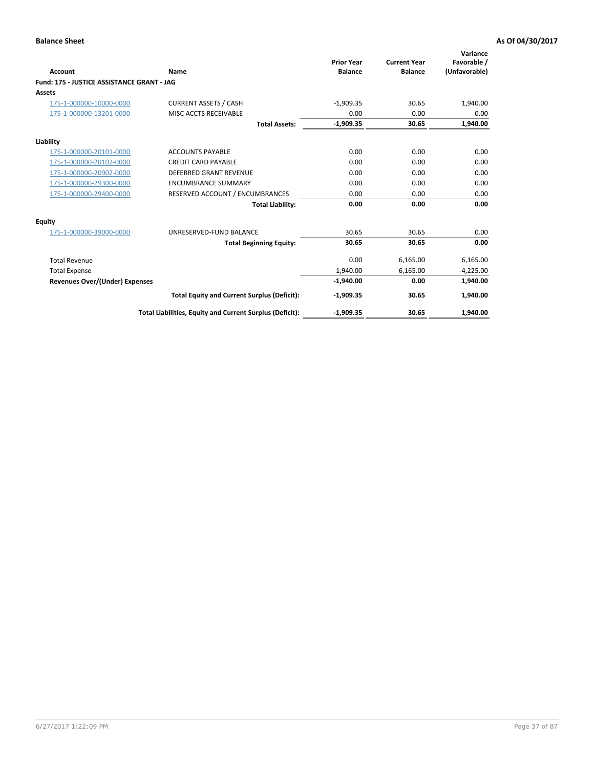| <b>Account</b>                             | Name                                                     | <b>Prior Year</b><br><b>Balance</b> | <b>Current Year</b><br><b>Balance</b> | Variance<br>Favorable /<br>(Unfavorable) |
|--------------------------------------------|----------------------------------------------------------|-------------------------------------|---------------------------------------|------------------------------------------|
| Fund: 175 - JUSTICE ASSISTANCE GRANT - JAG |                                                          |                                     |                                       |                                          |
| <b>Assets</b>                              |                                                          |                                     |                                       |                                          |
| 175-1-000000-10000-0000                    | <b>CURRENT ASSETS / CASH</b>                             | $-1.909.35$                         | 30.65                                 | 1,940.00                                 |
| 175-1-000000-13201-0000                    | <b>MISC ACCTS RECEIVABLE</b>                             | 0.00                                | 0.00                                  | 0.00                                     |
|                                            | <b>Total Assets:</b>                                     | $-1,909.35$                         | 30.65                                 | 1,940.00                                 |
| Liability                                  |                                                          |                                     |                                       |                                          |
| 175-1-000000-20101-0000                    | <b>ACCOUNTS PAYABLE</b>                                  | 0.00                                | 0.00                                  | 0.00                                     |
| 175-1-000000-20102-0000                    | <b>CREDIT CARD PAYABLE</b>                               | 0.00                                | 0.00                                  | 0.00                                     |
| 175-1-000000-20902-0000                    | <b>DEFERRED GRANT REVENUE</b>                            | 0.00                                | 0.00                                  | 0.00                                     |
| 175-1-000000-29300-0000                    | <b>ENCUMBRANCE SUMMARY</b>                               | 0.00                                | 0.00                                  | 0.00                                     |
| 175-1-000000-29400-0000                    | RESERVED ACCOUNT / ENCUMBRANCES                          | 0.00                                | 0.00                                  | 0.00                                     |
|                                            | <b>Total Liability:</b>                                  | 0.00                                | 0.00                                  | 0.00                                     |
| Equity                                     |                                                          |                                     |                                       |                                          |
| 175-1-000000-39000-0000                    | UNRESERVED-FUND BALANCE                                  | 30.65                               | 30.65                                 | 0.00                                     |
|                                            | <b>Total Beginning Equity:</b>                           | 30.65                               | 30.65                                 | 0.00                                     |
| <b>Total Revenue</b>                       |                                                          | 0.00                                | 6,165.00                              | 6,165.00                                 |
| <b>Total Expense</b>                       |                                                          | 1,940.00                            | 6,165.00                              | $-4,225.00$                              |
| <b>Revenues Over/(Under) Expenses</b>      |                                                          | $-1,940.00$                         | 0.00                                  | 1,940.00                                 |
|                                            | <b>Total Equity and Current Surplus (Deficit):</b>       | $-1,909.35$                         | 30.65                                 | 1,940.00                                 |
|                                            | Total Liabilities, Equity and Current Surplus (Deficit): | $-1,909.35$                         | 30.65                                 | 1.940.00                                 |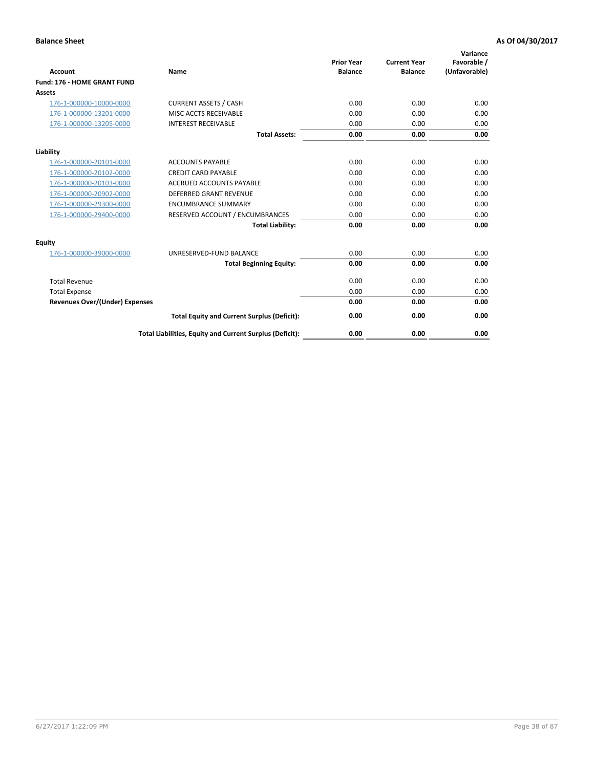| Account                               | Name                                                     | <b>Prior Year</b><br><b>Balance</b> | <b>Current Year</b><br><b>Balance</b> | Variance<br>Favorable /<br>(Unfavorable) |
|---------------------------------------|----------------------------------------------------------|-------------------------------------|---------------------------------------|------------------------------------------|
| Fund: 176 - HOME GRANT FUND           |                                                          |                                     |                                       |                                          |
| <b>Assets</b>                         |                                                          |                                     |                                       |                                          |
| 176-1-000000-10000-0000               | <b>CURRENT ASSETS / CASH</b>                             | 0.00                                | 0.00                                  | 0.00                                     |
| 176-1-000000-13201-0000               | MISC ACCTS RECEIVABLE                                    | 0.00                                | 0.00                                  | 0.00                                     |
| 176-1-000000-13205-0000               | <b>INTEREST RECEIVABLE</b>                               | 0.00                                | 0.00                                  | 0.00                                     |
|                                       | <b>Total Assets:</b>                                     | 0.00                                | 0.00                                  | 0.00                                     |
| Liability                             |                                                          |                                     |                                       |                                          |
| 176-1-000000-20101-0000               | <b>ACCOUNTS PAYABLE</b>                                  | 0.00                                | 0.00                                  | 0.00                                     |
| 176-1-000000-20102-0000               | <b>CREDIT CARD PAYABLE</b>                               | 0.00                                | 0.00                                  | 0.00                                     |
| 176-1-000000-20103-0000               | <b>ACCRUED ACCOUNTS PAYABLE</b>                          | 0.00                                | 0.00                                  | 0.00                                     |
| 176-1-000000-20902-0000               | <b>DEFERRED GRANT REVENUE</b>                            | 0.00                                | 0.00                                  | 0.00                                     |
| 176-1-000000-29300-0000               | <b>ENCUMBRANCE SUMMARY</b>                               | 0.00                                | 0.00                                  | 0.00                                     |
| 176-1-000000-29400-0000               | RESERVED ACCOUNT / ENCUMBRANCES                          | 0.00                                | 0.00                                  | 0.00                                     |
|                                       | <b>Total Liability:</b>                                  | 0.00                                | 0.00                                  | 0.00                                     |
| Equity                                |                                                          |                                     |                                       |                                          |
| 176-1-000000-39000-0000               | UNRESERVED-FUND BALANCE                                  | 0.00                                | 0.00                                  | 0.00                                     |
|                                       | <b>Total Beginning Equity:</b>                           | 0.00                                | 0.00                                  | 0.00                                     |
| <b>Total Revenue</b>                  |                                                          | 0.00                                | 0.00                                  | 0.00                                     |
| <b>Total Expense</b>                  |                                                          | 0.00                                | 0.00                                  | 0.00                                     |
| <b>Revenues Over/(Under) Expenses</b> |                                                          | 0.00                                | 0.00                                  | 0.00                                     |
|                                       | <b>Total Equity and Current Surplus (Deficit):</b>       | 0.00                                | 0.00                                  | 0.00                                     |
|                                       | Total Liabilities, Equity and Current Surplus (Deficit): | 0.00                                | 0.00                                  | 0.00                                     |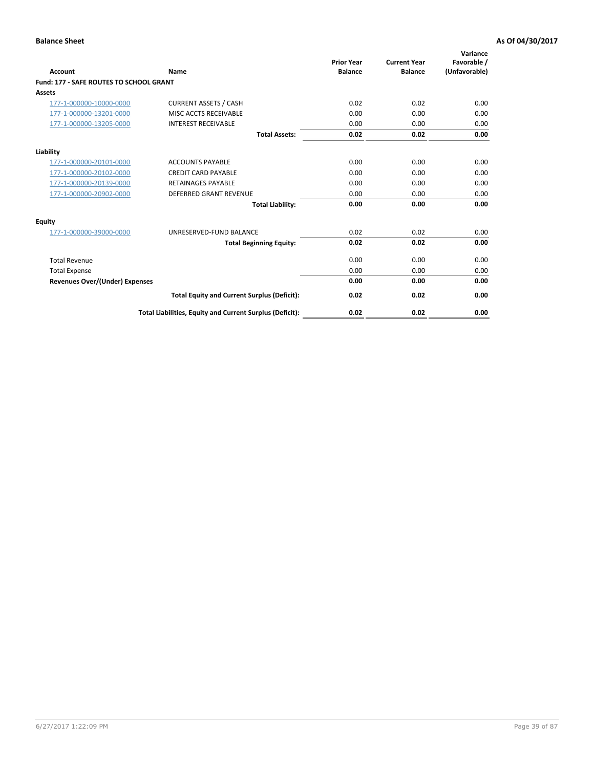| Account                                        | Name                                                     | <b>Prior Year</b><br><b>Balance</b> | <b>Current Year</b><br><b>Balance</b> | Variance<br>Favorable /<br>(Unfavorable) |
|------------------------------------------------|----------------------------------------------------------|-------------------------------------|---------------------------------------|------------------------------------------|
| <b>Fund: 177 - SAFE ROUTES TO SCHOOL GRANT</b> |                                                          |                                     |                                       |                                          |
| <b>Assets</b>                                  |                                                          |                                     |                                       |                                          |
| 177-1-000000-10000-0000                        | <b>CURRENT ASSETS / CASH</b>                             | 0.02                                | 0.02                                  | 0.00                                     |
| 177-1-000000-13201-0000                        | MISC ACCTS RECEIVABLE                                    | 0.00                                | 0.00                                  | 0.00                                     |
| 177-1-000000-13205-0000                        | <b>INTEREST RECEIVABLE</b>                               | 0.00                                | 0.00                                  | 0.00                                     |
|                                                | <b>Total Assets:</b>                                     | 0.02                                | 0.02                                  | 0.00                                     |
| Liability                                      |                                                          |                                     |                                       |                                          |
| 177-1-000000-20101-0000                        | <b>ACCOUNTS PAYABLE</b>                                  | 0.00                                | 0.00                                  | 0.00                                     |
| 177-1-000000-20102-0000                        | <b>CREDIT CARD PAYABLE</b>                               | 0.00                                | 0.00                                  | 0.00                                     |
| 177-1-000000-20139-0000                        | <b>RETAINAGES PAYABLE</b>                                | 0.00                                | 0.00                                  | 0.00                                     |
| 177-1-000000-20902-0000                        | <b>DEFERRED GRANT REVENUE</b>                            | 0.00                                | 0.00                                  | 0.00                                     |
|                                                | <b>Total Liability:</b>                                  | 0.00                                | 0.00                                  | 0.00                                     |
| Equity                                         |                                                          |                                     |                                       |                                          |
| 177-1-000000-39000-0000                        | UNRESERVED-FUND BALANCE                                  | 0.02                                | 0.02                                  | 0.00                                     |
|                                                | <b>Total Beginning Equity:</b>                           | 0.02                                | 0.02                                  | 0.00                                     |
| <b>Total Revenue</b>                           |                                                          | 0.00                                | 0.00                                  | 0.00                                     |
| <b>Total Expense</b>                           |                                                          | 0.00                                | 0.00                                  | 0.00                                     |
| <b>Revenues Over/(Under) Expenses</b>          |                                                          | 0.00                                | 0.00                                  | 0.00                                     |
|                                                | <b>Total Equity and Current Surplus (Deficit):</b>       | 0.02                                | 0.02                                  | 0.00                                     |
|                                                | Total Liabilities, Equity and Current Surplus (Deficit): | 0.02                                | 0.02                                  | 0.00                                     |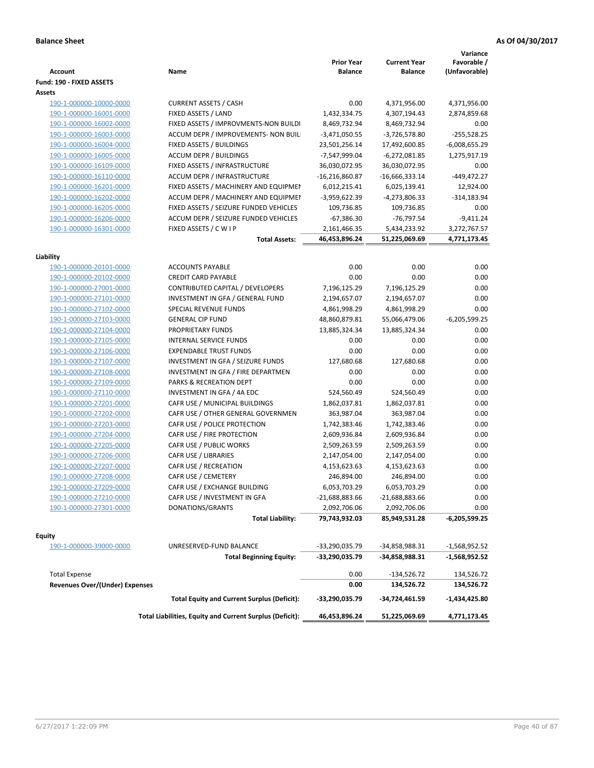| <b>Account</b>                 | Name                                                     | <b>Prior Year</b><br><b>Balance</b> | <b>Current Year</b><br><b>Balance</b> | Variance<br>Favorable /<br>(Unfavorable) |
|--------------------------------|----------------------------------------------------------|-------------------------------------|---------------------------------------|------------------------------------------|
| Fund: 190 - FIXED ASSETS       |                                                          |                                     |                                       |                                          |
| Assets                         |                                                          |                                     |                                       |                                          |
| 190-1-000000-10000-0000        | <b>CURRENT ASSETS / CASH</b>                             | 0.00                                | 4,371,956.00                          | 4,371,956.00                             |
| 190-1-000000-16001-0000        | FIXED ASSETS / LAND                                      | 1,432,334.75                        | 4,307,194.43                          | 2,874,859.68                             |
| 190-1-000000-16002-0000        | FIXED ASSETS / IMPROVMENTS-NON BUILDI                    | 8,469,732.94                        | 8,469,732.94                          | 0.00                                     |
| 190-1-000000-16003-0000        | ACCUM DEPR / IMPROVEMENTS- NON BUIL                      | $-3,471,050.55$                     | $-3,726,578.80$                       | $-255,528.25$                            |
| 190-1-000000-16004-0000        | FIXED ASSETS / BUILDINGS                                 | 23,501,256.14                       | 17,492,600.85                         | $-6,008,655.29$                          |
| 190-1-000000-16005-0000        | <b>ACCUM DEPR / BUILDINGS</b>                            | -7,547,999.04                       | $-6,272,081.85$                       | 1,275,917.19                             |
| 190-1-000000-16109-0000        | FIXED ASSETS / INFRASTRUCTURE                            | 36,030,072.95                       | 36,030,072.95                         | 0.00                                     |
| 190-1-000000-16110-0000        | ACCUM DEPR / INFRASTRUCTURE                              | $-16,216,860.87$                    | $-16,666,333.14$                      | $-449,472.27$                            |
| 190-1-000000-16201-0000        | FIXED ASSETS / MACHINERY AND EQUIPMEN                    | 6,012,215.41                        | 6,025,139.41                          | 12,924.00                                |
| 190-1-000000-16202-0000        | ACCUM DEPR / MACHINERY AND EQUIPMEI                      | -3,959,622.39                       | -4,273,806.33                         | $-314,183.94$                            |
| 190-1-000000-16205-0000        | FIXED ASSETS / SEIZURE FUNDED VEHICLES                   | 109,736.85                          | 109,736.85                            | 0.00                                     |
| 190-1-000000-16206-0000        | ACCUM DEPR / SEIZURE FUNDED VEHICLES                     | $-67,386.30$                        | -76,797.54                            | $-9,411.24$                              |
| 190-1-000000-16301-0000        | FIXED ASSETS / C W I P                                   | 2,161,466.35                        | 5,434,233.92                          | 3,272,767.57                             |
|                                | <b>Total Assets:</b>                                     | 46,453,896.24                       | 51,225,069.69                         | 4,771,173.45                             |
|                                |                                                          |                                     |                                       |                                          |
| Liability                      |                                                          |                                     |                                       |                                          |
| 190-1-000000-20101-0000        | <b>ACCOUNTS PAYABLE</b>                                  | 0.00                                | 0.00                                  | 0.00                                     |
| 190-1-000000-20102-0000        | <b>CREDIT CARD PAYABLE</b>                               | 0.00                                | 0.00                                  | 0.00                                     |
| 190-1-000000-27001-0000        | <b>CONTRIBUTED CAPITAL / DEVELOPERS</b>                  | 7,196,125.29                        | 7,196,125.29                          | 0.00                                     |
| 190-1-000000-27101-0000        | INVESTMENT IN GFA / GENERAL FUND                         | 2,194,657.07                        | 2,194,657.07                          | 0.00                                     |
| 190-1-000000-27102-0000        | SPECIAL REVENUE FUNDS                                    | 4,861,998.29                        | 4,861,998.29                          | 0.00                                     |
| 190-1-000000-27103-0000        | <b>GENERAL CIP FUND</b>                                  | 48,860,879.81                       | 55,066,479.06                         | $-6,205,599.25$                          |
| 190-1-000000-27104-0000        | PROPRIETARY FUNDS                                        | 13,885,324.34                       | 13,885,324.34                         | 0.00                                     |
| 190-1-000000-27105-0000        | <b>INTERNAL SERVICE FUNDS</b>                            | 0.00                                | 0.00                                  | 0.00                                     |
| 190-1-000000-27106-0000        | <b>EXPENDABLE TRUST FUNDS</b>                            | 0.00                                | 0.00                                  | 0.00                                     |
| 190-1-000000-27107-0000        | INVESTMENT IN GFA / SEIZURE FUNDS                        | 127,680.68                          | 127,680.68                            | 0.00                                     |
| 190-1-000000-27108-0000        | INVESTMENT IN GFA / FIRE DEPARTMEN                       | 0.00                                | 0.00                                  | 0.00                                     |
| 190-1-000000-27109-0000        | PARKS & RECREATION DEPT                                  | 0.00                                | 0.00                                  | 0.00                                     |
| 190-1-000000-27110-0000        | INVESTMENT IN GFA / 4A EDC                               | 524,560.49                          | 524,560.49                            | 0.00                                     |
| 190-1-000000-27201-0000        | CAFR USE / MUNICIPAL BUILDINGS                           | 1,862,037.81                        | 1,862,037.81                          | 0.00                                     |
| 190-1-000000-27202-0000        | CAFR USE / OTHER GENERAL GOVERNMEN                       | 363,987.04                          | 363,987.04                            | 0.00                                     |
| 190-1-000000-27203-0000        | CAFR USE / POLICE PROTECTION                             | 1,742,383.46                        | 1,742,383.46                          | 0.00                                     |
| 190-1-000000-27204-0000        | CAFR USE / FIRE PROTECTION                               | 2,609,936.84                        | 2,609,936.84                          | 0.00                                     |
| 190-1-000000-27205-0000        | CAFR USE / PUBLIC WORKS                                  | 2,509,263.59                        | 2,509,263.59                          | 0.00                                     |
| 190-1-000000-27206-0000        | CAFR USE / LIBRARIES                                     | 2,147,054.00                        | 2,147,054.00                          | 0.00                                     |
| 190-1-000000-27207-0000        | CAFR USE / RECREATION                                    | 4,153,623.63                        | 4,153,623.63                          | 0.00                                     |
| 190-1-000000-27208-0000        | CAFR USE / CEMETERY                                      | 246,894.00                          | 246,894.00                            | 0.00                                     |
| 190-1-000000-27209-0000        | CAFR USE / EXCHANGE BUILDING                             | 6,053,703.29                        | 6,053,703.29                          | 0.00                                     |
| 190-1-000000-27210-0000        | CAFR USE / INVESTMENT IN GFA                             | $-21,688,883.66$                    | $-21,688,883.66$                      | 0.00                                     |
| 190-1-000000-27301-0000        | DONATIONS/GRANTS                                         | 2,092,706.06                        | 2,092,706.06                          | 0.00                                     |
|                                | <b>Total Liability:</b>                                  | 79,743,932.03                       | 85,949,531.28                         | $-6,205,599.25$                          |
| <b>Equity</b>                  |                                                          |                                     |                                       |                                          |
| 190-1-000000-39000-0000        | UNRESERVED-FUND BALANCE                                  | -33,290,035.79                      | -34,858,988.31                        | -1,568,952.52                            |
|                                | <b>Total Beginning Equity:</b>                           | -33,290,035.79                      | -34,858,988.31                        | -1,568,952.52                            |
|                                |                                                          |                                     |                                       |                                          |
| <b>Total Expense</b>           |                                                          | 0.00                                | -134,526.72                           | 134,526.72                               |
| Revenues Over/(Under) Expenses |                                                          | 0.00                                | 134,526.72                            | 134,526.72                               |
|                                | <b>Total Equity and Current Surplus (Deficit):</b>       | -33,290,035.79                      | -34,724,461.59                        | -1,434,425.80                            |
|                                | Total Liabilities, Equity and Current Surplus (Deficit): | 46,453,896.24                       | 51,225,069.69                         | 4,771,173.45                             |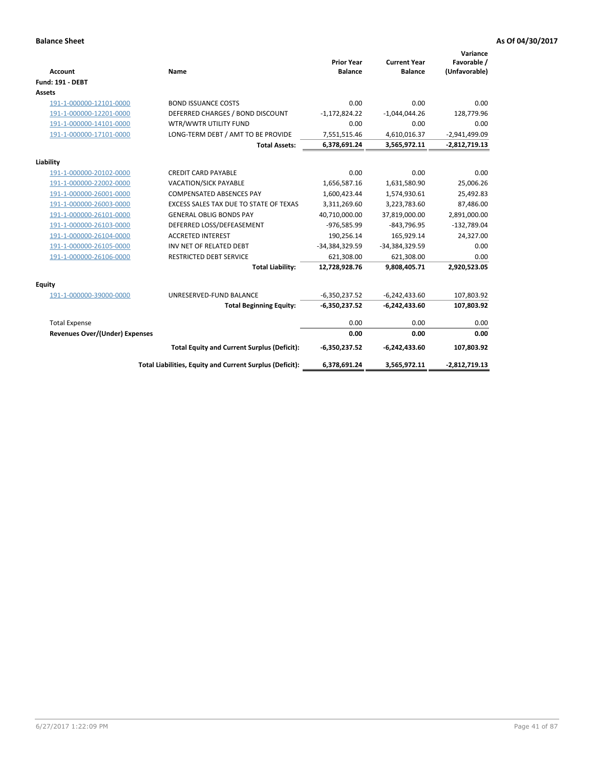| <b>Account</b>                        | Name                                                     | <b>Prior Year</b><br><b>Balance</b> | <b>Current Year</b><br><b>Balance</b> | Variance<br>Favorable /<br>(Unfavorable) |
|---------------------------------------|----------------------------------------------------------|-------------------------------------|---------------------------------------|------------------------------------------|
| <b>Fund: 191 - DEBT</b>               |                                                          |                                     |                                       |                                          |
| Assets                                |                                                          |                                     |                                       |                                          |
| 191-1-000000-12101-0000               | <b>BOND ISSUANCE COSTS</b>                               | 0.00                                | 0.00                                  | 0.00                                     |
| 191-1-000000-12201-0000               | DEFERRED CHARGES / BOND DISCOUNT                         | $-1,172,824.22$                     | $-1,044,044.26$                       | 128,779.96                               |
| 191-1-000000-14101-0000               | WTR/WWTR UTILITY FUND                                    | 0.00                                | 0.00                                  | 0.00                                     |
| 191-1-000000-17101-0000               | LONG-TERM DEBT / AMT TO BE PROVIDE                       | 7,551,515.46                        | 4,610,016.37                          | $-2,941,499.09$                          |
|                                       | <b>Total Assets:</b>                                     | 6,378,691.24                        | 3,565,972.11                          | $-2,812,719.13$                          |
| Liability                             |                                                          |                                     |                                       |                                          |
| 191-1-000000-20102-0000               | <b>CREDIT CARD PAYABLE</b>                               | 0.00                                | 0.00                                  | 0.00                                     |
| 191-1-000000-22002-0000               | VACATION/SICK PAYABLE                                    | 1,656,587.16                        | 1,631,580.90                          | 25,006.26                                |
| 191-1-000000-26001-0000               | <b>COMPENSATED ABSENCES PAY</b>                          | 1,600,423.44                        | 1,574,930.61                          | 25,492.83                                |
| 191-1-000000-26003-0000               | EXCESS SALES TAX DUE TO STATE OF TEXAS                   | 3,311,269.60                        | 3,223,783.60                          | 87,486.00                                |
| 191-1-000000-26101-0000               | <b>GENERAL OBLIG BONDS PAY</b>                           | 40,710,000.00                       | 37,819,000.00                         | 2,891,000.00                             |
| 191-1-000000-26103-0000               | DEFERRED LOSS/DEFEASEMENT                                | -976,585.99                         | $-843,796.95$                         | $-132,789.04$                            |
| 191-1-000000-26104-0000               | <b>ACCRETED INTEREST</b>                                 | 190,256.14                          | 165,929.14                            | 24,327.00                                |
| 191-1-000000-26105-0000               | INV NET OF RELATED DEBT                                  | -34,384,329.59                      | -34,384,329.59                        | 0.00                                     |
| 191-1-000000-26106-0000               | <b>RESTRICTED DEBT SERVICE</b>                           | 621,308.00                          | 621,308.00                            | 0.00                                     |
|                                       | <b>Total Liability:</b>                                  | 12,728,928.76                       | 9,808,405.71                          | 2,920,523.05                             |
| Equity                                |                                                          |                                     |                                       |                                          |
| 191-1-000000-39000-0000               | UNRESERVED-FUND BALANCE                                  | $-6,350,237.52$                     | $-6,242,433.60$                       | 107,803.92                               |
|                                       | <b>Total Beginning Equity:</b>                           | $-6,350,237.52$                     | $-6,242,433.60$                       | 107,803.92                               |
| <b>Total Expense</b>                  |                                                          | 0.00                                | 0.00                                  | 0.00                                     |
| <b>Revenues Over/(Under) Expenses</b> |                                                          | 0.00                                | 0.00                                  | 0.00                                     |
|                                       |                                                          |                                     |                                       |                                          |
|                                       | <b>Total Equity and Current Surplus (Deficit):</b>       | $-6,350,237.52$                     | $-6,242,433.60$                       | 107,803.92                               |
|                                       | Total Liabilities, Equity and Current Surplus (Deficit): | 6,378,691.24                        | 3,565,972.11                          | $-2,812,719.13$                          |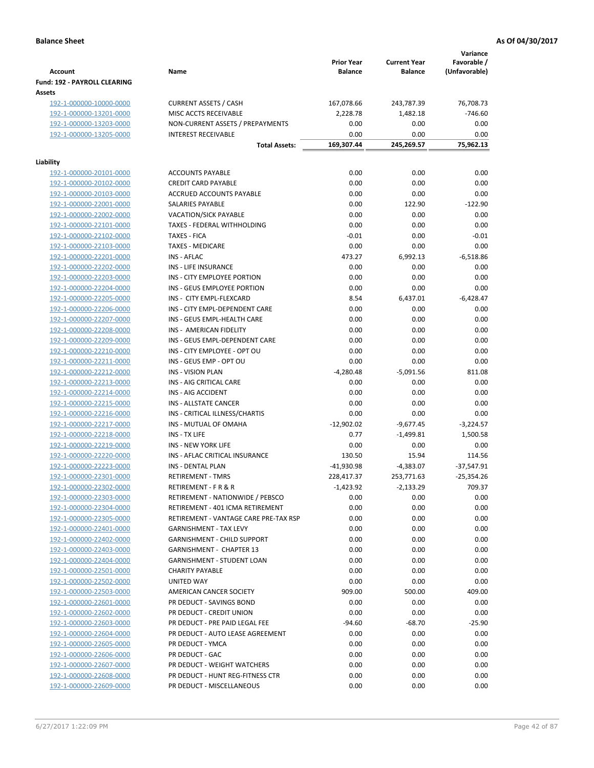|                                                    |                                                         | <b>Prior Year</b>    | <b>Current Year</b> | Variance<br>Favorable / |
|----------------------------------------------------|---------------------------------------------------------|----------------------|---------------------|-------------------------|
| <b>Account</b>                                     | Name                                                    | <b>Balance</b>       | <b>Balance</b>      | (Unfavorable)           |
| Fund: 192 - PAYROLL CLEARING<br>Assets             |                                                         |                      |                     |                         |
| 192-1-000000-10000-0000                            | <b>CURRENT ASSETS / CASH</b>                            | 167,078.66           | 243,787.39          | 76,708.73               |
| 192-1-000000-13201-0000                            | MISC ACCTS RECEIVABLE                                   | 2,228.78             | 1,482.18            | $-746.60$               |
| 192-1-000000-13203-0000                            | NON-CURRENT ASSETS / PREPAYMENTS                        | 0.00                 | 0.00                | 0.00                    |
| 192-1-000000-13205-0000                            | <b>INTEREST RECEIVABLE</b>                              | 0.00                 | 0.00                | 0.00                    |
|                                                    | <b>Total Assets:</b>                                    | 169,307.44           | 245,269.57          | 75,962.13               |
| Liability                                          |                                                         |                      |                     |                         |
| 192-1-000000-20101-0000                            | <b>ACCOUNTS PAYABLE</b>                                 | 0.00                 | 0.00                | 0.00                    |
| 192-1-000000-20102-0000                            | <b>CREDIT CARD PAYABLE</b>                              | 0.00                 | 0.00                | 0.00                    |
| 192-1-000000-20103-0000                            | ACCRUED ACCOUNTS PAYABLE                                | 0.00                 | 0.00                | 0.00                    |
| 192-1-000000-22001-0000                            | SALARIES PAYABLE                                        | 0.00                 | 122.90              | $-122.90$               |
| 192-1-000000-22002-0000                            | VACATION/SICK PAYABLE                                   | 0.00                 | 0.00                | 0.00                    |
| 192-1-000000-22101-0000                            | TAXES - FEDERAL WITHHOLDING                             | 0.00                 | 0.00                | 0.00                    |
| 192-1-000000-22102-0000                            | <b>TAXES - FICA</b>                                     | $-0.01$              | 0.00                | $-0.01$                 |
| 192-1-000000-22103-0000                            | <b>TAXES - MEDICARE</b>                                 | 0.00                 | 0.00                | 0.00                    |
| 192-1-000000-22201-0000                            | <b>INS - AFLAC</b>                                      | 473.27               | 6,992.13            | $-6,518.86$             |
| 192-1-000000-22202-0000                            | <b>INS - LIFE INSURANCE</b>                             | 0.00                 | 0.00                | 0.00                    |
| 192-1-000000-22203-0000                            | INS - CITY EMPLOYEE PORTION                             | 0.00                 | 0.00                | 0.00                    |
| 192-1-000000-22204-0000                            | INS - GEUS EMPLOYEE PORTION                             | 0.00                 | 0.00                | 0.00                    |
| 192-1-000000-22205-0000                            | INS - CITY EMPL-FLEXCARD                                | 8.54                 | 6,437.01            | $-6,428.47$             |
| 192-1-000000-22206-0000                            | INS - CITY EMPL-DEPENDENT CARE                          | 0.00                 | 0.00                | 0.00                    |
| 192-1-000000-22207-0000                            | INS - GEUS EMPL-HEALTH CARE                             | 0.00                 | 0.00                | 0.00                    |
| 192-1-000000-22208-0000                            | INS - AMERICAN FIDELITY                                 | 0.00                 | 0.00                | 0.00                    |
| 192-1-000000-22209-0000                            | INS - GEUS EMPL-DEPENDENT CARE                          | 0.00                 | 0.00                | 0.00                    |
| 192-1-000000-22210-0000                            | INS - CITY EMPLOYEE - OPT OU                            | 0.00                 | 0.00                | 0.00                    |
| 192-1-000000-22211-0000                            | INS - GEUS EMP - OPT OU                                 | 0.00                 | 0.00                | 0.00                    |
| 192-1-000000-22212-0000                            | <b>INS - VISION PLAN</b>                                | $-4,280.48$          | $-5,091.56$         | 811.08                  |
| 192-1-000000-22213-0000                            | INS - AIG CRITICAL CARE                                 | 0.00                 | 0.00                | 0.00                    |
| 192-1-000000-22214-0000                            | INS - AIG ACCIDENT                                      | 0.00                 | 0.00                | 0.00                    |
| 192-1-000000-22215-0000                            | INS - ALLSTATE CANCER                                   | 0.00                 | 0.00                | 0.00<br>0.00            |
| 192-1-000000-22216-0000<br>192-1-000000-22217-0000 | INS - CRITICAL ILLNESS/CHARTIS<br>INS - MUTUAL OF OMAHA | 0.00<br>$-12,902.02$ | 0.00<br>$-9,677.45$ | $-3,224.57$             |
| 192-1-000000-22218-0000                            | INS - TX LIFE                                           | 0.77                 | $-1,499.81$         | 1,500.58                |
| 192-1-000000-22219-0000                            | <b>INS - NEW YORK LIFE</b>                              | 0.00                 | 0.00                | 0.00                    |
| 192-1-000000-22220-0000                            | INS - AFLAC CRITICAL INSURANCE                          | 130.50               | 15.94               | 114.56                  |
| 192-1-000000-22223-0000                            | INS - DENTAL PLAN                                       | $-41,930.98$         | $-4,383.07$         | $-37,547.91$            |
| 192-1-000000-22301-0000                            | <b>RETIREMENT - TMRS</b>                                | 228,417.37           | 253,771.63          | $-25,354.26$            |
| 192-1-000000-22302-0000                            | RETIREMENT - F R & R                                    | -1,423.92            | $-2,133.29$         | 709.37                  |
| 192-1-000000-22303-0000                            | RETIREMENT - NATIONWIDE / PEBSCO                        | 0.00                 | 0.00                | 0.00                    |
| 192-1-000000-22304-0000                            | RETIREMENT - 401 ICMA RETIREMENT                        | 0.00                 | 0.00                | 0.00                    |
| 192-1-000000-22305-0000                            | RETIREMENT - VANTAGE CARE PRE-TAX RSP                   | 0.00                 | 0.00                | 0.00                    |
| 192-1-000000-22401-0000                            | <b>GARNISHMENT - TAX LEVY</b>                           | 0.00                 | 0.00                | 0.00                    |
| 192-1-000000-22402-0000                            | <b>GARNISHMENT - CHILD SUPPORT</b>                      | 0.00                 | 0.00                | 0.00                    |
| 192-1-000000-22403-0000                            | <b>GARNISHMENT - CHAPTER 13</b>                         | 0.00                 | 0.00                | 0.00                    |
| 192-1-000000-22404-0000                            | <b>GARNISHMENT - STUDENT LOAN</b>                       | 0.00                 | 0.00                | 0.00                    |
| 192-1-000000-22501-0000                            | <b>CHARITY PAYABLE</b>                                  | 0.00                 | 0.00                | 0.00                    |
| 192-1-000000-22502-0000                            | UNITED WAY                                              | 0.00                 | 0.00                | 0.00                    |
| 192-1-000000-22503-0000                            | AMERICAN CANCER SOCIETY                                 | 909.00               | 500.00              | 409.00                  |
| 192-1-000000-22601-0000                            | PR DEDUCT - SAVINGS BOND                                | 0.00                 | 0.00                | 0.00                    |
| 192-1-000000-22602-0000                            | PR DEDUCT - CREDIT UNION                                | 0.00                 | 0.00                | 0.00                    |
| 192-1-000000-22603-0000                            | PR DEDUCT - PRE PAID LEGAL FEE                          | $-94.60$             | $-68.70$            | $-25.90$                |
| 192-1-000000-22604-0000                            | PR DEDUCT - AUTO LEASE AGREEMENT                        | 0.00                 | 0.00                | 0.00                    |
| 192-1-000000-22605-0000                            | PR DEDUCT - YMCA                                        | 0.00                 | 0.00                | 0.00                    |
| 192-1-000000-22606-0000                            | PR DEDUCT - GAC                                         | 0.00                 | 0.00                | 0.00                    |
| 192-1-000000-22607-0000                            | PR DEDUCT - WEIGHT WATCHERS                             | 0.00                 | 0.00                | 0.00                    |
| 192-1-000000-22608-0000                            | PR DEDUCT - HUNT REG-FITNESS CTR                        | 0.00                 | 0.00                | 0.00                    |
| 192-1-000000-22609-0000                            | PR DEDUCT - MISCELLANEOUS                               | 0.00                 | 0.00                | 0.00                    |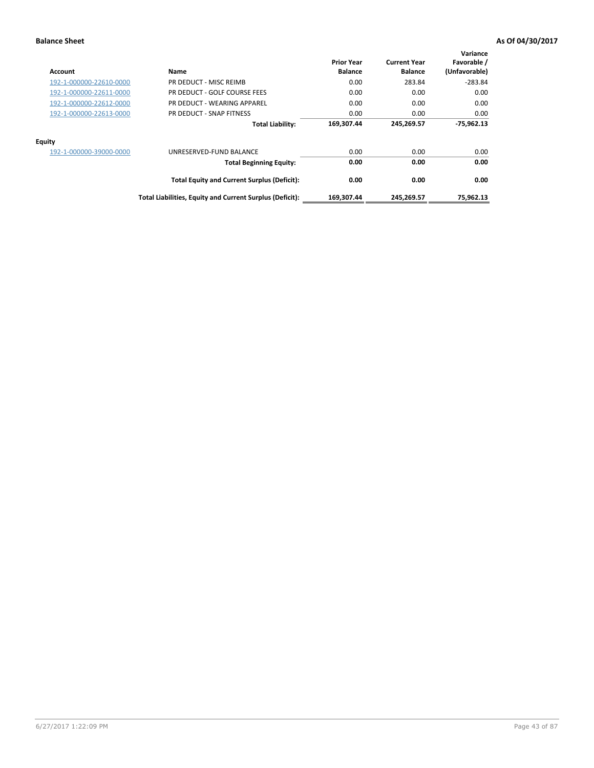| Account                 | Name                                                     | <b>Prior Year</b><br><b>Balance</b> | <b>Current Year</b><br><b>Balance</b> | Variance<br>Favorable /<br>(Unfavorable) |
|-------------------------|----------------------------------------------------------|-------------------------------------|---------------------------------------|------------------------------------------|
| 192-1-000000-22610-0000 | PR DEDUCT - MISC REIMB                                   | 0.00                                | 283.84                                | $-283.84$                                |
| 192-1-000000-22611-0000 | PR DEDUCT - GOLF COURSE FEES                             | 0.00                                | 0.00                                  | 0.00                                     |
| 192-1-000000-22612-0000 | PR DEDUCT - WEARING APPAREL                              | 0.00                                | 0.00                                  | 0.00                                     |
| 192-1-000000-22613-0000 | PR DEDUCT - SNAP FITNESS                                 | 0.00                                | 0.00                                  | 0.00                                     |
|                         | <b>Total Liability:</b>                                  | 169,307.44                          | 245,269.57                            | $-75,962.13$                             |
| <b>Equity</b>           |                                                          |                                     |                                       |                                          |
| 192-1-000000-39000-0000 | UNRESERVED-FUND BALANCE                                  | 0.00                                | 0.00                                  | 0.00                                     |
|                         | <b>Total Beginning Equity:</b>                           | 0.00                                | 0.00                                  | 0.00                                     |
|                         | <b>Total Equity and Current Surplus (Deficit):</b>       | 0.00                                | 0.00                                  | 0.00                                     |
|                         | Total Liabilities, Equity and Current Surplus (Deficit): | 169,307.44                          | 245,269.57                            | 75.962.13                                |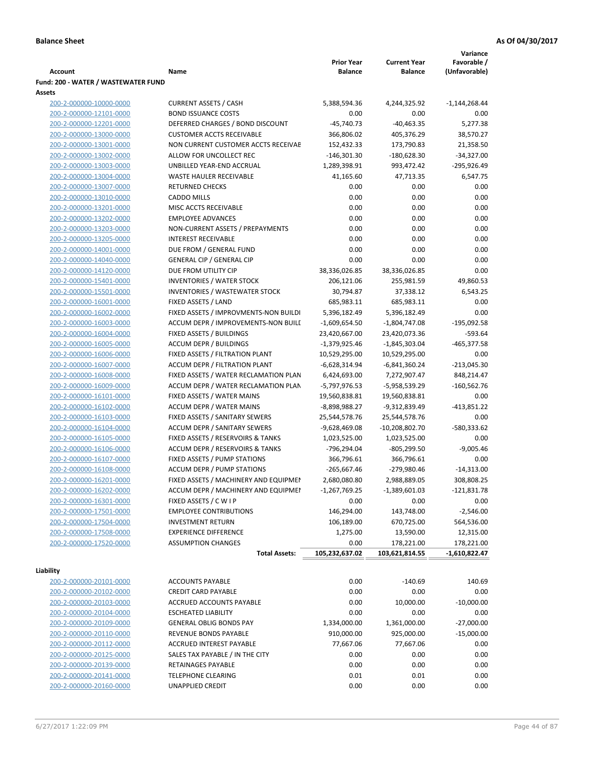|                                                    |                                                                              |                                     |                                       | Variance                     |
|----------------------------------------------------|------------------------------------------------------------------------------|-------------------------------------|---------------------------------------|------------------------------|
| <b>Account</b>                                     | Name                                                                         | <b>Prior Year</b><br><b>Balance</b> | <b>Current Year</b><br><b>Balance</b> | Favorable /<br>(Unfavorable) |
|                                                    |                                                                              |                                     |                                       |                              |
| Fund: 200 - WATER / WASTEWATER FUND<br>Assets      |                                                                              |                                     |                                       |                              |
| 200-2-000000-10000-0000                            | <b>CURRENT ASSETS / CASH</b>                                                 | 5,388,594.36                        | 4,244,325.92                          | $-1,144,268.44$              |
| 200-2-000000-12101-0000                            | <b>BOND ISSUANCE COSTS</b>                                                   | 0.00                                | 0.00                                  | 0.00                         |
| 200-2-000000-12201-0000                            | DEFERRED CHARGES / BOND DISCOUNT                                             | $-45,740.73$                        | $-40,463.35$                          | 5,277.38                     |
| 200-2-000000-13000-0000                            | <b>CUSTOMER ACCTS RECEIVABLE</b>                                             | 366,806.02                          | 405,376.29                            | 38,570.27                    |
| 200-2-000000-13001-0000                            | NON CURRENT CUSTOMER ACCTS RECEIVAE                                          | 152,432.33                          | 173,790.83                            | 21,358.50                    |
| 200-2-000000-13002-0000                            | ALLOW FOR UNCOLLECT REC                                                      | $-146,301.30$                       | $-180,628.30$                         | $-34,327.00$                 |
| 200-2-000000-13003-0000                            | UNBILLED YEAR-END ACCRUAL                                                    | 1,289,398.91                        | 993,472.42                            | -295,926.49                  |
| 200-2-000000-13004-0000                            | WASTE HAULER RECEIVABLE                                                      | 41,165.60                           | 47,713.35                             | 6,547.75                     |
| 200-2-000000-13007-0000                            | <b>RETURNED CHECKS</b>                                                       | 0.00                                | 0.00                                  | 0.00                         |
| 200-2-000000-13010-0000                            | <b>CADDO MILLS</b>                                                           | 0.00                                | 0.00                                  | 0.00                         |
| 200-2-000000-13201-0000                            | MISC ACCTS RECEIVABLE                                                        | 0.00                                | 0.00                                  | 0.00                         |
| 200-2-000000-13202-0000                            | <b>EMPLOYEE ADVANCES</b>                                                     | 0.00                                | 0.00                                  | 0.00                         |
| 200-2-000000-13203-0000                            | NON-CURRENT ASSETS / PREPAYMENTS                                             | 0.00                                | 0.00                                  | 0.00                         |
| 200-2-000000-13205-0000                            | <b>INTEREST RECEIVABLE</b>                                                   | 0.00                                | 0.00                                  | 0.00                         |
| 200-2-000000-14001-0000                            | DUE FROM / GENERAL FUND                                                      | 0.00                                | 0.00                                  | 0.00                         |
| 200-2-000000-14040-0000                            | <b>GENERAL CIP / GENERAL CIP</b>                                             | 0.00                                | 0.00                                  | 0.00                         |
| 200-2-000000-14120-0000                            | DUE FROM UTILITY CIP                                                         | 38,336,026.85                       | 38,336,026.85                         | 0.00                         |
| 200-2-000000-15401-0000                            | <b>INVENTORIES / WATER STOCK</b>                                             | 206,121.06                          | 255,981.59                            | 49,860.53                    |
| 200-2-000000-15501-0000                            | <b>INVENTORIES / WASTEWATER STOCK</b>                                        | 30,794.87                           | 37,338.12                             | 6,543.25                     |
| 200-2-000000-16001-0000                            | FIXED ASSETS / LAND                                                          | 685,983.11                          | 685,983.11                            | 0.00                         |
| 200-2-000000-16002-0000                            | FIXED ASSETS / IMPROVMENTS-NON BUILDI<br>ACCUM DEPR / IMPROVEMENTS-NON BUILI | 5,396,182.49                        | 5,396,182.49                          | 0.00                         |
| 200-2-000000-16003-0000<br>200-2-000000-16004-0000 | FIXED ASSETS / BUILDINGS                                                     | $-1,609,654.50$<br>23,420,667.00    | -1,804,747.08<br>23,420,073.36        | $-195,092.58$<br>$-593.64$   |
| 200-2-000000-16005-0000                            | <b>ACCUM DEPR / BUILDINGS</b>                                                | $-1,379,925.46$                     | $-1,845,303.04$                       | $-465,377.58$                |
| 200-2-000000-16006-0000                            | FIXED ASSETS / FILTRATION PLANT                                              | 10,529,295.00                       | 10,529,295.00                         | 0.00                         |
| 200-2-000000-16007-0000                            | ACCUM DEPR / FILTRATION PLANT                                                | -6,628,314.94                       | $-6,841,360.24$                       | $-213,045.30$                |
| 200-2-000000-16008-0000                            | FIXED ASSETS / WATER RECLAMATION PLAN                                        | 6,424,693.00                        | 7,272,907.47                          | 848,214.47                   |
| 200-2-000000-16009-0000                            | ACCUM DEPR / WATER RECLAMATION PLAN                                          | -5,797,976.53                       | -5,958,539.29                         | $-160,562.76$                |
| 200-2-000000-16101-0000                            | FIXED ASSETS / WATER MAINS                                                   | 19,560,838.81                       | 19,560,838.81                         | 0.00                         |
| 200-2-000000-16102-0000                            | <b>ACCUM DEPR / WATER MAINS</b>                                              | -8,898,988.27                       | -9,312,839.49                         | $-413,851.22$                |
| 200-2-000000-16103-0000                            | FIXED ASSETS / SANITARY SEWERS                                               | 25,544,578.76                       | 25,544,578.76                         | 0.00                         |
| 200-2-000000-16104-0000                            | <b>ACCUM DEPR / SANITARY SEWERS</b>                                          | -9,628,469.08                       | $-10,208,802.70$                      | $-580,333.62$                |
| 200-2-000000-16105-0000                            | FIXED ASSETS / RESERVOIRS & TANKS                                            | 1,023,525.00                        | 1,023,525.00                          | 0.00                         |
| 200-2-000000-16106-0000                            | ACCUM DEPR / RESERVOIRS & TANKS                                              | -796,294.04                         | $-805,299.50$                         | $-9,005.46$                  |
| 200-2-000000-16107-0000                            | FIXED ASSETS / PUMP STATIONS                                                 | 366,796.61                          | 366,796.61                            | 0.00                         |
| 200-2-000000-16108-0000                            | <b>ACCUM DEPR / PUMP STATIONS</b>                                            | $-265,667.46$                       | -279,980.46                           | $-14,313.00$                 |
| 200-2-000000-16201-0000                            | FIXED ASSETS / MACHINERY AND EQUIPMEN                                        | 2,680,080.80                        | 2,988,889.05                          | 308,808.25                   |
| 200-2-000000-16202-0000                            | ACCUM DEPR / MACHINERY AND EQUIPMEI                                          | $-1,267,769.25$                     | $-1,389,601.03$                       | $-121,831.78$                |
| 200-2-000000-16301-0000                            | FIXED ASSETS / C W I P                                                       | 0.00                                | 0.00                                  | 0.00                         |
| 200-2-000000-17501-0000                            | <b>EMPLOYEE CONTRIBUTIONS</b>                                                | 146,294.00                          | 143,748.00                            | $-2,546.00$                  |
| 200-2-000000-17504-0000                            | <b>INVESTMENT RETURN</b>                                                     | 106,189.00                          | 670,725.00                            | 564,536.00                   |
| 200-2-000000-17508-0000                            | <b>EXPERIENCE DIFFERENCE</b>                                                 | 1,275.00                            | 13,590.00                             | 12,315.00                    |
| 200-2-000000-17520-0000                            | <b>ASSUMPTION CHANGES</b>                                                    | 0.00                                | 178,221.00                            | 178,221.00                   |
|                                                    | <b>Total Assets:</b>                                                         | 105,232,637.02                      | 103,621,814.55                        | $-1,610,822.47$              |
| Liability                                          |                                                                              |                                     |                                       |                              |
| 200-2-000000-20101-0000                            | <b>ACCOUNTS PAYABLE</b>                                                      | 0.00                                | $-140.69$                             | 140.69                       |
| 200-2-000000-20102-0000                            | <b>CREDIT CARD PAYABLE</b>                                                   | 0.00                                | 0.00                                  | 0.00                         |
| 200-2-000000-20103-0000                            | ACCRUED ACCOUNTS PAYABLE                                                     | 0.00                                | 10,000.00                             | $-10,000.00$                 |
| 200-2-000000-20104-0000                            | <b>ESCHEATED LIABILITY</b>                                                   | 0.00                                | 0.00                                  | 0.00                         |
| 200-2-000000-20109-0000                            | <b>GENERAL OBLIG BONDS PAY</b>                                               | 1,334,000.00                        | 1,361,000.00                          | $-27,000.00$                 |
| 200-2-000000-20110-0000                            | REVENUE BONDS PAYABLE                                                        | 910,000.00                          | 925,000.00                            | $-15,000.00$                 |
| 200-2-000000-20112-0000                            | ACCRUED INTEREST PAYABLE                                                     | 77,667.06                           | 77,667.06                             | 0.00                         |
| 200-2-000000-20125-0000                            | SALES TAX PAYABLE / IN THE CITY                                              | 0.00                                | 0.00                                  | 0.00                         |
| 200-2-000000-20139-0000                            | RETAINAGES PAYABLE                                                           | 0.00                                | 0.00                                  | 0.00                         |
| 200-2-000000-20141-0000                            | <b>TELEPHONE CLEARING</b>                                                    | 0.01                                | 0.01                                  | 0.00                         |
| 200-2-000000-20160-0000                            | UNAPPLIED CREDIT                                                             | 0.00                                | 0.00                                  | 0.00                         |
|                                                    |                                                                              |                                     |                                       |                              |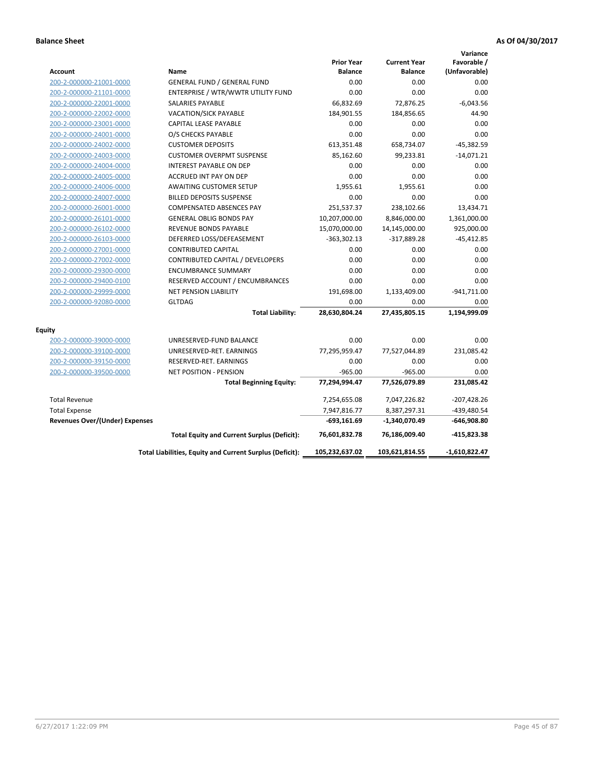|                                       |                                                          |                                     |                                       | Variance                     |
|---------------------------------------|----------------------------------------------------------|-------------------------------------|---------------------------------------|------------------------------|
| <b>Account</b>                        | Name                                                     | <b>Prior Year</b><br><b>Balance</b> | <b>Current Year</b><br><b>Balance</b> | Favorable /<br>(Unfavorable) |
| 200-2-000000-21001-0000               | <b>GENERAL FUND / GENERAL FUND</b>                       | 0.00                                | 0.00                                  | 0.00                         |
| 200-2-000000-21101-0000               | ENTERPRISE / WTR/WWTR UTILITY FUND                       | 0.00                                | 0.00                                  | 0.00                         |
| 200-2-000000-22001-0000               | <b>SALARIES PAYABLE</b>                                  | 66,832.69                           | 72,876.25                             | $-6,043.56$                  |
| 200-2-000000-22002-0000               | <b>VACATION/SICK PAYABLE</b>                             | 184,901.55                          | 184,856.65                            | 44.90                        |
| 200-2-000000-23001-0000               | CAPITAL LEASE PAYABLE                                    | 0.00                                | 0.00                                  | 0.00                         |
| 200-2-000000-24001-0000               | O/S CHECKS PAYABLE                                       | 0.00                                | 0.00                                  | 0.00                         |
| 200-2-000000-24002-0000               | <b>CUSTOMER DEPOSITS</b>                                 | 613,351.48                          | 658,734.07                            | $-45,382.59$                 |
| 200-2-000000-24003-0000               | <b>CUSTOMER OVERPMT SUSPENSE</b>                         | 85,162.60                           | 99,233.81                             | $-14,071.21$                 |
| 200-2-000000-24004-0000               | <b>INTEREST PAYABLE ON DEP</b>                           | 0.00                                | 0.00                                  | 0.00                         |
| 200-2-000000-24005-0000               | <b>ACCRUED INT PAY ON DEP</b>                            | 0.00                                | 0.00                                  | 0.00                         |
| 200-2-000000-24006-0000               | <b>AWAITING CUSTOMER SETUP</b>                           | 1,955.61                            | 1,955.61                              | 0.00                         |
| 200-2-000000-24007-0000               | <b>BILLED DEPOSITS SUSPENSE</b>                          | 0.00                                | 0.00                                  | 0.00                         |
| 200-2-000000-26001-0000               | <b>COMPENSATED ABSENCES PAY</b>                          | 251,537.37                          | 238,102.66                            | 13,434.71                    |
| 200-2-000000-26101-0000               | <b>GENERAL OBLIG BONDS PAY</b>                           | 10,207,000.00                       | 8,846,000.00                          | 1,361,000.00                 |
| 200-2-000000-26102-0000               | <b>REVENUE BONDS PAYABLE</b>                             | 15,070,000.00                       | 14,145,000.00                         | 925,000.00                   |
| 200-2-000000-26103-0000               | DEFERRED LOSS/DEFEASEMENT                                | $-363,302.13$                       | $-317,889.28$                         | $-45,412.85$                 |
| 200-2-000000-27001-0000               | <b>CONTRIBUTED CAPITAL</b>                               | 0.00                                | 0.00                                  | 0.00                         |
| 200-2-000000-27002-0000               | CONTRIBUTED CAPITAL / DEVELOPERS                         | 0.00                                | 0.00                                  | 0.00                         |
| 200-2-000000-29300-0000               | <b>ENCUMBRANCE SUMMARY</b>                               | 0.00                                | 0.00                                  | 0.00                         |
| 200-2-000000-29400-0100               | RESERVED ACCOUNT / ENCUMBRANCES                          | 0.00                                | 0.00                                  | 0.00                         |
| 200-2-000000-29999-0000               | <b>NET PENSION LIABILITY</b>                             | 191,698.00                          | 1,133,409.00                          | $-941,711.00$                |
| 200-2-000000-92080-0000               | <b>GLTDAG</b>                                            | 0.00                                | 0.00                                  | 0.00                         |
|                                       | <b>Total Liability:</b>                                  | 28,630,804.24                       | 27,435,805.15                         | 1,194,999.09                 |
| Equity                                |                                                          |                                     |                                       |                              |
| 200-2-000000-39000-0000               | UNRESERVED-FUND BALANCE                                  | 0.00                                | 0.00                                  | 0.00                         |
| 200-2-000000-39100-0000               | UNRESERVED-RET. EARNINGS                                 | 77,295,959.47                       | 77,527,044.89                         | 231,085.42                   |
| 200-2-000000-39150-0000               | RESERVED-RET. EARNINGS                                   | 0.00                                | 0.00                                  | 0.00                         |
| 200-2-000000-39500-0000               | NET POSITION - PENSION                                   | $-965.00$                           | $-965.00$                             | 0.00                         |
|                                       | <b>Total Beginning Equity:</b>                           | 77,294,994.47                       | 77,526,079.89                         | 231,085.42                   |
| <b>Total Revenue</b>                  |                                                          | 7,254,655.08                        | 7,047,226.82                          | $-207,428.26$                |
| <b>Total Expense</b>                  |                                                          | 7,947,816.77                        | 8,387,297.31                          | -439,480.54                  |
| <b>Revenues Over/(Under) Expenses</b> |                                                          | $-693,161.69$                       | -1,340,070.49                         | $-646,908.80$                |
|                                       | <b>Total Equity and Current Surplus (Deficit):</b>       | 76,601,832.78                       | 76,186,009.40                         | $-415,823.38$                |
|                                       | Total Liabilities, Equity and Current Surplus (Deficit): | 105,232,637.02                      | 103,621,814.55                        | $-1,610,822.47$              |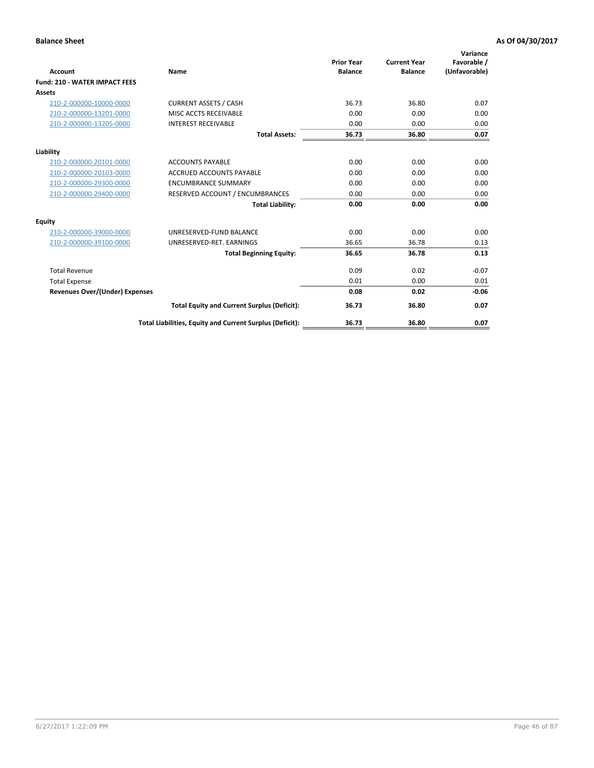| <b>Account</b>                        | Name                                                     | <b>Prior Year</b><br><b>Balance</b> | <b>Current Year</b><br><b>Balance</b> | Variance<br>Favorable /<br>(Unfavorable) |
|---------------------------------------|----------------------------------------------------------|-------------------------------------|---------------------------------------|------------------------------------------|
| <b>Fund: 210 - WATER IMPACT FEES</b>  |                                                          |                                     |                                       |                                          |
| <b>Assets</b>                         |                                                          |                                     |                                       |                                          |
| 210-2-000000-10000-0000               | <b>CURRENT ASSETS / CASH</b>                             | 36.73                               | 36.80                                 | 0.07                                     |
| 210-2-000000-13201-0000               | MISC ACCTS RECEIVABLE                                    | 0.00                                | 0.00                                  | 0.00                                     |
| 210-2-000000-13205-0000               | <b>INTEREST RECEIVABLE</b>                               | 0.00                                | 0.00                                  | 0.00                                     |
|                                       | <b>Total Assets:</b>                                     | 36.73                               | 36.80                                 | 0.07                                     |
| Liability                             |                                                          |                                     |                                       |                                          |
| 210-2-000000-20101-0000               | <b>ACCOUNTS PAYABLE</b>                                  | 0.00                                | 0.00                                  | 0.00                                     |
| 210-2-000000-20103-0000               | <b>ACCRUED ACCOUNTS PAYABLE</b>                          | 0.00                                | 0.00                                  | 0.00                                     |
| 210-2-000000-29300-0000               | <b>ENCUMBRANCE SUMMARY</b>                               | 0.00                                | 0.00                                  | 0.00                                     |
| 210-2-000000-29400-0000               | RESERVED ACCOUNT / ENCUMBRANCES                          | 0.00                                | 0.00                                  | 0.00                                     |
|                                       | <b>Total Liability:</b>                                  | 0.00                                | 0.00                                  | 0.00                                     |
| <b>Equity</b>                         |                                                          |                                     |                                       |                                          |
| 210-2-000000-39000-0000               | UNRESERVED-FUND BALANCE                                  | 0.00                                | 0.00                                  | 0.00                                     |
| 210-2-000000-39100-0000               | UNRESERVED-RET. EARNINGS                                 | 36.65                               | 36.78                                 | 0.13                                     |
|                                       | <b>Total Beginning Equity:</b>                           | 36.65                               | 36.78                                 | 0.13                                     |
| <b>Total Revenue</b>                  |                                                          | 0.09                                | 0.02                                  | $-0.07$                                  |
| <b>Total Expense</b>                  |                                                          | 0.01                                | 0.00                                  | 0.01                                     |
| <b>Revenues Over/(Under) Expenses</b> |                                                          | 0.08                                | 0.02                                  | $-0.06$                                  |
|                                       | <b>Total Equity and Current Surplus (Deficit):</b>       | 36.73                               | 36.80                                 | 0.07                                     |
|                                       | Total Liabilities, Equity and Current Surplus (Deficit): | 36.73                               | 36.80                                 | 0.07                                     |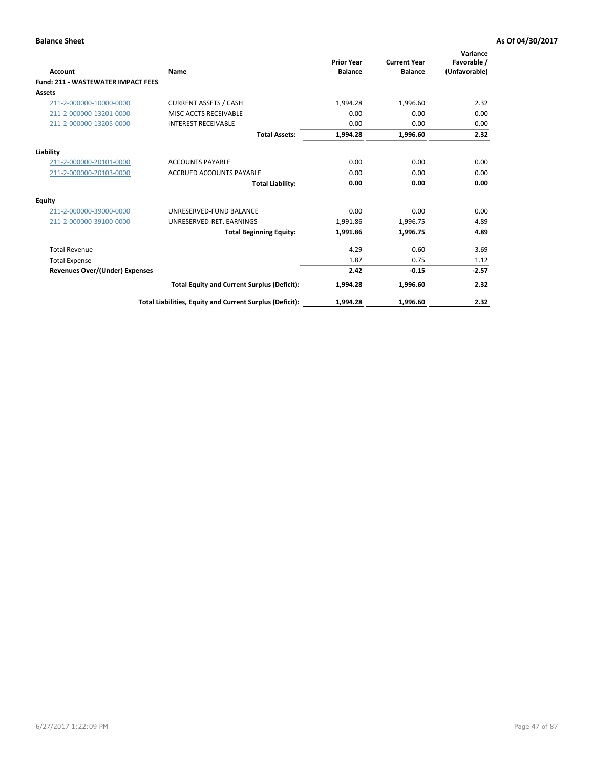| <b>Account</b>                            | Name                                                     | <b>Prior Year</b><br><b>Balance</b> | <b>Current Year</b><br><b>Balance</b> | Variance<br>Favorable /<br>(Unfavorable) |
|-------------------------------------------|----------------------------------------------------------|-------------------------------------|---------------------------------------|------------------------------------------|
| <b>Fund: 211 - WASTEWATER IMPACT FEES</b> |                                                          |                                     |                                       |                                          |
| <b>Assets</b>                             |                                                          |                                     |                                       |                                          |
| 211-2-000000-10000-0000                   | <b>CURRENT ASSETS / CASH</b>                             | 1,994.28                            | 1,996.60                              | 2.32                                     |
| 211-2-000000-13201-0000                   | MISC ACCTS RECEIVABLE                                    | 0.00                                | 0.00                                  | 0.00                                     |
| 211-2-000000-13205-0000                   | <b>INTEREST RECEIVABLE</b>                               | 0.00                                | 0.00                                  | 0.00                                     |
|                                           | <b>Total Assets:</b>                                     | 1,994.28                            | 1,996.60                              | 2.32                                     |
| Liability                                 |                                                          |                                     |                                       |                                          |
| 211-2-000000-20101-0000                   | <b>ACCOUNTS PAYABLE</b>                                  | 0.00                                | 0.00                                  | 0.00                                     |
| 211-2-000000-20103-0000                   | <b>ACCRUED ACCOUNTS PAYABLE</b>                          | 0.00                                | 0.00                                  | 0.00                                     |
|                                           | <b>Total Liability:</b>                                  | 0.00                                | 0.00                                  | 0.00                                     |
| <b>Equity</b>                             |                                                          |                                     |                                       |                                          |
| 211-2-000000-39000-0000                   | UNRESERVED-FUND BALANCE                                  | 0.00                                | 0.00                                  | 0.00                                     |
| 211-2-000000-39100-0000                   | UNRESERVED-RET. EARNINGS                                 | 1,991.86                            | 1,996.75                              | 4.89                                     |
|                                           | <b>Total Beginning Equity:</b>                           | 1,991.86                            | 1,996.75                              | 4.89                                     |
| <b>Total Revenue</b>                      |                                                          | 4.29                                | 0.60                                  | $-3.69$                                  |
| <b>Total Expense</b>                      |                                                          | 1.87                                | 0.75                                  | 1.12                                     |
| <b>Revenues Over/(Under) Expenses</b>     |                                                          | 2.42                                | $-0.15$                               | $-2.57$                                  |
|                                           | <b>Total Equity and Current Surplus (Deficit):</b>       | 1,994.28                            | 1,996.60                              | 2.32                                     |
|                                           | Total Liabilities, Equity and Current Surplus (Deficit): | 1,994.28                            | 1,996.60                              | 2.32                                     |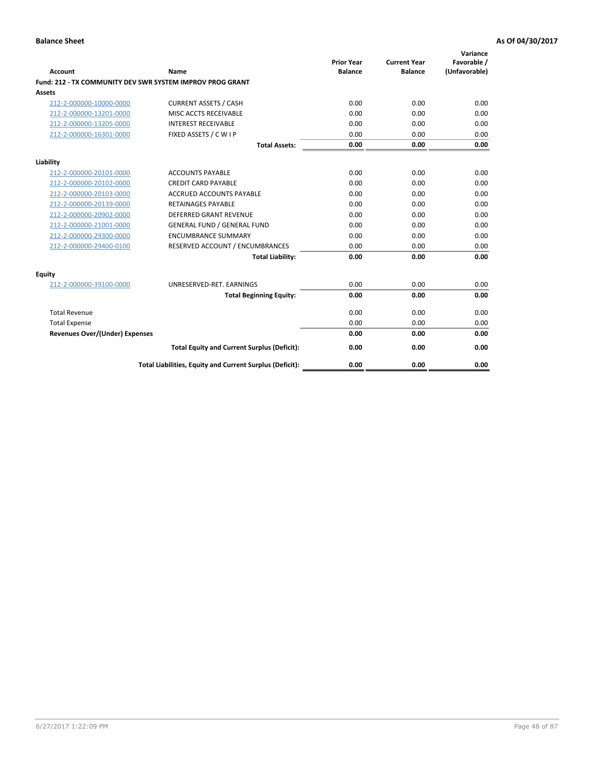| <b>Account</b>                        | Name                                                      | <b>Prior Year</b><br><b>Balance</b> | <b>Current Year</b><br><b>Balance</b> | Variance<br>Favorable /<br>(Unfavorable) |
|---------------------------------------|-----------------------------------------------------------|-------------------------------------|---------------------------------------|------------------------------------------|
|                                       | Fund: 212 - TX COMMUNITY DEV SWR SYSTEM IMPROV PROG GRANT |                                     |                                       |                                          |
| <b>Assets</b>                         |                                                           |                                     |                                       |                                          |
| 212-2-000000-10000-0000               | <b>CURRENT ASSETS / CASH</b>                              | 0.00                                | 0.00                                  | 0.00                                     |
| 212-2-000000-13201-0000               | MISC ACCTS RECEIVABLE                                     | 0.00                                | 0.00                                  | 0.00                                     |
| 212-2-000000-13205-0000               | <b>INTEREST RECEIVABLE</b>                                | 0.00                                | 0.00                                  | 0.00                                     |
| 212-2-000000-16301-0000               | FIXED ASSETS / C W I P                                    | 0.00                                | 0.00                                  | 0.00                                     |
|                                       | <b>Total Assets:</b>                                      | 0.00                                | 0.00                                  | 0.00                                     |
| Liability                             |                                                           |                                     |                                       |                                          |
| 212-2-000000-20101-0000               | <b>ACCOUNTS PAYABLE</b>                                   | 0.00                                | 0.00                                  | 0.00                                     |
| 212-2-000000-20102-0000               | <b>CREDIT CARD PAYABLE</b>                                | 0.00                                | 0.00                                  | 0.00                                     |
| 212-2-000000-20103-0000               | <b>ACCRUED ACCOUNTS PAYABLE</b>                           | 0.00                                | 0.00                                  | 0.00                                     |
| 212-2-000000-20139-0000               | <b>RETAINAGES PAYABLE</b>                                 | 0.00                                | 0.00                                  | 0.00                                     |
| 212-2-000000-20902-0000               | DEFERRED GRANT REVENUE                                    | 0.00                                | 0.00                                  | 0.00                                     |
| 212-2-000000-21001-0000               | <b>GENERAL FUND / GENERAL FUND</b>                        | 0.00                                | 0.00                                  | 0.00                                     |
| 212-2-000000-29300-0000               | <b>ENCUMBRANCE SUMMARY</b>                                | 0.00                                | 0.00                                  | 0.00                                     |
| 212-2-000000-29400-0100               | RESERVED ACCOUNT / ENCUMBRANCES                           | 0.00                                | 0.00                                  | 0.00                                     |
|                                       | <b>Total Liability:</b>                                   | 0.00                                | 0.00                                  | 0.00                                     |
| <b>Equity</b>                         |                                                           |                                     |                                       |                                          |
| 212-2-000000-39100-0000               | UNRESERVED-RET. EARNINGS                                  | 0.00                                | 0.00                                  | 0.00                                     |
|                                       | <b>Total Beginning Equity:</b>                            | 0.00                                | 0.00                                  | 0.00                                     |
| <b>Total Revenue</b>                  |                                                           | 0.00                                | 0.00                                  | 0.00                                     |
| <b>Total Expense</b>                  |                                                           | 0.00                                | 0.00                                  | 0.00                                     |
| <b>Revenues Over/(Under) Expenses</b> |                                                           | 0.00                                | 0.00                                  | 0.00                                     |
|                                       | <b>Total Equity and Current Surplus (Deficit):</b>        | 0.00                                | 0.00                                  | 0.00                                     |
|                                       | Total Liabilities, Equity and Current Surplus (Deficit):  | 0.00                                | 0.00                                  | 0.00                                     |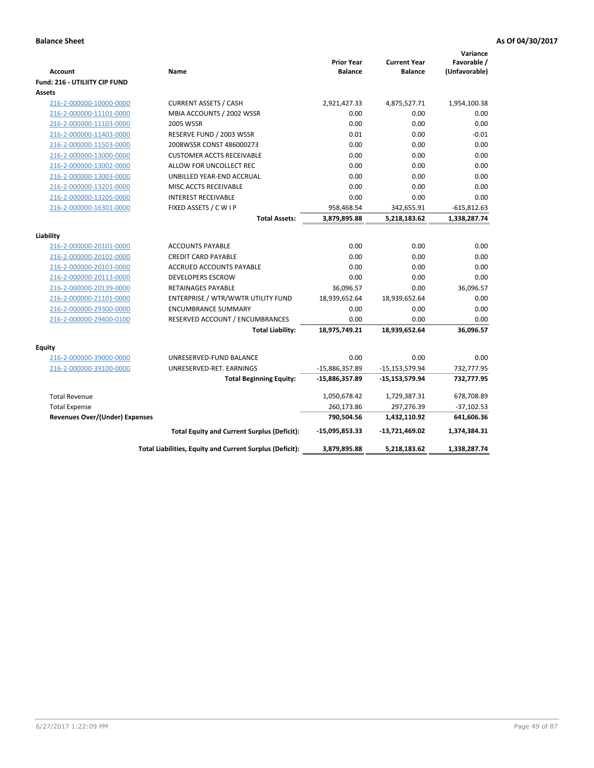| Account                                            | Name                                                     | <b>Prior Year</b><br><b>Balance</b> | <b>Current Year</b><br><b>Balance</b> | Variance<br>Favorable /<br>(Unfavorable) |
|----------------------------------------------------|----------------------------------------------------------|-------------------------------------|---------------------------------------|------------------------------------------|
| Fund: 216 - UTILIITY CIP FUND                      |                                                          |                                     |                                       |                                          |
| <b>Assets</b>                                      |                                                          |                                     |                                       |                                          |
| 216-2-000000-10000-0000                            | <b>CURRENT ASSETS / CASH</b>                             | 2,921,427.33                        | 4,875,527.71                          | 1,954,100.38                             |
| 216-2-000000-11101-0000                            | MBIA ACCOUNTS / 2002 WSSR                                | 0.00                                | 0.00                                  | 0.00                                     |
| 216-2-000000-11103-0000                            | <b>2005 WSSR</b>                                         | 0.00                                | 0.00                                  | 0.00                                     |
| 216-2-000000-11403-0000                            | RESERVE FUND / 2003 WSSR                                 | 0.01                                | 0.00<br>0.00                          | $-0.01$<br>0.00                          |
| 216-2-000000-11503-0000                            | 2008WSSR CONST 486000273                                 | 0.00<br>0.00                        | 0.00                                  | 0.00                                     |
| 216-2-000000-13000-0000                            | <b>CUSTOMER ACCTS RECEIVABLE</b>                         |                                     |                                       |                                          |
| 216-2-000000-13002-0000                            | ALLOW FOR UNCOLLECT REC                                  | 0.00                                | 0.00                                  | 0.00<br>0.00                             |
| 216-2-000000-13003-0000                            | UNBILLED YEAR-END ACCRUAL                                | 0.00<br>0.00                        | 0.00<br>0.00                          |                                          |
| 216-2-000000-13201-0000                            | MISC ACCTS RECEIVABLE<br><b>INTEREST RECEIVABLE</b>      |                                     | 0.00                                  | 0.00<br>0.00                             |
| 216-2-000000-13205-0000<br>216-2-000000-16301-0000 | FIXED ASSETS / C W I P                                   | 0.00<br>958,468.54                  | 342,655.91                            | $-615,812.63$                            |
|                                                    | <b>Total Assets:</b>                                     | 3,879,895.88                        | 5,218,183.62                          | 1,338,287.74                             |
|                                                    |                                                          |                                     |                                       |                                          |
| Liability                                          |                                                          |                                     |                                       |                                          |
| 216-2-000000-20101-0000                            | <b>ACCOUNTS PAYABLE</b>                                  | 0.00                                | 0.00                                  | 0.00                                     |
| 216-2-000000-20102-0000                            | <b>CREDIT CARD PAYABLE</b>                               | 0.00                                | 0.00                                  | 0.00                                     |
| 216-2-000000-20103-0000                            | <b>ACCRUED ACCOUNTS PAYABLE</b>                          | 0.00                                | 0.00                                  | 0.00                                     |
| 216-2-000000-20113-0000                            | <b>DEVELOPERS ESCROW</b>                                 | 0.00                                | 0.00                                  | 0.00                                     |
| 216-2-000000-20139-0000                            | RETAINAGES PAYABLE                                       | 36,096.57                           | 0.00                                  | 36,096.57                                |
| 216-2-000000-21101-0000                            | ENTERPRISE / WTR/WWTR UTILITY FUND                       | 18,939,652.64                       | 18,939,652.64                         | 0.00                                     |
| 216-2-000000-29300-0000                            | <b>ENCUMBRANCE SUMMARY</b>                               | 0.00                                | 0.00                                  | 0.00                                     |
| 216-2-000000-29400-0100                            | RESERVED ACCOUNT / ENCUMBRANCES                          | 0.00                                | 0.00                                  | 0.00                                     |
|                                                    | <b>Total Liability:</b>                                  | 18,975,749.21                       | 18,939,652.64                         | 36,096.57                                |
| <b>Equity</b>                                      |                                                          |                                     |                                       |                                          |
| 216-2-000000-39000-0000                            | UNRESERVED-FUND BALANCE                                  | 0.00                                | 0.00                                  | 0.00                                     |
| 216-2-000000-39100-0000                            | UNRESERVED-RET. EARNINGS                                 | -15,886,357.89                      | $-15, 153, 579.94$                    | 732,777.95                               |
|                                                    | <b>Total Beginning Equity:</b>                           | $-15,886,357.89$                    | $-15,153,579.94$                      | 732,777.95                               |
| <b>Total Revenue</b>                               |                                                          | 1,050,678.42                        | 1,729,387.31                          | 678,708.89                               |
| <b>Total Expense</b>                               |                                                          | 260,173.86                          | 297,276.39                            | $-37,102.53$                             |
| <b>Revenues Over/(Under) Expenses</b>              |                                                          | 790,504.56                          | 1,432,110.92                          | 641,606.36                               |
|                                                    | <b>Total Equity and Current Surplus (Deficit):</b>       | -15,095,853.33                      | $-13,721,469.02$                      | 1,374,384.31                             |
|                                                    | Total Liabilities, Equity and Current Surplus (Deficit): | 3,879,895.88                        | 5,218,183.62                          | 1,338,287.74                             |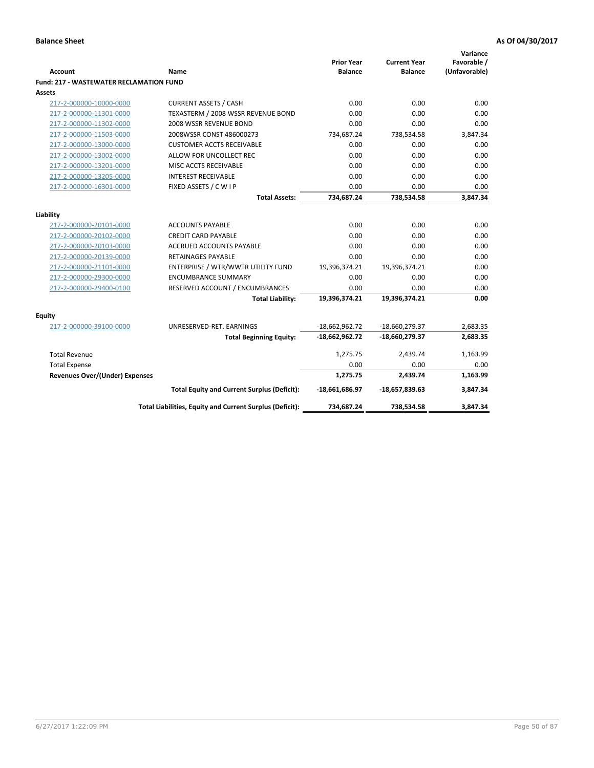| <b>Account</b>                                 | <b>Name</b>                                              | <b>Prior Year</b><br><b>Balance</b> | <b>Current Year</b><br><b>Balance</b> | Variance<br>Favorable /<br>(Unfavorable) |
|------------------------------------------------|----------------------------------------------------------|-------------------------------------|---------------------------------------|------------------------------------------|
| <b>Fund: 217 - WASTEWATER RECLAMATION FUND</b> |                                                          |                                     |                                       |                                          |
| <b>Assets</b>                                  |                                                          |                                     |                                       |                                          |
| 217-2-000000-10000-0000                        | <b>CURRENT ASSETS / CASH</b>                             | 0.00                                | 0.00                                  | 0.00                                     |
| 217-2-000000-11301-0000                        | TEXASTERM / 2008 WSSR REVENUE BOND                       | 0.00                                | 0.00                                  | 0.00                                     |
| 217-2-000000-11302-0000                        | 2008 WSSR REVENUE BOND                                   | 0.00                                | 0.00                                  | 0.00                                     |
| 217-2-000000-11503-0000                        | 2008WSSR CONST 486000273                                 | 734,687.24                          | 738,534.58                            | 3,847.34                                 |
| 217-2-000000-13000-0000                        | <b>CUSTOMER ACCTS RECEIVABLE</b>                         | 0.00                                | 0.00                                  | 0.00                                     |
| 217-2-000000-13002-0000                        | ALLOW FOR UNCOLLECT REC                                  | 0.00                                | 0.00                                  | 0.00                                     |
| 217-2-000000-13201-0000                        | MISC ACCTS RECEIVABLE                                    | 0.00                                | 0.00                                  | 0.00                                     |
| 217-2-000000-13205-0000                        | <b>INTEREST RECEIVABLE</b>                               | 0.00                                | 0.00                                  | 0.00                                     |
| 217-2-000000-16301-0000                        | FIXED ASSETS / C W I P                                   | 0.00                                | 0.00                                  | 0.00                                     |
|                                                | <b>Total Assets:</b>                                     | 734,687.24                          | 738,534.58                            | 3,847.34                                 |
| Liability                                      |                                                          |                                     |                                       |                                          |
| 217-2-000000-20101-0000                        | <b>ACCOUNTS PAYABLE</b>                                  | 0.00                                | 0.00                                  | 0.00                                     |
| 217-2-000000-20102-0000                        | <b>CREDIT CARD PAYABLE</b>                               | 0.00                                | 0.00                                  | 0.00                                     |
| 217-2-000000-20103-0000                        | <b>ACCRUED ACCOUNTS PAYABLE</b>                          | 0.00                                | 0.00                                  | 0.00                                     |
| 217-2-000000-20139-0000                        | <b>RETAINAGES PAYABLE</b>                                | 0.00                                | 0.00                                  | 0.00                                     |
| 217-2-000000-21101-0000                        | ENTERPRISE / WTR/WWTR UTILITY FUND                       | 19,396,374.21                       | 19,396,374.21                         | 0.00                                     |
| 217-2-000000-29300-0000                        | <b>ENCUMBRANCE SUMMARY</b>                               | 0.00                                | 0.00                                  | 0.00                                     |
| 217-2-000000-29400-0100                        | RESERVED ACCOUNT / ENCUMBRANCES                          | 0.00                                | 0.00                                  | 0.00                                     |
|                                                | <b>Total Liability:</b>                                  | 19,396,374.21                       | 19,396,374.21                         | 0.00                                     |
|                                                |                                                          |                                     |                                       |                                          |
| <b>Equity</b>                                  |                                                          |                                     |                                       |                                          |
| 217-2-000000-39100-0000                        | UNRESERVED-RET. EARNINGS                                 | $-18,662,962.72$                    | -18,660,279.37                        | 2,683.35                                 |
|                                                | <b>Total Beginning Equity:</b>                           | $-18,662,962.72$                    | -18,660,279.37                        | 2,683.35                                 |
| <b>Total Revenue</b>                           |                                                          | 1,275.75                            | 2,439.74                              | 1,163.99                                 |
| <b>Total Expense</b>                           |                                                          | 0.00                                | 0.00                                  | 0.00                                     |
| Revenues Over/(Under) Expenses                 |                                                          | 1,275.75                            | 2,439.74                              | 1,163.99                                 |
|                                                | <b>Total Equity and Current Surplus (Deficit):</b>       | -18,661,686.97                      | $-18,657,839.63$                      | 3,847.34                                 |
|                                                | Total Liabilities, Equity and Current Surplus (Deficit): | 734,687.24                          | 738,534.58                            | 3.847.34                                 |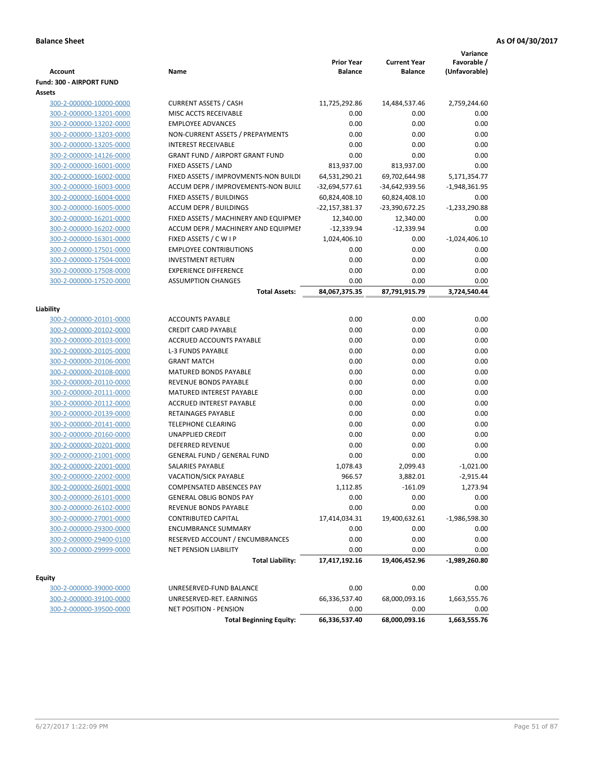| Account                                            | Name                                                            | <b>Prior Year</b><br><b>Balance</b> | <b>Current Year</b><br><b>Balance</b> | Variance<br>Favorable /<br>(Unfavorable) |
|----------------------------------------------------|-----------------------------------------------------------------|-------------------------------------|---------------------------------------|------------------------------------------|
| <b>Fund: 300 - AIRPORT FUND</b>                    |                                                                 |                                     |                                       |                                          |
| <b>Assets</b>                                      |                                                                 |                                     |                                       |                                          |
| 300-2-000000-10000-0000                            | <b>CURRENT ASSETS / CASH</b>                                    | 11,725,292.86                       | 14,484,537.46                         | 2,759,244.60                             |
| 300-2-000000-13201-0000                            | MISC ACCTS RECEIVABLE                                           | 0.00                                | 0.00                                  | 0.00                                     |
| 300-2-000000-13202-0000                            | <b>EMPLOYEE ADVANCES</b>                                        | 0.00                                | 0.00                                  | 0.00                                     |
| 300-2-000000-13203-0000                            | NON-CURRENT ASSETS / PREPAYMENTS                                | 0.00                                | 0.00                                  | 0.00                                     |
| 300-2-000000-13205-0000                            | <b>INTEREST RECEIVABLE</b>                                      | 0.00                                | 0.00                                  | 0.00                                     |
| 300-2-000000-14126-0000                            | <b>GRANT FUND / AIRPORT GRANT FUND</b>                          | 0.00                                | 0.00                                  | 0.00                                     |
| 300-2-000000-16001-0000                            | FIXED ASSETS / LAND                                             | 813,937.00                          | 813,937.00                            | 0.00                                     |
| 300-2-000000-16002-0000                            | FIXED ASSETS / IMPROVMENTS-NON BUILDI                           | 64,531,290.21                       | 69,702,644.98                         | 5,171,354.77                             |
| 300-2-000000-16003-0000                            | ACCUM DEPR / IMPROVEMENTS-NON BUILI                             | -32,694,577.61                      | -34,642,939.56                        | $-1,948,361.95$                          |
| 300-2-000000-16004-0000                            | FIXED ASSETS / BUILDINGS                                        | 60,824,408.10                       | 60,824,408.10                         | 0.00                                     |
| 300-2-000000-16005-0000                            | <b>ACCUM DEPR / BUILDINGS</b>                                   | -22,157,381.37                      | -23,390,672.25                        | $-1,233,290.88$                          |
| 300-2-000000-16201-0000                            | FIXED ASSETS / MACHINERY AND EQUIPMEN                           | 12,340.00                           | 12,340.00                             | 0.00                                     |
| 300-2-000000-16202-0000                            | ACCUM DEPR / MACHINERY AND EQUIPMEI                             | $-12,339.94$                        | $-12,339.94$                          | 0.00                                     |
| 300-2-000000-16301-0000                            | FIXED ASSETS / C W I P<br><b>EMPLOYEE CONTRIBUTIONS</b>         | 1,024,406.10                        | 0.00                                  | $-1,024,406.10$                          |
| 300-2-000000-17501-0000                            |                                                                 | 0.00                                | 0.00                                  | 0.00                                     |
| 300-2-000000-17504-0000                            | <b>INVESTMENT RETURN</b><br><b>EXPERIENCE DIFFERENCE</b>        | 0.00                                | 0.00                                  | 0.00                                     |
| 300-2-000000-17508-0000<br>300-2-000000-17520-0000 | <b>ASSUMPTION CHANGES</b>                                       | 0.00<br>0.00                        | 0.00<br>0.00                          | 0.00<br>0.00                             |
|                                                    | <b>Total Assets:</b>                                            | 84,067,375.35                       | 87,791,915.79                         | 3,724,540.44                             |
|                                                    |                                                                 |                                     |                                       |                                          |
| Liability                                          |                                                                 |                                     |                                       |                                          |
| 300-2-000000-20101-0000                            | <b>ACCOUNTS PAYABLE</b>                                         | 0.00                                | 0.00                                  | 0.00                                     |
| 300-2-000000-20102-0000                            | <b>CREDIT CARD PAYABLE</b>                                      | 0.00                                | 0.00                                  | 0.00                                     |
| 300-2-000000-20103-0000                            | ACCRUED ACCOUNTS PAYABLE                                        | 0.00                                | 0.00                                  | 0.00                                     |
| 300-2-000000-20105-0000                            | <b>L-3 FUNDS PAYABLE</b>                                        | 0.00                                | 0.00                                  | 0.00                                     |
| 300-2-000000-20106-0000                            | <b>GRANT MATCH</b>                                              | 0.00                                | 0.00                                  | 0.00                                     |
| 300-2-000000-20108-0000                            | <b>MATURED BONDS PAYABLE</b>                                    | 0.00                                | 0.00                                  | 0.00                                     |
| 300-2-000000-20110-0000                            | REVENUE BONDS PAYABLE                                           | 0.00                                | 0.00                                  | 0.00                                     |
| 300-2-000000-20111-0000                            | MATURED INTEREST PAYABLE                                        | 0.00                                | 0.00                                  | 0.00                                     |
| 300-2-000000-20112-0000                            | <b>ACCRUED INTEREST PAYABLE</b>                                 | 0.00                                | 0.00                                  | 0.00                                     |
| 300-2-000000-20139-0000                            | RETAINAGES PAYABLE                                              | 0.00                                | 0.00                                  | 0.00                                     |
| 300-2-000000-20141-0000                            | <b>TELEPHONE CLEARING</b>                                       | 0.00                                | 0.00                                  | 0.00                                     |
| 300-2-000000-20160-0000                            | <b>UNAPPLIED CREDIT</b>                                         | 0.00                                | 0.00                                  | 0.00                                     |
| 300-2-000000-20201-0000                            | DEFERRED REVENUE                                                | 0.00                                | 0.00                                  | 0.00                                     |
| 300-2-000000-21001-0000                            | <b>GENERAL FUND / GENERAL FUND</b>                              | 0.00                                | 0.00                                  | 0.00                                     |
| 300-2-000000-22001-0000                            | SALARIES PAYABLE                                                | 1,078.43                            | 2,099.43                              | $-1,021.00$                              |
| 300-2-000000-22002-0000                            | <b>VACATION/SICK PAYABLE</b>                                    | 966.57                              | 3,882.01                              | $-2,915.44$                              |
| 300-2-000000-26001-0000                            | COMPENSATED ABSENCES PAY                                        | 1,112.85                            | $-161.09$                             | 1,273.94                                 |
| 300-2-000000-26101-0000                            | <b>GENERAL OBLIG BONDS PAY</b>                                  | 0.00                                | 0.00                                  | 0.00                                     |
| 300-2-000000-26102-0000                            | REVENUE BONDS PAYABLE                                           | 0.00                                | 0.00                                  | 0.00                                     |
| 300-2-000000-27001-0000                            | <b>CONTRIBUTED CAPITAL</b>                                      | 17,414,034.31                       | 19,400,632.61                         | $-1,986,598.30$                          |
| 300-2-000000-29300-0000                            | <b>ENCUMBRANCE SUMMARY</b>                                      | 0.00                                | 0.00                                  | 0.00                                     |
| 300-2-000000-29400-0100<br>300-2-000000-29999-0000 | RESERVED ACCOUNT / ENCUMBRANCES<br><b>NET PENSION LIABILITY</b> | 0.00<br>0.00                        | 0.00<br>0.00                          | 0.00<br>0.00                             |
|                                                    | <b>Total Liability:</b>                                         | 17,417,192.16                       | 19,406,452.96                         | $-1,989,260.80$                          |
|                                                    |                                                                 |                                     |                                       |                                          |
| <b>Equity</b>                                      |                                                                 |                                     |                                       |                                          |
| 300-2-000000-39000-0000                            | UNRESERVED-FUND BALANCE                                         | 0.00                                | 0.00                                  | 0.00                                     |
| 300-2-000000-39100-0000                            | UNRESERVED-RET. EARNINGS                                        | 66,336,537.40                       | 68,000,093.16                         | 1,663,555.76                             |
| 300-2-000000-39500-0000                            | <b>NET POSITION - PENSION</b>                                   | 0.00                                | 0.00                                  | 0.00                                     |
|                                                    | <b>Total Beginning Equity:</b>                                  | 66,336,537.40                       | 68,000,093.16                         | 1,663,555.76                             |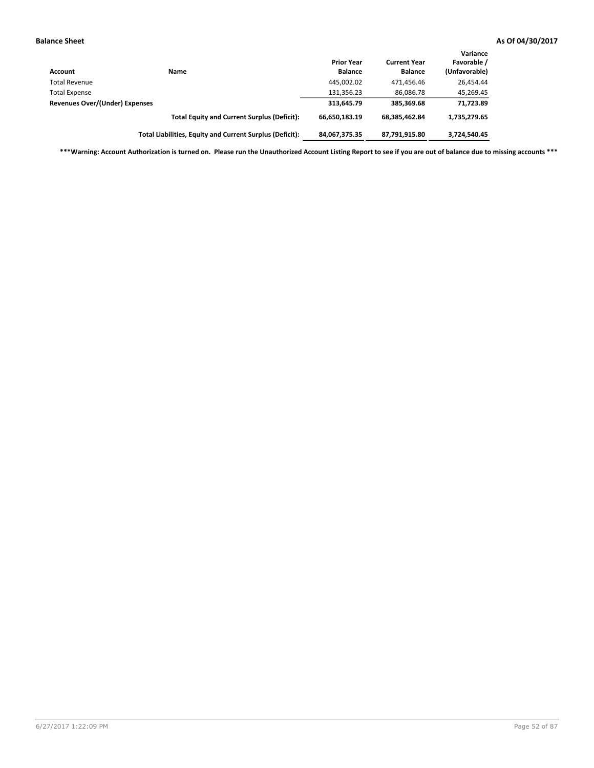| <b>Account</b>                        | Name                                                     | <b>Prior Year</b><br><b>Balance</b> | <b>Current Year</b><br><b>Balance</b> | Variance<br>Favorable /<br>(Unfavorable) |
|---------------------------------------|----------------------------------------------------------|-------------------------------------|---------------------------------------|------------------------------------------|
| <b>Total Revenue</b>                  |                                                          | 445,002.02                          | 471.456.46                            | 26,454.44                                |
| <b>Total Expense</b>                  |                                                          | 131,356.23                          | 86,086.78                             | 45,269.45                                |
| <b>Revenues Over/(Under) Expenses</b> |                                                          | 313,645.79                          | 385.369.68                            | 71,723.89                                |
|                                       | <b>Total Equity and Current Surplus (Deficit):</b>       | 66,650,183.19                       | 68.385.462.84                         | 1,735,279.65                             |
|                                       | Total Liabilities, Equity and Current Surplus (Deficit): | 84,067,375.35                       | 87,791,915.80                         | 3,724,540.45                             |

**\*\*\*Warning: Account Authorization is turned on. Please run the Unauthorized Account Listing Report to see if you are out of balance due to missing accounts \*\*\***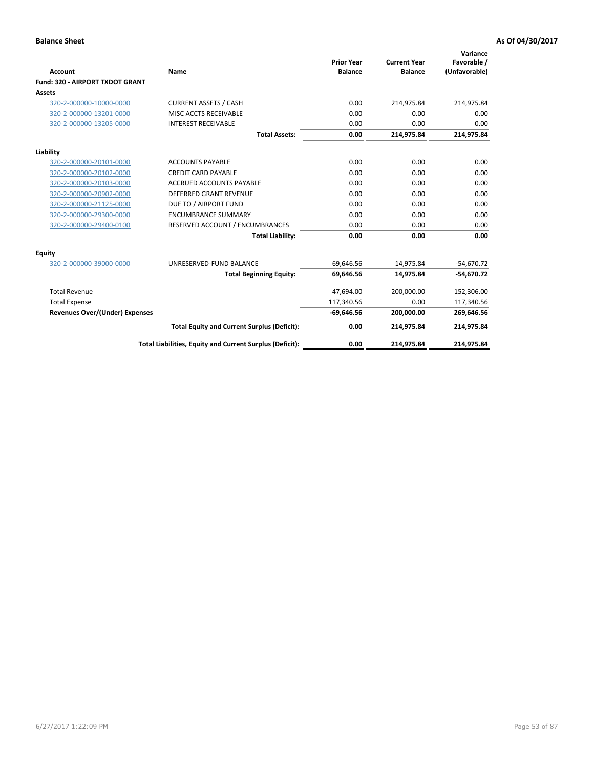|                                        |                                                          |                                     |                                       | Variance                     |
|----------------------------------------|----------------------------------------------------------|-------------------------------------|---------------------------------------|------------------------------|
| <b>Account</b>                         | Name                                                     | <b>Prior Year</b><br><b>Balance</b> | <b>Current Year</b><br><b>Balance</b> | Favorable /<br>(Unfavorable) |
| <b>Fund: 320 - AIRPORT TXDOT GRANT</b> |                                                          |                                     |                                       |                              |
| <b>Assets</b>                          |                                                          |                                     |                                       |                              |
| 320-2-000000-10000-0000                | <b>CURRENT ASSETS / CASH</b>                             | 0.00                                | 214,975.84                            | 214,975.84                   |
| 320-2-000000-13201-0000                | MISC ACCTS RECEIVABLE                                    | 0.00                                | 0.00                                  | 0.00                         |
| 320-2-000000-13205-0000                | <b>INTEREST RECEIVABLE</b>                               | 0.00                                | 0.00                                  | 0.00                         |
|                                        | <b>Total Assets:</b>                                     | 0.00                                | 214,975.84                            | 214,975.84                   |
| Liability                              |                                                          |                                     |                                       |                              |
| 320-2-000000-20101-0000                | <b>ACCOUNTS PAYABLE</b>                                  | 0.00                                | 0.00                                  | 0.00                         |
| 320-2-000000-20102-0000                | <b>CREDIT CARD PAYABLE</b>                               | 0.00                                | 0.00                                  | 0.00                         |
| 320-2-000000-20103-0000                | <b>ACCRUED ACCOUNTS PAYABLE</b>                          | 0.00                                | 0.00                                  | 0.00                         |
| 320-2-000000-20902-0000                | <b>DEFERRED GRANT REVENUE</b>                            | 0.00                                | 0.00                                  | 0.00                         |
| 320-2-000000-21125-0000                | DUE TO / AIRPORT FUND                                    | 0.00                                | 0.00                                  | 0.00                         |
| 320-2-000000-29300-0000                | <b>ENCUMBRANCE SUMMARY</b>                               | 0.00                                | 0.00                                  | 0.00                         |
| 320-2-000000-29400-0100                | RESERVED ACCOUNT / ENCUMBRANCES                          | 0.00                                | 0.00                                  | 0.00                         |
|                                        | <b>Total Liability:</b>                                  | 0.00                                | 0.00                                  | 0.00                         |
| <b>Equity</b>                          |                                                          |                                     |                                       |                              |
| 320-2-000000-39000-0000                | UNRESERVED-FUND BALANCE                                  | 69,646.56                           | 14,975.84                             | $-54,670.72$                 |
|                                        | <b>Total Beginning Equity:</b>                           | 69,646.56                           | 14,975.84                             | $-54,670.72$                 |
| <b>Total Revenue</b>                   |                                                          | 47,694.00                           | 200,000.00                            | 152,306.00                   |
| <b>Total Expense</b>                   |                                                          | 117,340.56                          | 0.00                                  | 117,340.56                   |
| <b>Revenues Over/(Under) Expenses</b>  |                                                          | $-69,646.56$                        | 200,000.00                            | 269,646.56                   |
|                                        | <b>Total Equity and Current Surplus (Deficit):</b>       | 0.00                                | 214,975.84                            | 214,975.84                   |
|                                        | Total Liabilities, Equity and Current Surplus (Deficit): | 0.00                                | 214,975.84                            | 214,975.84                   |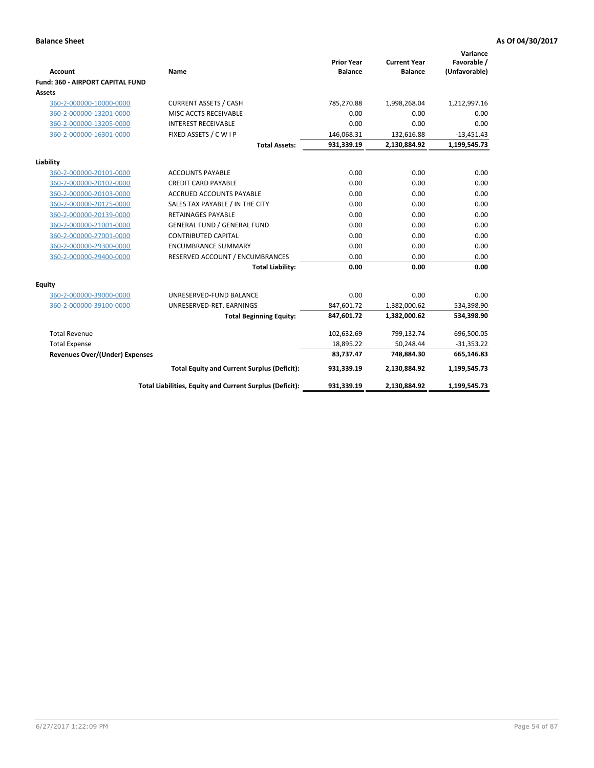| <b>Account</b>                        | Name                                                     | <b>Prior Year</b><br><b>Balance</b> | <b>Current Year</b><br><b>Balance</b> | Variance<br>Favorable /<br>(Unfavorable) |
|---------------------------------------|----------------------------------------------------------|-------------------------------------|---------------------------------------|------------------------------------------|
| Fund: 360 - AIRPORT CAPITAL FUND      |                                                          |                                     |                                       |                                          |
| <b>Assets</b>                         |                                                          |                                     |                                       |                                          |
| 360-2-000000-10000-0000               | <b>CURRENT ASSETS / CASH</b>                             | 785,270.88                          | 1,998,268.04                          | 1,212,997.16                             |
| 360-2-000000-13201-0000               | MISC ACCTS RECEIVABLE                                    | 0.00                                | 0.00                                  | 0.00                                     |
| 360-2-000000-13205-0000               | <b>INTEREST RECEIVABLE</b>                               | 0.00                                | 0.00                                  | 0.00                                     |
| 360-2-000000-16301-0000               | FIXED ASSETS / C W I P                                   | 146,068.31                          | 132,616.88                            | $-13,451.43$                             |
|                                       | <b>Total Assets:</b>                                     | 931,339.19                          | 2,130,884.92                          | 1,199,545.73                             |
| Liability                             |                                                          |                                     |                                       |                                          |
| 360-2-000000-20101-0000               | <b>ACCOUNTS PAYABLE</b>                                  | 0.00                                | 0.00                                  | 0.00                                     |
| 360-2-000000-20102-0000               | <b>CREDIT CARD PAYABLE</b>                               | 0.00                                | 0.00                                  | 0.00                                     |
| 360-2-000000-20103-0000               | ACCRUED ACCOUNTS PAYABLE                                 | 0.00                                | 0.00                                  | 0.00                                     |
| 360-2-000000-20125-0000               | SALES TAX PAYABLE / IN THE CITY                          | 0.00                                | 0.00                                  | 0.00                                     |
| 360-2-000000-20139-0000               | <b>RETAINAGES PAYABLE</b>                                | 0.00                                | 0.00                                  | 0.00                                     |
| 360-2-000000-21001-0000               | <b>GENERAL FUND / GENERAL FUND</b>                       | 0.00                                | 0.00                                  | 0.00                                     |
| 360-2-000000-27001-0000               | <b>CONTRIBUTED CAPITAL</b>                               | 0.00                                | 0.00                                  | 0.00                                     |
| 360-2-000000-29300-0000               | <b>ENCUMBRANCE SUMMARY</b>                               | 0.00                                | 0.00                                  | 0.00                                     |
| 360-2-000000-29400-0000               | RESERVED ACCOUNT / ENCUMBRANCES                          | 0.00                                | 0.00                                  | 0.00                                     |
|                                       | <b>Total Liability:</b>                                  | 0.00                                | 0.00                                  | 0.00                                     |
| Equity                                |                                                          |                                     |                                       |                                          |
| 360-2-000000-39000-0000               | UNRESERVED-FUND BALANCE                                  | 0.00                                | 0.00                                  | 0.00                                     |
| 360-2-000000-39100-0000               | UNRESERVED-RET. EARNINGS                                 | 847,601.72                          | 1,382,000.62                          | 534,398.90                               |
|                                       | <b>Total Beginning Equity:</b>                           | 847,601.72                          | 1,382,000.62                          | 534,398.90                               |
| <b>Total Revenue</b>                  |                                                          | 102,632.69                          | 799,132.74                            | 696,500.05                               |
| <b>Total Expense</b>                  |                                                          | 18,895.22                           | 50,248.44                             | $-31,353.22$                             |
| <b>Revenues Over/(Under) Expenses</b> |                                                          | 83,737.47                           | 748,884.30                            | 665,146.83                               |
|                                       | <b>Total Equity and Current Surplus (Deficit):</b>       | 931,339.19                          | 2,130,884.92                          | 1,199,545.73                             |
|                                       | Total Liabilities, Equity and Current Surplus (Deficit): | 931,339.19                          | 2,130,884.92                          | 1,199,545.73                             |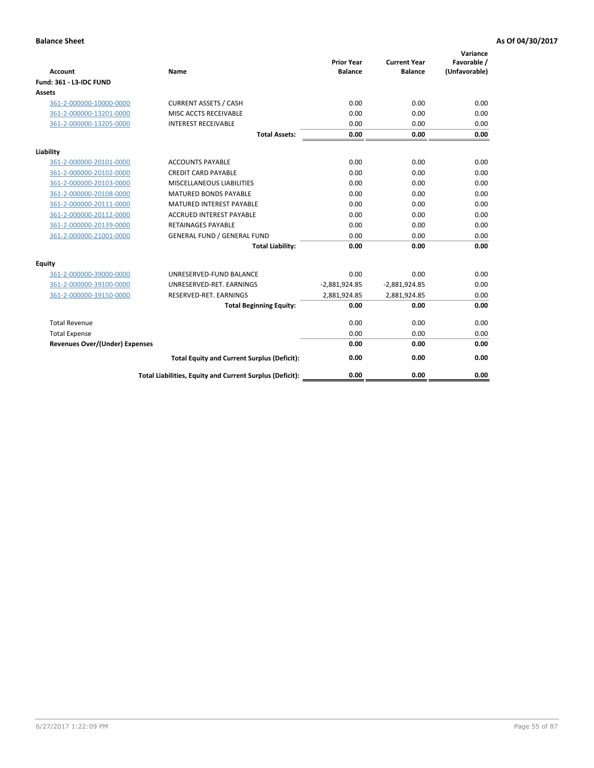| Account                        | Name                                                     | <b>Prior Year</b><br><b>Balance</b> | <b>Current Year</b><br><b>Balance</b> | Variance<br>Favorable /<br>(Unfavorable) |
|--------------------------------|----------------------------------------------------------|-------------------------------------|---------------------------------------|------------------------------------------|
| Fund: 361 - L3-IDC FUND        |                                                          |                                     |                                       |                                          |
| <b>Assets</b>                  |                                                          |                                     |                                       |                                          |
| 361-2-000000-10000-0000        | <b>CURRENT ASSETS / CASH</b>                             | 0.00                                | 0.00                                  | 0.00                                     |
| 361-2-000000-13201-0000        | MISC ACCTS RECEIVABLE                                    | 0.00                                | 0.00                                  | 0.00                                     |
| 361-2-000000-13205-0000        | <b>INTEREST RECEIVABLE</b>                               | 0.00                                | 0.00                                  | 0.00                                     |
|                                | <b>Total Assets:</b>                                     | 0.00                                | 0.00                                  | 0.00                                     |
| Liability                      |                                                          |                                     |                                       |                                          |
| 361-2-000000-20101-0000        | <b>ACCOUNTS PAYABLE</b>                                  | 0.00                                | 0.00                                  | 0.00                                     |
| 361-2-000000-20102-0000        | <b>CREDIT CARD PAYABLE</b>                               | 0.00                                | 0.00                                  | 0.00                                     |
| 361-2-000000-20103-0000        | MISCELLANEOUS LIABILITIES                                | 0.00                                | 0.00                                  | 0.00                                     |
| 361-2-000000-20108-0000        | <b>MATURED BONDS PAYABLE</b>                             | 0.00                                | 0.00                                  | 0.00                                     |
| 361-2-000000-20111-0000        | <b>MATURED INTEREST PAYABLE</b>                          | 0.00                                | 0.00                                  | 0.00                                     |
| 361-2-000000-20112-0000        | <b>ACCRUED INTEREST PAYABLE</b>                          | 0.00                                | 0.00                                  | 0.00                                     |
| 361-2-000000-20139-0000        | <b>RETAINAGES PAYABLE</b>                                | 0.00                                | 0.00                                  | 0.00                                     |
| 361-2-000000-21001-0000        | <b>GENERAL FUND / GENERAL FUND</b>                       | 0.00                                | 0.00                                  | 0.00                                     |
|                                | <b>Total Liability:</b>                                  | 0.00                                | 0.00                                  | 0.00                                     |
| Equity                         |                                                          |                                     |                                       |                                          |
| 361-2-000000-39000-0000        | UNRESERVED-FUND BALANCE                                  | 0.00                                | 0.00                                  | 0.00                                     |
| 361-2-000000-39100-0000        | UNRESERVED-RET. EARNINGS                                 | $-2,881,924.85$                     | $-2,881,924.85$                       | 0.00                                     |
| 361-2-000000-39150-0000        | RESERVED-RET. EARNINGS                                   | 2,881,924.85                        | 2,881,924.85                          | 0.00                                     |
|                                | <b>Total Beginning Equity:</b>                           | 0.00                                | 0.00                                  | 0.00                                     |
| <b>Total Revenue</b>           |                                                          | 0.00                                | 0.00                                  | 0.00                                     |
| <b>Total Expense</b>           |                                                          | 0.00                                | 0.00                                  | 0.00                                     |
| Revenues Over/(Under) Expenses |                                                          | 0.00                                | 0.00                                  | 0.00                                     |
|                                | <b>Total Equity and Current Surplus (Deficit):</b>       | 0.00                                | 0.00                                  | 0.00                                     |
|                                | Total Liabilities, Equity and Current Surplus (Deficit): | 0.00                                | 0.00                                  | 0.00                                     |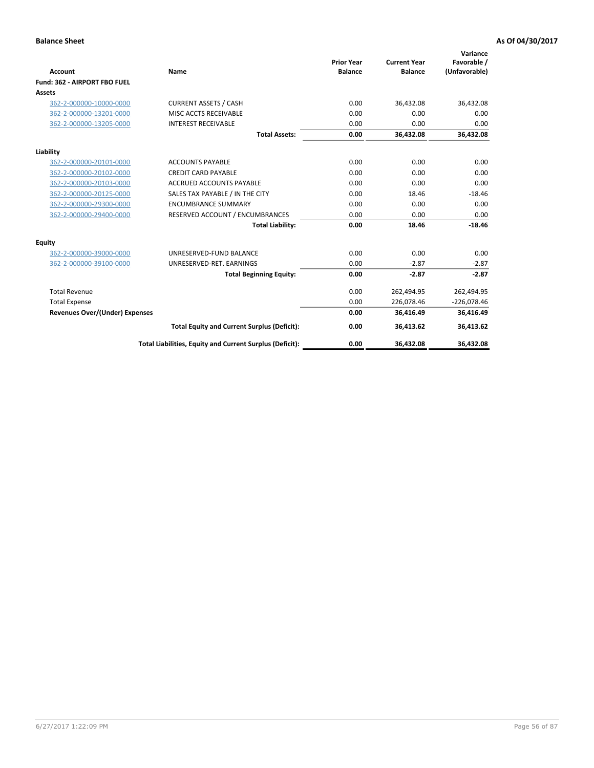|                                       |                                                          |                                     |                                       | Variance                     |
|---------------------------------------|----------------------------------------------------------|-------------------------------------|---------------------------------------|------------------------------|
| <b>Account</b>                        | Name                                                     | <b>Prior Year</b><br><b>Balance</b> | <b>Current Year</b><br><b>Balance</b> | Favorable /<br>(Unfavorable) |
| Fund: 362 - AIRPORT FBO FUEL          |                                                          |                                     |                                       |                              |
| <b>Assets</b>                         |                                                          |                                     |                                       |                              |
| 362-2-000000-10000-0000               | <b>CURRENT ASSETS / CASH</b>                             | 0.00                                | 36,432.08                             | 36,432.08                    |
| 362-2-000000-13201-0000               | MISC ACCTS RECEIVABLE                                    | 0.00                                | 0.00                                  | 0.00                         |
| 362-2-000000-13205-0000               | <b>INTEREST RECEIVABLE</b>                               | 0.00                                | 0.00                                  | 0.00                         |
|                                       | <b>Total Assets:</b>                                     | 0.00                                | 36,432.08                             | 36,432.08                    |
| Liability                             |                                                          |                                     |                                       |                              |
| 362-2-000000-20101-0000               | <b>ACCOUNTS PAYABLE</b>                                  | 0.00                                | 0.00                                  | 0.00                         |
| 362-2-000000-20102-0000               | <b>CREDIT CARD PAYABLE</b>                               | 0.00                                | 0.00                                  | 0.00                         |
| 362-2-000000-20103-0000               | <b>ACCRUED ACCOUNTS PAYABLE</b>                          | 0.00                                | 0.00                                  | 0.00                         |
| 362-2-000000-20125-0000               | SALES TAX PAYABLE / IN THE CITY                          | 0.00                                | 18.46                                 | $-18.46$                     |
| 362-2-000000-29300-0000               | <b>ENCUMBRANCE SUMMARY</b>                               | 0.00                                | 0.00                                  | 0.00                         |
| 362-2-000000-29400-0000               | RESERVED ACCOUNT / ENCUMBRANCES                          | 0.00                                | 0.00                                  | 0.00                         |
|                                       | <b>Total Liability:</b>                                  | 0.00                                | 18.46                                 | $-18.46$                     |
| Equity                                |                                                          |                                     |                                       |                              |
| 362-2-000000-39000-0000               | UNRESERVED-FUND BALANCE                                  | 0.00                                | 0.00                                  | 0.00                         |
| 362-2-000000-39100-0000               | UNRESERVED-RET. EARNINGS                                 | 0.00                                | $-2.87$                               | $-2.87$                      |
|                                       | <b>Total Beginning Equity:</b>                           | 0.00                                | $-2.87$                               | $-2.87$                      |
| <b>Total Revenue</b>                  |                                                          | 0.00                                | 262,494.95                            | 262,494.95                   |
| <b>Total Expense</b>                  |                                                          | 0.00                                | 226,078.46                            | $-226,078.46$                |
| <b>Revenues Over/(Under) Expenses</b> |                                                          | 0.00                                | 36,416.49                             | 36,416.49                    |
|                                       | <b>Total Equity and Current Surplus (Deficit):</b>       | 0.00                                | 36,413.62                             | 36,413.62                    |
|                                       | Total Liabilities, Equity and Current Surplus (Deficit): | 0.00                                | 36,432.08                             | 36,432.08                    |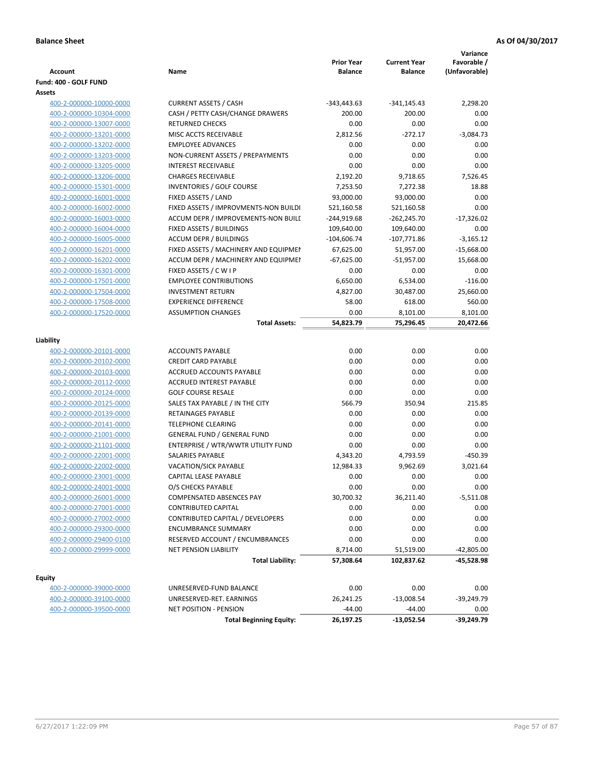|                         |                                       | <b>Prior Year</b> | <b>Current Year</b> | Variance<br>Favorable / |
|-------------------------|---------------------------------------|-------------------|---------------------|-------------------------|
| <b>Account</b>          | Name                                  | <b>Balance</b>    | <b>Balance</b>      | (Unfavorable)           |
| Fund: 400 - GOLF FUND   |                                       |                   |                     |                         |
| Assets                  |                                       |                   |                     |                         |
| 400-2-000000-10000-0000 | <b>CURRENT ASSETS / CASH</b>          | $-343,443.63$     | $-341,145.43$       | 2,298.20                |
| 400-2-000000-10304-0000 | CASH / PETTY CASH/CHANGE DRAWERS      | 200.00            | 200.00              | 0.00                    |
| 400-2-000000-13007-0000 | <b>RETURNED CHECKS</b>                | 0.00              | 0.00                | 0.00                    |
| 400-2-000000-13201-0000 | MISC ACCTS RECEIVABLE                 | 2,812.56          | $-272.17$           | $-3,084.73$             |
| 400-2-000000-13202-0000 | <b>EMPLOYEE ADVANCES</b>              | 0.00              | 0.00                | 0.00                    |
| 400-2-000000-13203-0000 | NON-CURRENT ASSETS / PREPAYMENTS      | 0.00              | 0.00                | 0.00                    |
| 400-2-000000-13205-0000 | <b>INTEREST RECEIVABLE</b>            | 0.00              | 0.00                | 0.00                    |
| 400-2-000000-13206-0000 | <b>CHARGES RECEIVABLE</b>             | 2,192.20          | 9,718.65            | 7,526.45                |
| 400-2-000000-15301-0000 | INVENTORIES / GOLF COURSE             | 7,253.50          | 7,272.38            | 18.88                   |
| 400-2-000000-16001-0000 | FIXED ASSETS / LAND                   | 93,000.00         | 93,000.00           | 0.00                    |
| 400-2-000000-16002-0000 | FIXED ASSETS / IMPROVMENTS-NON BUILDI | 521,160.58        | 521,160.58          | 0.00                    |
| 400-2-000000-16003-0000 | ACCUM DEPR / IMPROVEMENTS-NON BUILI   | $-244,919.68$     | $-262,245.70$       | $-17,326.02$            |
| 400-2-000000-16004-0000 | FIXED ASSETS / BUILDINGS              | 109,640.00        | 109,640.00          | 0.00                    |
| 400-2-000000-16005-0000 | <b>ACCUM DEPR / BUILDINGS</b>         | $-104,606.74$     | $-107,771.86$       | $-3,165.12$             |
| 400-2-000000-16201-0000 | FIXED ASSETS / MACHINERY AND EQUIPMEN | 67,625.00         | 51,957.00           | $-15,668.00$            |
| 400-2-000000-16202-0000 | ACCUM DEPR / MACHINERY AND EQUIPMEI   | $-67,625.00$      | $-51,957.00$        | 15,668.00               |
| 400-2-000000-16301-0000 | FIXED ASSETS / C W I P                | 0.00              | 0.00                | 0.00                    |
| 400-2-000000-17501-0000 | <b>EMPLOYEE CONTRIBUTIONS</b>         | 6,650.00          | 6,534.00            | $-116.00$               |
| 400-2-000000-17504-0000 | <b>INVESTMENT RETURN</b>              | 4,827.00          | 30,487.00           | 25,660.00               |
| 400-2-000000-17508-0000 | <b>EXPERIENCE DIFFERENCE</b>          | 58.00             | 618.00              | 560.00                  |
| 400-2-000000-17520-0000 | <b>ASSUMPTION CHANGES</b>             | 0.00              | 8,101.00            | 8,101.00                |
|                         | <b>Total Assets:</b>                  | 54,823.79         | 75,296.45           | 20,472.66               |
|                         |                                       |                   |                     |                         |
| Liability               |                                       |                   |                     |                         |
| 400-2-000000-20101-0000 | <b>ACCOUNTS PAYABLE</b>               | 0.00              | 0.00                | 0.00                    |
| 400-2-000000-20102-0000 | <b>CREDIT CARD PAYABLE</b>            | 0.00              | 0.00                | 0.00                    |
| 400-2-000000-20103-0000 | ACCRUED ACCOUNTS PAYABLE              | 0.00              | 0.00                | 0.00                    |
| 400-2-000000-20112-0000 | <b>ACCRUED INTEREST PAYABLE</b>       | 0.00              | 0.00                | 0.00                    |
| 400-2-000000-20124-0000 | <b>GOLF COURSE RESALE</b>             | 0.00              | 0.00                | 0.00                    |
| 400-2-000000-20125-0000 | SALES TAX PAYABLE / IN THE CITY       | 566.79            | 350.94              | 215.85                  |
| 400-2-000000-20139-0000 | RETAINAGES PAYABLE                    | 0.00              | 0.00                | 0.00                    |
| 400-2-000000-20141-0000 | <b>TELEPHONE CLEARING</b>             | 0.00              | 0.00                | 0.00                    |
| 400-2-000000-21001-0000 | <b>GENERAL FUND / GENERAL FUND</b>    | 0.00              | 0.00                | 0.00                    |
| 400-2-000000-21101-0000 | ENTERPRISE / WTR/WWTR UTILITY FUND    | 0.00              | 0.00                | 0.00                    |
| 400-2-000000-22001-0000 | SALARIES PAYABLE                      | 4,343.20          | 4,793.59            | $-450.39$               |
| 400-2-000000-22002-0000 | <b>VACATION/SICK PAYABLE</b>          | 12,984.33         | 9,962.69            | 3,021.64                |
| 400-2-000000-23001-0000 | CAPITAL LEASE PAYABLE                 | 0.00              | 0.00                | 0.00                    |
| 400-2-000000-24001-0000 | O/S CHECKS PAYABLE                    | 0.00              | 0.00                | 0.00                    |
| 400-2-000000-26001-0000 | COMPENSATED ABSENCES PAY              | 30,700.32         | 36,211.40           | -5,511.08               |
| 400-2-000000-27001-0000 | <b>CONTRIBUTED CAPITAL</b>            | 0.00              | 0.00                | 0.00                    |
| 400-2-000000-27002-0000 | CONTRIBUTED CAPITAL / DEVELOPERS      | 0.00              | 0.00                | 0.00                    |
| 400-2-000000-29300-0000 | <b>ENCUMBRANCE SUMMARY</b>            | 0.00              | 0.00                | 0.00                    |
| 400-2-000000-29400-0100 | RESERVED ACCOUNT / ENCUMBRANCES       | 0.00              | 0.00                | 0.00                    |
| 400-2-000000-29999-0000 | <b>NET PENSION LIABILITY</b>          | 8,714.00          | 51,519.00           | $-42,805.00$            |
|                         | <b>Total Liability:</b>               | 57,308.64         | 102,837.62          | -45,528.98              |
|                         |                                       |                   |                     |                         |
| <b>Equity</b>           |                                       |                   |                     |                         |
| 400-2-000000-39000-0000 | UNRESERVED-FUND BALANCE               | 0.00              | 0.00                | 0.00                    |
| 400-2-000000-39100-0000 | UNRESERVED-RET. EARNINGS              | 26,241.25         | $-13,008.54$        | -39,249.79              |
| 400-2-000000-39500-0000 | <b>NET POSITION - PENSION</b>         | $-44.00$          | $-44.00$            | 0.00                    |

**Total Beginning Equity: 26,197.25 -13,052.54 -39,249.79**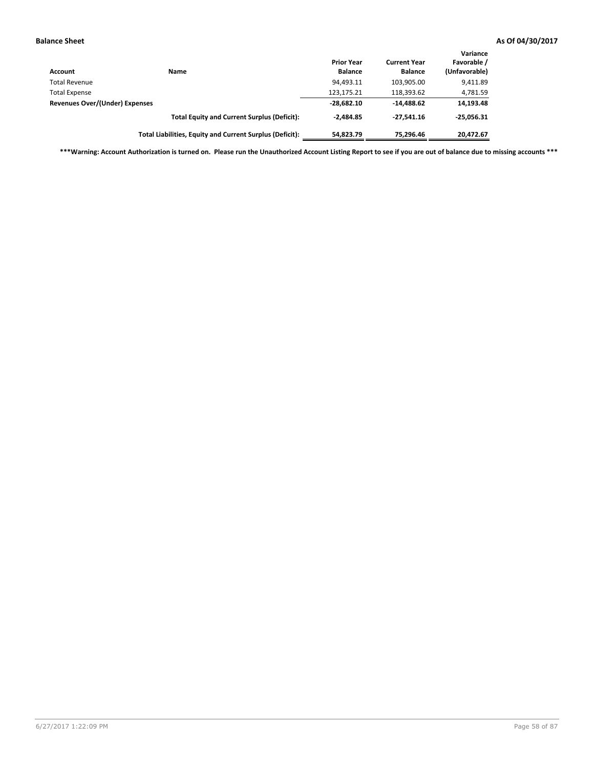| Account                        | <b>Name</b>                                              | <b>Prior Year</b><br><b>Balance</b> | <b>Current Year</b><br><b>Balance</b> | Variance<br>Favorable /<br>(Unfavorable) |
|--------------------------------|----------------------------------------------------------|-------------------------------------|---------------------------------------|------------------------------------------|
| <b>Total Revenue</b>           |                                                          | 94,493.11                           | 103,905.00                            | 9,411.89                                 |
| <b>Total Expense</b>           |                                                          | 123,175.21                          | 118,393.62                            | 4,781.59                                 |
| Revenues Over/(Under) Expenses |                                                          | $-28,682.10$                        | $-14.488.62$                          | 14,193.48                                |
|                                | <b>Total Equity and Current Surplus (Deficit):</b>       | $-2.484.85$                         | $-27.541.16$                          | $-25,056.31$                             |
|                                | Total Liabilities, Equity and Current Surplus (Deficit): | 54,823.79                           | 75.296.46                             | 20,472.67                                |

**\*\*\*Warning: Account Authorization is turned on. Please run the Unauthorized Account Listing Report to see if you are out of balance due to missing accounts \*\*\***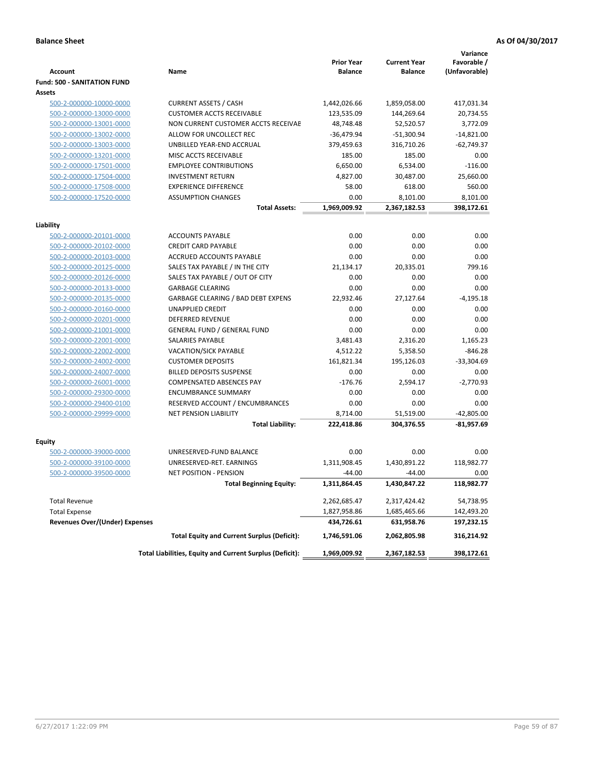|                                       |                                                          | <b>Prior Year</b> | <b>Current Year</b> | Variance<br>Favorable / |
|---------------------------------------|----------------------------------------------------------|-------------------|---------------------|-------------------------|
| <b>Account</b>                        | Name                                                     | <b>Balance</b>    | <b>Balance</b>      | (Unfavorable)           |
| <b>Fund: 500 - SANITATION FUND</b>    |                                                          |                   |                     |                         |
| Assets                                |                                                          |                   |                     |                         |
| 500-2-000000-10000-0000               | <b>CURRENT ASSETS / CASH</b>                             | 1,442,026.66      | 1,859,058.00        | 417,031.34              |
| 500-2-000000-13000-0000               | <b>CUSTOMER ACCTS RECEIVABLE</b>                         | 123,535.09        | 144,269.64          | 20,734.55               |
| 500-2-000000-13001-0000               | NON CURRENT CUSTOMER ACCTS RECEIVAE                      | 48,748.48         | 52,520.57           | 3,772.09                |
| 500-2-000000-13002-0000               | ALLOW FOR UNCOLLECT REC                                  | $-36,479.94$      | $-51,300.94$        | $-14,821.00$            |
| 500-2-000000-13003-0000               | UNBILLED YEAR-END ACCRUAL                                | 379,459.63        | 316,710.26          | $-62,749.37$            |
| 500-2-000000-13201-0000               | MISC ACCTS RECEIVABLE                                    | 185.00            | 185.00              | 0.00                    |
| 500-2-000000-17501-0000               | <b>EMPLOYEE CONTRIBUTIONS</b>                            | 6,650.00          | 6,534.00            | $-116.00$               |
| 500-2-000000-17504-0000               | <b>INVESTMENT RETURN</b>                                 | 4,827.00          | 30,487.00           | 25,660.00               |
| 500-2-000000-17508-0000               | <b>EXPERIENCE DIFFERENCE</b>                             | 58.00             | 618.00              | 560.00                  |
| 500-2-000000-17520-0000               | <b>ASSUMPTION CHANGES</b>                                | 0.00              | 8,101.00            | 8,101.00                |
|                                       | <b>Total Assets:</b>                                     | 1,969,009.92      | 2,367,182.53        | 398,172.61              |
| Liability                             |                                                          |                   |                     |                         |
| 500-2-000000-20101-0000               | <b>ACCOUNTS PAYABLE</b>                                  | 0.00              | 0.00                | 0.00                    |
| 500-2-000000-20102-0000               | <b>CREDIT CARD PAYABLE</b>                               | 0.00              | 0.00                | 0.00                    |
| 500-2-000000-20103-0000               | ACCRUED ACCOUNTS PAYABLE                                 | 0.00              | 0.00                | 0.00                    |
| 500-2-000000-20125-0000               | SALES TAX PAYABLE / IN THE CITY                          | 21,134.17         | 20,335.01           | 799.16                  |
| 500-2-000000-20126-0000               | SALES TAX PAYABLE / OUT OF CITY                          | 0.00              | 0.00                | 0.00                    |
| 500-2-000000-20133-0000               | <b>GARBAGE CLEARING</b>                                  | 0.00              | 0.00                | 0.00                    |
| 500-2-000000-20135-0000               | GARBAGE CLEARING / BAD DEBT EXPENS                       | 22,932.46         | 27,127.64           | $-4,195.18$             |
| 500-2-000000-20160-0000               | UNAPPLIED CREDIT                                         | 0.00              | 0.00                | 0.00                    |
| 500-2-000000-20201-0000               | <b>DEFERRED REVENUE</b>                                  | 0.00              | 0.00                | 0.00                    |
| 500-2-000000-21001-0000               | <b>GENERAL FUND / GENERAL FUND</b>                       | 0.00              | 0.00                | 0.00                    |
| 500-2-000000-22001-0000               | <b>SALARIES PAYABLE</b>                                  | 3,481.43          | 2,316.20            | 1,165.23                |
| 500-2-000000-22002-0000               | VACATION/SICK PAYABLE                                    | 4,512.22          | 5,358.50            | $-846.28$               |
| 500-2-000000-24002-0000               | <b>CUSTOMER DEPOSITS</b>                                 | 161,821.34        | 195,126.03          | $-33,304.69$            |
| 500-2-000000-24007-0000               | <b>BILLED DEPOSITS SUSPENSE</b>                          | 0.00              | 0.00                | 0.00                    |
| 500-2-000000-26001-0000               | COMPENSATED ABSENCES PAY                                 | $-176.76$         | 2,594.17            | $-2,770.93$             |
| 500-2-000000-29300-0000               | <b>ENCUMBRANCE SUMMARY</b>                               | 0.00              | 0.00                | 0.00                    |
| 500-2-000000-29400-0100               | RESERVED ACCOUNT / ENCUMBRANCES                          | 0.00              | 0.00                | 0.00                    |
| 500-2-000000-29999-0000               | <b>NET PENSION LIABILITY</b>                             | 8,714.00          | 51,519.00           | $-42,805.00$            |
|                                       | <b>Total Liability:</b>                                  | 222,418.86        | 304,376.55          | $-81,957.69$            |
|                                       |                                                          |                   |                     |                         |
| <b>Equity</b>                         |                                                          |                   |                     |                         |
| 500-2-000000-39000-0000               | UNRESERVED-FUND BALANCE                                  | 0.00              | 0.00                | 0.00                    |
| 500-2-000000-39100-0000               | UNRESERVED-RET. EARNINGS                                 | 1,311,908.45      | 1.430.891.22        | 118,982.77              |
| 500-2-000000-39500-0000               | <b>NET POSITION - PENSION</b>                            | $-44.00$          | $-44.00$            | 0.00                    |
|                                       | Total Beginning Equity:                                  | 1,311,864.45      | 1,430,847.22        | 118,982.77              |
| <b>Total Revenue</b>                  |                                                          | 2,262,685.47      | 2,317,424.42        | 54,738.95               |
| <b>Total Expense</b>                  |                                                          | 1,827,958.86      | 1,685,465.66        | 142,493.20              |
| <b>Revenues Over/(Under) Expenses</b> |                                                          | 434,726.61        | 631,958.76          | 197,232.15              |
|                                       | <b>Total Equity and Current Surplus (Deficit):</b>       | 1,746,591.06      | 2,062,805.98        | 316,214.92              |
|                                       | Total Liabilities, Equity and Current Surplus (Deficit): | 1,969,009.92      | 2,367,182.53        | 398,172.61              |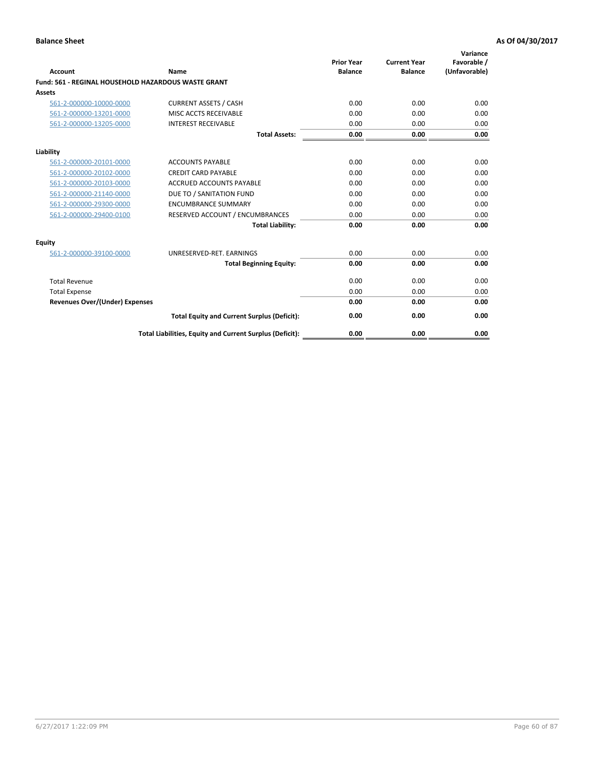| Account                               | Name                                                     | <b>Prior Year</b><br><b>Balance</b> | <b>Current Year</b><br><b>Balance</b> | Variance<br>Favorable /<br>(Unfavorable) |
|---------------------------------------|----------------------------------------------------------|-------------------------------------|---------------------------------------|------------------------------------------|
|                                       | Fund: 561 - REGINAL HOUSEHOLD HAZARDOUS WASTE GRANT      |                                     |                                       |                                          |
| Assets                                |                                                          |                                     |                                       |                                          |
| 561-2-000000-10000-0000               | <b>CURRENT ASSETS / CASH</b>                             | 0.00                                | 0.00                                  | 0.00                                     |
| 561-2-000000-13201-0000               | MISC ACCTS RECEIVABLE                                    | 0.00                                | 0.00                                  | 0.00                                     |
| 561-2-000000-13205-0000               | <b>INTEREST RECEIVABLE</b>                               | 0.00                                | 0.00                                  | 0.00                                     |
|                                       | <b>Total Assets:</b>                                     | 0.00                                | 0.00                                  | 0.00                                     |
| Liability                             |                                                          |                                     |                                       |                                          |
| 561-2-000000-20101-0000               | <b>ACCOUNTS PAYABLE</b>                                  | 0.00                                | 0.00                                  | 0.00                                     |
| 561-2-000000-20102-0000               | <b>CREDIT CARD PAYABLE</b>                               | 0.00                                | 0.00                                  | 0.00                                     |
| 561-2-000000-20103-0000               | <b>ACCRUED ACCOUNTS PAYABLE</b>                          | 0.00                                | 0.00                                  | 0.00                                     |
| 561-2-000000-21140-0000               | DUE TO / SANITATION FUND                                 | 0.00                                | 0.00                                  | 0.00                                     |
| 561-2-000000-29300-0000               | <b>ENCUMBRANCE SUMMARY</b>                               | 0.00                                | 0.00                                  | 0.00                                     |
| 561-2-000000-29400-0100               | RESERVED ACCOUNT / ENCUMBRANCES                          | 0.00                                | 0.00                                  | 0.00                                     |
|                                       | <b>Total Liability:</b>                                  | 0.00                                | 0.00                                  | 0.00                                     |
| Equity                                |                                                          |                                     |                                       |                                          |
| 561-2-000000-39100-0000               | UNRESERVED-RET. EARNINGS                                 | 0.00                                | 0.00                                  | 0.00                                     |
|                                       | <b>Total Beginning Equity:</b>                           | 0.00                                | 0.00                                  | 0.00                                     |
| <b>Total Revenue</b>                  |                                                          | 0.00                                | 0.00                                  | 0.00                                     |
| <b>Total Expense</b>                  |                                                          | 0.00                                | 0.00                                  | 0.00                                     |
| <b>Revenues Over/(Under) Expenses</b> |                                                          | 0.00                                | 0.00                                  | 0.00                                     |
|                                       | <b>Total Equity and Current Surplus (Deficit):</b>       | 0.00                                | 0.00                                  | 0.00                                     |
|                                       | Total Liabilities, Equity and Current Surplus (Deficit): | 0.00                                | 0.00                                  | 0.00                                     |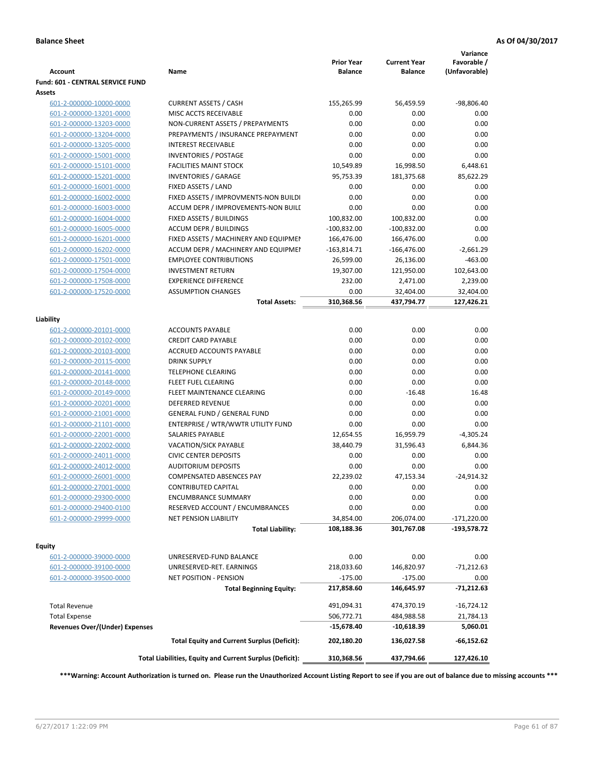| <b>Account</b>                        | Name                                                            | <b>Prior Year</b><br><b>Balance</b> | <b>Current Year</b><br><b>Balance</b> | Variance<br>Favorable /<br>(Unfavorable) |
|---------------------------------------|-----------------------------------------------------------------|-------------------------------------|---------------------------------------|------------------------------------------|
| Fund: 601 - CENTRAL SERVICE FUND      |                                                                 |                                     |                                       |                                          |
| Assets                                |                                                                 |                                     |                                       |                                          |
| 601-2-000000-10000-0000               | <b>CURRENT ASSETS / CASH</b>                                    | 155,265.99                          | 56,459.59                             | $-98,806.40$                             |
| 601-2-000000-13201-0000               | MISC ACCTS RECEIVABLE                                           | 0.00                                | 0.00                                  | 0.00                                     |
| 601-2-000000-13203-0000               | NON-CURRENT ASSETS / PREPAYMENTS                                | 0.00                                | 0.00                                  | 0.00                                     |
| 601-2-000000-13204-0000               | PREPAYMENTS / INSURANCE PREPAYMENT                              | 0.00                                | 0.00                                  | 0.00                                     |
| 601-2-000000-13205-0000               | <b>INTEREST RECEIVABLE</b>                                      | 0.00                                | 0.00                                  | 0.00                                     |
| 601-2-000000-15001-0000               | <b>INVENTORIES / POSTAGE</b>                                    | 0.00                                | 0.00                                  | 0.00                                     |
| 601-2-000000-15101-0000               | <b>FACILITIES MAINT STOCK</b>                                   | 10,549.89                           | 16,998.50                             | 6,448.61                                 |
| 601-2-000000-15201-0000               | <b>INVENTORIES / GARAGE</b>                                     | 95,753.39                           | 181,375.68                            | 85,622.29                                |
| 601-2-000000-16001-0000               | FIXED ASSETS / LAND                                             | 0.00                                | 0.00                                  | 0.00                                     |
| 601-2-000000-16002-0000               | FIXED ASSETS / IMPROVMENTS-NON BUILDI                           | 0.00                                | 0.00                                  | 0.00                                     |
| 601-2-000000-16003-0000               | ACCUM DEPR / IMPROVEMENTS-NON BUILI                             | 0.00                                | 0.00                                  | 0.00                                     |
| 601-2-000000-16004-0000               | FIXED ASSETS / BUILDINGS                                        | 100,832.00                          | 100,832.00                            | 0.00                                     |
| 601-2-000000-16005-0000               | <b>ACCUM DEPR / BUILDINGS</b>                                   | $-100,832.00$                       | $-100,832.00$                         | 0.00                                     |
| 601-2-000000-16201-0000               | FIXED ASSETS / MACHINERY AND EQUIPMEN                           | 166,476.00                          | 166,476.00                            | 0.00                                     |
| 601-2-000000-16202-0000               | ACCUM DEPR / MACHINERY AND EQUIPMEI                             | $-163,814.71$                       | $-166,476.00$                         | $-2,661.29$                              |
| 601-2-000000-17501-0000               | <b>EMPLOYEE CONTRIBUTIONS</b>                                   | 26,599.00                           | 26,136.00                             | $-463.00$                                |
| 601-2-000000-17504-0000               | <b>INVESTMENT RETURN</b>                                        | 19,307.00                           | 121,950.00                            | 102,643.00                               |
| 601-2-000000-17508-0000               | <b>EXPERIENCE DIFFERENCE</b>                                    | 232.00                              | 2,471.00                              | 2,239.00                                 |
| 601-2-000000-17520-0000               | <b>ASSUMPTION CHANGES</b>                                       | 0.00                                | 32,404.00                             | 32,404.00                                |
|                                       | <b>Total Assets:</b>                                            | 310,368.56                          | 437,794.77                            | 127,426.21                               |
| Liability                             |                                                                 |                                     |                                       |                                          |
| 601-2-000000-20101-0000               | <b>ACCOUNTS PAYABLE</b>                                         | 0.00                                | 0.00                                  | 0.00                                     |
| 601-2-000000-20102-0000               | <b>CREDIT CARD PAYABLE</b>                                      | 0.00                                | 0.00                                  | 0.00                                     |
| 601-2-000000-20103-0000               | ACCRUED ACCOUNTS PAYABLE                                        | 0.00                                | 0.00                                  | 0.00                                     |
| 601-2-000000-20115-0000               | <b>DRINK SUPPLY</b>                                             | 0.00                                | 0.00                                  | 0.00                                     |
| 601-2-000000-20141-0000               | <b>TELEPHONE CLEARING</b>                                       | 0.00                                | 0.00                                  | 0.00                                     |
| 601-2-000000-20148-0000               | FLEET FUEL CLEARING                                             | 0.00                                | 0.00                                  | 0.00                                     |
| 601-2-000000-20149-0000               | FLEET MAINTENANCE CLEARING                                      | 0.00                                | $-16.48$                              | 16.48                                    |
| 601-2-000000-20201-0000               | <b>DEFERRED REVENUE</b>                                         | 0.00                                | 0.00                                  | 0.00                                     |
| 601-2-000000-21001-0000               | <b>GENERAL FUND / GENERAL FUND</b>                              | 0.00                                | 0.00                                  | 0.00                                     |
| 601-2-000000-21101-0000               | ENTERPRISE / WTR/WWTR UTILITY FUND                              | 0.00                                | 0.00                                  | 0.00                                     |
| 601-2-000000-22001-0000               | <b>SALARIES PAYABLE</b>                                         | 12,654.55                           | 16,959.79                             | $-4,305.24$                              |
| 601-2-000000-22002-0000               | VACATION/SICK PAYABLE                                           | 38,440.79                           | 31,596.43                             | 6,844.36                                 |
| 601-2-000000-24011-0000               | <b>CIVIC CENTER DEPOSITS</b>                                    | 0.00                                | 0.00                                  | 0.00                                     |
| 601-2-000000-24012-0000               | <b>AUDITORIUM DEPOSITS</b>                                      | 0.00                                | 0.00                                  | 0.00                                     |
| 601-2-000000-26001-0000               | <b>COMPENSATED ABSENCES PAY</b>                                 | 22,239.02                           | 47,153.34                             | $-24,914.32$                             |
| 601-2-000000-27001-0000               | <b>CONTRIBUTED CAPITAL</b>                                      | 0.00                                | 0.00                                  | 0.00                                     |
| 601-2-000000-29300-0000               | <b>ENCUMBRANCE SUMMARY</b>                                      | 0.00                                | 0.00                                  | 0.00                                     |
| 601-2-000000-29400-0100               | RESERVED ACCOUNT / ENCUMBRANCES                                 | 0.00                                | 0.00                                  | 0.00                                     |
| 601-2-000000-29999-0000               | NET PENSION LIABILITY                                           | 34,854.00                           | 206,074.00                            | $-171,220.00$                            |
|                                       | <b>Total Liability:</b>                                         | 108,188.36                          | 301,767.08                            | -193,578.72                              |
|                                       |                                                                 |                                     |                                       |                                          |
| Equity<br>601-2-000000-39000-0000     |                                                                 | 0.00                                | 0.00                                  |                                          |
|                                       | UNRESERVED-FUND BALANCE                                         |                                     |                                       | 0.00                                     |
| 601-2-000000-39100-0000               | UNRESERVED-RET. EARNINGS                                        | 218,033.60                          | 146,820.97                            | $-71,212.63$                             |
| 601-2-000000-39500-0000               | <b>NET POSITION - PENSION</b><br><b>Total Beginning Equity:</b> | $-175.00$<br>217,858.60             | $-175.00$<br>146,645.97               | 0.00<br>-71,212.63                       |
|                                       |                                                                 |                                     |                                       |                                          |
| <b>Total Revenue</b>                  |                                                                 | 491,094.31                          | 474,370.19                            | $-16,724.12$                             |
| <b>Total Expense</b>                  |                                                                 | 506,772.71                          | 484,988.58                            | 21,784.13                                |
| <b>Revenues Over/(Under) Expenses</b> | <b>Total Equity and Current Surplus (Deficit):</b>              | $-15,678.40$<br>202,180.20          | -10,618.39<br>136,027.58              | 5,060.01<br>-66,152.62                   |
|                                       | Total Liabilities, Equity and Current Surplus (Deficit):        | 310,368.56                          | 437,794.66                            | 127,426.10                               |
|                                       |                                                                 |                                     |                                       |                                          |

**\*\*\*Warning: Account Authorization is turned on. Please run the Unauthorized Account Listing Report to see if you are out of balance due to missing accounts \*\*\***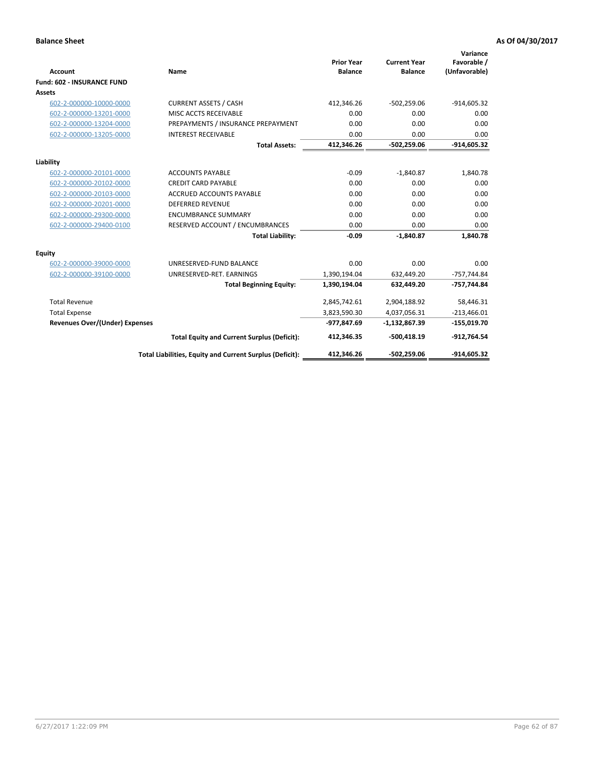| <b>Account</b>                        | Name                                                     | <b>Prior Year</b><br><b>Balance</b> | <b>Current Year</b><br><b>Balance</b> | Variance<br>Favorable /<br>(Unfavorable) |
|---------------------------------------|----------------------------------------------------------|-------------------------------------|---------------------------------------|------------------------------------------|
| <b>Fund: 602 - INSURANCE FUND</b>     |                                                          |                                     |                                       |                                          |
| <b>Assets</b>                         |                                                          |                                     |                                       |                                          |
| 602-2-000000-10000-0000               | <b>CURRENT ASSETS / CASH</b>                             | 412,346.26                          | $-502,259.06$                         | $-914,605.32$                            |
| 602-2-000000-13201-0000               | MISC ACCTS RECEIVABLE                                    | 0.00                                | 0.00                                  | 0.00                                     |
| 602-2-000000-13204-0000               | PREPAYMENTS / INSURANCE PREPAYMENT                       | 0.00                                | 0.00                                  | 0.00                                     |
| 602-2-000000-13205-0000               | <b>INTEREST RECEIVABLE</b>                               | 0.00                                | 0.00                                  | 0.00                                     |
|                                       | <b>Total Assets:</b>                                     | 412,346.26                          | $-502,259.06$                         | $-914,605.32$                            |
| Liability                             |                                                          |                                     |                                       |                                          |
| 602-2-000000-20101-0000               | <b>ACCOUNTS PAYABLE</b>                                  | $-0.09$                             | $-1.840.87$                           | 1,840.78                                 |
| 602-2-000000-20102-0000               | <b>CREDIT CARD PAYABLE</b>                               | 0.00                                | 0.00                                  | 0.00                                     |
| 602-2-000000-20103-0000               | <b>ACCRUED ACCOUNTS PAYABLE</b>                          | 0.00                                | 0.00                                  | 0.00                                     |
| 602-2-000000-20201-0000               | <b>DEFERRED REVENUE</b>                                  | 0.00                                | 0.00                                  | 0.00                                     |
| 602-2-000000-29300-0000               | <b>ENCUMBRANCE SUMMARY</b>                               | 0.00                                | 0.00                                  | 0.00                                     |
| 602-2-000000-29400-0100               | RESERVED ACCOUNT / ENCUMBRANCES                          | 0.00                                | 0.00                                  | 0.00                                     |
|                                       | <b>Total Liability:</b>                                  | $-0.09$                             | $-1,840.87$                           | 1,840.78                                 |
| <b>Equity</b>                         |                                                          |                                     |                                       |                                          |
| 602-2-000000-39000-0000               | UNRESERVED-FUND BALANCE                                  | 0.00                                | 0.00                                  | 0.00                                     |
| 602-2-000000-39100-0000               | UNRESERVED-RET. EARNINGS                                 | 1,390,194.04                        | 632,449.20                            | $-757,744.84$                            |
|                                       | <b>Total Beginning Equity:</b>                           | 1,390,194.04                        | 632,449.20                            | -757,744.84                              |
| <b>Total Revenue</b>                  |                                                          | 2,845,742.61                        | 2,904,188.92                          | 58,446.31                                |
| <b>Total Expense</b>                  |                                                          | 3,823,590.30                        | 4,037,056.31                          | $-213,466.01$                            |
| <b>Revenues Over/(Under) Expenses</b> |                                                          | -977,847.69                         | $-1,132,867.39$                       | $-155,019.70$                            |
|                                       | <b>Total Equity and Current Surplus (Deficit):</b>       | 412,346.35                          | -500,418.19                           | $-912,764.54$                            |
|                                       | Total Liabilities, Equity and Current Surplus (Deficit): | 412,346.26                          | -502,259.06                           | -914.605.32                              |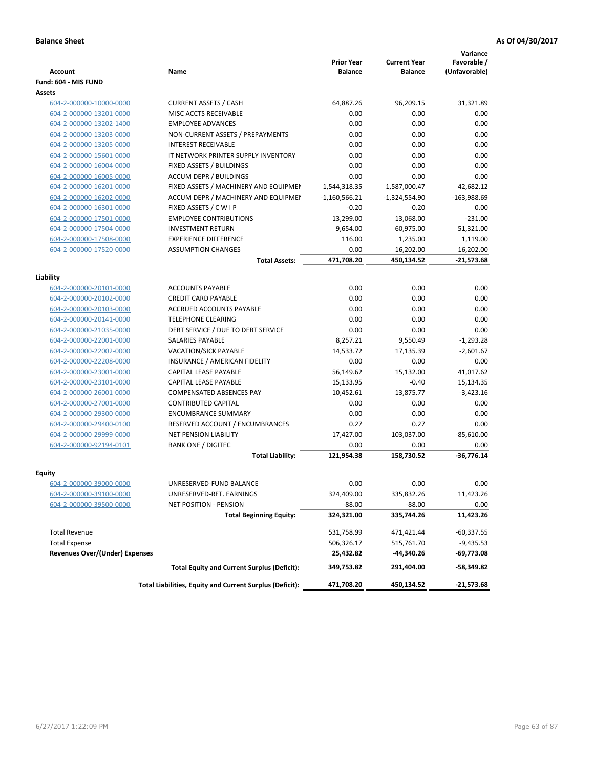| <b>Account</b>                        | Name                                                     | <b>Prior Year</b><br><b>Balance</b> | <b>Current Year</b><br><b>Balance</b> | Variance<br>Favorable /<br>(Unfavorable) |
|---------------------------------------|----------------------------------------------------------|-------------------------------------|---------------------------------------|------------------------------------------|
| Fund: 604 - MIS FUND                  |                                                          |                                     |                                       |                                          |
| <b>Assets</b>                         |                                                          |                                     |                                       |                                          |
| 604-2-000000-10000-0000               | <b>CURRENT ASSETS / CASH</b>                             | 64,887.26                           | 96,209.15                             | 31,321.89                                |
| 604-2-000000-13201-0000               | MISC ACCTS RECEIVABLE                                    | 0.00                                | 0.00                                  | 0.00                                     |
| 604-2-000000-13202-1400               | <b>EMPLOYEE ADVANCES</b>                                 | 0.00                                | 0.00                                  | 0.00                                     |
| 604-2-000000-13203-0000               | NON-CURRENT ASSETS / PREPAYMENTS                         | 0.00                                | 0.00                                  | 0.00                                     |
| 604-2-000000-13205-0000               | <b>INTEREST RECEIVABLE</b>                               | 0.00                                | 0.00                                  | 0.00                                     |
| 604-2-000000-15601-0000               | IT NETWORK PRINTER SUPPLY INVENTORY                      | 0.00                                | 0.00                                  | 0.00                                     |
| 604-2-000000-16004-0000               | FIXED ASSETS / BUILDINGS                                 | 0.00                                | 0.00                                  | 0.00                                     |
| 604-2-000000-16005-0000               | <b>ACCUM DEPR / BUILDINGS</b>                            | 0.00                                | 0.00                                  | 0.00                                     |
| 604-2-000000-16201-0000               | FIXED ASSETS / MACHINERY AND EQUIPMEN                    | 1,544,318.35                        | 1,587,000.47                          | 42,682.12                                |
| 604-2-000000-16202-0000               | ACCUM DEPR / MACHINERY AND EQUIPMEI                      | $-1,160,566.21$                     | $-1,324,554.90$                       | $-163,988.69$                            |
| 604-2-000000-16301-0000               | FIXED ASSETS / C W I P                                   | $-0.20$                             | $-0.20$                               | 0.00                                     |
| 604-2-000000-17501-0000               | <b>EMPLOYEE CONTRIBUTIONS</b>                            | 13,299.00                           | 13,068.00                             | $-231.00$                                |
| 604-2-000000-17504-0000               | <b>INVESTMENT RETURN</b>                                 | 9,654.00                            | 60,975.00                             | 51,321.00                                |
| 604-2-000000-17508-0000               | <b>EXPERIENCE DIFFERENCE</b>                             | 116.00                              | 1,235.00                              | 1,119.00                                 |
| 604-2-000000-17520-0000               | <b>ASSUMPTION CHANGES</b>                                | 0.00                                | 16,202.00                             | 16,202.00                                |
|                                       | <b>Total Assets:</b>                                     | 471,708.20                          | 450,134.52                            | $-21,573.68$                             |
|                                       |                                                          |                                     |                                       |                                          |
| Liability                             |                                                          |                                     |                                       |                                          |
| 604-2-000000-20101-0000               | <b>ACCOUNTS PAYABLE</b>                                  | 0.00                                | 0.00                                  | 0.00                                     |
| 604-2-000000-20102-0000               | <b>CREDIT CARD PAYABLE</b>                               | 0.00                                | 0.00                                  | 0.00                                     |
| 604-2-000000-20103-0000               | <b>ACCRUED ACCOUNTS PAYABLE</b>                          | 0.00                                | 0.00                                  | 0.00                                     |
| 604-2-000000-20141-0000               | <b>TELEPHONE CLEARING</b>                                | 0.00                                | 0.00                                  | 0.00                                     |
| 604-2-000000-21035-0000               | DEBT SERVICE / DUE TO DEBT SERVICE                       | 0.00                                | 0.00                                  | 0.00                                     |
| 604-2-000000-22001-0000               | <b>SALARIES PAYABLE</b>                                  | 8,257.21                            | 9,550.49                              | $-1,293.28$                              |
| 604-2-000000-22002-0000               | <b>VACATION/SICK PAYABLE</b>                             | 14,533.72                           | 17,135.39                             | $-2,601.67$                              |
| 604-2-000000-22208-0000               | INSURANCE / AMERICAN FIDELITY                            | 0.00                                | 0.00                                  | 0.00                                     |
| 604-2-000000-23001-0000               | CAPITAL LEASE PAYABLE                                    | 56,149.62                           | 15,132.00                             | 41,017.62                                |
| 604-2-000000-23101-0000               | CAPITAL LEASE PAYABLE                                    | 15,133.95                           | $-0.40$                               | 15,134.35                                |
| 604-2-000000-26001-0000               | <b>COMPENSATED ABSENCES PAY</b>                          | 10,452.61                           | 13,875.77                             | $-3,423.16$                              |
| 604-2-000000-27001-0000               | <b>CONTRIBUTED CAPITAL</b>                               | 0.00                                | 0.00                                  | 0.00                                     |
| 604-2-000000-29300-0000               | <b>ENCUMBRANCE SUMMARY</b>                               | 0.00                                | 0.00                                  | 0.00                                     |
| 604-2-000000-29400-0100               | RESERVED ACCOUNT / ENCUMBRANCES                          | 0.27                                | 0.27                                  | 0.00                                     |
| 604-2-000000-29999-0000               | <b>NET PENSION LIABILITY</b>                             | 17,427.00                           | 103,037.00                            | $-85,610.00$                             |
| 604-2-000000-92194-0101               | <b>BANK ONE / DIGITEC</b>                                | 0.00                                | 0.00                                  | 0.00                                     |
|                                       | <b>Total Liability:</b>                                  | 121,954.38                          | 158,730.52                            | $-36,776.14$                             |
| Equity                                |                                                          |                                     |                                       |                                          |
| <u>604-2-000000-39000-0000</u>        | UNRESERVED-FUND BALANCE                                  | 0.00                                | 0.00                                  | 0.00                                     |
| 604-2-000000-39100-0000               | UNRESERVED-RET. EARNINGS                                 | 324,409.00                          | 335,832.26                            | 11,423.26                                |
| 604-2-000000-39500-0000               | NET POSITION - PENSION                                   | $-88.00$                            | $-88.00$                              | 0.00                                     |
|                                       | <b>Total Beginning Equity:</b>                           | 324,321.00                          | 335,744.26                            | 11,423.26                                |
|                                       |                                                          |                                     |                                       |                                          |
| <b>Total Revenue</b>                  |                                                          | 531,758.99                          | 471,421.44                            | $-60,337.55$                             |
| <b>Total Expense</b>                  |                                                          | 506,326.17                          | 515,761.70                            | $-9,435.53$                              |
| <b>Revenues Over/(Under) Expenses</b> |                                                          | 25,432.82                           | -44,340.26                            | -69,773.08                               |
|                                       | <b>Total Equity and Current Surplus (Deficit):</b>       | 349,753.82                          | 291,404.00                            | $-58,349.82$                             |
|                                       | Total Liabilities, Equity and Current Surplus (Deficit): | 471,708.20                          | 450,134.52                            | $-21,573.68$                             |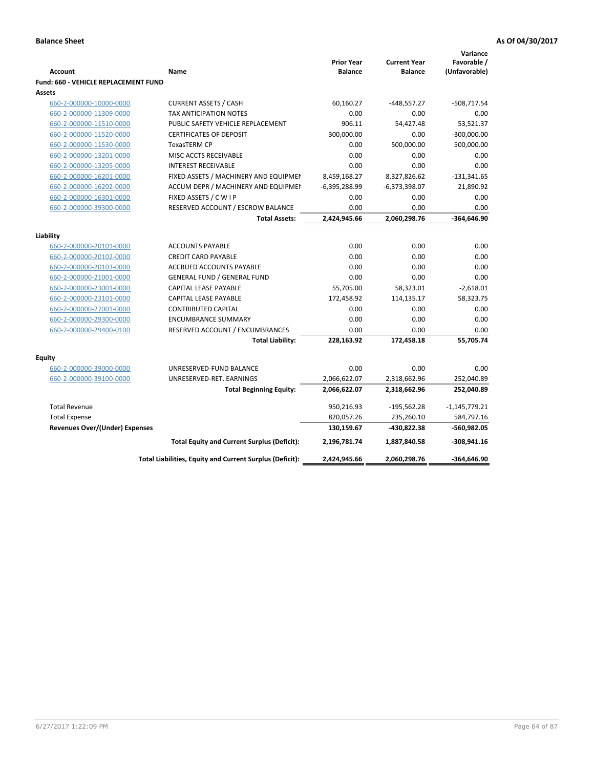| <b>Account</b>                        | Name                                                     | <b>Prior Year</b><br><b>Balance</b> | <b>Current Year</b><br><b>Balance</b> | Variance<br>Favorable /<br>(Unfavorable) |
|---------------------------------------|----------------------------------------------------------|-------------------------------------|---------------------------------------|------------------------------------------|
| Fund: 660 - VEHICLE REPLACEMENT FUND  |                                                          |                                     |                                       |                                          |
| Assets                                |                                                          |                                     |                                       |                                          |
| 660-2-000000-10000-0000               | <b>CURRENT ASSETS / CASH</b>                             | 60,160.27                           | $-448,557.27$                         | $-508,717.54$                            |
| 660-2-000000-11309-0000               | <b>TAX ANTICIPATION NOTES</b>                            | 0.00                                | 0.00                                  | 0.00                                     |
| 660-2-000000-11510-0000               | PUBLIC SAFETY VEHICLE REPLACEMENT                        | 906.11                              | 54,427.48                             | 53,521.37                                |
| 660-2-000000-11520-0000               | <b>CERTIFICATES OF DEPOSIT</b>                           | 300,000.00                          | 0.00                                  | $-300,000.00$                            |
| 660-2-000000-11530-0000               | <b>TexasTERM CP</b>                                      | 0.00                                | 500,000.00                            | 500,000.00                               |
| 660-2-000000-13201-0000               | MISC ACCTS RECEIVABLE                                    | 0.00                                | 0.00                                  | 0.00                                     |
| 660-2-000000-13205-0000               | <b>INTEREST RECEIVABLE</b>                               | 0.00                                | 0.00                                  | 0.00                                     |
| 660-2-000000-16201-0000               | FIXED ASSETS / MACHINERY AND EQUIPMEN                    | 8,459,168.27                        | 8,327,826.62                          | $-131,341.65$                            |
| 660-2-000000-16202-0000               | ACCUM DEPR / MACHINERY AND EQUIPMEI                      | $-6,395,288.99$                     | $-6,373,398.07$                       | 21,890.92                                |
| 660-2-000000-16301-0000               | FIXED ASSETS / C W I P                                   | 0.00                                | 0.00                                  | 0.00                                     |
| 660-2-000000-39300-0000               | RESERVED ACCOUNT / ESCROW BALANCE                        | 0.00                                | 0.00                                  | 0.00                                     |
|                                       | <b>Total Assets:</b>                                     | 2,424,945.66                        | 2,060,298.76                          | -364,646.90                              |
| Liability                             |                                                          |                                     |                                       |                                          |
| 660-2-000000-20101-0000               | <b>ACCOUNTS PAYABLE</b>                                  | 0.00                                | 0.00                                  | 0.00                                     |
| 660-2-000000-20102-0000               | <b>CREDIT CARD PAYABLE</b>                               | 0.00                                | 0.00                                  | 0.00                                     |
| 660-2-000000-20103-0000               | ACCRUED ACCOUNTS PAYABLE                                 | 0.00                                | 0.00                                  | 0.00                                     |
| 660-2-000000-21001-0000               | <b>GENERAL FUND / GENERAL FUND</b>                       | 0.00                                | 0.00                                  | 0.00                                     |
| 660-2-000000-23001-0000               | <b>CAPITAL LEASE PAYABLE</b>                             | 55,705.00                           | 58,323.01                             | $-2,618.01$                              |
| 660-2-000000-23101-0000               | <b>CAPITAL LEASE PAYABLE</b>                             | 172,458.92                          | 114,135.17                            | 58,323.75                                |
| 660-2-000000-27001-0000               | <b>CONTRIBUTED CAPITAL</b>                               | 0.00                                | 0.00                                  | 0.00                                     |
| 660-2-000000-29300-0000               | <b>ENCUMBRANCE SUMMARY</b>                               | 0.00                                | 0.00                                  | 0.00                                     |
| 660-2-000000-29400-0100               | RESERVED ACCOUNT / ENCUMBRANCES                          | 0.00                                | 0.00                                  | 0.00                                     |
|                                       | <b>Total Liability:</b>                                  | 228,163.92                          | 172,458.18                            | 55,705.74                                |
|                                       |                                                          |                                     |                                       |                                          |
| <b>Equity</b>                         |                                                          |                                     |                                       |                                          |
| 660-2-000000-39000-0000               | UNRESERVED-FUND BALANCE                                  | 0.00                                | 0.00                                  | 0.00                                     |
| 660-2-000000-39100-0000               | UNRESERVED-RET. EARNINGS                                 | 2,066,622.07                        | 2,318,662.96                          | 252,040.89                               |
|                                       | <b>Total Beginning Equity:</b>                           | 2,066,622.07                        | 2,318,662.96                          | 252,040.89                               |
| <b>Total Revenue</b>                  |                                                          | 950,216.93                          | $-195,562.28$                         | $-1,145,779.21$                          |
| <b>Total Expense</b>                  |                                                          | 820,057.26                          | 235,260.10                            | 584,797.16                               |
| <b>Revenues Over/(Under) Expenses</b> |                                                          | 130,159.67                          | -430,822.38                           | -560,982.05                              |
|                                       | <b>Total Equity and Current Surplus (Deficit):</b>       | 2,196,781.74                        | 1,887,840.58                          | $-308,941.16$                            |
|                                       | Total Liabilities, Equity and Current Surplus (Deficit): | 2,424,945.66                        | 2,060,298.76                          | -364,646.90                              |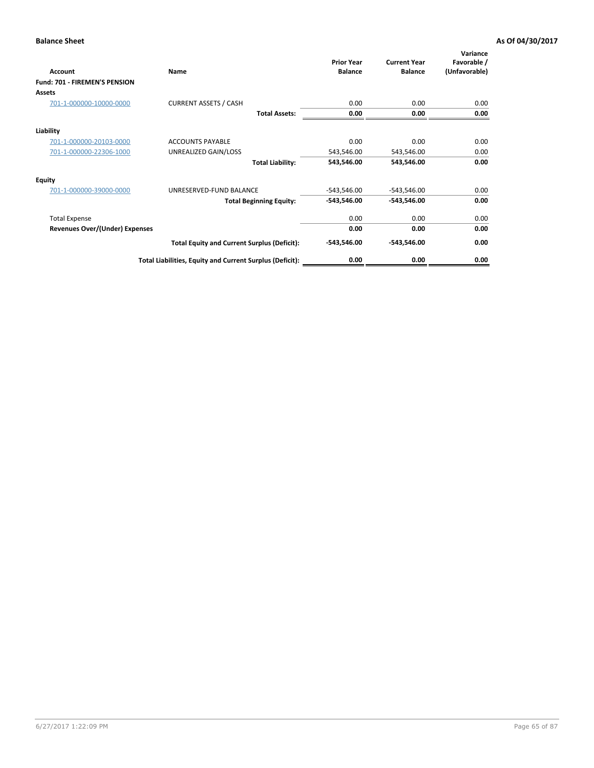| Account                               | Name                                                     | <b>Prior Year</b><br><b>Balance</b> | <b>Current Year</b><br><b>Balance</b> | Variance<br>Favorable /<br>(Unfavorable) |
|---------------------------------------|----------------------------------------------------------|-------------------------------------|---------------------------------------|------------------------------------------|
| Fund: 701 - FIREMEN'S PENSION         |                                                          |                                     |                                       |                                          |
| <b>Assets</b>                         |                                                          |                                     |                                       |                                          |
| 701-1-000000-10000-0000               | <b>CURRENT ASSETS / CASH</b>                             | 0.00                                | 0.00                                  | 0.00                                     |
|                                       | <b>Total Assets:</b>                                     | 0.00                                | 0.00                                  | 0.00                                     |
| Liability                             |                                                          |                                     |                                       |                                          |
| 701-1-000000-20103-0000               | <b>ACCOUNTS PAYABLE</b>                                  | 0.00                                | 0.00                                  | 0.00                                     |
| 701-1-000000-22306-1000               | UNREALIZED GAIN/LOSS                                     | 543,546.00                          | 543,546.00                            | 0.00                                     |
|                                       | <b>Total Liability:</b>                                  | 543,546.00                          | 543,546.00                            | 0.00                                     |
| <b>Equity</b>                         |                                                          |                                     |                                       |                                          |
| 701-1-000000-39000-0000               | UNRESERVED-FUND BALANCE                                  | $-543,546.00$                       | $-543,546.00$                         | 0.00                                     |
|                                       | <b>Total Beginning Equity:</b>                           | $-543,546.00$                       | $-543,546.00$                         | 0.00                                     |
| <b>Total Expense</b>                  |                                                          | 0.00                                | 0.00                                  | 0.00                                     |
| <b>Revenues Over/(Under) Expenses</b> |                                                          | 0.00                                | 0.00                                  | 0.00                                     |
|                                       | <b>Total Equity and Current Surplus (Deficit):</b>       | $-543,546.00$                       | $-543,546.00$                         | 0.00                                     |
|                                       | Total Liabilities, Equity and Current Surplus (Deficit): | 0.00                                | 0.00                                  | 0.00                                     |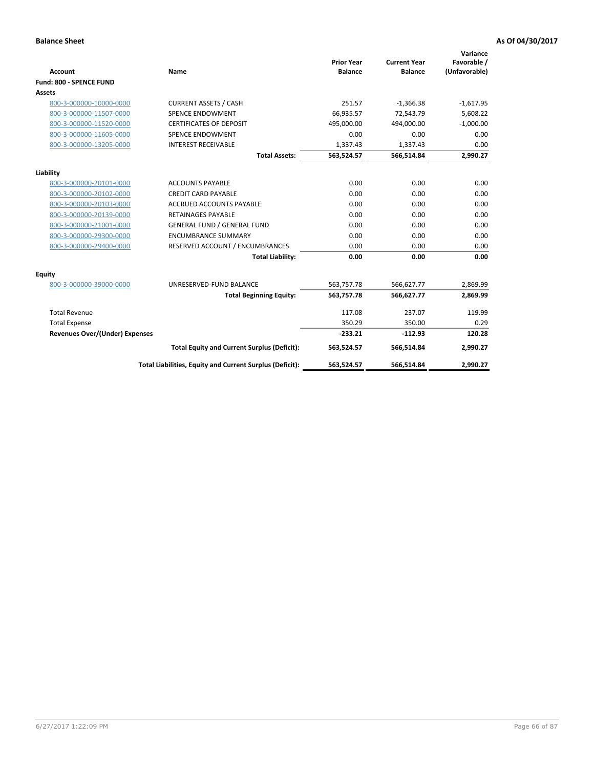|                                       |                                                          |                                     |                                       | Variance                     |
|---------------------------------------|----------------------------------------------------------|-------------------------------------|---------------------------------------|------------------------------|
| <b>Account</b>                        | <b>Name</b>                                              | <b>Prior Year</b><br><b>Balance</b> | <b>Current Year</b><br><b>Balance</b> | Favorable /<br>(Unfavorable) |
| Fund: 800 - SPENCE FUND               |                                                          |                                     |                                       |                              |
| Assets                                |                                                          |                                     |                                       |                              |
|                                       |                                                          |                                     |                                       |                              |
| 800-3-000000-10000-0000               | <b>CURRENT ASSETS / CASH</b>                             | 251.57                              | $-1,366.38$                           | $-1,617.95$                  |
| 800-3-000000-11507-0000               | <b>SPENCE ENDOWMENT</b>                                  | 66.935.57                           | 72.543.79                             | 5,608.22                     |
| 800-3-000000-11520-0000               | <b>CERTIFICATES OF DEPOSIT</b>                           | 495,000.00                          | 494,000.00                            | $-1,000.00$                  |
| 800-3-000000-11605-0000               | SPENCE ENDOWMENT                                         | 0.00                                | 0.00                                  | 0.00                         |
| 800-3-000000-13205-0000               | <b>INTEREST RECEIVABLE</b>                               | 1,337.43                            | 1,337.43                              | 0.00                         |
|                                       | <b>Total Assets:</b>                                     | 563,524.57                          | 566,514.84                            | 2,990.27                     |
| Liability                             |                                                          |                                     |                                       |                              |
| 800-3-000000-20101-0000               | <b>ACCOUNTS PAYABLE</b>                                  | 0.00                                | 0.00                                  | 0.00                         |
| 800-3-000000-20102-0000               | <b>CREDIT CARD PAYABLE</b>                               | 0.00                                | 0.00                                  | 0.00                         |
| 800-3-000000-20103-0000               | <b>ACCRUED ACCOUNTS PAYABLE</b>                          | 0.00                                | 0.00                                  | 0.00                         |
| 800-3-000000-20139-0000               | <b>RETAINAGES PAYABLE</b>                                | 0.00                                | 0.00                                  | 0.00                         |
| 800-3-000000-21001-0000               | <b>GENERAL FUND / GENERAL FUND</b>                       | 0.00                                | 0.00                                  | 0.00                         |
| 800-3-000000-29300-0000               | <b>ENCUMBRANCE SUMMARY</b>                               | 0.00                                | 0.00                                  | 0.00                         |
| 800-3-000000-29400-0000               | RESERVED ACCOUNT / ENCUMBRANCES                          | 0.00                                | 0.00                                  | 0.00                         |
|                                       | <b>Total Liability:</b>                                  | 0.00                                | 0.00                                  | 0.00                         |
| Equity                                |                                                          |                                     |                                       |                              |
| 800-3-000000-39000-0000               | UNRESERVED-FUND BALANCE                                  | 563,757.78                          | 566,627.77                            | 2,869.99                     |
|                                       | <b>Total Beginning Equity:</b>                           | 563,757.78                          | 566,627.77                            | 2,869.99                     |
| <b>Total Revenue</b>                  |                                                          | 117.08                              | 237.07                                | 119.99                       |
| <b>Total Expense</b>                  |                                                          | 350.29                              | 350.00                                | 0.29                         |
| <b>Revenues Over/(Under) Expenses</b> |                                                          | $-233.21$                           | $-112.93$                             | 120.28                       |
|                                       | <b>Total Equity and Current Surplus (Deficit):</b>       | 563,524.57                          | 566,514.84                            | 2,990.27                     |
|                                       | Total Liabilities, Equity and Current Surplus (Deficit): | 563,524.57                          | 566,514.84                            | 2,990.27                     |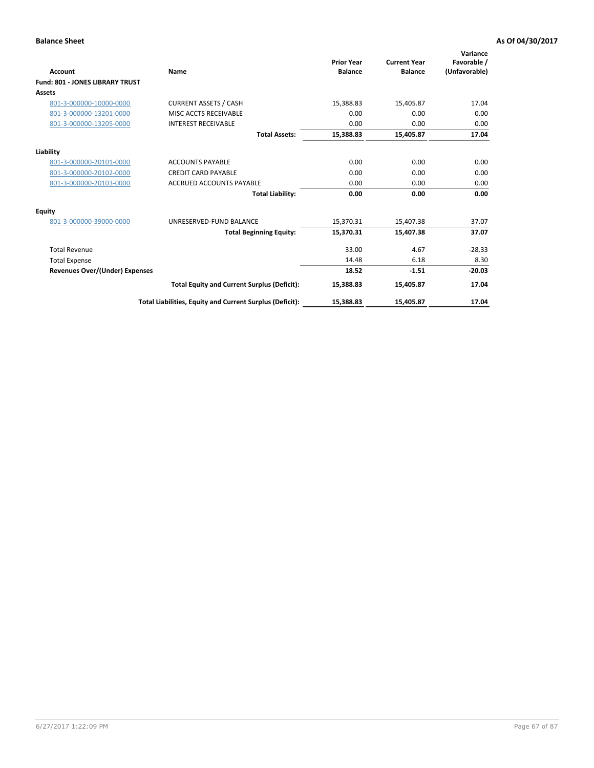| <b>Account</b>                         | Name                                                     | <b>Prior Year</b><br><b>Balance</b> | <b>Current Year</b><br><b>Balance</b> | Variance<br>Favorable /<br>(Unfavorable) |
|----------------------------------------|----------------------------------------------------------|-------------------------------------|---------------------------------------|------------------------------------------|
| <b>Fund: 801 - JONES LIBRARY TRUST</b> |                                                          |                                     |                                       |                                          |
| Assets                                 |                                                          |                                     |                                       |                                          |
| 801-3-000000-10000-0000                | <b>CURRENT ASSETS / CASH</b>                             | 15,388.83                           | 15,405.87                             | 17.04                                    |
| 801-3-000000-13201-0000                | MISC ACCTS RECEIVABLE                                    | 0.00                                | 0.00                                  | 0.00                                     |
| 801-3-000000-13205-0000                | <b>INTEREST RECEIVABLE</b>                               | 0.00                                | 0.00                                  | 0.00                                     |
|                                        | <b>Total Assets:</b>                                     | 15,388.83                           | 15,405.87                             | 17.04                                    |
| Liability                              |                                                          |                                     |                                       |                                          |
| 801-3-000000-20101-0000                | <b>ACCOUNTS PAYABLE</b>                                  | 0.00                                | 0.00                                  | 0.00                                     |
| 801-3-000000-20102-0000                | <b>CREDIT CARD PAYABLE</b>                               | 0.00                                | 0.00                                  | 0.00                                     |
| 801-3-000000-20103-0000                | <b>ACCRUED ACCOUNTS PAYABLE</b>                          | 0.00                                | 0.00                                  | 0.00                                     |
|                                        | <b>Total Liability:</b>                                  | 0.00                                | 0.00                                  | 0.00                                     |
| Equity                                 |                                                          |                                     |                                       |                                          |
| 801-3-000000-39000-0000                | UNRESERVED-FUND BALANCE                                  | 15,370.31                           | 15,407.38                             | 37.07                                    |
|                                        | <b>Total Beginning Equity:</b>                           | 15,370.31                           | 15,407.38                             | 37.07                                    |
| <b>Total Revenue</b>                   |                                                          | 33.00                               | 4.67                                  | $-28.33$                                 |
| <b>Total Expense</b>                   |                                                          | 14.48                               | 6.18                                  | 8.30                                     |
| <b>Revenues Over/(Under) Expenses</b>  |                                                          | 18.52                               | $-1.51$                               | $-20.03$                                 |
|                                        | <b>Total Equity and Current Surplus (Deficit):</b>       | 15,388.83                           | 15,405.87                             | 17.04                                    |
|                                        | Total Liabilities, Equity and Current Surplus (Deficit): | 15,388.83                           | 15,405.87                             | 17.04                                    |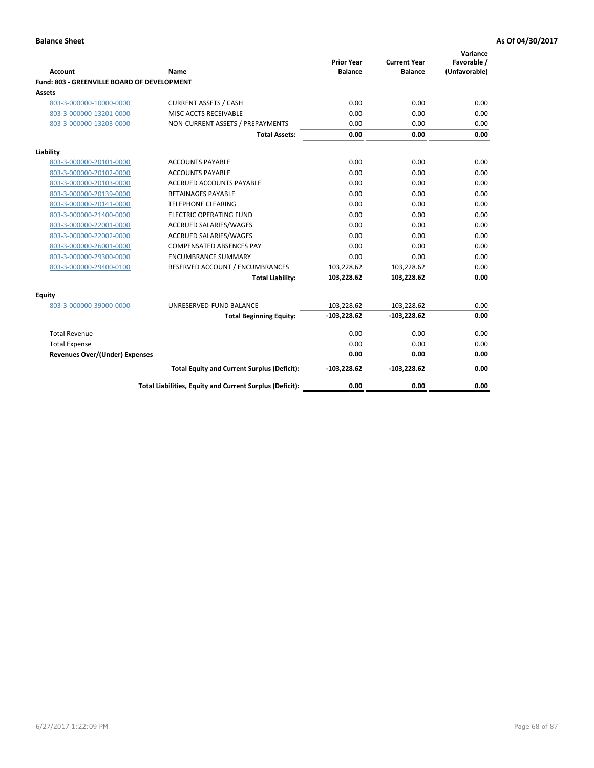| <b>Account</b>                              | Name                                                     | <b>Prior Year</b><br><b>Balance</b> | <b>Current Year</b><br><b>Balance</b> | Variance<br>Favorable /<br>(Unfavorable) |
|---------------------------------------------|----------------------------------------------------------|-------------------------------------|---------------------------------------|------------------------------------------|
| Fund: 803 - GREENVILLE BOARD OF DEVELOPMENT |                                                          |                                     |                                       |                                          |
| Assets                                      |                                                          |                                     |                                       |                                          |
| 803-3-000000-10000-0000                     | <b>CURRENT ASSETS / CASH</b>                             | 0.00                                | 0.00                                  | 0.00                                     |
| 803-3-000000-13201-0000                     | MISC ACCTS RECEIVABLE                                    | 0.00                                | 0.00                                  | 0.00                                     |
| 803-3-000000-13203-0000                     | NON-CURRENT ASSETS / PREPAYMENTS                         | 0.00                                | 0.00                                  | 0.00                                     |
|                                             | <b>Total Assets:</b>                                     | 0.00                                | 0.00                                  | 0.00                                     |
| Liability                                   |                                                          |                                     |                                       |                                          |
| 803-3-000000-20101-0000                     | <b>ACCOUNTS PAYABLE</b>                                  | 0.00                                | 0.00                                  | 0.00                                     |
| 803-3-000000-20102-0000                     | <b>ACCOUNTS PAYABLE</b>                                  | 0.00                                | 0.00                                  | 0.00                                     |
| 803-3-000000-20103-0000                     | <b>ACCRUED ACCOUNTS PAYABLE</b>                          | 0.00                                | 0.00                                  | 0.00                                     |
| 803-3-000000-20139-0000                     | <b>RETAINAGES PAYABLE</b>                                | 0.00                                | 0.00                                  | 0.00                                     |
| 803-3-000000-20141-0000                     | <b>TELEPHONE CLEARING</b>                                | 0.00                                | 0.00                                  | 0.00                                     |
| 803-3-000000-21400-0000                     | <b>ELECTRIC OPERATING FUND</b>                           | 0.00                                | 0.00                                  | 0.00                                     |
| 803-3-000000-22001-0000                     | ACCRUED SALARIES/WAGES                                   | 0.00                                | 0.00                                  | 0.00                                     |
| 803-3-000000-22002-0000                     | <b>ACCRUED SALARIES/WAGES</b>                            | 0.00                                | 0.00                                  | 0.00                                     |
| 803-3-000000-26001-0000                     | COMPENSATED ABSENCES PAY                                 | 0.00                                | 0.00                                  | 0.00                                     |
| 803-3-000000-29300-0000                     | <b>ENCUMBRANCE SUMMARY</b>                               | 0.00                                | 0.00                                  | 0.00                                     |
| 803-3-000000-29400-0100                     | RESERVED ACCOUNT / ENCUMBRANCES                          | 103,228.62                          | 103,228.62                            | 0.00                                     |
|                                             | <b>Total Liability:</b>                                  | 103,228.62                          | 103,228.62                            | 0.00                                     |
| Equity                                      |                                                          |                                     |                                       |                                          |
| 803-3-000000-39000-0000                     | UNRESERVED-FUND BALANCE                                  | $-103,228.62$                       | $-103,228.62$                         | 0.00                                     |
|                                             | <b>Total Beginning Equity:</b>                           | $-103,228.62$                       | $-103,228.62$                         | 0.00                                     |
| <b>Total Revenue</b>                        |                                                          | 0.00                                | 0.00                                  | 0.00                                     |
| <b>Total Expense</b>                        |                                                          | 0.00                                | 0.00                                  | 0.00                                     |
| <b>Revenues Over/(Under) Expenses</b>       |                                                          | 0.00                                | 0.00                                  | 0.00                                     |
|                                             | <b>Total Equity and Current Surplus (Deficit):</b>       | $-103,228.62$                       | $-103,228.62$                         | 0.00                                     |
|                                             | Total Liabilities, Equity and Current Surplus (Deficit): | 0.00                                | 0.00                                  | 0.00                                     |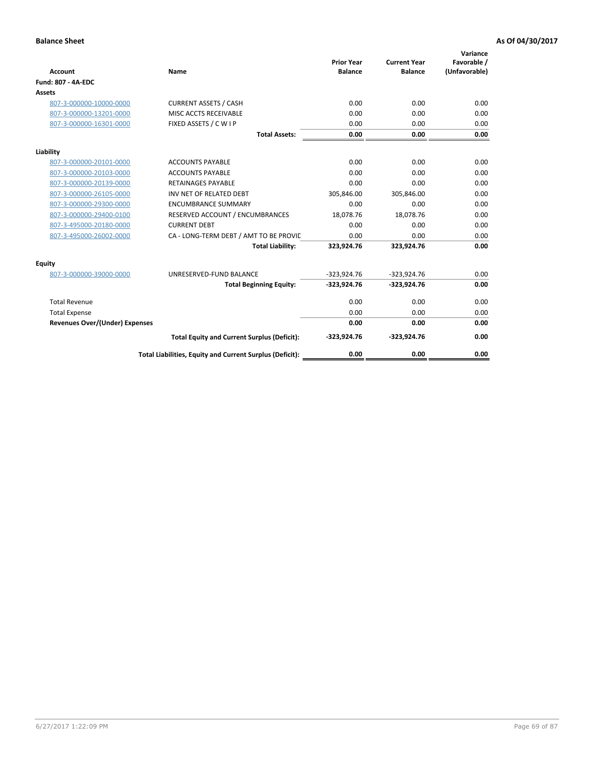| <b>Account</b>                        | Name                                                     | <b>Prior Year</b><br><b>Balance</b> | <b>Current Year</b><br><b>Balance</b> | Variance<br>Favorable /<br>(Unfavorable) |
|---------------------------------------|----------------------------------------------------------|-------------------------------------|---------------------------------------|------------------------------------------|
| <b>Fund: 807 - 4A-EDC</b>             |                                                          |                                     |                                       |                                          |
| <b>Assets</b>                         |                                                          |                                     |                                       |                                          |
| 807-3-000000-10000-0000               | <b>CURRENT ASSETS / CASH</b>                             | 0.00                                | 0.00                                  | 0.00                                     |
| 807-3-000000-13201-0000               | MISC ACCTS RECEIVABLE                                    | 0.00                                | 0.00                                  | 0.00                                     |
| 807-3-000000-16301-0000               | FIXED ASSETS / C W I P                                   | 0.00                                | 0.00                                  | 0.00                                     |
|                                       | <b>Total Assets:</b>                                     | 0.00                                | 0.00                                  | 0.00                                     |
| Liability                             |                                                          |                                     |                                       |                                          |
| 807-3-000000-20101-0000               | <b>ACCOUNTS PAYABLE</b>                                  | 0.00                                | 0.00                                  | 0.00                                     |
| 807-3-000000-20103-0000               | <b>ACCOUNTS PAYABLE</b>                                  | 0.00                                | 0.00                                  | 0.00                                     |
| 807-3-000000-20139-0000               | <b>RETAINAGES PAYABLE</b>                                | 0.00                                | 0.00                                  | 0.00                                     |
| 807-3-000000-26105-0000               | INV NET OF RELATED DEBT                                  | 305,846.00                          | 305,846.00                            | 0.00                                     |
| 807-3-000000-29300-0000               | <b>ENCUMBRANCE SUMMARY</b>                               | 0.00                                | 0.00                                  | 0.00                                     |
| 807-3-000000-29400-0100               | RESERVED ACCOUNT / ENCUMBRANCES                          | 18,078.76                           | 18,078.76                             | 0.00                                     |
| 807-3-495000-20180-0000               | <b>CURRENT DEBT</b>                                      | 0.00                                | 0.00                                  | 0.00                                     |
| 807-3-495000-26002-0000               | CA - LONG-TERM DEBT / AMT TO BE PROVIL                   | 0.00                                | 0.00                                  | 0.00                                     |
|                                       | <b>Total Liability:</b>                                  | 323,924.76                          | 323,924.76                            | 0.00                                     |
| Equity                                |                                                          |                                     |                                       |                                          |
| 807-3-000000-39000-0000               | UNRESERVED-FUND BALANCE                                  | $-323,924.76$                       | $-323,924.76$                         | 0.00                                     |
|                                       | <b>Total Beginning Equity:</b>                           | $-323,924.76$                       | $-323,924.76$                         | 0.00                                     |
| <b>Total Revenue</b>                  |                                                          | 0.00                                | 0.00                                  | 0.00                                     |
| <b>Total Expense</b>                  |                                                          | 0.00                                | 0.00                                  | 0.00                                     |
| <b>Revenues Over/(Under) Expenses</b> |                                                          | 0.00                                | 0.00                                  | 0.00                                     |
|                                       | <b>Total Equity and Current Surplus (Deficit):</b>       | $-323,924.76$                       | $-323,924.76$                         | 0.00                                     |
|                                       | Total Liabilities, Equity and Current Surplus (Deficit): | 0.00                                | 0.00                                  | 0.00                                     |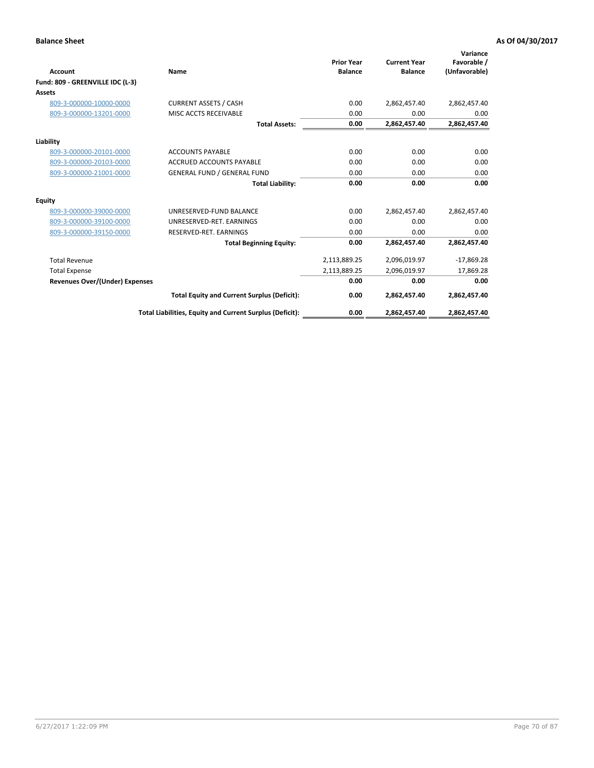| <b>Account</b>                   | Name                                                     | <b>Prior Year</b><br><b>Balance</b> | <b>Current Year</b><br><b>Balance</b> | Variance<br>Favorable /<br>(Unfavorable) |
|----------------------------------|----------------------------------------------------------|-------------------------------------|---------------------------------------|------------------------------------------|
| Fund: 809 - GREENVILLE IDC (L-3) |                                                          |                                     |                                       |                                          |
| Assets                           |                                                          |                                     |                                       |                                          |
| 809-3-000000-10000-0000          | <b>CURRENT ASSETS / CASH</b>                             | 0.00                                | 2,862,457.40                          | 2,862,457.40                             |
| 809-3-000000-13201-0000          | MISC ACCTS RECEIVABLE                                    | 0.00                                | 0.00                                  | 0.00                                     |
|                                  | <b>Total Assets:</b>                                     | 0.00                                | 2,862,457.40                          | 2,862,457.40                             |
| Liability                        |                                                          |                                     |                                       |                                          |
| 809-3-000000-20101-0000          | <b>ACCOUNTS PAYABLE</b>                                  | 0.00                                | 0.00                                  | 0.00                                     |
| 809-3-000000-20103-0000          | <b>ACCRUED ACCOUNTS PAYABLE</b>                          | 0.00                                | 0.00                                  | 0.00                                     |
| 809-3-000000-21001-0000          | <b>GENERAL FUND / GENERAL FUND</b>                       | 0.00                                | 0.00                                  | 0.00                                     |
|                                  | <b>Total Liability:</b>                                  | 0.00                                | 0.00                                  | 0.00                                     |
| Equity                           |                                                          |                                     |                                       |                                          |
| 809-3-000000-39000-0000          | UNRESERVED-FUND BALANCE                                  | 0.00                                | 2,862,457.40                          | 2,862,457.40                             |
| 809-3-000000-39100-0000          | UNRESERVED-RET, EARNINGS                                 | 0.00                                | 0.00                                  | 0.00                                     |
| 809-3-000000-39150-0000          | RESERVED-RET. EARNINGS                                   | 0.00                                | 0.00                                  | 0.00                                     |
|                                  | <b>Total Beginning Equity:</b>                           | 0.00                                | 2,862,457.40                          | 2,862,457.40                             |
| <b>Total Revenue</b>             |                                                          | 2,113,889.25                        | 2,096,019.97                          | $-17,869.28$                             |
| <b>Total Expense</b>             |                                                          | 2,113,889.25                        | 2,096,019.97                          | 17,869.28                                |
| Revenues Over/(Under) Expenses   |                                                          | 0.00                                | 0.00                                  | 0.00                                     |
|                                  | <b>Total Equity and Current Surplus (Deficit):</b>       | 0.00                                | 2,862,457.40                          | 2,862,457.40                             |
|                                  | Total Liabilities, Equity and Current Surplus (Deficit): | 0.00                                | 2,862,457.40                          | 2,862,457.40                             |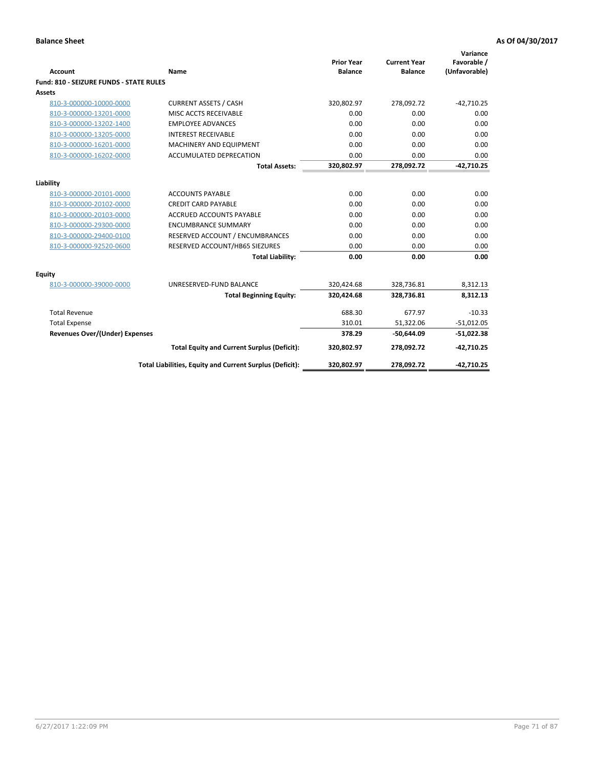| <b>Account</b>                                 | Name                                                     | <b>Prior Year</b><br><b>Balance</b> | <b>Current Year</b><br><b>Balance</b> | Variance<br>Favorable /<br>(Unfavorable) |
|------------------------------------------------|----------------------------------------------------------|-------------------------------------|---------------------------------------|------------------------------------------|
| <b>Fund: 810 - SEIZURE FUNDS - STATE RULES</b> |                                                          |                                     |                                       |                                          |
| <b>Assets</b>                                  |                                                          |                                     |                                       |                                          |
| 810-3-000000-10000-0000                        | <b>CURRENT ASSETS / CASH</b>                             | 320,802.97                          | 278,092.72                            | $-42,710.25$                             |
| 810-3-000000-13201-0000                        | MISC ACCTS RECEIVABLE                                    | 0.00                                | 0.00                                  | 0.00                                     |
| 810-3-000000-13202-1400                        | <b>EMPLOYEE ADVANCES</b>                                 | 0.00                                | 0.00                                  | 0.00                                     |
| 810-3-000000-13205-0000                        | <b>INTEREST RECEIVABLE</b>                               | 0.00                                | 0.00                                  | 0.00                                     |
| 810-3-000000-16201-0000                        | MACHINERY AND EQUIPMENT                                  | 0.00                                | 0.00                                  | 0.00                                     |
| 810-3-000000-16202-0000                        | <b>ACCUMULATED DEPRECATION</b>                           | 0.00                                | 0.00                                  | 0.00                                     |
|                                                | <b>Total Assets:</b>                                     | 320,802.97                          | 278,092.72                            | $-42,710.25$                             |
|                                                |                                                          |                                     |                                       |                                          |
| Liability                                      |                                                          |                                     |                                       |                                          |
| 810-3-000000-20101-0000                        | <b>ACCOUNTS PAYABLE</b>                                  | 0.00                                | 0.00                                  | 0.00                                     |
| 810-3-000000-20102-0000                        | <b>CREDIT CARD PAYABLE</b>                               | 0.00                                | 0.00                                  | 0.00                                     |
| 810-3-000000-20103-0000                        | <b>ACCRUED ACCOUNTS PAYABLE</b>                          | 0.00                                | 0.00                                  | 0.00                                     |
| 810-3-000000-29300-0000                        | <b>ENCUMBRANCE SUMMARY</b>                               | 0.00                                | 0.00                                  | 0.00                                     |
| 810-3-000000-29400-0100                        | RESERVED ACCOUNT / ENCUMBRANCES                          | 0.00                                | 0.00                                  | 0.00                                     |
| 810-3-000000-92520-0600                        | RESERVED ACCOUNT/HB65 SIEZURES                           | 0.00                                | 0.00                                  | 0.00                                     |
|                                                | <b>Total Liability:</b>                                  | 0.00                                | 0.00                                  | 0.00                                     |
| Equity                                         |                                                          |                                     |                                       |                                          |
| 810-3-000000-39000-0000                        | UNRESERVED-FUND BALANCE                                  | 320,424.68                          | 328,736.81                            | 8,312.13                                 |
|                                                | <b>Total Beginning Equity:</b>                           | 320,424.68                          | 328,736.81                            | 8,312.13                                 |
| <b>Total Revenue</b>                           |                                                          | 688.30                              | 677.97                                | $-10.33$                                 |
| <b>Total Expense</b>                           |                                                          | 310.01                              | 51,322.06                             | $-51,012.05$                             |
| Revenues Over/(Under) Expenses                 |                                                          | 378.29                              | $-50,644.09$                          | $-51,022.38$                             |
|                                                | <b>Total Equity and Current Surplus (Deficit):</b>       | 320,802.97                          | 278,092.72                            | $-42,710.25$                             |
|                                                | Total Liabilities, Equity and Current Surplus (Deficit): | 320,802.97                          | 278,092.72                            | $-42,710.25$                             |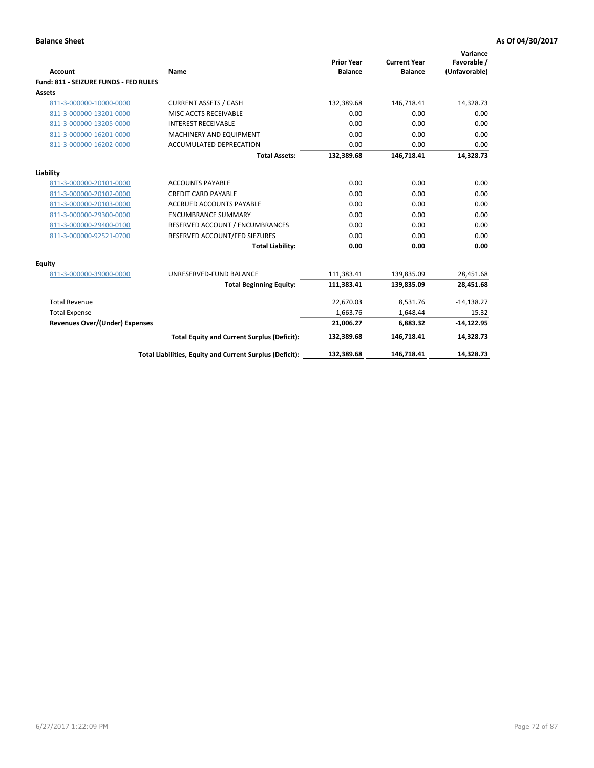| Account                               | Name                                                     | <b>Prior Year</b><br><b>Balance</b> | <b>Current Year</b><br><b>Balance</b> | Variance<br>Favorable /<br>(Unfavorable) |
|---------------------------------------|----------------------------------------------------------|-------------------------------------|---------------------------------------|------------------------------------------|
| Fund: 811 - SEIZURE FUNDS - FED RULES |                                                          |                                     |                                       |                                          |
| <b>Assets</b>                         |                                                          |                                     |                                       |                                          |
| 811-3-000000-10000-0000               | <b>CURRENT ASSETS / CASH</b>                             | 132,389.68                          | 146,718.41                            | 14,328.73                                |
| 811-3-000000-13201-0000               | MISC ACCTS RECEIVABLE                                    | 0.00                                | 0.00                                  | 0.00                                     |
| 811-3-000000-13205-0000               | <b>INTEREST RECEIVABLE</b>                               | 0.00                                | 0.00                                  | 0.00                                     |
| 811-3-000000-16201-0000               | <b>MACHINERY AND EQUIPMENT</b>                           | 0.00                                | 0.00                                  | 0.00                                     |
| 811-3-000000-16202-0000               | <b>ACCUMULATED DEPRECATION</b>                           | 0.00                                | 0.00                                  | 0.00                                     |
|                                       | <b>Total Assets:</b>                                     | 132,389.68                          | 146,718.41                            | 14,328.73                                |
| Liability                             |                                                          |                                     |                                       |                                          |
| 811-3-000000-20101-0000               | <b>ACCOUNTS PAYABLE</b>                                  | 0.00                                | 0.00                                  | 0.00                                     |
| 811-3-000000-20102-0000               | <b>CREDIT CARD PAYABLE</b>                               | 0.00                                | 0.00                                  | 0.00                                     |
| 811-3-000000-20103-0000               | <b>ACCRUED ACCOUNTS PAYABLE</b>                          | 0.00                                | 0.00                                  | 0.00                                     |
| 811-3-000000-29300-0000               | <b>ENCUMBRANCE SUMMARY</b>                               | 0.00                                | 0.00                                  | 0.00                                     |
| 811-3-000000-29400-0100               | RESERVED ACCOUNT / ENCUMBRANCES                          | 0.00                                | 0.00                                  | 0.00                                     |
| 811-3-000000-92521-0700               | RESERVED ACCOUNT/FED SIEZURES                            | 0.00                                | 0.00                                  | 0.00                                     |
|                                       | <b>Total Liability:</b>                                  | 0.00                                | 0.00                                  | 0.00                                     |
| <b>Equity</b>                         |                                                          |                                     |                                       |                                          |
| 811-3-000000-39000-0000               | UNRESERVED-FUND BALANCE                                  | 111,383.41                          | 139,835.09                            | 28,451.68                                |
|                                       | <b>Total Beginning Equity:</b>                           | 111,383.41                          | 139,835.09                            | 28,451.68                                |
| <b>Total Revenue</b>                  |                                                          | 22,670.03                           | 8.531.76                              | $-14,138.27$                             |
| <b>Total Expense</b>                  |                                                          | 1,663.76                            | 1,648.44                              | 15.32                                    |
| <b>Revenues Over/(Under) Expenses</b> |                                                          | 21,006.27                           | 6,883.32                              | $-14,122.95$                             |
|                                       | <b>Total Equity and Current Surplus (Deficit):</b>       | 132,389.68                          | 146,718.41                            | 14,328.73                                |
|                                       | Total Liabilities, Equity and Current Surplus (Deficit): | 132,389.68                          | 146,718.41                            | 14,328.73                                |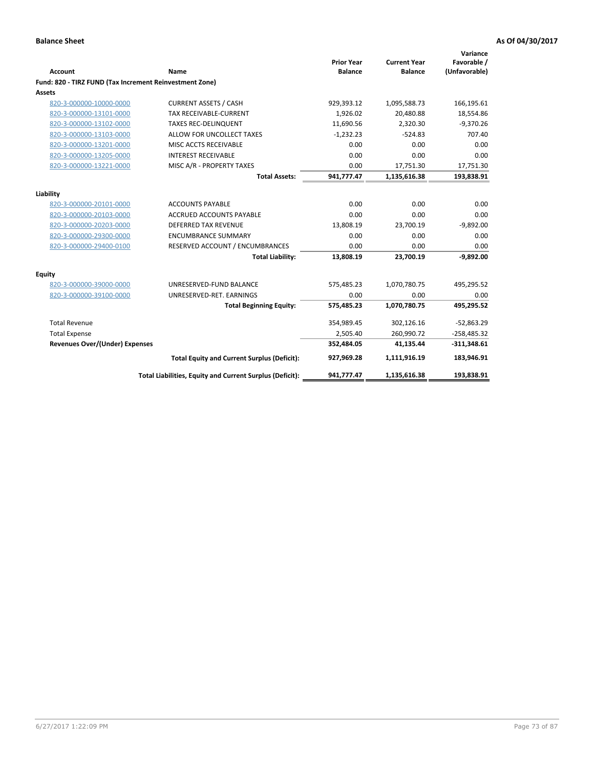| Account                                                 | Name                                                     | <b>Prior Year</b><br><b>Balance</b> | <b>Current Year</b><br><b>Balance</b> | Variance<br>Favorable /<br>(Unfavorable) |
|---------------------------------------------------------|----------------------------------------------------------|-------------------------------------|---------------------------------------|------------------------------------------|
| Fund: 820 - TIRZ FUND (Tax Increment Reinvestment Zone) |                                                          |                                     |                                       |                                          |
| Assets                                                  |                                                          |                                     |                                       |                                          |
| 820-3-000000-10000-0000                                 | <b>CURRENT ASSETS / CASH</b>                             | 929,393.12                          | 1,095,588.73                          | 166,195.61                               |
| 820-3-000000-13101-0000                                 | TAX RECEIVABLE-CURRENT                                   | 1,926.02                            | 20,480.88                             | 18,554.86                                |
| 820-3-000000-13102-0000                                 | <b>TAXES REC-DELINQUENT</b>                              | 11,690.56                           | 2,320.30                              | $-9,370.26$                              |
| 820-3-000000-13103-0000                                 | ALLOW FOR UNCOLLECT TAXES                                | $-1,232.23$                         | $-524.83$                             | 707.40                                   |
| 820-3-000000-13201-0000                                 | MISC ACCTS RECEIVABLE                                    | 0.00                                | 0.00                                  | 0.00                                     |
| 820-3-000000-13205-0000                                 | <b>INTEREST RECEIVABLE</b>                               | 0.00                                | 0.00                                  | 0.00                                     |
| 820-3-000000-13221-0000                                 | MISC A/R - PROPERTY TAXES                                | 0.00                                | 17,751.30                             | 17,751.30                                |
|                                                         | <b>Total Assets:</b>                                     | 941,777.47                          | 1,135,616.38                          | 193,838.91                               |
| Liability                                               |                                                          |                                     |                                       |                                          |
| 820-3-000000-20101-0000                                 | <b>ACCOUNTS PAYABLE</b>                                  | 0.00                                | 0.00                                  | 0.00                                     |
| 820-3-000000-20103-0000                                 | <b>ACCRUED ACCOUNTS PAYABLE</b>                          | 0.00                                | 0.00                                  | 0.00                                     |
| 820-3-000000-20203-0000                                 | <b>DEFERRED TAX REVENUE</b>                              | 13,808.19                           | 23,700.19                             | $-9,892.00$                              |
| 820-3-000000-29300-0000                                 | <b>ENCUMBRANCE SUMMARY</b>                               | 0.00                                | 0.00                                  | 0.00                                     |
| 820-3-000000-29400-0100                                 | RESERVED ACCOUNT / ENCUMBRANCES                          | 0.00                                | 0.00                                  | 0.00                                     |
|                                                         | <b>Total Liability:</b>                                  | 13,808.19                           | 23.700.19                             | $-9,892.00$                              |
| Equity                                                  |                                                          |                                     |                                       |                                          |
| 820-3-000000-39000-0000                                 | UNRESERVED-FUND BALANCE                                  | 575,485.23                          | 1,070,780.75                          | 495,295.52                               |
| 820-3-000000-39100-0000                                 | UNRESERVED-RET. EARNINGS                                 | 0.00                                | 0.00                                  | 0.00                                     |
|                                                         | <b>Total Beginning Equity:</b>                           | 575,485.23                          | 1,070,780.75                          | 495,295.52                               |
| <b>Total Revenue</b>                                    |                                                          | 354,989.45                          | 302,126.16                            | $-52,863.29$                             |
| <b>Total Expense</b>                                    |                                                          | 2,505.40                            | 260,990.72                            | $-258,485.32$                            |
| <b>Revenues Over/(Under) Expenses</b>                   |                                                          | 352,484.05                          | 41,135.44                             | $-311,348.61$                            |
|                                                         | <b>Total Equity and Current Surplus (Deficit):</b>       | 927,969.28                          | 1,111,916.19                          | 183,946.91                               |
|                                                         | Total Liabilities, Equity and Current Surplus (Deficit): | 941,777.47                          | 1,135,616.38                          | 193,838.91                               |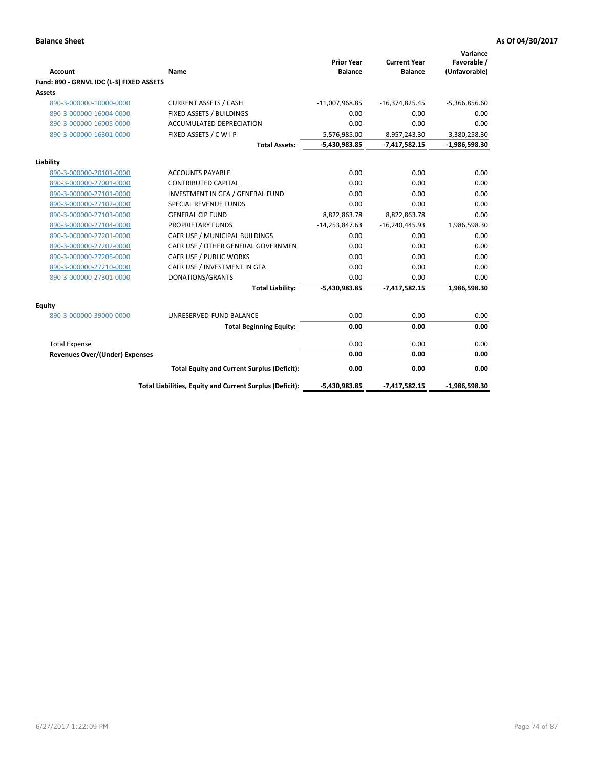|                                          |                                                          | <b>Prior Year</b> | <b>Current Year</b> | Variance<br>Favorable / |
|------------------------------------------|----------------------------------------------------------|-------------------|---------------------|-------------------------|
| <b>Account</b>                           | Name                                                     | <b>Balance</b>    | <b>Balance</b>      | (Unfavorable)           |
| Fund: 890 - GRNVL IDC (L-3) FIXED ASSETS |                                                          |                   |                     |                         |
| Assets                                   |                                                          |                   |                     |                         |
| 890-3-000000-10000-0000                  | <b>CURRENT ASSETS / CASH</b>                             | $-11,007,968.85$  | $-16,374,825.45$    | $-5,366,856.60$         |
| 890-3-000000-16004-0000                  | FIXED ASSETS / BUILDINGS                                 | 0.00              | 0.00                | 0.00                    |
| 890-3-000000-16005-0000                  | <b>ACCUMULATED DEPRECIATION</b>                          | 0.00              | 0.00                | 0.00                    |
| 890-3-000000-16301-0000                  | FIXED ASSETS / C W I P                                   | 5,576,985.00      | 8,957,243.30        | 3,380,258.30            |
|                                          | <b>Total Assets:</b>                                     | -5,430,983.85     | $-7,417,582.15$     | $-1,986,598.30$         |
| Liability                                |                                                          |                   |                     |                         |
| 890-3-000000-20101-0000                  | <b>ACCOUNTS PAYABLE</b>                                  | 0.00              | 0.00                | 0.00                    |
| 890-3-000000-27001-0000                  | <b>CONTRIBUTED CAPITAL</b>                               | 0.00              | 0.00                | 0.00                    |
| 890-3-000000-27101-0000                  | INVESTMENT IN GFA / GENERAL FUND                         | 0.00              | 0.00                | 0.00                    |
| 890-3-000000-27102-0000                  | <b>SPECIAL REVENUE FUNDS</b>                             | 0.00              | 0.00                | 0.00                    |
| 890-3-000000-27103-0000                  | <b>GENERAL CIP FUND</b>                                  | 8,822,863.78      | 8,822,863.78        | 0.00                    |
| 890-3-000000-27104-0000                  | PROPRIETARY FUNDS                                        | $-14,253,847.63$  | $-16,240,445.93$    | 1,986,598.30            |
| 890-3-000000-27201-0000                  | CAFR USE / MUNICIPAL BUILDINGS                           | 0.00              | 0.00                | 0.00                    |
| 890-3-000000-27202-0000                  | CAFR USE / OTHER GENERAL GOVERNMEN                       | 0.00              | 0.00                | 0.00                    |
| 890-3-000000-27205-0000                  | CAFR USE / PUBLIC WORKS                                  | 0.00              | 0.00                | 0.00                    |
| 890-3-000000-27210-0000                  | CAFR USE / INVESTMENT IN GFA                             | 0.00              | 0.00                | 0.00                    |
| 890-3-000000-27301-0000                  | DONATIONS/GRANTS                                         | 0.00              | 0.00                | 0.00                    |
|                                          | <b>Total Liability:</b>                                  | $-5,430,983.85$   | $-7,417,582.15$     | 1,986,598.30            |
| Equity                                   |                                                          |                   |                     |                         |
| 890-3-000000-39000-0000                  | UNRESERVED-FUND BALANCE                                  | 0.00              | 0.00                | 0.00                    |
|                                          | <b>Total Beginning Equity:</b>                           | 0.00              | 0.00                | 0.00                    |
| <b>Total Expense</b>                     |                                                          | 0.00              | 0.00                | 0.00                    |
| <b>Revenues Over/(Under) Expenses</b>    |                                                          | 0.00              | 0.00                | 0.00                    |
|                                          | <b>Total Equity and Current Surplus (Deficit):</b>       | 0.00              | 0.00                | 0.00                    |
|                                          | Total Liabilities, Equity and Current Surplus (Deficit): | $-5,430,983.85$   | $-7,417,582.15$     | $-1,986,598.30$         |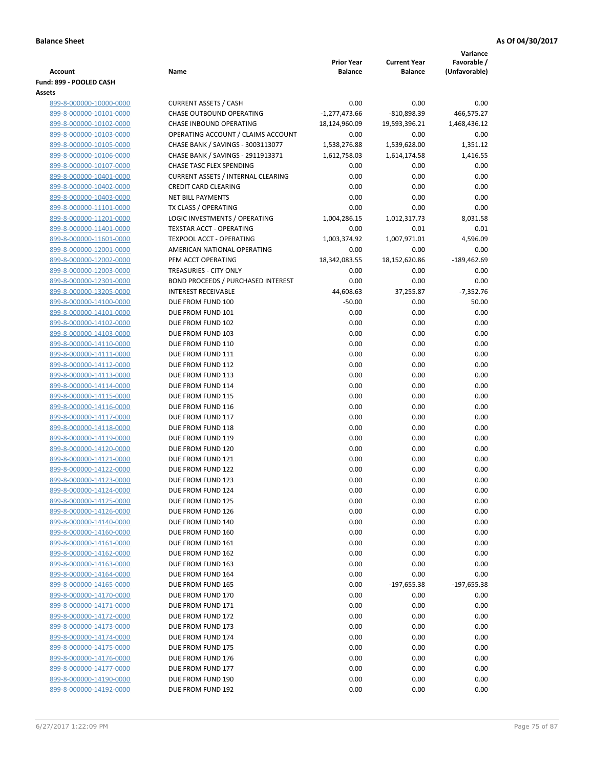|                                                    |                                                         |                                     |                                       | Variance                     |
|----------------------------------------------------|---------------------------------------------------------|-------------------------------------|---------------------------------------|------------------------------|
| <b>Account</b>                                     | Name                                                    | <b>Prior Year</b><br><b>Balance</b> | <b>Current Year</b><br><b>Balance</b> | Favorable /<br>(Unfavorable) |
| Fund: 899 - POOLED CASH                            |                                                         |                                     |                                       |                              |
| Assets                                             |                                                         |                                     |                                       |                              |
| 899-8-000000-10000-0000                            | <b>CURRENT ASSETS / CASH</b>                            | 0.00                                | 0.00                                  | 0.00                         |
| 899-8-000000-10101-0000                            | <b>CHASE OUTBOUND OPERATING</b>                         | $-1,277,473.66$                     | $-810,898.39$                         | 466,575.27                   |
| 899-8-000000-10102-0000                            | CHASE INBOUND OPERATING                                 | 18,124,960.09                       | 19,593,396.21                         | 1,468,436.12                 |
| 899-8-000000-10103-0000                            | OPERATING ACCOUNT / CLAIMS ACCOUNT                      | 0.00                                | 0.00                                  | 0.00                         |
| 899-8-000000-10105-0000                            | CHASE BANK / SAVINGS - 3003113077                       | 1,538,276.88                        | 1,539,628.00                          | 1,351.12                     |
| 899-8-000000-10106-0000                            | CHASE BANK / SAVINGS - 2911913371                       | 1,612,758.03                        | 1,614,174.58                          | 1,416.55                     |
| 899-8-000000-10107-0000                            | CHASE TASC FLEX SPENDING                                | 0.00                                | 0.00                                  | 0.00                         |
| 899-8-000000-10401-0000                            | <b>CURRENT ASSETS / INTERNAL CLEARING</b>               | 0.00                                | 0.00                                  | 0.00                         |
| 899-8-000000-10402-0000<br>899-8-000000-10403-0000 | <b>CREDIT CARD CLEARING</b><br><b>NET BILL PAYMENTS</b> | 0.00<br>0.00                        | 0.00<br>0.00                          | 0.00<br>0.00                 |
| 899-8-000000-11101-0000                            | TX CLASS / OPERATING                                    | 0.00                                | 0.00                                  | 0.00                         |
| 899-8-000000-11201-0000                            | LOGIC INVESTMENTS / OPERATING                           | 1,004,286.15                        | 1,012,317.73                          | 8,031.58                     |
| 899-8-000000-11401-0000                            | <b>TEXSTAR ACCT - OPERATING</b>                         | 0.00                                | 0.01                                  | 0.01                         |
| 899-8-000000-11601-0000                            | <b>TEXPOOL ACCT - OPERATING</b>                         | 1,003,374.92                        | 1,007,971.01                          | 4,596.09                     |
| 899-8-000000-12001-0000                            | AMERICAN NATIONAL OPERATING                             | 0.00                                | 0.00                                  | 0.00                         |
| 899-8-000000-12002-0000                            | PFM ACCT OPERATING                                      | 18,342,083.55                       | 18,152,620.86                         | $-189,462.69$                |
| 899-8-000000-12003-0000                            | TREASURIES - CITY ONLY                                  | 0.00                                | 0.00                                  | 0.00                         |
| 899-8-000000-12301-0000                            | BOND PROCEEDS / PURCHASED INTEREST                      | 0.00                                | 0.00                                  | 0.00                         |
| 899-8-000000-13205-0000                            | <b>INTEREST RECEIVABLE</b>                              | 44,608.63                           | 37,255.87                             | $-7,352.76$                  |
| 899-8-000000-14100-0000                            | DUE FROM FUND 100                                       | $-50.00$                            | 0.00                                  | 50.00                        |
| 899-8-000000-14101-0000                            | DUE FROM FUND 101                                       | 0.00                                | 0.00                                  | 0.00                         |
| 899-8-000000-14102-0000                            | DUE FROM FUND 102                                       | 0.00                                | 0.00                                  | 0.00                         |
| 899-8-000000-14103-0000                            | DUE FROM FUND 103                                       | 0.00                                | 0.00                                  | 0.00                         |
| 899-8-000000-14110-0000                            | DUE FROM FUND 110                                       | 0.00                                | 0.00                                  | 0.00                         |
| 899-8-000000-14111-0000                            | DUE FROM FUND 111                                       | 0.00                                | 0.00                                  | 0.00                         |
| 899-8-000000-14112-0000                            | DUE FROM FUND 112                                       | 0.00                                | 0.00                                  | 0.00                         |
| 899-8-000000-14113-0000<br>899-8-000000-14114-0000 | DUE FROM FUND 113<br>DUE FROM FUND 114                  | 0.00<br>0.00                        | 0.00<br>0.00                          | 0.00<br>0.00                 |
| 899-8-000000-14115-0000                            | DUE FROM FUND 115                                       | 0.00                                | 0.00                                  | 0.00                         |
| 899-8-000000-14116-0000                            | DUE FROM FUND 116                                       | 0.00                                | 0.00                                  | 0.00                         |
| 899-8-000000-14117-0000                            | DUE FROM FUND 117                                       | 0.00                                | 0.00                                  | 0.00                         |
| 899-8-000000-14118-0000                            | DUE FROM FUND 118                                       | 0.00                                | 0.00                                  | 0.00                         |
| 899-8-000000-14119-0000                            | DUE FROM FUND 119                                       | 0.00                                | 0.00                                  | 0.00                         |
| 899-8-000000-14120-0000                            | DUE FROM FUND 120                                       | 0.00                                | 0.00                                  | 0.00                         |
| 899-8-000000-14121-0000                            | DUE FROM FUND 121                                       | 0.00                                | 0.00                                  | 0.00                         |
| 899-8-000000-14122-0000                            | DUE FROM FUND 122                                       | 0.00                                | 0.00                                  | 0.00                         |
| 899-8-000000-14123-0000                            | DUE FROM FUND 123                                       | 0.00                                | 0.00                                  | 0.00                         |
| 899-8-000000-14124-0000                            | DUE FROM FUND 124                                       | 0.00                                | 0.00                                  | 0.00                         |
| 899-8-000000-14125-0000                            | DUE FROM FUND 125                                       | 0.00                                | 0.00                                  | 0.00                         |
| 899-8-000000-14126-0000                            | DUE FROM FUND 126                                       | 0.00                                | 0.00                                  | 0.00                         |
| 899-8-000000-14140-0000                            | DUE FROM FUND 140                                       | 0.00                                | 0.00                                  | 0.00                         |
| 899-8-000000-14160-0000                            | DUE FROM FUND 160                                       | 0.00                                | 0.00                                  | 0.00                         |
| 899-8-000000-14161-0000                            | DUE FROM FUND 161                                       | 0.00                                | 0.00                                  | 0.00<br>0.00                 |
| 899-8-000000-14162-0000<br>899-8-000000-14163-0000 | DUE FROM FUND 162<br>DUE FROM FUND 163                  | 0.00<br>0.00                        | 0.00<br>0.00                          | 0.00                         |
| 899-8-000000-14164-0000                            | DUE FROM FUND 164                                       | 0.00                                | 0.00                                  | 0.00                         |
| 899-8-000000-14165-0000                            | DUE FROM FUND 165                                       | 0.00                                | $-197,655.38$                         | $-197,655.38$                |
| 899-8-000000-14170-0000                            | DUE FROM FUND 170                                       | 0.00                                | 0.00                                  | 0.00                         |
| 899-8-000000-14171-0000                            | DUE FROM FUND 171                                       | 0.00                                | 0.00                                  | 0.00                         |
| 899-8-000000-14172-0000                            | DUE FROM FUND 172                                       | 0.00                                | 0.00                                  | 0.00                         |
| 899-8-000000-14173-0000                            | DUE FROM FUND 173                                       | 0.00                                | 0.00                                  | 0.00                         |
| 899-8-000000-14174-0000                            | DUE FROM FUND 174                                       | 0.00                                | 0.00                                  | 0.00                         |
| 899-8-000000-14175-0000                            | DUE FROM FUND 175                                       | 0.00                                | 0.00                                  | 0.00                         |
| 899-8-000000-14176-0000                            | DUE FROM FUND 176                                       | 0.00                                | 0.00                                  | 0.00                         |
| 899-8-000000-14177-0000                            | DUE FROM FUND 177                                       | 0.00                                | 0.00                                  | 0.00                         |
| 899-8-000000-14190-0000                            | DUE FROM FUND 190                                       | 0.00                                | 0.00                                  | 0.00                         |
| 899-8-000000-14192-0000                            | DUE FROM FUND 192                                       | 0.00                                | 0.00                                  | 0.00                         |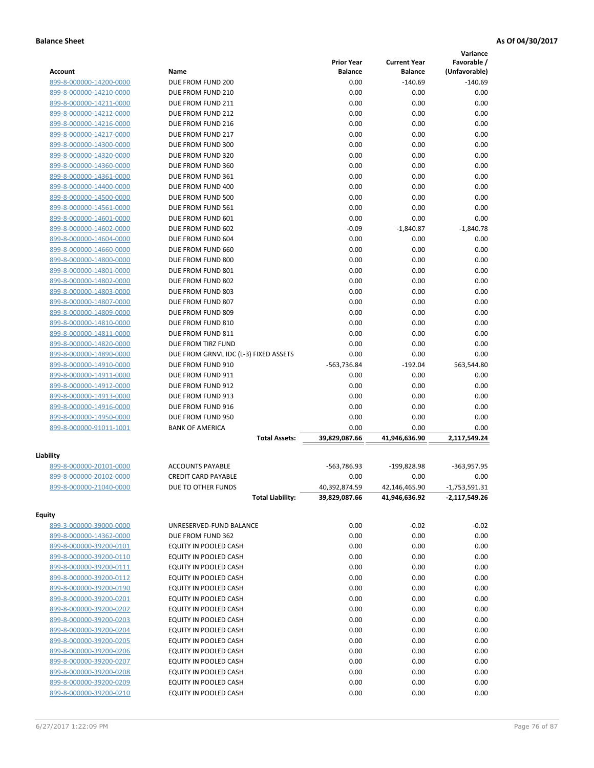|                                                    |                                        |                                     |                                       | Variance                     |
|----------------------------------------------------|----------------------------------------|-------------------------------------|---------------------------------------|------------------------------|
| <b>Account</b>                                     | Name                                   | <b>Prior Year</b><br><b>Balance</b> | <b>Current Year</b><br><b>Balance</b> | Favorable /<br>(Unfavorable) |
| 899-8-000000-14200-0000                            | DUE FROM FUND 200                      | 0.00                                | $-140.69$                             | $-140.69$                    |
| 899-8-000000-14210-0000                            | DUE FROM FUND 210                      | 0.00                                | 0.00                                  | 0.00                         |
| 899-8-000000-14211-0000                            | DUE FROM FUND 211                      | 0.00                                | 0.00                                  | 0.00                         |
| 899-8-000000-14212-0000                            | DUE FROM FUND 212                      | 0.00                                | 0.00                                  | 0.00                         |
| 899-8-000000-14216-0000                            | DUE FROM FUND 216                      | 0.00                                | 0.00                                  | 0.00                         |
| 899-8-000000-14217-0000                            | DUE FROM FUND 217                      | 0.00                                | 0.00                                  | 0.00                         |
| 899-8-000000-14300-0000                            | DUE FROM FUND 300                      | 0.00                                | 0.00                                  | 0.00                         |
| 899-8-000000-14320-0000                            | DUE FROM FUND 320                      | 0.00                                | 0.00                                  | 0.00                         |
| 899-8-000000-14360-0000                            | DUE FROM FUND 360                      | 0.00                                | 0.00                                  | 0.00                         |
| 899-8-000000-14361-0000                            | DUE FROM FUND 361                      | 0.00                                | 0.00                                  | 0.00                         |
| 899-8-000000-14400-0000                            | DUE FROM FUND 400                      | 0.00                                | 0.00                                  | 0.00                         |
| 899-8-000000-14500-0000                            | DUE FROM FUND 500                      | 0.00                                | 0.00                                  | 0.00                         |
| 899-8-000000-14561-0000                            | DUE FROM FUND 561                      | 0.00                                | 0.00                                  | 0.00                         |
| 899-8-000000-14601-0000                            | DUE FROM FUND 601                      | 0.00                                | 0.00                                  | 0.00                         |
| 899-8-000000-14602-0000                            | DUE FROM FUND 602                      | $-0.09$                             | $-1,840.87$                           | $-1,840.78$                  |
| 899-8-000000-14604-0000                            | DUE FROM FUND 604                      | 0.00                                | 0.00                                  | 0.00                         |
| 899-8-000000-14660-0000                            | DUE FROM FUND 660                      | 0.00                                | 0.00                                  | 0.00                         |
| 899-8-000000-14800-0000                            | DUE FROM FUND 800                      | 0.00                                | 0.00                                  | 0.00                         |
| 899-8-000000-14801-0000                            | DUE FROM FUND 801                      | 0.00                                | 0.00                                  | 0.00                         |
| 899-8-000000-14802-0000                            | DUE FROM FUND 802                      | 0.00                                | 0.00                                  | 0.00                         |
| 899-8-000000-14803-0000                            | DUE FROM FUND 803                      | 0.00                                | 0.00                                  | 0.00                         |
| 899-8-000000-14807-0000                            | DUE FROM FUND 807                      | 0.00                                | 0.00                                  | 0.00                         |
| 899-8-000000-14809-0000                            | DUE FROM FUND 809                      | 0.00                                | 0.00                                  | 0.00                         |
| 899-8-000000-14810-0000                            | DUE FROM FUND 810                      | 0.00                                | 0.00                                  | 0.00                         |
| 899-8-000000-14811-0000                            | DUE FROM FUND 811                      | 0.00                                | 0.00                                  | 0.00                         |
| 899-8-000000-14820-0000                            | DUE FROM TIRZ FUND                     | 0.00                                | 0.00                                  | 0.00                         |
| 899-8-000000-14890-0000                            | DUE FROM GRNVL IDC (L-3) FIXED ASSETS  | 0.00                                | 0.00                                  | 0.00                         |
| 899-8-000000-14910-0000                            | DUE FROM FUND 910                      | -563,736.84                         | $-192.04$                             | 563,544.80                   |
| 899-8-000000-14911-0000                            | DUE FROM FUND 911                      | 0.00                                | 0.00                                  | 0.00                         |
| 899-8-000000-14912-0000                            | DUE FROM FUND 912                      | 0.00                                | 0.00                                  | 0.00                         |
| 899-8-000000-14913-0000                            | DUE FROM FUND 913<br>DUE FROM FUND 916 | 0.00<br>0.00                        | 0.00<br>0.00                          | 0.00<br>0.00                 |
| 899-8-000000-14916-0000                            | DUE FROM FUND 950                      | 0.00                                | 0.00                                  | 0.00                         |
| 899-8-000000-14950-0000<br>899-8-000000-91011-1001 | <b>BANK OF AMERICA</b>                 | 0.00                                | 0.00                                  | 0.00                         |
|                                                    | <b>Total Assets:</b>                   | 39,829,087.66                       | 41,946,636.90                         | 2,117,549.24                 |
|                                                    |                                        |                                     |                                       |                              |
| Liability                                          |                                        |                                     |                                       |                              |
| 899-8-000000-20101-0000                            | <b>ACCOUNTS PAYABLE</b>                | -563,786.93                         | -199,828.98                           | -363,957.95                  |
| 899-8-000000-20102-0000                            | <b>CREDIT CARD PAYABLE</b>             | 0.00                                | 0.00                                  | 0.00                         |
| 899-8-000000-21040-0000                            | DUE TO OTHER FUNDS                     | 40,392,874.59                       | 42,146,465.90                         | $-1,753,591.31$              |
|                                                    | <b>Total Liability:</b>                | 39,829,087.66                       | 41,946,636.92                         | $-2,117,549.26$              |
| Equity                                             |                                        |                                     |                                       |                              |
| 899-3-000000-39000-0000                            | UNRESERVED-FUND BALANCE                | 0.00                                | $-0.02$                               | $-0.02$                      |
| 899-8-000000-14362-0000                            | DUE FROM FUND 362                      | 0.00                                | 0.00                                  | 0.00                         |
| 899-8-000000-39200-0101                            | EQUITY IN POOLED CASH                  | 0.00                                | 0.00                                  | 0.00                         |
| 899-8-000000-39200-0110                            | EQUITY IN POOLED CASH                  | 0.00                                | 0.00                                  | 0.00                         |
| 899-8-000000-39200-0111                            | EQUITY IN POOLED CASH                  | 0.00                                | 0.00                                  | 0.00                         |
| 899-8-000000-39200-0112                            | EQUITY IN POOLED CASH                  | 0.00                                | 0.00                                  | 0.00                         |
| 899-8-000000-39200-0190                            | EQUITY IN POOLED CASH                  | 0.00                                | 0.00                                  | 0.00                         |
| 899-8-000000-39200-0201                            | EQUITY IN POOLED CASH                  | 0.00                                | 0.00                                  | 0.00                         |
| 899-8-000000-39200-0202                            | EQUITY IN POOLED CASH                  | 0.00                                | 0.00                                  | 0.00                         |
| 899-8-000000-39200-0203                            | EQUITY IN POOLED CASH                  | 0.00                                | 0.00                                  | 0.00                         |
| 899-8-000000-39200-0204                            | EQUITY IN POOLED CASH                  | 0.00                                | 0.00                                  | 0.00                         |
| 899-8-000000-39200-0205                            | EQUITY IN POOLED CASH                  | 0.00                                | 0.00                                  | 0.00                         |
| 899-8-000000-39200-0206                            | EQUITY IN POOLED CASH                  | 0.00                                | 0.00                                  | 0.00                         |
| 899-8-000000-39200-0207                            | EQUITY IN POOLED CASH                  | 0.00                                | 0.00                                  | 0.00                         |
| 899-8-000000-39200-0208                            | EQUITY IN POOLED CASH                  | 0.00                                | 0.00                                  | 0.00                         |
| 899-8-000000-39200-0209                            | EQUITY IN POOLED CASH                  | 0.00                                | 0.00                                  | 0.00                         |
| 899-8-000000-39200-0210                            | EQUITY IN POOLED CASH                  | 0.00                                | 0.00                                  | 0.00                         |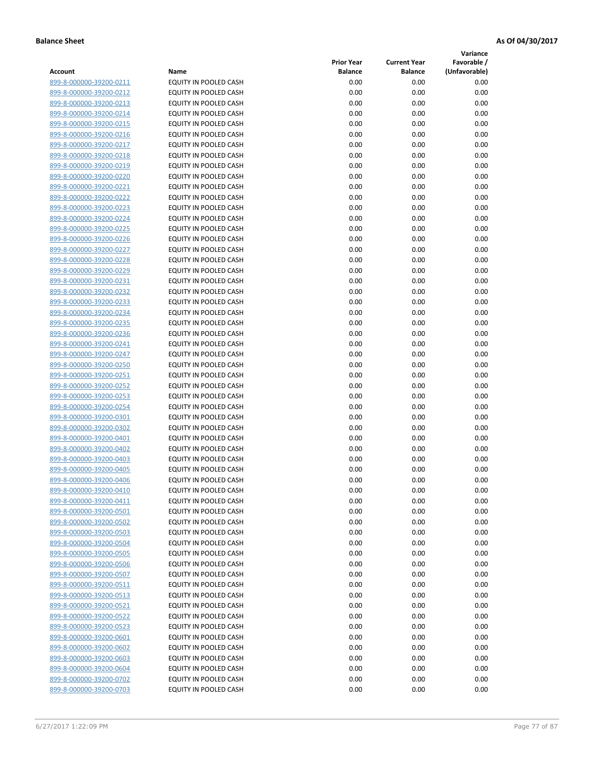**Variance**

| Account                                            | Name                                                         | <b>Prior Year</b><br><b>Balance</b> | <b>Current Year</b><br><b>Balance</b> | Favorable /<br>(Unfavorable) |
|----------------------------------------------------|--------------------------------------------------------------|-------------------------------------|---------------------------------------|------------------------------|
| 899-8-000000-39200-0211                            | EQUITY IN POOLED CASH                                        | 0.00                                | 0.00                                  | 0.00                         |
| 899-8-000000-39200-0212                            | EQUITY IN POOLED CASH                                        | 0.00                                | 0.00                                  | 0.00                         |
| 899-8-000000-39200-0213                            | EQUITY IN POOLED CASH                                        | 0.00                                | 0.00                                  | 0.00                         |
| 899-8-000000-39200-0214                            | EQUITY IN POOLED CASH                                        | 0.00                                | 0.00                                  | 0.00                         |
| 899-8-000000-39200-0215                            | EQUITY IN POOLED CASH                                        | 0.00                                | 0.00                                  | 0.00                         |
| 899-8-000000-39200-0216                            | EQUITY IN POOLED CASH                                        | 0.00                                | 0.00                                  | 0.00                         |
| 899-8-000000-39200-0217                            | EQUITY IN POOLED CASH                                        | 0.00                                | 0.00                                  | 0.00                         |
| 899-8-000000-39200-0218                            | <b>EQUITY IN POOLED CASH</b>                                 | 0.00                                | 0.00                                  | 0.00                         |
| 899-8-000000-39200-0219                            | EQUITY IN POOLED CASH                                        | 0.00                                | 0.00                                  | 0.00                         |
| 899-8-000000-39200-0220                            | EQUITY IN POOLED CASH                                        | 0.00                                | 0.00                                  | 0.00                         |
| 899-8-000000-39200-0221                            | EQUITY IN POOLED CASH                                        | 0.00                                | 0.00                                  | 0.00                         |
| 899-8-000000-39200-0222                            | EQUITY IN POOLED CASH                                        | 0.00                                | 0.00                                  | 0.00                         |
| 899-8-000000-39200-0223                            | EQUITY IN POOLED CASH                                        | 0.00                                | 0.00                                  | 0.00                         |
| 899-8-000000-39200-0224                            | EQUITY IN POOLED CASH                                        | 0.00                                | 0.00                                  | 0.00                         |
| 899-8-000000-39200-0225                            | EQUITY IN POOLED CASH                                        | 0.00                                | 0.00                                  | 0.00                         |
| 899-8-000000-39200-0226                            | EQUITY IN POOLED CASH                                        | 0.00                                | 0.00                                  | 0.00                         |
| 899-8-000000-39200-0227                            | EQUITY IN POOLED CASH                                        | 0.00                                | 0.00                                  | 0.00                         |
| 899-8-000000-39200-0228                            | EQUITY IN POOLED CASH                                        | 0.00                                | 0.00                                  | 0.00                         |
| 899-8-000000-39200-0229                            | EQUITY IN POOLED CASH                                        | 0.00                                | 0.00                                  | 0.00                         |
| 899-8-000000-39200-0231                            | EQUITY IN POOLED CASH                                        | 0.00                                | 0.00                                  | 0.00                         |
| 899-8-000000-39200-0232                            | <b>EQUITY IN POOLED CASH</b>                                 | 0.00                                | 0.00                                  | 0.00                         |
| 899-8-000000-39200-0233                            | EQUITY IN POOLED CASH                                        | 0.00                                | 0.00                                  | 0.00                         |
| 899-8-000000-39200-0234                            | EQUITY IN POOLED CASH                                        | 0.00                                | 0.00                                  | 0.00                         |
| 899-8-000000-39200-0235                            | EQUITY IN POOLED CASH                                        | 0.00                                | 0.00                                  | 0.00                         |
| 899-8-000000-39200-0236                            | EQUITY IN POOLED CASH                                        | 0.00                                | 0.00                                  | 0.00                         |
| 899-8-000000-39200-0241                            | EQUITY IN POOLED CASH                                        | 0.00                                | 0.00                                  | 0.00                         |
| 899-8-000000-39200-0247                            | EQUITY IN POOLED CASH                                        | 0.00                                | 0.00                                  | 0.00                         |
| 899-8-000000-39200-0250                            | EQUITY IN POOLED CASH                                        | 0.00                                | 0.00                                  | 0.00                         |
| 899-8-000000-39200-0251                            | EQUITY IN POOLED CASH                                        | 0.00                                | 0.00                                  | 0.00                         |
| 899-8-000000-39200-0252                            | EQUITY IN POOLED CASH                                        | 0.00                                | 0.00                                  | 0.00                         |
| 899-8-000000-39200-0253                            | EQUITY IN POOLED CASH                                        | 0.00                                | 0.00                                  | 0.00                         |
| 899-8-000000-39200-0254                            | EQUITY IN POOLED CASH                                        | 0.00                                | 0.00                                  | 0.00                         |
| 899-8-000000-39200-0301                            | EQUITY IN POOLED CASH                                        | 0.00                                | 0.00                                  | 0.00                         |
| 899-8-000000-39200-0302                            | EQUITY IN POOLED CASH                                        | 0.00                                | 0.00                                  | 0.00                         |
| 899-8-000000-39200-0401                            | EQUITY IN POOLED CASH                                        | 0.00                                | 0.00                                  | 0.00                         |
| 899-8-000000-39200-0402                            | EQUITY IN POOLED CASH                                        | 0.00                                | 0.00                                  | 0.00                         |
| 899-8-000000-39200-0403                            | EQUITY IN POOLED CASH                                        | 0.00                                | 0.00                                  | 0.00                         |
| 899-8-000000-39200-0405                            | EQUITY IN POOLED CASH                                        | 0.00                                | 0.00                                  | 0.00                         |
| 899-8-000000-39200-0406                            | EQUITY IN POOLED CASH                                        | 0.00                                | 0.00                                  | 0.00                         |
| 899-8-000000-39200-0410                            | <b>EQUITY IN POOLED CASH</b><br><b>EQUITY IN POOLED CASH</b> | 0.00                                | 0.00                                  | 0.00                         |
| 899-8-000000-39200-0411<br>899-8-000000-39200-0501 | EQUITY IN POOLED CASH                                        | 0.00<br>0.00                        | 0.00<br>0.00                          | 0.00<br>0.00                 |
| 899-8-000000-39200-0502                            | EQUITY IN POOLED CASH                                        | 0.00                                | 0.00                                  | 0.00                         |
| 899-8-000000-39200-0503                            | EQUITY IN POOLED CASH                                        | 0.00                                | 0.00                                  | 0.00                         |
| 899-8-000000-39200-0504                            | EQUITY IN POOLED CASH                                        | 0.00                                | 0.00                                  | 0.00                         |
| 899-8-000000-39200-0505                            | EQUITY IN POOLED CASH                                        | 0.00                                | 0.00                                  | 0.00                         |
| 899-8-000000-39200-0506                            | EQUITY IN POOLED CASH                                        | 0.00                                | 0.00                                  | 0.00                         |
| 899-8-000000-39200-0507                            | EQUITY IN POOLED CASH                                        | 0.00                                | 0.00                                  | 0.00                         |
| 899-8-000000-39200-0511                            | EQUITY IN POOLED CASH                                        | 0.00                                | 0.00                                  | 0.00                         |
| 899-8-000000-39200-0513                            | EQUITY IN POOLED CASH                                        | 0.00                                | 0.00                                  | 0.00                         |
| 899-8-000000-39200-0521                            | <b>EQUITY IN POOLED CASH</b>                                 | 0.00                                | 0.00                                  | 0.00                         |
| 899-8-000000-39200-0522                            | EQUITY IN POOLED CASH                                        | 0.00                                | 0.00                                  | 0.00                         |
| 899-8-000000-39200-0523                            | EQUITY IN POOLED CASH                                        | 0.00                                | 0.00                                  | 0.00                         |
| 899-8-000000-39200-0601                            | EQUITY IN POOLED CASH                                        | 0.00                                | 0.00                                  | 0.00                         |
| 899-8-000000-39200-0602                            | EQUITY IN POOLED CASH                                        | 0.00                                | 0.00                                  | 0.00                         |
| 899-8-000000-39200-0603                            | EQUITY IN POOLED CASH                                        | 0.00                                | 0.00                                  | 0.00                         |
| 899-8-000000-39200-0604                            | EQUITY IN POOLED CASH                                        | 0.00                                | 0.00                                  | 0.00                         |
| 899-8-000000-39200-0702                            | EQUITY IN POOLED CASH                                        | 0.00                                | 0.00                                  | 0.00                         |
| 899-8-000000-39200-0703                            | EQUITY IN POOLED CASH                                        | 0.00                                | 0.00                                  | 0.00                         |
|                                                    |                                                              |                                     |                                       |                              |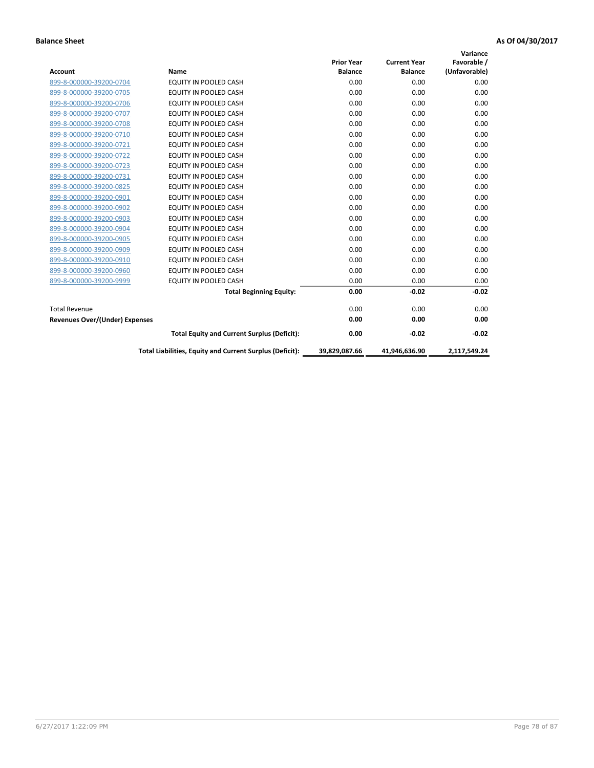| <b>Account</b>                        | Name                                                     | <b>Prior Year</b><br><b>Balance</b> | <b>Current Year</b><br><b>Balance</b> | Variance<br>Favorable /<br>(Unfavorable) |
|---------------------------------------|----------------------------------------------------------|-------------------------------------|---------------------------------------|------------------------------------------|
| 899-8-000000-39200-0704               | <b>EQUITY IN POOLED CASH</b>                             | 0.00                                | 0.00                                  | 0.00                                     |
| 899-8-000000-39200-0705               | EQUITY IN POOLED CASH                                    | 0.00                                | 0.00                                  | 0.00                                     |
| 899-8-000000-39200-0706               | <b>EQUITY IN POOLED CASH</b>                             | 0.00                                | 0.00                                  | 0.00                                     |
| 899-8-000000-39200-0707               | <b>EQUITY IN POOLED CASH</b>                             | 0.00                                | 0.00                                  | 0.00                                     |
| 899-8-000000-39200-0708               | <b>EQUITY IN POOLED CASH</b>                             | 0.00                                | 0.00                                  | 0.00                                     |
| 899-8-000000-39200-0710               | <b>EQUITY IN POOLED CASH</b>                             | 0.00                                | 0.00                                  | 0.00                                     |
| 899-8-000000-39200-0721               | EQUITY IN POOLED CASH                                    | 0.00                                | 0.00                                  | 0.00                                     |
| 899-8-000000-39200-0722               | EQUITY IN POOLED CASH                                    | 0.00                                | 0.00                                  | 0.00                                     |
| 899-8-000000-39200-0723               | <b>EQUITY IN POOLED CASH</b>                             | 0.00                                | 0.00                                  | 0.00                                     |
| 899-8-000000-39200-0731               | <b>EQUITY IN POOLED CASH</b>                             | 0.00                                | 0.00                                  | 0.00                                     |
| 899-8-000000-39200-0825               | <b>EQUITY IN POOLED CASH</b>                             | 0.00                                | 0.00                                  | 0.00                                     |
| 899-8-000000-39200-0901               | <b>EQUITY IN POOLED CASH</b>                             | 0.00                                | 0.00                                  | 0.00                                     |
| 899-8-000000-39200-0902               | <b>EQUITY IN POOLED CASH</b>                             | 0.00                                | 0.00                                  | 0.00                                     |
| 899-8-000000-39200-0903               | <b>EQUITY IN POOLED CASH</b>                             | 0.00                                | 0.00                                  | 0.00                                     |
| 899-8-000000-39200-0904               | <b>EQUITY IN POOLED CASH</b>                             | 0.00                                | 0.00                                  | 0.00                                     |
| 899-8-000000-39200-0905               | <b>EQUITY IN POOLED CASH</b>                             | 0.00                                | 0.00                                  | 0.00                                     |
| 899-8-000000-39200-0909               | EQUITY IN POOLED CASH                                    | 0.00                                | 0.00                                  | 0.00                                     |
| 899-8-000000-39200-0910               | <b>EQUITY IN POOLED CASH</b>                             | 0.00                                | 0.00                                  | 0.00                                     |
| 899-8-000000-39200-0960               | EQUITY IN POOLED CASH                                    | 0.00                                | 0.00                                  | 0.00                                     |
| 899-8-000000-39200-9999               | EQUITY IN POOLED CASH                                    | 0.00                                | 0.00                                  | 0.00                                     |
|                                       | <b>Total Beginning Equity:</b>                           | 0.00                                | $-0.02$                               | $-0.02$                                  |
| <b>Total Revenue</b>                  |                                                          | 0.00                                | 0.00                                  | 0.00                                     |
| <b>Revenues Over/(Under) Expenses</b> |                                                          | 0.00                                | 0.00                                  | 0.00                                     |
|                                       | <b>Total Equity and Current Surplus (Deficit):</b>       | 0.00                                | $-0.02$                               | $-0.02$                                  |
|                                       | Total Liabilities, Equity and Current Surplus (Deficit): | 39,829,087.66                       | 41,946,636.90                         | 2,117,549.24                             |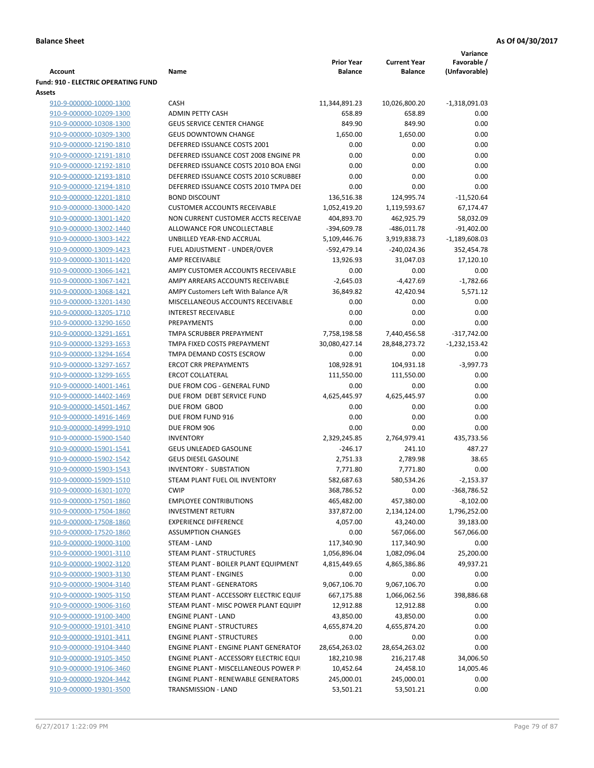|                                                    |                                                                  |                                     |                                       | Variance                     |
|----------------------------------------------------|------------------------------------------------------------------|-------------------------------------|---------------------------------------|------------------------------|
| <b>Account</b>                                     | Name                                                             | <b>Prior Year</b><br><b>Balance</b> | <b>Current Year</b><br><b>Balance</b> | Favorable /<br>(Unfavorable) |
| <b>Fund: 910 - ELECTRIC OPERATING FUND</b>         |                                                                  |                                     |                                       |                              |
| Assets                                             |                                                                  |                                     |                                       |                              |
| 910-9-000000-10000-1300                            | <b>CASH</b>                                                      | 11,344,891.23                       | 10,026,800.20                         | $-1,318,091.03$              |
| 910-9-000000-10209-1300                            | <b>ADMIN PETTY CASH</b>                                          | 658.89                              | 658.89                                | 0.00                         |
| 910-9-000000-10308-1300                            | <b>GEUS SERVICE CENTER CHANGE</b>                                | 849.90                              | 849.90                                | 0.00                         |
| 910-9-000000-10309-1300                            | <b>GEUS DOWNTOWN CHANGE</b>                                      | 1,650.00                            | 1,650.00                              | 0.00                         |
| 910-9-000000-12190-1810                            | DEFERRED ISSUANCE COSTS 2001                                     | 0.00                                | 0.00                                  | 0.00                         |
| 910-9-000000-12191-1810                            | DEFERRED ISSUANCE COST 2008 ENGINE PR                            | 0.00                                | 0.00                                  | 0.00                         |
| 910-9-000000-12192-1810                            | DEFERRED ISSUANCE COSTS 2010 BOA ENGI                            | 0.00                                | 0.00                                  | 0.00                         |
| 910-9-000000-12193-1810                            | DEFERRED ISSUANCE COSTS 2010 SCRUBBEI                            | 0.00                                | 0.00                                  | 0.00                         |
| 910-9-000000-12194-1810                            | DEFERRED ISSUANCE COSTS 2010 TMPA DEI                            | 0.00                                | 0.00                                  | 0.00                         |
| 910-9-000000-12201-1810                            | <b>BOND DISCOUNT</b>                                             | 136,516.38                          | 124,995.74                            | $-11,520.64$                 |
| 910-9-000000-13000-1420                            | <b>CUSTOMER ACCOUNTS RECEIVABLE</b>                              | 1,052,419.20                        | 1,119,593.67                          | 67,174.47                    |
| 910-9-000000-13001-1420                            | NON CURRENT CUSTOMER ACCTS RECEIVAE                              | 404,893.70                          | 462,925.79                            | 58,032.09                    |
| 910-9-000000-13002-1440                            | ALLOWANCE FOR UNCOLLECTABLE                                      | -394,609.78                         | $-486,011.78$                         | $-91,402.00$                 |
| 910-9-000000-13003-1422                            | UNBILLED YEAR-END ACCRUAL                                        | 5,109,446.76                        | 3,919,838.73                          | $-1,189,608.03$              |
| 910-9-000000-13009-1423                            | FUEL ADJUSTMENT - UNDER/OVER                                     | -592,479.14                         | $-240,024.36$                         | 352,454.78                   |
| 910-9-000000-13011-1420                            | AMP RECEIVABLE                                                   | 13,926.93                           | 31,047.03                             | 17,120.10                    |
| 910-9-000000-13066-1421                            | AMPY CUSTOMER ACCOUNTS RECEIVABLE                                | 0.00                                | 0.00                                  | 0.00                         |
| 910-9-000000-13067-1421                            | AMPY ARREARS ACCOUNTS RECEIVABLE                                 | $-2,645.03$                         | $-4,427.69$                           | $-1,782.66$                  |
| 910-9-000000-13068-1421                            | AMPY Customers Left With Balance A/R                             | 36,849.82                           | 42,420.94                             | 5,571.12                     |
| 910-9-000000-13201-1430                            | MISCELLANEOUS ACCOUNTS RECEIVABLE                                | 0.00                                | 0.00                                  | 0.00                         |
| 910-9-000000-13205-1710                            | <b>INTEREST RECEIVABLE</b>                                       | 0.00                                | 0.00                                  | 0.00                         |
| 910-9-000000-13290-1650                            | PREPAYMENTS                                                      | 0.00                                | 0.00                                  | 0.00                         |
| 910-9-000000-13291-1651                            | TMPA SCRUBBER PREPAYMENT                                         | 7,758,198.58                        | 7,440,456.58                          | $-317,742.00$                |
| 910-9-000000-13293-1653                            | TMPA FIXED COSTS PREPAYMENT                                      | 30,080,427.14                       | 28,848,273.72                         | $-1,232,153.42$              |
| 910-9-000000-13294-1654                            | TMPA DEMAND COSTS ESCROW                                         | 0.00                                | 0.00                                  | 0.00                         |
| 910-9-000000-13297-1657                            | <b>ERCOT CRR PREPAYMENTS</b>                                     | 108,928.91                          | 104,931.18                            | $-3,997.73$                  |
| 910-9-000000-13299-1655                            | <b>ERCOT COLLATERAL</b>                                          | 111,550.00                          | 111,550.00                            | 0.00                         |
| 910-9-000000-14001-1461                            | DUE FROM COG - GENERAL FUND                                      | 0.00                                | 0.00                                  | 0.00                         |
| 910-9-000000-14402-1469                            | DUE FROM DEBT SERVICE FUND                                       | 4,625,445.97                        | 4,625,445.97                          | 0.00                         |
| 910-9-000000-14501-1467                            | DUE FROM GBOD                                                    | 0.00                                | 0.00                                  | 0.00                         |
| 910-9-000000-14916-1469                            | DUE FROM FUND 916                                                | 0.00                                | 0.00                                  | 0.00                         |
| 910-9-000000-14999-1910                            | DUE FROM 906                                                     | 0.00                                | 0.00                                  | 0.00                         |
| 910-9-000000-15900-1540                            | <b>INVENTORY</b>                                                 | 2,329,245.85                        | 2,764,979.41                          | 435,733.56                   |
| 910-9-000000-15901-1541                            | <b>GEUS UNLEADED GASOLINE</b>                                    | $-246.17$                           | 241.10                                | 487.27                       |
| 910-9-000000-15902-1542                            | <b>GEUS DIESEL GASOLINE</b>                                      | 2,751.33                            | 2,789.98                              | 38.65                        |
| 910-9-000000-15903-1543                            | INVENTORY - SUBSTATION                                           | 7,771.80                            | 7,771.80                              | 0.00                         |
| 910-9-000000-15909-1510                            | STEAM PLANT FUEL OIL INVENTORY                                   | 582,687.63                          | 580,534.26                            | $-2,153.37$                  |
| 910-9-000000-16301-1070                            | <b>CWIP</b>                                                      | 368,786.52                          | 0.00                                  | -368,786.52                  |
| 910-9-000000-17501-1860                            | <b>EMPLOYEE CONTRIBUTIONS</b>                                    | 465,482.00                          | 457,380.00                            | $-8,102.00$                  |
| 910-9-000000-17504-1860                            | <b>INVESTMENT RETURN</b>                                         | 337,872.00                          | 2,134,124.00                          | 1,796,252.00                 |
| 910-9-000000-17508-1860                            | <b>EXPERIENCE DIFFERENCE</b>                                     | 4,057.00                            | 43,240.00                             | 39,183.00                    |
| 910-9-000000-17520-1860                            | <b>ASSUMPTION CHANGES</b>                                        | 0.00                                | 567,066.00                            | 567,066.00                   |
| 910-9-000000-19000-3100                            | STEAM - LAND                                                     | 117,340.90                          | 117,340.90                            | 0.00                         |
| 910-9-000000-19001-3110                            | STEAM PLANT - STRUCTURES<br>STEAM PLANT - BOILER PLANT EQUIPMENT | 1,056,896.04                        | 1,082,096.04                          | 25,200.00                    |
| 910-9-000000-19002-3120                            |                                                                  | 4,815,449.65                        | 4,865,386.86                          | 49,937.21                    |
| 910-9-000000-19003-3130<br>910-9-000000-19004-3140 | STEAM PLANT - ENGINES<br><b>STEAM PLANT - GENERATORS</b>         | 0.00<br>9,067,106.70                | 0.00<br>9,067,106.70                  | 0.00<br>0.00                 |
| 910-9-000000-19005-3150                            | STEAM PLANT - ACCESSORY ELECTRIC EQUIF                           |                                     |                                       | 398,886.68                   |
| 910-9-000000-19006-3160                            | STEAM PLANT - MISC POWER PLANT EQUIPI                            | 667,175.88<br>12,912.88             | 1,066,062.56<br>12,912.88             | 0.00                         |
| 910-9-000000-19100-3400                            | <b>ENGINE PLANT - LAND</b>                                       | 43,850.00                           | 43,850.00                             | 0.00                         |
| 910-9-000000-19101-3410                            | <b>ENGINE PLANT - STRUCTURES</b>                                 | 4,655,874.20                        | 4,655,874.20                          | 0.00                         |
| 910-9-000000-19101-3411                            | <b>ENGINE PLANT - STRUCTURES</b>                                 | 0.00                                | 0.00                                  | 0.00                         |
| 910-9-000000-19104-3440                            | ENGINE PLANT - ENGINE PLANT GENERATOF                            | 28,654,263.02                       | 28,654,263.02                         | 0.00                         |
| 910-9-000000-19105-3450                            | ENGINE PLANT - ACCESSORY ELECTRIC EQUI                           | 182,210.98                          | 216,217.48                            | 34,006.50                    |
| 910-9-000000-19106-3460                            | ENGINE PLANT - MISCELLANEOUS POWER P                             | 10,452.64                           | 24,458.10                             | 14,005.46                    |
| 910-9-000000-19204-3442                            | <b>ENGINE PLANT - RENEWABLE GENERATORS</b>                       | 245,000.01                          | 245,000.01                            | 0.00                         |
| 910-9-000000-19301-3500                            | TRANSMISSION - LAND                                              | 53,501.21                           | 53,501.21                             | 0.00                         |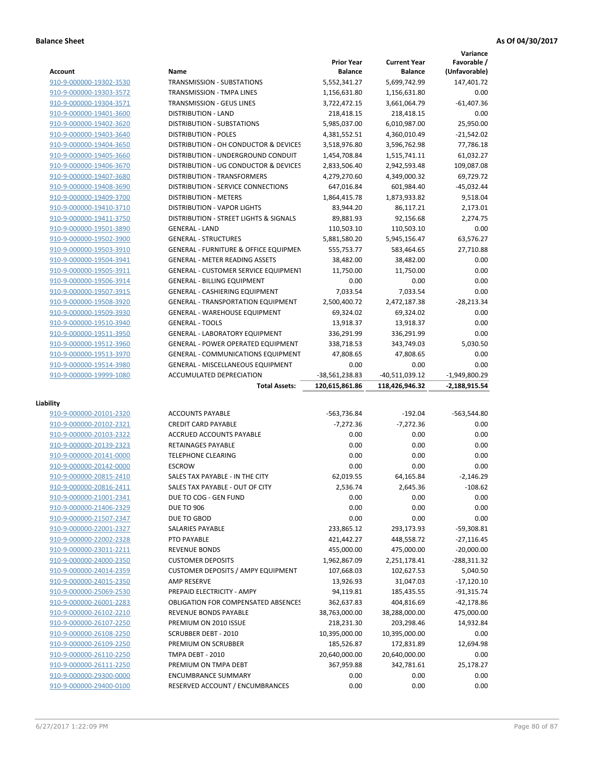|                         |                                                  | <b>Prior Year</b> | <b>Current Year</b> | Variance<br>Favorable / |
|-------------------------|--------------------------------------------------|-------------------|---------------------|-------------------------|
| Account                 | Name                                             | <b>Balance</b>    | <b>Balance</b>      | (Unfavorable)           |
| 910-9-000000-19302-3530 | <b>TRANSMISSION - SUBSTATIONS</b>                | 5,552,341.27      | 5,699,742.99        | 147,401.72              |
| 910-9-000000-19303-3572 | <b>TRANSMISSION - TMPA LINES</b>                 | 1,156,631.80      | 1,156,631.80        | 0.00                    |
| 910-9-000000-19304-3571 | TRANSMISSION - GEUS LINES                        | 3,722,472.15      | 3,661,064.79        | $-61,407.36$            |
| 910-9-000000-19401-3600 | <b>DISTRIBUTION - LAND</b>                       | 218,418.15        | 218,418.15          | 0.00                    |
| 910-9-000000-19402-3620 | <b>DISTRIBUTION - SUBSTATIONS</b>                | 5,985,037.00      | 6,010,987.00        | 25,950.00               |
| 910-9-000000-19403-3640 | <b>DISTRIBUTION - POLES</b>                      | 4,381,552.51      | 4,360,010.49        | $-21,542.02$            |
| 910-9-000000-19404-3650 | DISTRIBUTION - OH CONDUCTOR & DEVICES            | 3,518,976.80      | 3,596,762.98        | 77,786.18               |
| 910-9-000000-19405-3660 | DISTRIBUTION - UNDERGROUND CONDUIT               | 1,454,708.84      | 1,515,741.11        | 61,032.27               |
| 910-9-000000-19406-3670 | DISTRIBUTION - UG CONDUCTOR & DEVICES            | 2,833,506.40      | 2,942,593.48        | 109,087.08              |
| 910-9-000000-19407-3680 | <b>DISTRIBUTION - TRANSFORMERS</b>               | 4,279,270.60      | 4,349,000.32        | 69,729.72               |
| 910-9-000000-19408-3690 | <b>DISTRIBUTION - SERVICE CONNECTIONS</b>        | 647,016.84        | 601,984.40          | $-45,032.44$            |
| 910-9-000000-19409-3700 | <b>DISTRIBUTION - METERS</b>                     | 1,864,415.78      | 1,873,933.82        | 9,518.04                |
| 910-9-000000-19410-3710 | <b>DISTRIBUTION - VAPOR LIGHTS</b>               | 83,944.20         | 86,117.21           | 2,173.01                |
| 910-9-000000-19411-3750 | DISTRIBUTION - STREET LIGHTS & SIGNALS           | 89,881.93         | 92,156.68           | 2,274.75                |
| 910-9-000000-19501-3890 | <b>GENERAL - LAND</b>                            | 110,503.10        | 110,503.10          | 0.00                    |
| 910-9-000000-19502-3900 | <b>GENERAL - STRUCTURES</b>                      | 5,881,580.20      | 5,945,156.47        | 63,576.27               |
| 910-9-000000-19503-3910 | <b>GENERAL - FURNITURE &amp; OFFICE EQUIPMEN</b> | 555,753.77        | 583,464.65          | 27,710.88               |
| 910-9-000000-19504-3941 | <b>GENERAL - METER READING ASSETS</b>            | 38,482.00         | 38,482.00           | 0.00                    |
| 910-9-000000-19505-3911 | <b>GENERAL - CUSTOMER SERVICE EQUIPMENT</b>      | 11,750.00         | 11,750.00           | 0.00                    |
| 910-9-000000-19506-3914 | <b>GENERAL - BILLING EQUIPMENT</b>               | 0.00              | 0.00                | 0.00                    |
| 910-9-000000-19507-3915 | <b>GENERAL - CASHIERING EQUIPMENT</b>            | 7.033.54          | 7.033.54            | 0.00                    |
| 910-9-000000-19508-3920 | <b>GENERAL - TRANSPORTATION EQUIPMENT</b>        | 2,500,400.72      | 2,472,187.38        | $-28,213.34$            |
| 910-9-000000-19509-3930 | <b>GENERAL - WAREHOUSE EQUIPMENT</b>             | 69,324.02         | 69,324.02           | 0.00                    |
| 910-9-000000-19510-3940 | <b>GENERAL - TOOLS</b>                           | 13,918.37         | 13,918.37           | 0.00                    |
| 910-9-000000-19511-3950 | <b>GENERAL - LABORATORY EQUIPMENT</b>            | 336,291.99        | 336,291.99          | 0.00                    |
| 910-9-000000-19512-3960 | <b>GENERAL - POWER OPERATED EQUIPMENT</b>        | 338,718.53        | 343,749.03          | 5,030.50                |
| 910-9-000000-19513-3970 | <b>GENERAL - COMMUNICATIONS EQUIPMENT</b>        | 47,808.65         | 47,808.65           | 0.00                    |
| 910-9-000000-19514-3980 | <b>GENERAL - MISCELLANEOUS EQUIPMENT</b>         | 0.00              | 0.00                | 0.00                    |
| 910-9-000000-19999-1080 | ACCUMULATED DEPRECIATION                         | -38,561,238.83    | -40,511,039.12      | $-1,949,800.29$         |
|                         | <b>Total Assets:</b>                             | 120,615,861.86    | 118,426,946.32      | $-2,188,915.54$         |
|                         |                                                  |                   |                     |                         |
| Liability               |                                                  |                   |                     |                         |
| 910-9-000000-20101-2320 | <b>ACCOUNTS PAYABLE</b>                          | -563,736.84       | $-192.04$           | $-563,544.80$           |
| 910-9-000000-20102-2321 | <b>CREDIT CARD PAYABLE</b>                       | $-7,272.36$       | $-7.272.36$         | 0.00                    |
| 910-9-000000-20103-2322 | ACCRUED ACCOUNTS PAYABLE                         | 0.00              | 0.00                | 0.00                    |
| 910-9-000000-20139-2323 | RETAINAGES PAYABLE                               | 0.00              | 0.00                | 0.00                    |
| 910-9-000000-20141-0000 | <b>TELEPHONE CLEARING</b>                        | 0.00              | 0.00                | 0.00                    |
| 910-9-000000-20142-0000 | <b>ESCROW</b>                                    | 0.00              | 0.00                | 0.00                    |
| 910-9-000000-20815-2410 | SALES TAX PAYABLE - IN THE CITY                  | 62,019.55         | 64,165.84           | $-2.146.29$             |
| 910-9-000000-20816-2411 | SALES TAX PAYABLE - OUT OF CITY                  | 2,536.74          | 2,645.36            | $-108.62$               |
| 910-9-000000-21001-2341 | DUE TO COG - GEN FUND                            | 0.00              | 0.00                | 0.00                    |
| 910-9-000000-21406-2329 | <b>DUE TO 906</b>                                | 0.00              | 0.00                | 0.00                    |
| 910-9-000000-21507-2347 | DUE TO GBOD                                      | 0.00              | 0.00                | 0.00                    |
| 910-9-000000-22001-2327 | SALARIES PAYABLE                                 | 233,865.12        | 293,173.93          | -59,308.81              |
| 910-9-000000-22002-2328 | PTO PAYABLE                                      | 421,442.27        | 448,558.72          | $-27,116.45$            |
| 910-9-000000-23011-2211 | <b>REVENUE BONDS</b>                             | 455,000.00        | 475,000.00          | $-20,000.00$            |
| 910-9-000000-24000-2350 | <b>CUSTOMER DEPOSITS</b>                         | 1,962,867.09      | 2,251,178.41        | $-288,311.32$           |
| 910-9-000000-24014-2359 | <b>CUSTOMER DEPOSITS / AMPY EQUIPMENT</b>        | 107,668.03        | 102,627.53          | 5,040.50                |
| 910-9-000000-24015-2350 | AMP RESERVE                                      | 13,926.93         | 31,047.03           | $-17,120.10$            |
| 910-9-000000-25069-2530 | PREPAID ELECTRICITY - AMPY                       | 94,119.81         | 185,435.55          | $-91,315.74$            |
| 910-9-000000-26001-2283 | <b>OBLIGATION FOR COMPENSATED ABSENCES</b>       | 362,637.83        | 404,816.69          | $-42,178.86$            |
| 910-9-000000-26102-2210 | REVENUE BONDS PAYABLE                            | 38,763,000.00     | 38,288,000.00       | 475,000.00              |
| 910-9-000000-26107-2250 | PREMIUM ON 2010 ISSUE                            | 218,231.30        | 203,298.46          | 14,932.84               |
| 910-9-000000-26108-2250 | <b>SCRUBBER DEBT - 2010</b>                      | 10,395,000.00     | 10,395,000.00       | 0.00                    |
| 910-9-000000-26109-2250 | PREMIUM ON SCRUBBER                              | 185,526.87        | 172,831.89          | 12,694.98               |
|                         |                                                  |                   |                     |                         |
| 910-9-000000-26110-2250 | TMPA DEBT - 2010                                 | 20,640,000.00     | 20,640,000.00       | 0.00                    |

910-9-000000-29300-0000 ENCUMBRANCE SUMMARY 0.00 0.00 0.00 910-9-000000-29400-0100 RESERVED ACCOUNT / ENCUMBRANCES 0.00 0.00 0.00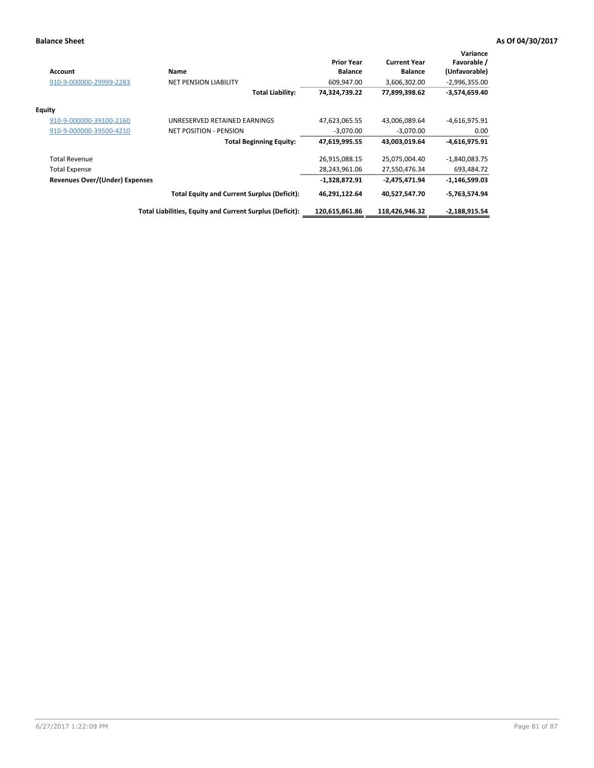| <b>Account</b>                 | Name                                                     | <b>Prior Year</b><br><b>Balance</b> | <b>Current Year</b><br><b>Balance</b> | Variance<br>Favorable /<br>(Unfavorable) |
|--------------------------------|----------------------------------------------------------|-------------------------------------|---------------------------------------|------------------------------------------|
| 910-9-000000-29999-2283        | <b>NET PENSION LIABILITY</b>                             | 609,947.00                          | 3,606,302.00                          | $-2,996,355.00$                          |
|                                | Total Liability:                                         | 74,324,739.22                       | 77,899,398.62                         | $-3,574,659.40$                          |
| Equity                         |                                                          |                                     |                                       |                                          |
| 910-9-000000-39100-2160        | UNRESERVED RETAINED EARNINGS                             | 47,623,065.55                       | 43,006,089.64                         | $-4,616,975.91$                          |
| 910-9-000000-39500-4210        | <b>NET POSITION - PENSION</b>                            | $-3,070.00$                         | $-3,070.00$                           | 0.00                                     |
|                                | <b>Total Beginning Equity:</b>                           | 47,619,995.55                       | 43,003,019.64                         | $-4,616,975.91$                          |
| <b>Total Revenue</b>           |                                                          | 26,915,088.15                       | 25,075,004.40                         | $-1,840,083.75$                          |
| <b>Total Expense</b>           |                                                          | 28,243,961.06                       | 27,550,476.34                         | 693,484.72                               |
| Revenues Over/(Under) Expenses |                                                          | -1,328,872.91                       | -2,475,471.94                         | -1,146,599.03                            |
|                                | <b>Total Equity and Current Surplus (Deficit):</b>       | 46,291,122.64                       | 40,527,547.70                         | $-5,763,574.94$                          |
|                                | Total Liabilities, Equity and Current Surplus (Deficit): | 120,615,861.86                      | 118,426,946.32                        | -2,188,915.54                            |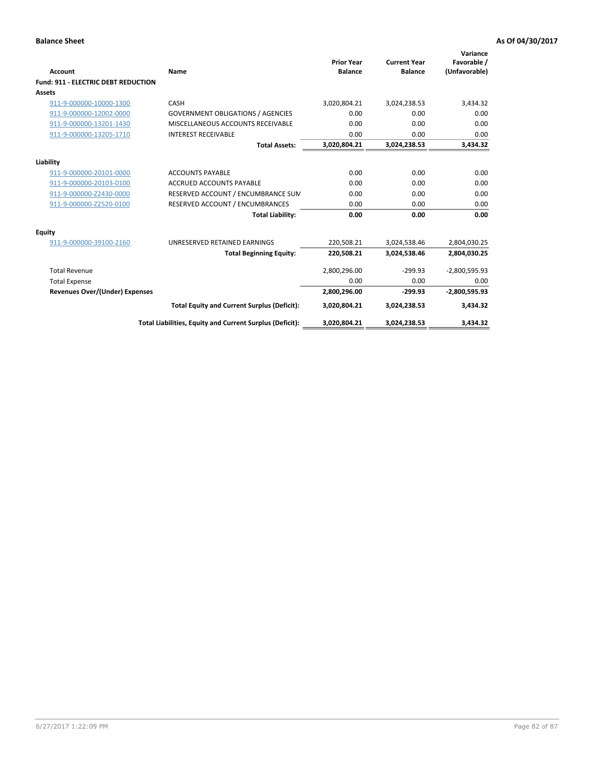| Account                                    | Name                                                     | <b>Prior Year</b><br><b>Balance</b> | <b>Current Year</b><br><b>Balance</b> | Variance<br>Favorable /<br>(Unfavorable) |
|--------------------------------------------|----------------------------------------------------------|-------------------------------------|---------------------------------------|------------------------------------------|
| <b>Fund: 911 - ELECTRIC DEBT REDUCTION</b> |                                                          |                                     |                                       |                                          |
| Assets                                     |                                                          |                                     |                                       |                                          |
| 911-9-000000-10000-1300                    | CASH                                                     | 3,020,804.21                        | 3,024,238.53                          | 3,434.32                                 |
| 911-9-000000-12002-0000                    | <b>GOVERNMENT OBLIGATIONS / AGENCIES</b>                 | 0.00                                | 0.00                                  | 0.00                                     |
| 911-9-000000-13201-1430                    | MISCELLANEOUS ACCOUNTS RECEIVABLE                        | 0.00                                | 0.00                                  | 0.00                                     |
| 911-9-000000-13205-1710                    | <b>INTEREST RECEIVABLE</b>                               | 0.00                                | 0.00                                  | 0.00                                     |
|                                            | <b>Total Assets:</b>                                     | 3,020,804.21                        | 3,024,238.53                          | 3,434.32                                 |
| Liability                                  |                                                          |                                     |                                       |                                          |
| 911-9-000000-20101-0000                    | <b>ACCOUNTS PAYABLE</b>                                  | 0.00                                | 0.00                                  | 0.00                                     |
| 911-9-000000-20103-0100                    | <b>ACCRUED ACCOUNTS PAYABLE</b>                          | 0.00                                | 0.00                                  | 0.00                                     |
| 911-9-000000-Z2430-0000                    | RESERVED ACCOUNT / ENCUMBRANCE SUM                       | 0.00                                | 0.00                                  | 0.00                                     |
| 911-9-000000-Z2520-0100                    | RESERVED ACCOUNT / ENCUMBRANCES                          | 0.00                                | 0.00                                  | 0.00                                     |
|                                            | <b>Total Liability:</b>                                  | 0.00                                | 0.00                                  | 0.00                                     |
| Equity                                     |                                                          |                                     |                                       |                                          |
| 911-9-000000-39100-2160                    | UNRESERVED RETAINED EARNINGS                             | 220,508.21                          | 3,024,538.46                          | 2,804,030.25                             |
|                                            | <b>Total Beginning Equity:</b>                           | 220,508.21                          | 3,024,538.46                          | 2,804,030.25                             |
| <b>Total Revenue</b>                       |                                                          | 2,800,296.00                        | $-299.93$                             | $-2,800,595.93$                          |
| <b>Total Expense</b>                       |                                                          | 0.00                                | 0.00                                  | 0.00                                     |
| <b>Revenues Over/(Under) Expenses</b>      |                                                          | 2,800,296.00                        | $-299.93$                             | $-2,800,595.93$                          |
|                                            | <b>Total Equity and Current Surplus (Deficit):</b>       | 3,020,804.21                        | 3,024,238.53                          | 3,434.32                                 |
|                                            | Total Liabilities, Equity and Current Surplus (Deficit): | 3,020,804.21                        | 3,024,238.53                          | 3,434.32                                 |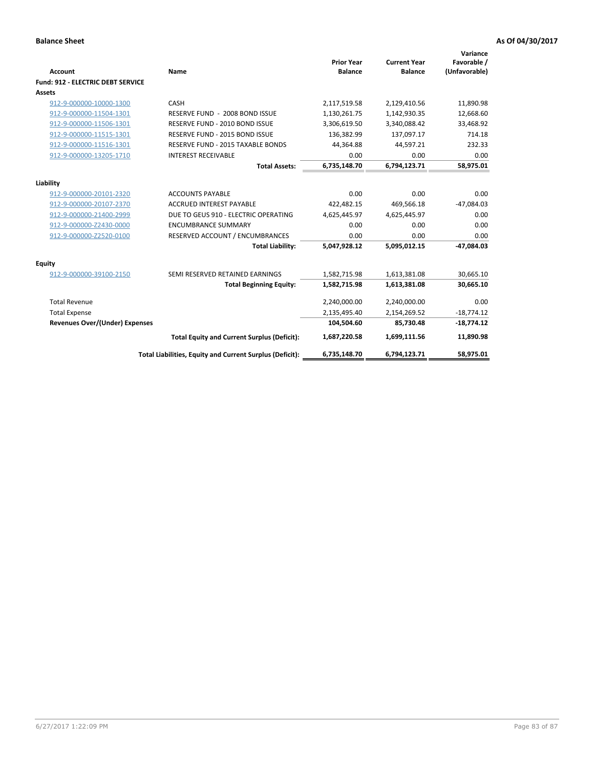| <b>Account</b>                           | Name                                                     | <b>Prior Year</b><br><b>Balance</b> | <b>Current Year</b><br><b>Balance</b> | Variance<br>Favorable /<br>(Unfavorable) |
|------------------------------------------|----------------------------------------------------------|-------------------------------------|---------------------------------------|------------------------------------------|
| <b>Fund: 912 - ELECTRIC DEBT SERVICE</b> |                                                          |                                     |                                       |                                          |
| <b>Assets</b>                            |                                                          |                                     |                                       |                                          |
| 912-9-000000-10000-1300                  | CASH                                                     | 2,117,519.58                        | 2,129,410.56                          | 11,890.98                                |
| 912-9-000000-11504-1301                  | RESERVE FUND - 2008 BOND ISSUE                           | 1,130,261.75                        | 1,142,930.35                          | 12,668.60                                |
| 912-9-000000-11506-1301                  | RESERVE FUND - 2010 BOND ISSUE                           | 3,306,619.50                        | 3,340,088.42                          | 33,468.92                                |
| 912-9-000000-11515-1301                  | RESERVE FUND - 2015 BOND ISSUE                           | 136.382.99                          | 137.097.17                            | 714.18                                   |
| 912-9-000000-11516-1301                  | RESERVE FUND - 2015 TAXABLE BONDS                        | 44,364.88                           | 44,597.21                             | 232.33                                   |
| 912-9-000000-13205-1710                  | <b>INTEREST RECEIVABLE</b>                               | 0.00                                | 0.00                                  | 0.00                                     |
|                                          | <b>Total Assets:</b>                                     | 6,735,148.70                        | 6,794,123.71                          | 58,975.01                                |
| Liability                                |                                                          |                                     |                                       |                                          |
| 912-9-000000-20101-2320                  | <b>ACCOUNTS PAYABLE</b>                                  | 0.00                                | 0.00                                  | 0.00                                     |
| 912-9-000000-20107-2370                  | <b>ACCRUED INTEREST PAYABLE</b>                          | 422,482.15                          | 469,566.18                            | $-47,084.03$                             |
| 912-9-000000-21400-2999                  | DUE TO GEUS 910 - ELECTRIC OPERATING                     | 4,625,445.97                        | 4,625,445.97                          | 0.00                                     |
| 912-9-000000-Z2430-0000                  | <b>ENCUMBRANCE SUMMARY</b>                               | 0.00                                | 0.00                                  | 0.00                                     |
| 912-9-000000-Z2520-0100                  | RESERVED ACCOUNT / ENCUMBRANCES                          | 0.00                                | 0.00                                  | 0.00                                     |
|                                          | <b>Total Liability:</b>                                  | 5,047,928.12                        | 5,095,012.15                          | $-47,084.03$                             |
| Equity                                   |                                                          |                                     |                                       |                                          |
| 912-9-000000-39100-2150                  | SEMI RESERVED RETAINED EARNINGS                          | 1,582,715.98                        | 1,613,381.08                          | 30,665.10                                |
|                                          | <b>Total Beginning Equity:</b>                           | 1,582,715.98                        | 1,613,381.08                          | 30,665.10                                |
| <b>Total Revenue</b>                     |                                                          | 2,240,000.00                        | 2,240,000.00                          | 0.00                                     |
| <b>Total Expense</b>                     |                                                          | 2,135,495.40                        | 2,154,269.52                          | $-18,774.12$                             |
| <b>Revenues Over/(Under) Expenses</b>    |                                                          | 104,504.60                          | 85,730.48                             | $-18,774.12$                             |
|                                          | <b>Total Equity and Current Surplus (Deficit):</b>       | 1,687,220.58                        | 1,699,111.56                          | 11,890.98                                |
|                                          | Total Liabilities, Equity and Current Surplus (Deficit): | 6,735,148.70                        | 6,794,123.71                          | 58.975.01                                |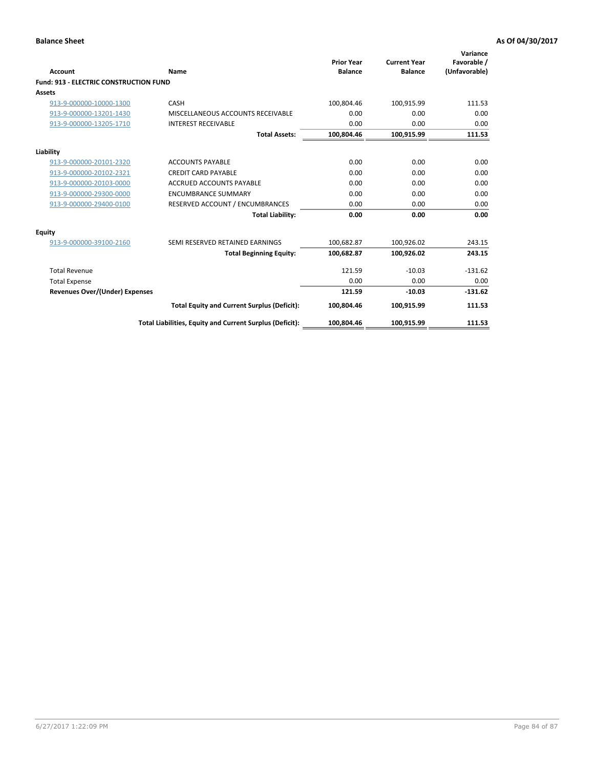| Account                                       | Name                                                     | <b>Prior Year</b><br><b>Balance</b> | <b>Current Year</b><br><b>Balance</b> | Variance<br>Favorable /<br>(Unfavorable) |
|-----------------------------------------------|----------------------------------------------------------|-------------------------------------|---------------------------------------|------------------------------------------|
| <b>Fund: 913 - ELECTRIC CONSTRUCTION FUND</b> |                                                          |                                     |                                       |                                          |
| <b>Assets</b>                                 |                                                          |                                     |                                       |                                          |
| 913-9-000000-10000-1300                       | CASH                                                     | 100,804.46                          | 100,915.99                            | 111.53                                   |
| 913-9-000000-13201-1430                       | MISCELLANEOUS ACCOUNTS RECEIVABLE                        | 0.00                                | 0.00                                  | 0.00                                     |
| 913-9-000000-13205-1710                       | <b>INTEREST RECEIVABLE</b>                               | 0.00                                | 0.00                                  | 0.00                                     |
|                                               | <b>Total Assets:</b>                                     | 100,804.46                          | 100,915.99                            | 111.53                                   |
| Liability                                     |                                                          |                                     |                                       |                                          |
| 913-9-000000-20101-2320                       | <b>ACCOUNTS PAYABLE</b>                                  | 0.00                                | 0.00                                  | 0.00                                     |
| 913-9-000000-20102-2321                       | <b>CREDIT CARD PAYABLE</b>                               | 0.00                                | 0.00                                  | 0.00                                     |
| 913-9-000000-20103-0000                       | <b>ACCRUED ACCOUNTS PAYABLE</b>                          | 0.00                                | 0.00                                  | 0.00                                     |
| 913-9-000000-29300-0000                       | <b>ENCUMBRANCE SUMMARY</b>                               | 0.00                                | 0.00                                  | 0.00                                     |
| 913-9-000000-29400-0100                       | RESERVED ACCOUNT / ENCUMBRANCES                          | 0.00                                | 0.00                                  | 0.00                                     |
|                                               | <b>Total Liability:</b>                                  | 0.00                                | 0.00                                  | 0.00                                     |
| <b>Equity</b>                                 |                                                          |                                     |                                       |                                          |
| 913-9-000000-39100-2160                       | SEMI RESERVED RETAINED EARNINGS                          | 100,682.87                          | 100,926.02                            | 243.15                                   |
|                                               | <b>Total Beginning Equity:</b>                           | 100,682.87                          | 100,926.02                            | 243.15                                   |
| <b>Total Revenue</b>                          |                                                          | 121.59                              | $-10.03$                              | $-131.62$                                |
| <b>Total Expense</b>                          |                                                          | 0.00                                | 0.00                                  | 0.00                                     |
| <b>Revenues Over/(Under) Expenses</b>         |                                                          | 121.59                              | $-10.03$                              | $-131.62$                                |
|                                               | <b>Total Equity and Current Surplus (Deficit):</b>       | 100,804.46                          | 100,915.99                            | 111.53                                   |
|                                               | Total Liabilities, Equity and Current Surplus (Deficit): | 100,804.46                          | 100,915.99                            | 111.53                                   |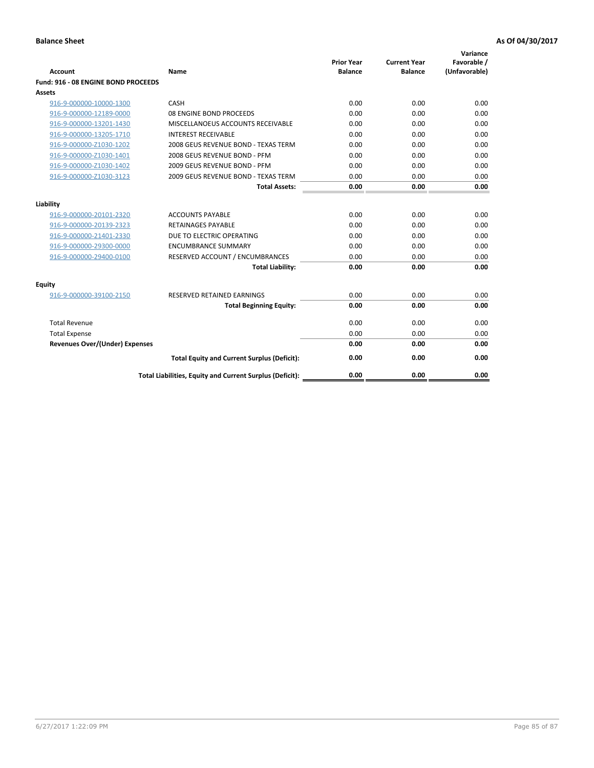| <b>Account</b>                        | Name                                                     | <b>Prior Year</b><br><b>Balance</b> | <b>Current Year</b><br><b>Balance</b> | Variance<br>Favorable /<br>(Unfavorable) |
|---------------------------------------|----------------------------------------------------------|-------------------------------------|---------------------------------------|------------------------------------------|
| Fund: 916 - 08 ENGINE BOND PROCEEDS   |                                                          |                                     |                                       |                                          |
| Assets                                |                                                          |                                     |                                       |                                          |
| 916-9-000000-10000-1300               | CASH                                                     | 0.00                                | 0.00                                  | 0.00                                     |
| 916-9-000000-12189-0000               | 08 ENGINE BOND PROCEEDS                                  | 0.00                                | 0.00                                  | 0.00                                     |
| 916-9-000000-13201-1430               | MISCELLANOEUS ACCOUNTS RECEIVABLE                        | 0.00                                | 0.00                                  | 0.00                                     |
| 916-9-000000-13205-1710               | <b>INTEREST RECEIVABLE</b>                               | 0.00                                | 0.00                                  | 0.00                                     |
| 916-9-000000-Z1030-1202               | 2008 GEUS REVENUE BOND - TEXAS TERM                      | 0.00                                | 0.00                                  | 0.00                                     |
| 916-9-000000-Z1030-1401               | 2008 GEUS REVENUE BOND - PFM                             | 0.00                                | 0.00                                  | 0.00                                     |
| 916-9-000000-Z1030-1402               | 2009 GEUS REVENUE BOND - PFM                             | 0.00                                | 0.00                                  | 0.00                                     |
| 916-9-000000-Z1030-3123               | 2009 GEUS REVENUE BOND - TEXAS TERM                      | 0.00                                | 0.00                                  | 0.00                                     |
|                                       | <b>Total Assets:</b>                                     | 0.00                                | 0.00                                  | 0.00                                     |
| Liability                             |                                                          |                                     |                                       |                                          |
| 916-9-000000-20101-2320               | <b>ACCOUNTS PAYABLE</b>                                  | 0.00                                | 0.00                                  | 0.00                                     |
| 916-9-000000-20139-2323               | <b>RETAINAGES PAYABLE</b>                                | 0.00                                | 0.00                                  | 0.00                                     |
| 916-9-000000-21401-2330               | DUE TO ELECTRIC OPERATING                                | 0.00                                | 0.00                                  | 0.00                                     |
| 916-9-000000-29300-0000               | <b>ENCUMBRANCE SUMMARY</b>                               | 0.00                                | 0.00                                  | 0.00                                     |
| 916-9-000000-29400-0100               | RESERVED ACCOUNT / ENCUMBRANCES                          | 0.00                                | 0.00                                  | 0.00                                     |
|                                       | <b>Total Liability:</b>                                  | 0.00                                | 0.00                                  | 0.00                                     |
| Equity                                |                                                          |                                     |                                       |                                          |
| 916-9-000000-39100-2150               | <b>RESERVED RETAINED EARNINGS</b>                        | 0.00                                | 0.00                                  | 0.00                                     |
|                                       | <b>Total Beginning Equity:</b>                           | 0.00                                | 0.00                                  | 0.00                                     |
| <b>Total Revenue</b>                  |                                                          | 0.00                                | 0.00                                  | 0.00                                     |
| <b>Total Expense</b>                  |                                                          | 0.00                                | 0.00                                  | 0.00                                     |
| <b>Revenues Over/(Under) Expenses</b> |                                                          | 0.00                                | 0.00                                  | 0.00                                     |
|                                       | <b>Total Equity and Current Surplus (Deficit):</b>       | 0.00                                | 0.00                                  | 0.00                                     |
|                                       | Total Liabilities, Equity and Current Surplus (Deficit): | 0.00                                | 0.00                                  | 0.00                                     |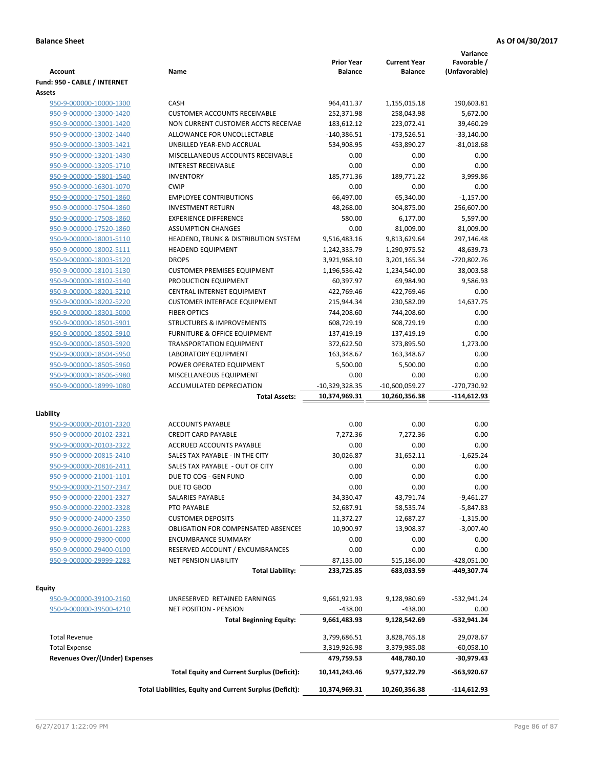|                                       |                                                          | <b>Prior Year</b> | <b>Current Year</b> | Variance<br>Favorable / |
|---------------------------------------|----------------------------------------------------------|-------------------|---------------------|-------------------------|
| <b>Account</b>                        | Name                                                     | <b>Balance</b>    | <b>Balance</b>      | (Unfavorable)           |
| Fund: 950 - CABLE / INTERNET          |                                                          |                   |                     |                         |
| Assets                                |                                                          |                   |                     |                         |
| 950-9-000000-10000-1300               | CASH                                                     | 964,411.37        | 1,155,015.18        | 190,603.81              |
| 950-9-000000-13000-1420               | <b>CUSTOMER ACCOUNTS RECEIVABLE</b>                      | 252,371.98        | 258,043.98          | 5,672.00                |
| 950-9-000000-13001-1420               | NON CURRENT CUSTOMER ACCTS RECEIVAE                      | 183,612.12        | 223,072.41          | 39,460.29               |
| 950-9-000000-13002-1440               | ALLOWANCE FOR UNCOLLECTABLE                              | $-140,386.51$     | $-173,526.51$       | $-33,140.00$            |
| 950-9-000000-13003-1421               | UNBILLED YEAR-END ACCRUAL                                | 534,908.95        | 453,890.27          | $-81,018.68$            |
| 950-9-000000-13201-1430               | MISCELLANEOUS ACCOUNTS RECEIVABLE                        | 0.00              | 0.00                | 0.00                    |
| 950-9-000000-13205-1710               | <b>INTEREST RECEIVABLE</b>                               | 0.00              | 0.00                | 0.00                    |
| 950-9-000000-15801-1540               | <b>INVENTORY</b>                                         | 185,771.36        | 189,771.22          | 3,999.86                |
| 950-9-000000-16301-1070               | <b>CWIP</b>                                              | 0.00              | 0.00                | 0.00                    |
| 950-9-000000-17501-1860               | <b>EMPLOYEE CONTRIBUTIONS</b>                            | 66,497.00         | 65,340.00           | $-1,157.00$             |
| 950-9-000000-17504-1860               | <b>INVESTMENT RETURN</b>                                 | 48,268.00         | 304,875.00          | 256,607.00              |
| 950-9-000000-17508-1860               | <b>EXPERIENCE DIFFERENCE</b>                             | 580.00            | 6,177.00            | 5,597.00                |
| 950-9-000000-17520-1860               | <b>ASSUMPTION CHANGES</b>                                | 0.00              | 81,009.00           | 81,009.00               |
| 950-9-000000-18001-5110               | HEADEND, TRUNK & DISTRIBUTION SYSTEM                     | 9,516,483.16      | 9,813,629.64        | 297,146.48              |
| 950-9-000000-18002-5111               | <b>HEADEND EQUIPMENT</b>                                 | 1,242,335.79      | 1,290,975.52        | 48,639.73               |
| 950-9-000000-18003-5120               | <b>DROPS</b>                                             | 3,921,968.10      | 3,201,165.34        | -720,802.76             |
| 950-9-000000-18101-5130               | <b>CUSTOMER PREMISES EQUIPMENT</b>                       | 1,196,536.42      | 1,234,540.00        | 38,003.58               |
| 950-9-000000-18102-5140               | PRODUCTION EQUIPMENT                                     | 60,397.97         | 69,984.90           | 9,586.93                |
| 950-9-000000-18201-5210               | CENTRAL INTERNET EQUIPMENT                               | 422,769.46        | 422,769.46          | 0.00                    |
| 950-9-000000-18202-5220               | <b>CUSTOMER INTERFACE EQUIPMENT</b>                      | 215,944.34        | 230,582.09          | 14,637.75               |
| 950-9-000000-18301-5000               | <b>FIBER OPTICS</b>                                      | 744,208.60        | 744,208.60          | 0.00                    |
| 950-9-000000-18501-5901               | <b>STRUCTURES &amp; IMPROVEMENTS</b>                     | 608,729.19        | 608,729.19          | 0.00                    |
| 950-9-000000-18502-5910               | <b>FURNITURE &amp; OFFICE EQUIPMENT</b>                  | 137,419.19        | 137,419.19          | 0.00                    |
| 950-9-000000-18503-5920               | <b>TRANSPORTATION EQUIPMENT</b>                          | 372,622.50        | 373,895.50          | 1,273.00                |
| 950-9-000000-18504-5950               | LABORATORY EQUIPMENT                                     | 163,348.67        | 163,348.67          | 0.00                    |
| 950-9-000000-18505-5960               | POWER OPERATED EQUIPMENT                                 | 5,500.00          | 5,500.00            | 0.00                    |
| 950-9-000000-18506-5980               | MISCELLANEOUS EQUIPMENT                                  | 0.00              | 0.00                | 0.00                    |
| 950-9-000000-18999-1080               | <b>ACCUMULATED DEPRECIATION</b>                          | $-10,329,328.35$  | $-10,600,059.27$    | -270,730.92             |
|                                       | <b>Total Assets:</b>                                     | 10,374,969.31     | 10,260,356.38       | $-114,612.93$           |
| Liability                             |                                                          |                   |                     |                         |
| 950-9-000000-20101-2320               | <b>ACCOUNTS PAYABLE</b>                                  | 0.00              | 0.00                | 0.00                    |
| 950-9-000000-20102-2321               | <b>CREDIT CARD PAYABLE</b>                               | 7,272.36          | 7,272.36            | 0.00                    |
| 950-9-000000-20103-2322               | ACCRUED ACCOUNTS PAYABLE                                 | 0.00              | 0.00                | 0.00                    |
| 950-9-000000-20815-2410               | SALES TAX PAYABLE - IN THE CITY                          | 30,026.87         | 31,652.11           | $-1,625.24$             |
| 950-9-000000-20816-2411               | SALES TAX PAYABLE - OUT OF CITY                          | 0.00              | 0.00                | 0.00                    |
| 950-9-000000-21001-1101               | DUE TO COG - GEN FUND                                    | 0.00              | 0.00                | 0.00                    |
| 950-9-000000-21507-2347               | DUE TO GBOD                                              | 0.00              | 0.00                | 0.00                    |
| 950-9-000000-22001-2327               | SALARIES PAYABLE                                         | 34,330.47         | 43,791.74           | $-9,461.27$             |
| 950-9-000000-22002-2328               | PTO PAYABLE                                              | 52,687.91         | 58,535.74           | $-5,847.83$             |
| 950-9-000000-24000-2350               | <b>CUSTOMER DEPOSITS</b>                                 | 11,372.27         | 12,687.27           | $-1,315.00$             |
| 950-9-000000-26001-2283               | <b>OBLIGATION FOR COMPENSATED ABSENCES</b>               | 10,900.97         | 13,908.37           | $-3,007.40$             |
| 950-9-000000-29300-0000               | <b>ENCUMBRANCE SUMMARY</b>                               | 0.00              | 0.00                | 0.00                    |
| 950-9-000000-29400-0100               | RESERVED ACCOUNT / ENCUMBRANCES                          | 0.00              | 0.00                | 0.00                    |
| 950-9-000000-29999-2283               | <b>NET PENSION LIABILITY</b>                             | 87,135.00         | 515,186.00          | $-428,051.00$           |
|                                       | <b>Total Liability:</b>                                  | 233,725.85        | 683,033.59          | -449,307.74             |
|                                       |                                                          |                   |                     |                         |
| <b>Equity</b>                         |                                                          |                   |                     |                         |
| 950-9-000000-39100-2160               | UNRESERVED RETAINED EARNINGS                             | 9,661,921.93      | 9,128,980.69        | -532,941.24             |
| 950-9-000000-39500-4210               | <b>NET POSITION - PENSION</b>                            | $-438.00$         | $-438.00$           | 0.00                    |
|                                       | <b>Total Beginning Equity:</b>                           | 9,661,483.93      | 9,128,542.69        | -532,941.24             |
| <b>Total Revenue</b>                  |                                                          | 3,799,686.51      | 3,828,765.18        | 29,078.67               |
| <b>Total Expense</b>                  |                                                          | 3,319,926.98      | 3,379,985.08        | -60,058.10              |
| <b>Revenues Over/(Under) Expenses</b> |                                                          | 479,759.53        | 448,780.10          | -30,979.43              |
|                                       | <b>Total Equity and Current Surplus (Deficit):</b>       | 10,141,243.46     | 9,577,322.79        | -563,920.67             |
|                                       |                                                          |                   |                     |                         |
|                                       | Total Liabilities, Equity and Current Surplus (Deficit): | 10,374,969.31     | 10,260,356.38       | $-114,612.93$           |